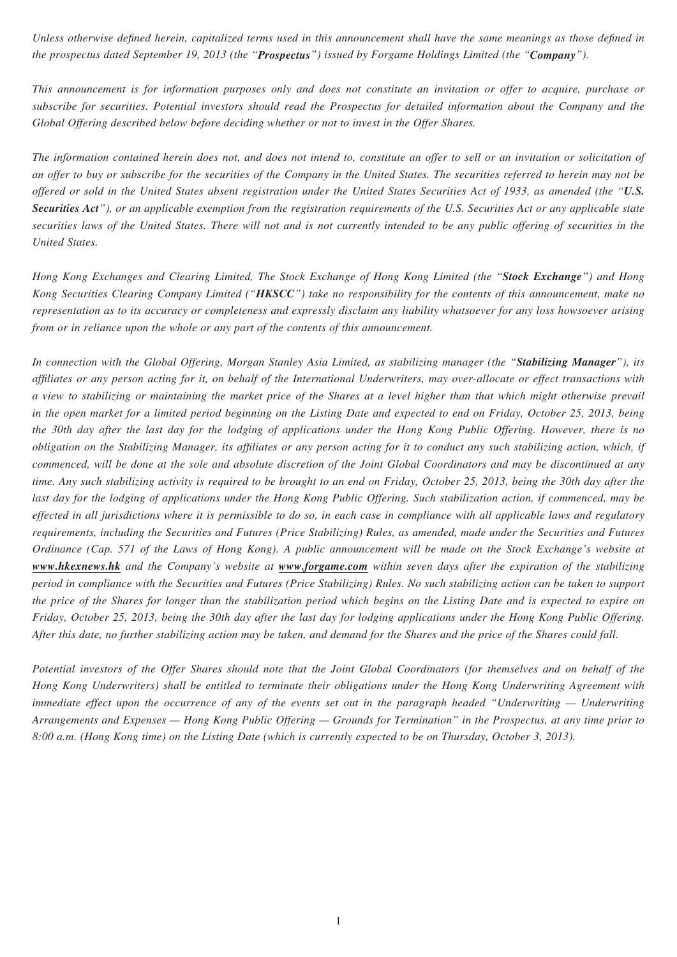*Unless otherwise defined herein, capitalized terms used in this announcement shall have the same meanings as those defined in the prospectus dated September 19, 2013 (the "Prospectus") issued by Forgame Holdings Limited (the "Company").*

*This announcement is for information purposes only and does not constitute an invitation or offer to acquire, purchase or subscribe for securities. Potential investors should read the Prospectus for detailed information about the Company and the Global Offering described below before deciding whether or not to invest in the Offer Shares.*

*The information contained herein does not, and does not intend to, constitute an offer to sell or an invitation or solicitation of an offer to buy or subscribe for the securities of the Company in the United States. The securities referred to herein may not be offered or sold in the United States absent registration under the United States Securities Act of 1933, as amended (the "U.S. Securities Act"), or an applicable exemption from the registration requirements of the U.S. Securities Act or any applicable state securities laws of the United States. There will not and is not currently intended to be any public offering of securities in the United States.*

*Hong Kong Exchanges and Clearing Limited, The Stock Exchange of Hong Kong Limited (the "Stock Exchange") and Hong Kong Securities Clearing Company Limited ("HKSCC") take no responsibility for the contents of this announcement, make no representation as to its accuracy or completeness and expressly disclaim any liability whatsoever for any loss howsoever arising from or in reliance upon the whole or any part of the contents of this announcement.*

*In connection with the Global Offering, Morgan Stanley Asia Limited, as stabilizing manager (the "Stabilizing Manager"), its affi liates or any person acting for it, on behalf of the International Underwriters, may over-allocate or effect transactions with a view to stabilizing or maintaining the market price of the Shares at a level higher than that which might otherwise prevail in the open market for a limited period beginning on the Listing Date and expected to end on Friday, October 25, 2013, being the 30th day after the last day for the lodging of applications under the Hong Kong Public Offering. However, there is no obligation on the Stabilizing Manager, its affiliates or any person acting for it to conduct any such stabilizing action, which, if commenced, will be done at the sole and absolute discretion of the Joint Global Coordinators and may be discontinued at any time. Any such stabilizing activity is required to be brought to an end on Friday, October 25, 2013, being the 30th day after the last day for the lodging of applications under the Hong Kong Public Offering. Such stabilization action, if commenced, may be effected in all jurisdictions where it is permissible to do so, in each case in compliance with all applicable laws and regulatory requirements, including the Securities and Futures (Price Stabilizing) Rules, as amended, made under the Securities and Futures Ordinance (Cap. 571 of the Laws of Hong Kong). A public announcement will be made on the Stock Exchange's website at www.hkexnews.hk and the Company's website at www.forgame.com within seven days after the expiration of the stabilizing period in compliance with the Securities and Futures (Price Stabilizing) Rules. No such stabilizing action can be taken to support the price of the Shares for longer than the stabilization period which begins on the Listing Date and is expected to expire on Friday, October 25, 2013, being the 30th day after the last day for lodging applications under the Hong Kong Public Offering. After this date, no further stabilizing action may be taken, and demand for the Shares and the price of the Shares could fall.*

*Potential investors of the Offer Shares should note that the Joint Global Coordinators (for themselves and on behalf of the Hong Kong Underwriters) shall be entitled to terminate their obligations under the Hong Kong Underwriting Agreement with immediate effect upon the occurrence of any of the events set out in the paragraph headed "Underwriting — Underwriting Arrangements and Expenses — Hong Kong Public Offering — Grounds for Termination" in the Prospectus, at any time prior to 8:00 a.m. (Hong Kong time) on the Listing Date (which is currently expected to be on Thursday, October 3, 2013).*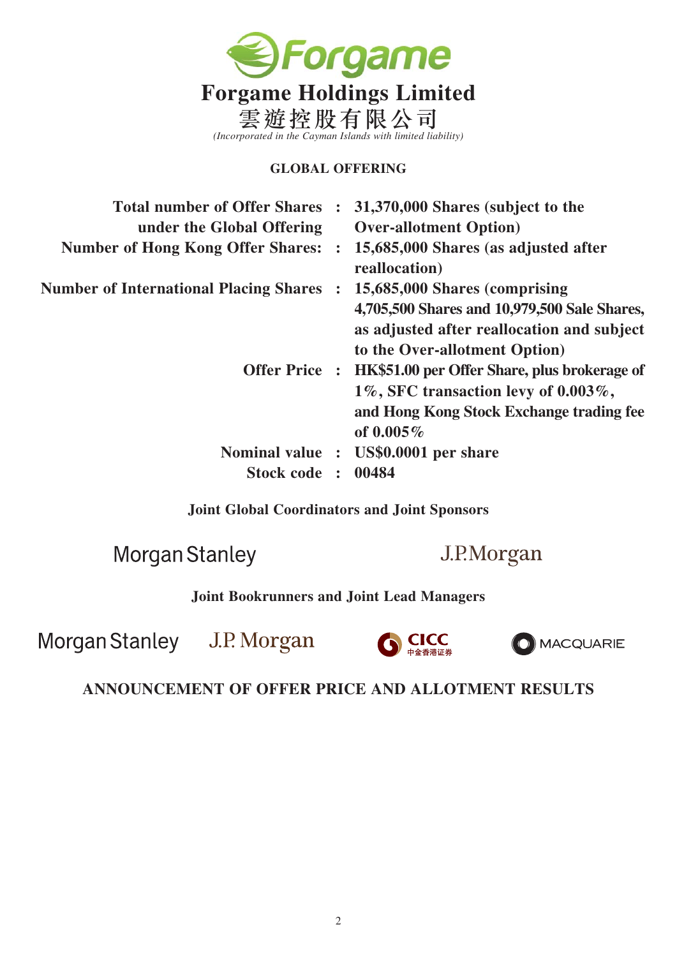

### **GLOBAL OFFERING**

| <b>Total number of Offer Shares:</b><br>under the Global Offering |              | 31,370,000 Shares (subject to the<br><b>Over-allotment Option</b> )                                                                                               |
|-------------------------------------------------------------------|--------------|-------------------------------------------------------------------------------------------------------------------------------------------------------------------|
| <b>Number of Hong Kong Offer Shares:</b>                          |              | 15,685,000 Shares (as adjusted after<br>reallocation)                                                                                                             |
| <b>Number of International Placing Shares</b>                     |              | 15,685,000 Shares (comprising<br>4,705,500 Shares and 10,979,500 Sale Shares,<br>as adjusted after reallocation and subject<br>to the Over-allotment Option)      |
|                                                                   |              | Offer Price : HK\$51.00 per Offer Share, plus brokerage of<br>1%, SFC transaction levy of $0.003\%$ ,<br>and Hong Kong Stock Exchange trading fee<br>of $0.005\%$ |
| Nominal value :                                                   |              | US\$0.0001 per share                                                                                                                                              |
| <b>Stock code</b>                                                 | $\mathbf{r}$ | 00484                                                                                                                                                             |

**Joint Global Coordinators and Joint Sponsors**

**Morgan Stanley** 

J.P.Morgan

**Joint Bookrunners and Joint Lead Managers**

**Morgan Stanley** 

J.P. Morgan



O MACQUARIE

**ANNOUNCEMENT OF OFFER PRICE AND ALLOTMENT RESULTS**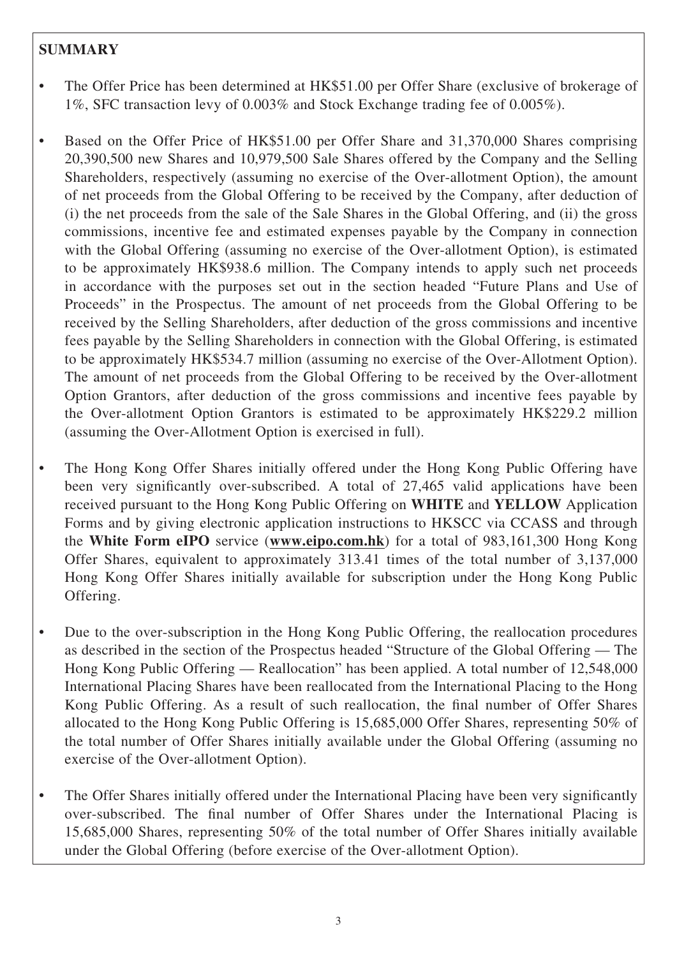# **SUMMARY**

- The Offer Price has been determined at HK\$51.00 per Offer Share (exclusive of brokerage of 1%, SFC transaction levy of 0.003% and Stock Exchange trading fee of 0.005%).
- Based on the Offer Price of HK\$51.00 per Offer Share and 31,370,000 Shares comprising 20,390,500 new Shares and 10,979,500 Sale Shares offered by the Company and the Selling Shareholders, respectively (assuming no exercise of the Over-allotment Option), the amount of net proceeds from the Global Offering to be received by the Company, after deduction of (i) the net proceeds from the sale of the Sale Shares in the Global Offering, and (ii) the gross commissions, incentive fee and estimated expenses payable by the Company in connection with the Global Offering (assuming no exercise of the Over-allotment Option), is estimated to be approximately HK\$938.6 million. The Company intends to apply such net proceeds in accordance with the purposes set out in the section headed "Future Plans and Use of Proceeds" in the Prospectus. The amount of net proceeds from the Global Offering to be received by the Selling Shareholders, after deduction of the gross commissions and incentive fees payable by the Selling Shareholders in connection with the Global Offering, is estimated to be approximately HK\$534.7 million (assuming no exercise of the Over-Allotment Option). The amount of net proceeds from the Global Offering to be received by the Over-allotment Option Grantors, after deduction of the gross commissions and incentive fees payable by the Over-allotment Option Grantors is estimated to be approximately HK\$229.2 million (assuming the Over-Allotment Option is exercised in full).
- The Hong Kong Offer Shares initially offered under the Hong Kong Public Offering have been very significantly over-subscribed. A total of 27,465 valid applications have been received pursuant to the Hong Kong Public Offering on **WHITE** and **YELLOW** Application Forms and by giving electronic application instructions to HKSCC via CCASS and through the **White Form eIPO** service (**www.eipo.com.hk**) for a total of 983,161,300 Hong Kong Offer Shares, equivalent to approximately 313.41 times of the total number of 3,137,000 Hong Kong Offer Shares initially available for subscription under the Hong Kong Public Offering.
- Due to the over-subscription in the Hong Kong Public Offering, the reallocation procedures as described in the section of the Prospectus headed "Structure of the Global Offering — The Hong Kong Public Offering — Reallocation" has been applied. A total number of 12,548,000 International Placing Shares have been reallocated from the International Placing to the Hong Kong Public Offering. As a result of such reallocation, the final number of Offer Shares allocated to the Hong Kong Public Offering is 15,685,000 Offer Shares, representing 50% of the total number of Offer Shares initially available under the Global Offering (assuming no exercise of the Over-allotment Option).
- The Offer Shares initially offered under the International Placing have been very significantly over-subscribed. The final number of Offer Shares under the International Placing is 15,685,000 Shares, representing 50% of the total number of Offer Shares initially available under the Global Offering (before exercise of the Over-allotment Option).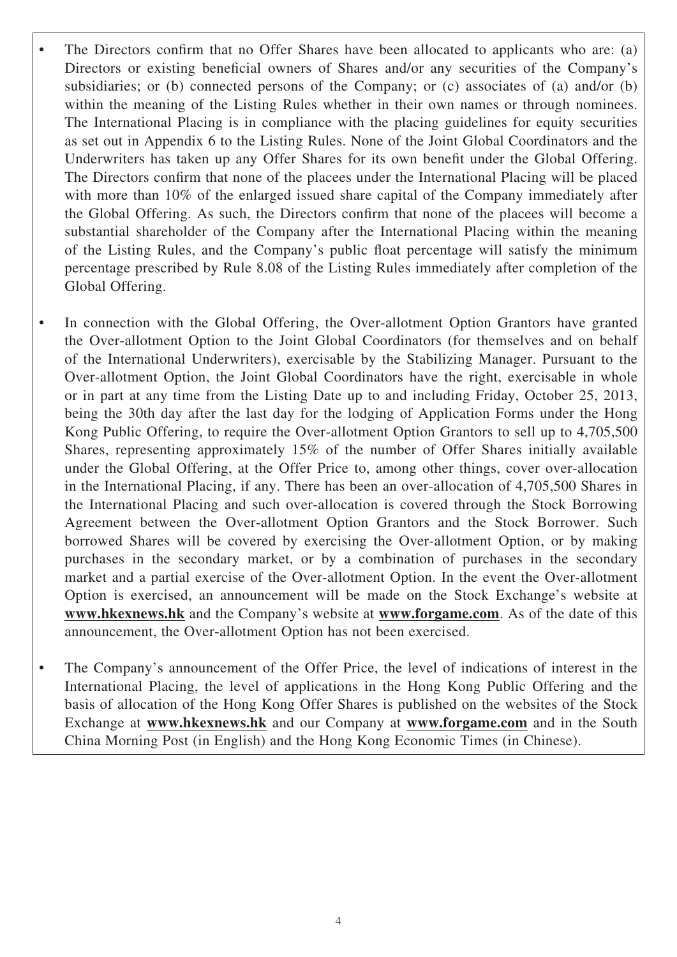- The Directors confirm that no Offer Shares have been allocated to applicants who are: (a) Directors or existing beneficial owners of Shares and/or any securities of the Company's subsidiaries; or (b) connected persons of the Company; or (c) associates of (a) and/or (b) within the meaning of the Listing Rules whether in their own names or through nominees. The International Placing is in compliance with the placing guidelines for equity securities as set out in Appendix 6 to the Listing Rules. None of the Joint Global Coordinators and the Underwriters has taken up any Offer Shares for its own benefit under the Global Offering. The Directors confirm that none of the placees under the International Placing will be placed with more than 10% of the enlarged issued share capital of the Company immediately after the Global Offering. As such, the Directors confirm that none of the placees will become a substantial shareholder of the Company after the International Placing within the meaning of the Listing Rules, and the Company's public float percentage will satisfy the minimum percentage prescribed by Rule 8.08 of the Listing Rules immediately after completion of the Global Offering.
- In connection with the Global Offering, the Over-allotment Option Grantors have granted the Over-allotment Option to the Joint Global Coordinators (for themselves and on behalf of the International Underwriters), exercisable by the Stabilizing Manager. Pursuant to the Over-allotment Option, the Joint Global Coordinators have the right, exercisable in whole or in part at any time from the Listing Date up to and including Friday, October 25, 2013, being the 30th day after the last day for the lodging of Application Forms under the Hong Kong Public Offering, to require the Over-allotment Option Grantors to sell up to 4,705,500 Shares, representing approximately 15% of the number of Offer Shares initially available under the Global Offering, at the Offer Price to, among other things, cover over-allocation in the International Placing, if any. There has been an over-allocation of 4,705,500 Shares in the International Placing and such over-allocation is covered through the Stock Borrowing Agreement between the Over-allotment Option Grantors and the Stock Borrower. Such borrowed Shares will be covered by exercising the Over-allotment Option, or by making purchases in the secondary market, or by a combination of purchases in the secondary market and a partial exercise of the Over-allotment Option. In the event the Over-allotment Option is exercised, an announcement will be made on the Stock Exchange's website at **www.hkexnews.hk** and the Company's website at **www.forgame.com**. As of the date of this announcement, the Over-allotment Option has not been exercised.
- The Company's announcement of the Offer Price, the level of indications of interest in the International Placing, the level of applications in the Hong Kong Public Offering and the basis of allocation of the Hong Kong Offer Shares is published on the websites of the Stock Exchange at **www.hkexnews.hk** and our Company at **www.forgame.com** and in the South China Morning Post (in English) and the Hong Kong Economic Times (in Chinese).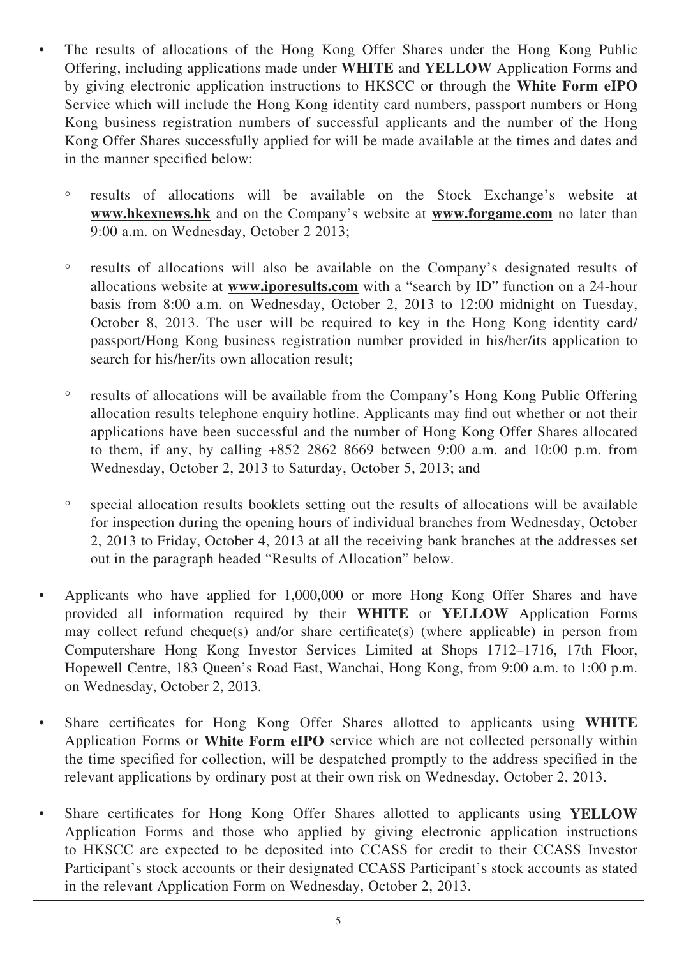- The results of allocations of the Hong Kong Offer Shares under the Hong Kong Public Offering, including applications made under **WHITE** and **YELLOW** Application Forms and by giving electronic application instructions to HKSCC or through the **White Form eIPO** Service which will include the Hong Kong identity card numbers, passport numbers or Hong Kong business registration numbers of successful applicants and the number of the Hong Kong Offer Shares successfully applied for will be made available at the times and dates and in the manner specified below:
	- ° results of allocations will be available on the Stock Exchange's website at **www.hkexnews.hk** and on the Company's website at **www.forgame.com** no later than 9:00 a.m. on Wednesday, October 2 2013;
	- ° results of allocations will also be available on the Company's designated results of allocations website at **www.iporesults.com** with a "search by ID" function on a 24-hour basis from 8:00 a.m. on Wednesday, October 2, 2013 to 12:00 midnight on Tuesday, October 8, 2013. The user will be required to key in the Hong Kong identity card/ passport/Hong Kong business registration number provided in his/her/its application to search for his/her/its own allocation result;
	- ° results of allocations will be available from the Company's Hong Kong Public Offering allocation results telephone enquiry hotline. Applicants may find out whether or not their applications have been successful and the number of Hong Kong Offer Shares allocated to them, if any, by calling +852 2862 8669 between 9:00 a.m. and 10:00 p.m. from Wednesday, October 2, 2013 to Saturday, October 5, 2013; and
	- ° special allocation results booklets setting out the results of allocations will be available for inspection during the opening hours of individual branches from Wednesday, October 2, 2013 to Friday, October 4, 2013 at all the receiving bank branches at the addresses set out in the paragraph headed "Results of Allocation" below.
- Applicants who have applied for 1,000,000 or more Hong Kong Offer Shares and have provided all information required by their **WHITE** or **YELLOW** Application Forms may collect refund cheque(s) and/or share certificate(s) (where applicable) in person from Computershare Hong Kong Investor Services Limited at Shops 1712–1716, 17th Floor, Hopewell Centre, 183 Queen's Road East, Wanchai, Hong Kong, from 9:00 a.m. to 1:00 p.m. on Wednesday, October 2, 2013.
- Share certificates for Hong Kong Offer Shares allotted to applicants using WHITE Application Forms or **White Form eIPO** service which are not collected personally within the time specified for collection, will be despatched promptly to the address specified in the relevant applications by ordinary post at their own risk on Wednesday, October 2, 2013.
- Share certificates for Hong Kong Offer Shares allotted to applicants using **YELLOW** Application Forms and those who applied by giving electronic application instructions to HKSCC are expected to be deposited into CCASS for credit to their CCASS Investor Participant's stock accounts or their designated CCASS Participant's stock accounts as stated in the relevant Application Form on Wednesday, October 2, 2013.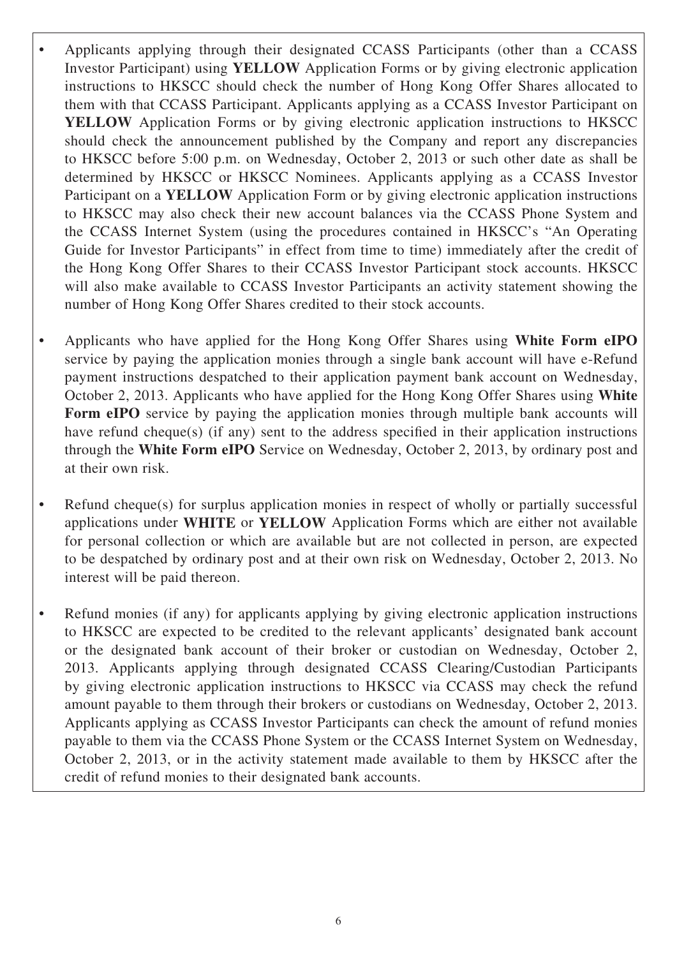- Applicants applying through their designated CCASS Participants (other than a CCASS Investor Participant) using **YELLOW** Application Forms or by giving electronic application instructions to HKSCC should check the number of Hong Kong Offer Shares allocated to them with that CCASS Participant. Applicants applying as a CCASS Investor Participant on **YELLOW** Application Forms or by giving electronic application instructions to HKSCC should check the announcement published by the Company and report any discrepancies to HKSCC before 5:00 p.m. on Wednesday, October 2, 2013 or such other date as shall be determined by HKSCC or HKSCC Nominees. Applicants applying as a CCASS Investor Participant on a **YELLOW** Application Form or by giving electronic application instructions to HKSCC may also check their new account balances via the CCASS Phone System and the CCASS Internet System (using the procedures contained in HKSCC's "An Operating Guide for Investor Participants" in effect from time to time) immediately after the credit of the Hong Kong Offer Shares to their CCASS Investor Participant stock accounts. HKSCC will also make available to CCASS Investor Participants an activity statement showing the number of Hong Kong Offer Shares credited to their stock accounts.
- Applicants who have applied for the Hong Kong Offer Shares using **White Form eIPO**  service by paying the application monies through a single bank account will have e-Refund payment instructions despatched to their application payment bank account on Wednesday, October 2, 2013. Applicants who have applied for the Hong Kong Offer Shares using **White Form eIPO** service by paying the application monies through multiple bank accounts will have refund cheque(s) (if any) sent to the address specified in their application instructions through the **White Form eIPO** Service on Wednesday, October 2, 2013, by ordinary post and at their own risk.
- Refund cheque(s) for surplus application monies in respect of wholly or partially successful applications under **WHITE** or **YELLOW** Application Forms which are either not available for personal collection or which are available but are not collected in person, are expected to be despatched by ordinary post and at their own risk on Wednesday, October 2, 2013. No interest will be paid thereon.
- Refund monies (if any) for applicants applying by giving electronic application instructions to HKSCC are expected to be credited to the relevant applicants' designated bank account or the designated bank account of their broker or custodian on Wednesday, October 2, 2013. Applicants applying through designated CCASS Clearing/Custodian Participants by giving electronic application instructions to HKSCC via CCASS may check the refund amount payable to them through their brokers or custodians on Wednesday, October 2, 2013. Applicants applying as CCASS Investor Participants can check the amount of refund monies payable to them via the CCASS Phone System or the CCASS Internet System on Wednesday, October 2, 2013, or in the activity statement made available to them by HKSCC after the credit of refund monies to their designated bank accounts.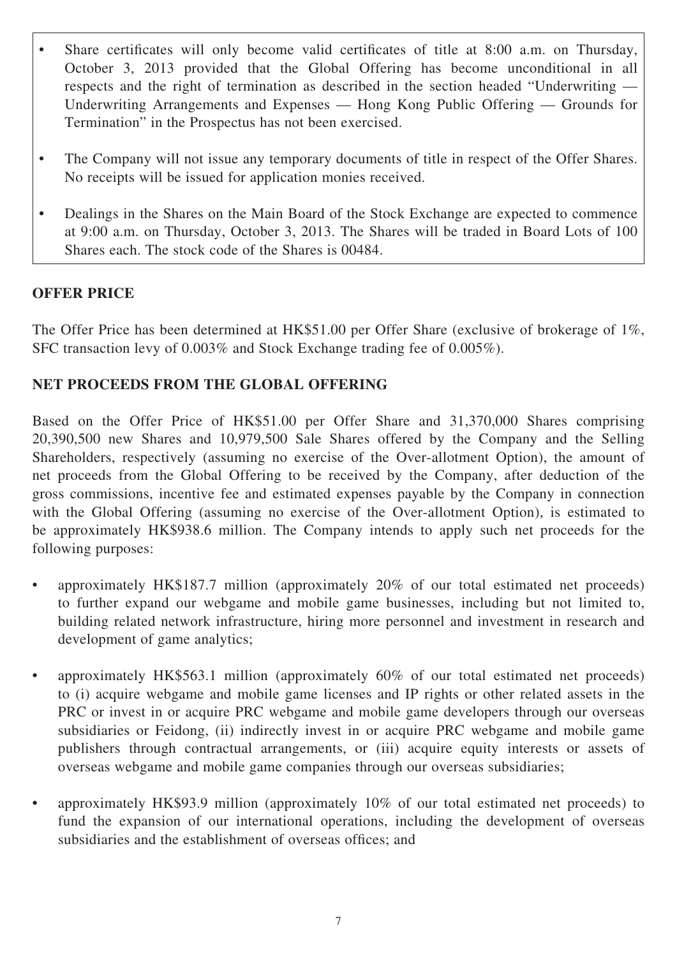- Share certificates will only become valid certificates of title at 8:00 a.m. on Thursday, October 3, 2013 provided that the Global Offering has become unconditional in all respects and the right of termination as described in the section headed "Underwriting -Underwriting Arrangements and Expenses — Hong Kong Public Offering — Grounds for Termination" in the Prospectus has not been exercised.
- The Company will not issue any temporary documents of title in respect of the Offer Shares. No receipts will be issued for application monies received.
- Dealings in the Shares on the Main Board of the Stock Exchange are expected to commence at 9:00 a.m. on Thursday, October 3, 2013. The Shares will be traded in Board Lots of 100 Shares each. The stock code of the Shares is 00484.

# **OFFER PRICE**

The Offer Price has been determined at HK\$51.00 per Offer Share (exclusive of brokerage of 1%, SFC transaction levy of 0.003% and Stock Exchange trading fee of 0.005%).

# **NET PROCEEDS FROM THE GLOBAL OFFERING**

Based on the Offer Price of HK\$51.00 per Offer Share and 31,370,000 Shares comprising 20,390,500 new Shares and 10,979,500 Sale Shares offered by the Company and the Selling Shareholders, respectively (assuming no exercise of the Over-allotment Option), the amount of net proceeds from the Global Offering to be received by the Company, after deduction of the gross commissions, incentive fee and estimated expenses payable by the Company in connection with the Global Offering (assuming no exercise of the Over-allotment Option), is estimated to be approximately HK\$938.6 million. The Company intends to apply such net proceeds for the following purposes:

- approximately HK\$187.7 million (approximately 20% of our total estimated net proceeds) to further expand our webgame and mobile game businesses, including but not limited to, building related network infrastructure, hiring more personnel and investment in research and development of game analytics;
- approximately HK\$563.1 million (approximately 60% of our total estimated net proceeds) to (i) acquire webgame and mobile game licenses and IP rights or other related assets in the PRC or invest in or acquire PRC webgame and mobile game developers through our overseas subsidiaries or Feidong, (ii) indirectly invest in or acquire PRC webgame and mobile game publishers through contractual arrangements, or (iii) acquire equity interests or assets of overseas webgame and mobile game companies through our overseas subsidiaries;
- approximately HK\$93.9 million (approximately 10% of our total estimated net proceeds) to fund the expansion of our international operations, including the development of overseas subsidiaries and the establishment of overseas offices; and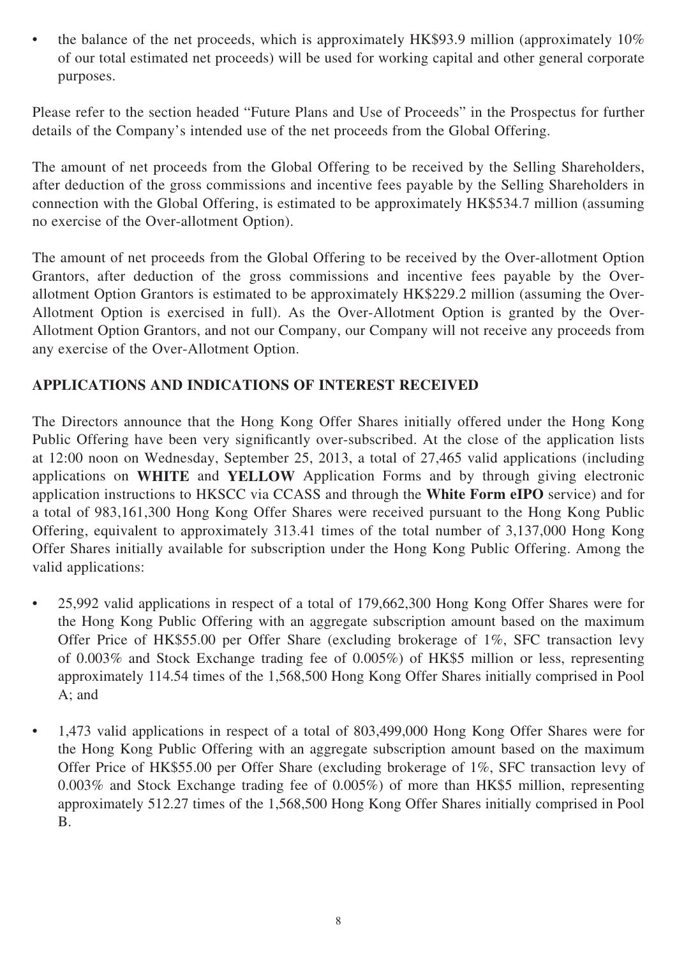• the balance of the net proceeds, which is approximately HK\$93.9 million (approximately 10%) of our total estimated net proceeds) will be used for working capital and other general corporate purposes.

Please refer to the section headed "Future Plans and Use of Proceeds" in the Prospectus for further details of the Company's intended use of the net proceeds from the Global Offering.

The amount of net proceeds from the Global Offering to be received by the Selling Shareholders, after deduction of the gross commissions and incentive fees payable by the Selling Shareholders in connection with the Global Offering, is estimated to be approximately HK\$534.7 million (assuming no exercise of the Over-allotment Option).

The amount of net proceeds from the Global Offering to be received by the Over-allotment Option Grantors, after deduction of the gross commissions and incentive fees payable by the Overallotment Option Grantors is estimated to be approximately HK\$229.2 million (assuming the Over-Allotment Option is exercised in full). As the Over-Allotment Option is granted by the Over-Allotment Option Grantors, and not our Company, our Company will not receive any proceeds from any exercise of the Over-Allotment Option.

# **APPLICATIONS AND INDICATIONS OF INTEREST RECEIVED**

The Directors announce that the Hong Kong Offer Shares initially offered under the Hong Kong Public Offering have been very significantly over-subscribed. At the close of the application lists at 12:00 noon on Wednesday, September 25, 2013, a total of 27,465 valid applications (including applications on **WHITE** and **YELLOW** Application Forms and by through giving electronic application instructions to HKSCC via CCASS and through the **White Form eIPO** service) and for a total of 983,161,300 Hong Kong Offer Shares were received pursuant to the Hong Kong Public Offering, equivalent to approximately 313.41 times of the total number of 3,137,000 Hong Kong Offer Shares initially available for subscription under the Hong Kong Public Offering. Among the valid applications:

- 25,992 valid applications in respect of a total of 179,662,300 Hong Kong Offer Shares were for the Hong Kong Public Offering with an aggregate subscription amount based on the maximum Offer Price of HK\$55.00 per Offer Share (excluding brokerage of 1%, SFC transaction levy of 0.003% and Stock Exchange trading fee of 0.005%) of HK\$5 million or less, representing approximately 114.54 times of the 1,568,500 Hong Kong Offer Shares initially comprised in Pool A; and
- 1,473 valid applications in respect of a total of 803,499,000 Hong Kong Offer Shares were for the Hong Kong Public Offering with an aggregate subscription amount based on the maximum Offer Price of HK\$55.00 per Offer Share (excluding brokerage of 1%, SFC transaction levy of 0.003% and Stock Exchange trading fee of 0.005%) of more than HK\$5 million, representing approximately 512.27 times of the 1,568,500 Hong Kong Offer Shares initially comprised in Pool B.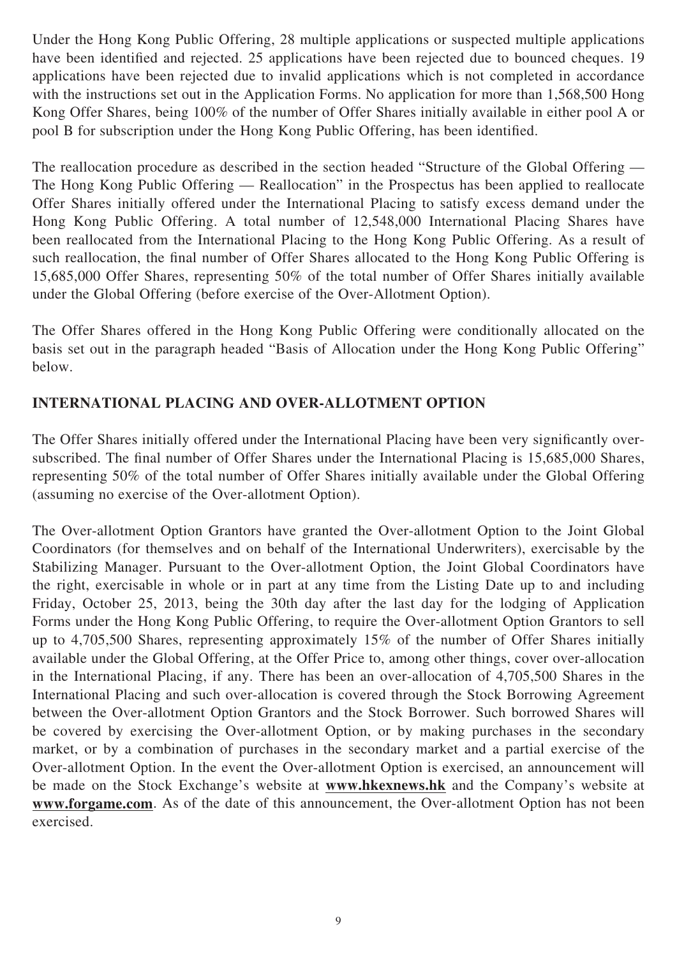Under the Hong Kong Public Offering, 28 multiple applications or suspected multiple applications have been identified and rejected. 25 applications have been rejected due to bounced cheques. 19 applications have been rejected due to invalid applications which is not completed in accordance with the instructions set out in the Application Forms. No application for more than 1,568,500 Hong Kong Offer Shares, being 100% of the number of Offer Shares initially available in either pool A or pool B for subscription under the Hong Kong Public Offering, has been identified.

The reallocation procedure as described in the section headed "Structure of the Global Offering — The Hong Kong Public Offering — Reallocation" in the Prospectus has been applied to reallocate Offer Shares initially offered under the International Placing to satisfy excess demand under the Hong Kong Public Offering. A total number of 12,548,000 International Placing Shares have been reallocated from the International Placing to the Hong Kong Public Offering. As a result of such reallocation, the final number of Offer Shares allocated to the Hong Kong Public Offering is 15,685,000 Offer Shares, representing 50% of the total number of Offer Shares initially available under the Global Offering (before exercise of the Over-Allotment Option).

The Offer Shares offered in the Hong Kong Public Offering were conditionally allocated on the basis set out in the paragraph headed "Basis of Allocation under the Hong Kong Public Offering" below.

# **INTERNATIONAL PLACING AND OVER-ALLOTMENT OPTION**

The Offer Shares initially offered under the International Placing have been very significantly oversubscribed. The final number of Offer Shares under the International Placing is 15,685,000 Shares, representing 50% of the total number of Offer Shares initially available under the Global Offering (assuming no exercise of the Over-allotment Option).

The Over-allotment Option Grantors have granted the Over-allotment Option to the Joint Global Coordinators (for themselves and on behalf of the International Underwriters), exercisable by the Stabilizing Manager. Pursuant to the Over-allotment Option, the Joint Global Coordinators have the right, exercisable in whole or in part at any time from the Listing Date up to and including Friday, October 25, 2013, being the 30th day after the last day for the lodging of Application Forms under the Hong Kong Public Offering, to require the Over-allotment Option Grantors to sell up to 4,705,500 Shares, representing approximately 15% of the number of Offer Shares initially available under the Global Offering, at the Offer Price to, among other things, cover over-allocation in the International Placing, if any. There has been an over-allocation of 4,705,500 Shares in the International Placing and such over-allocation is covered through the Stock Borrowing Agreement between the Over-allotment Option Grantors and the Stock Borrower. Such borrowed Shares will be covered by exercising the Over-allotment Option, or by making purchases in the secondary market, or by a combination of purchases in the secondary market and a partial exercise of the Over-allotment Option. In the event the Over-allotment Option is exercised, an announcement will be made on the Stock Exchange's website at **www.hkexnews.hk** and the Company's website at **www.forgame.com**. As of the date of this announcement, the Over-allotment Option has not been exercised.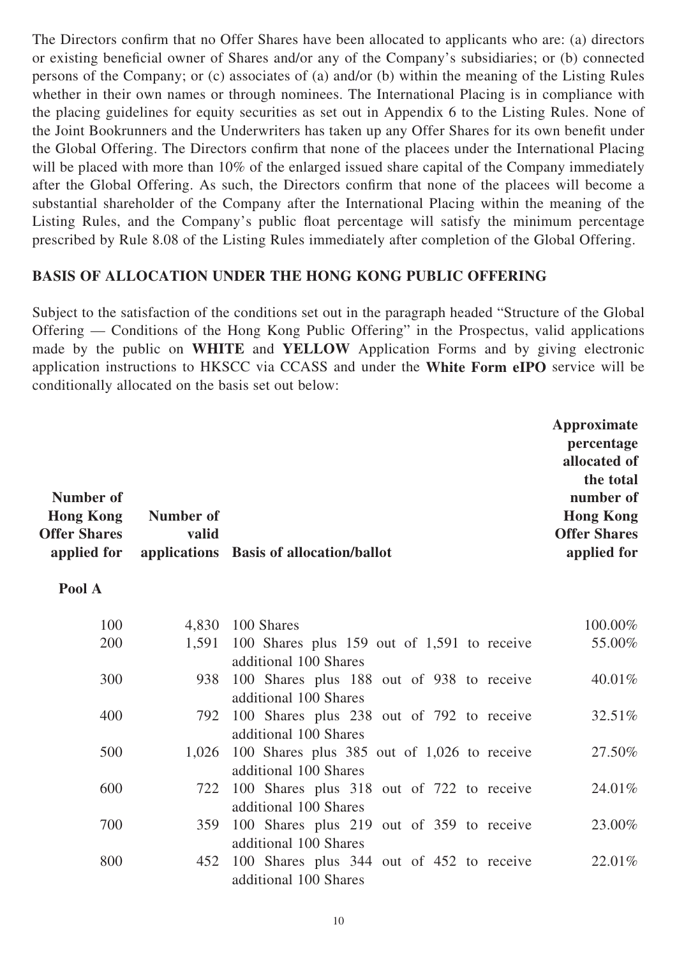The Directors confirm that no Offer Shares have been allocated to applicants who are: (a) directors or existing beneficial owner of Shares and/or any of the Company's subsidiaries; or (b) connected persons of the Company; or (c) associates of (a) and/or (b) within the meaning of the Listing Rules whether in their own names or through nominees. The International Placing is in compliance with the placing guidelines for equity securities as set out in Appendix 6 to the Listing Rules. None of the Joint Bookrunners and the Underwriters has taken up any Offer Shares for its own benefit under the Global Offering. The Directors confirm that none of the placees under the International Placing will be placed with more than 10% of the enlarged issued share capital of the Company immediately after the Global Offering. As such, the Directors confirm that none of the placees will become a substantial shareholder of the Company after the International Placing within the meaning of the Listing Rules, and the Company's public float percentage will satisfy the minimum percentage prescribed by Rule 8.08 of the Listing Rules immediately after completion of the Global Offering.

## **BASIS OF ALLOCATION UNDER THE HONG KONG PUBLIC OFFERING**

Subject to the satisfaction of the conditions set out in the paragraph headed "Structure of the Global Offering — Conditions of the Hong Kong Public Offering" in the Prospectus, valid applications made by the public on **WHITE** and **YELLOW** Application Forms and by giving electronic application instructions to HKSCC via CCASS and under the **White Form eIPO** service will be conditionally allocated on the basis set out below:

| Number of<br><b>Hong Kong</b><br><b>Offer Shares</b><br>applied for<br>Pool A | Number of<br>valid | applications Basis of allocation/ballot                              | Approximate<br>percentage<br>allocated of<br>the total<br>number of<br><b>Hong Kong</b><br><b>Offer Shares</b><br>applied for |
|-------------------------------------------------------------------------------|--------------------|----------------------------------------------------------------------|-------------------------------------------------------------------------------------------------------------------------------|
| 100                                                                           | 4,830              | 100 Shares                                                           | 100.00%                                                                                                                       |
| 200                                                                           | 1,591              | 100 Shares plus 159 out of 1,591 to receive<br>additional 100 Shares | 55.00%                                                                                                                        |
| 300                                                                           | 938                | 100 Shares plus 188 out of 938 to receive<br>additional 100 Shares   | 40.01%                                                                                                                        |
| 400                                                                           | 792                | 100 Shares plus 238 out of 792 to receive<br>additional 100 Shares   | 32.51%                                                                                                                        |
| 500                                                                           | 1,026              | 100 Shares plus 385 out of 1,026 to receive<br>additional 100 Shares | 27.50%                                                                                                                        |
| 600                                                                           | 722                | 100 Shares plus 318 out of 722 to receive<br>additional 100 Shares   | 24.01%                                                                                                                        |
| 700                                                                           | 359                | 100 Shares plus 219 out of 359 to receive<br>additional 100 Shares   | 23.00%                                                                                                                        |
| 800                                                                           | 452                | 100 Shares plus 344 out of 452 to receive<br>additional 100 Shares   | 22.01%                                                                                                                        |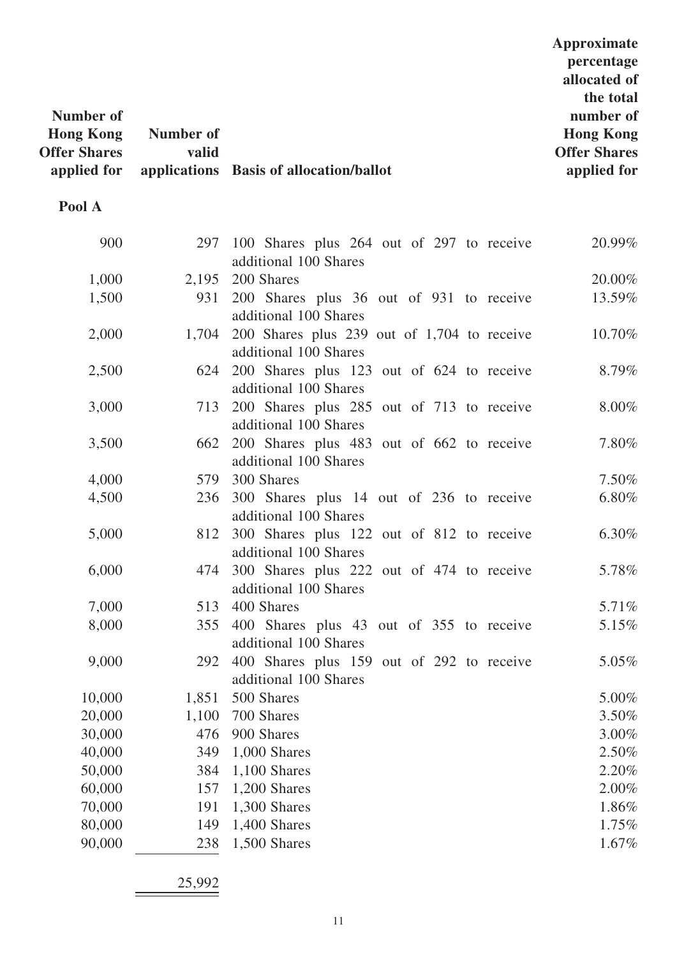| Number of<br><b>Hong Kong</b><br><b>Offer Shares</b><br>applied for | Number of<br>valid | applications Basis of allocation/ballot                              | <b>Approximate</b><br>percentage<br>allocated of<br>the total<br>number of<br><b>Hong Kong</b><br><b>Offer Shares</b><br>applied for |
|---------------------------------------------------------------------|--------------------|----------------------------------------------------------------------|--------------------------------------------------------------------------------------------------------------------------------------|
| Pool A                                                              |                    |                                                                      |                                                                                                                                      |
| 900                                                                 | 297                | 100 Shares plus 264 out of 297 to receive<br>additional 100 Shares   | 20.99%                                                                                                                               |
| 1,000                                                               | 2,195              | 200 Shares                                                           | 20.00%                                                                                                                               |
| 1,500                                                               | 931                | 200 Shares plus 36 out of 931 to receive<br>additional 100 Shares    | 13.59%                                                                                                                               |
| 2,000                                                               | 1,704              | 200 Shares plus 239 out of 1,704 to receive<br>additional 100 Shares | 10.70%                                                                                                                               |
| 2,500                                                               | 624                | 200 Shares plus 123 out of 624 to receive<br>additional 100 Shares   | 8.79%                                                                                                                                |
| 3,000                                                               | 713                | 200 Shares plus 285 out of 713 to receive<br>additional 100 Shares   | 8.00%                                                                                                                                |
| 3,500                                                               | 662                | 200 Shares plus 483 out of 662 to receive<br>additional 100 Shares   | 7.80%                                                                                                                                |
| 4,000                                                               | 579                | 300 Shares                                                           | 7.50%                                                                                                                                |
| 4,500                                                               | 236                | 300 Shares plus 14 out of 236 to receive<br>additional 100 Shares    | 6.80%                                                                                                                                |
| 5,000                                                               | 812                | 300 Shares plus 122 out of 812 to receive<br>additional 100 Shares   | 6.30%                                                                                                                                |
| 6,000                                                               | 474                | 300 Shares plus 222 out of 474 to receive<br>additional 100 Shares   | 5.78%                                                                                                                                |
| 7,000                                                               | 513                | 400 Shares                                                           | 5.71%                                                                                                                                |
| 8,000                                                               | 355                | 400 Shares plus 43 out of 355 to receive<br>additional 100 Shares    | 5.15%                                                                                                                                |
| 9,000                                                               | 292                | 400 Shares plus 159 out of 292 to receive<br>additional 100 Shares   | 5.05%                                                                                                                                |
| 10,000                                                              | 1,851              | 500 Shares                                                           | 5.00%                                                                                                                                |
| 20,000                                                              | 1,100              | 700 Shares                                                           | 3.50%                                                                                                                                |
| 30,000                                                              | 476                | 900 Shares                                                           | $3.00\%$                                                                                                                             |
| 40,000                                                              | 349                | 1,000 Shares                                                         | 2.50%                                                                                                                                |
| 50,000                                                              | 384                | $1,100$ Shares                                                       | 2.20%                                                                                                                                |
| 60,000                                                              | 157                | $1,200$ Shares                                                       | 2.00%                                                                                                                                |
| 70,000                                                              | 191                | $1,300$ Shares                                                       | 1.86%                                                                                                                                |
| 80,000                                                              | 149                | $1,400$ Shares                                                       | 1.75%                                                                                                                                |
| 90,000                                                              | 238                | 1,500 Shares                                                         | $1.67\%$                                                                                                                             |

25,992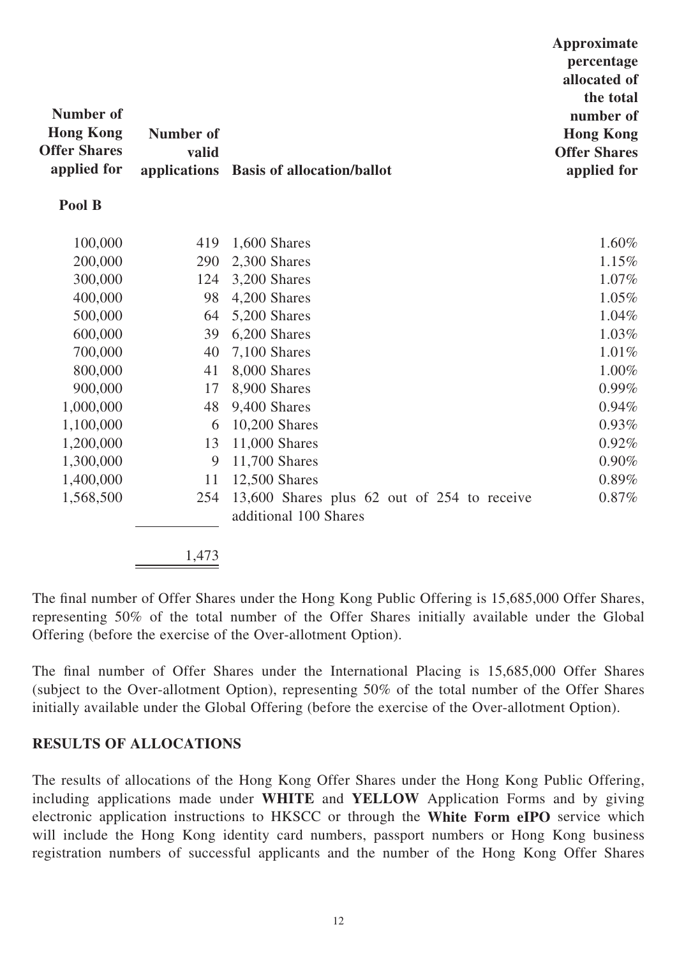| Number of<br><b>Hong Kong</b><br><b>Offer Shares</b><br>applied for<br>Pool B | <b>Number of</b><br>valid<br>applications | <b>Basis of allocation/ballot</b>           | Approximate<br>percentage<br>allocated of<br>the total<br>number of<br><b>Hong Kong</b><br><b>Offer Shares</b><br>applied for |
|-------------------------------------------------------------------------------|-------------------------------------------|---------------------------------------------|-------------------------------------------------------------------------------------------------------------------------------|
| 100,000                                                                       | 419                                       | 1,600 Shares                                | 1.60%                                                                                                                         |
| 200,000                                                                       | 290                                       | 2,300 Shares                                | 1.15%                                                                                                                         |
| 300,000                                                                       | 124                                       | 3,200 Shares                                | 1.07%                                                                                                                         |
| 400,000                                                                       | 98                                        | 4,200 Shares                                | 1.05%                                                                                                                         |
| 500,000                                                                       | 64                                        | 5,200 Shares                                | 1.04%                                                                                                                         |
| 600,000                                                                       | 39                                        | 6,200 Shares                                | 1.03%                                                                                                                         |
| 700,000                                                                       | 40                                        | 7,100 Shares                                | 1.01%                                                                                                                         |
| 800,000                                                                       | 41                                        | 8,000 Shares                                | 1.00%                                                                                                                         |
| 900,000                                                                       | 17                                        | 8,900 Shares                                | $0.99\%$                                                                                                                      |
| 1,000,000                                                                     | 48                                        | 9,400 Shares                                | 0.94%                                                                                                                         |
| 1,100,000                                                                     | 6                                         | 10,200 Shares                               | 0.93%                                                                                                                         |
| 1,200,000                                                                     | 13                                        | 11,000 Shares                               | 0.92%                                                                                                                         |
| 1,300,000                                                                     | 9                                         | 11,700 Shares                               | 0.90%                                                                                                                         |
| 1,400,000                                                                     | 11                                        | 12,500 Shares                               | 0.89%                                                                                                                         |
| 1,568,500                                                                     | 254                                       | 13,600 Shares plus 62 out of 254 to receive | 0.87%                                                                                                                         |

1,473

The final number of Offer Shares under the Hong Kong Public Offering is 15,685,000 Offer Shares, representing 50% of the total number of the Offer Shares initially available under the Global Offering (before the exercise of the Over-allotment Option).

additional 100 Shares

The final number of Offer Shares under the International Placing is 15,685,000 Offer Shares (subject to the Over-allotment Option), representing 50% of the total number of the Offer Shares initially available under the Global Offering (before the exercise of the Over-allotment Option).

### **RESULTS OF ALLOCATIONS**

The results of allocations of the Hong Kong Offer Shares under the Hong Kong Public Offering, including applications made under **WHITE** and **YELLOW** Application Forms and by giving electronic application instructions to HKSCC or through the **White Form eIPO** service which will include the Hong Kong identity card numbers, passport numbers or Hong Kong business registration numbers of successful applicants and the number of the Hong Kong Offer Shares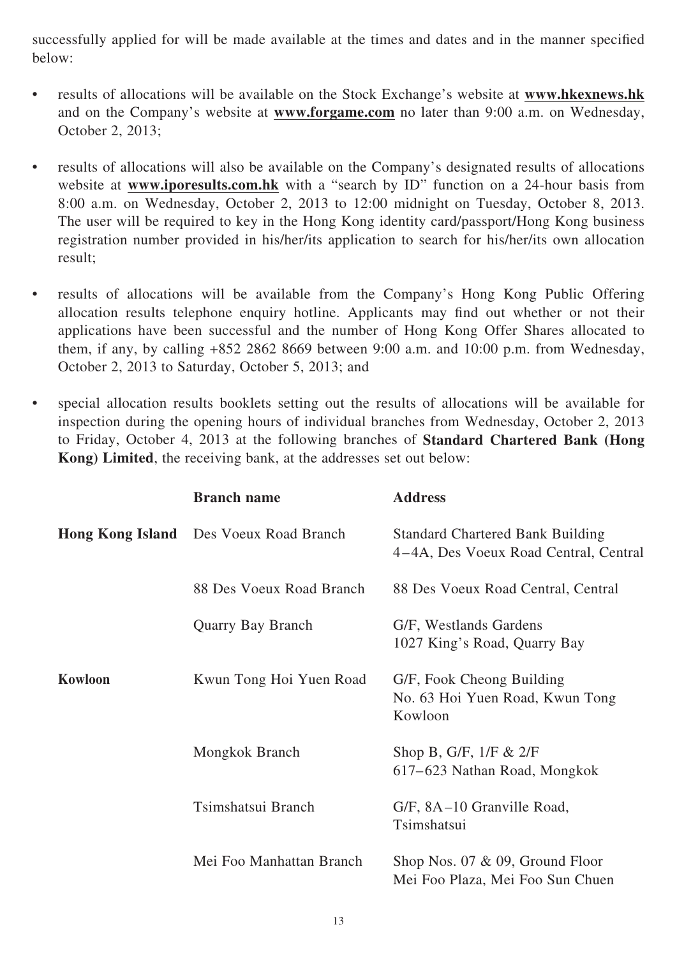successfully applied for will be made available at the times and dates and in the manner specified below:

- results of allocations will be available on the Stock Exchange's website at **www.hkexnews.hk** and on the Company's website at **www.forgame.com** no later than 9:00 a.m. on Wednesday, October 2, 2013;
- results of allocations will also be available on the Company's designated results of allocations website at **www.iporesults.com.hk** with a "search by ID" function on a 24-hour basis from 8:00 a.m. on Wednesday, October 2, 2013 to 12:00 midnight on Tuesday, October 8, 2013. The user will be required to key in the Hong Kong identity card/passport/Hong Kong business registration number provided in his/her/its application to search for his/her/its own allocation result;
- results of allocations will be available from the Company's Hong Kong Public Offering allocation results telephone enquiry hotline. Applicants may find out whether or not their applications have been successful and the number of Hong Kong Offer Shares allocated to them, if any, by calling  $+852$  2862 8669 between 9:00 a.m. and 10:00 p.m. from Wednesday, October 2, 2013 to Saturday, October 5, 2013; and
- special allocation results booklets setting out the results of allocations will be available for inspection during the opening hours of individual branches from Wednesday, October 2, 2013 to Friday, October 4, 2013 at the following branches of **Standard Chartered Bank (Hong Kong) Limited**, the receiving bank, at the addresses set out below:

|         | <b>Branch name</b>                            | <b>Address</b>                                                                   |
|---------|-----------------------------------------------|----------------------------------------------------------------------------------|
|         | <b>Hong Kong Island</b> Des Voeux Road Branch | <b>Standard Chartered Bank Building</b><br>4–4A, Des Voeux Road Central, Central |
|         | 88 Des Voeux Road Branch                      | 88 Des Voeux Road Central, Central                                               |
|         | <b>Quarry Bay Branch</b>                      | G/F, Westlands Gardens<br>1027 King's Road, Quarry Bay                           |
| Kowloon | Kwun Tong Hoi Yuen Road                       | G/F, Fook Cheong Building<br>No. 63 Hoi Yuen Road, Kwun Tong<br>Kowloon          |
|         | Mongkok Branch                                | Shop B, G/F, $1/F & 2/F$<br>617–623 Nathan Road, Mongkok                         |
|         | Tsimshatsui Branch                            | G/F, 8A-10 Granville Road,<br>Tsimshatsui                                        |
|         | Mei Foo Manhattan Branch                      | Shop Nos. $07 \& 09$ , Ground Floor<br>Mei Foo Plaza, Mei Foo Sun Chuen          |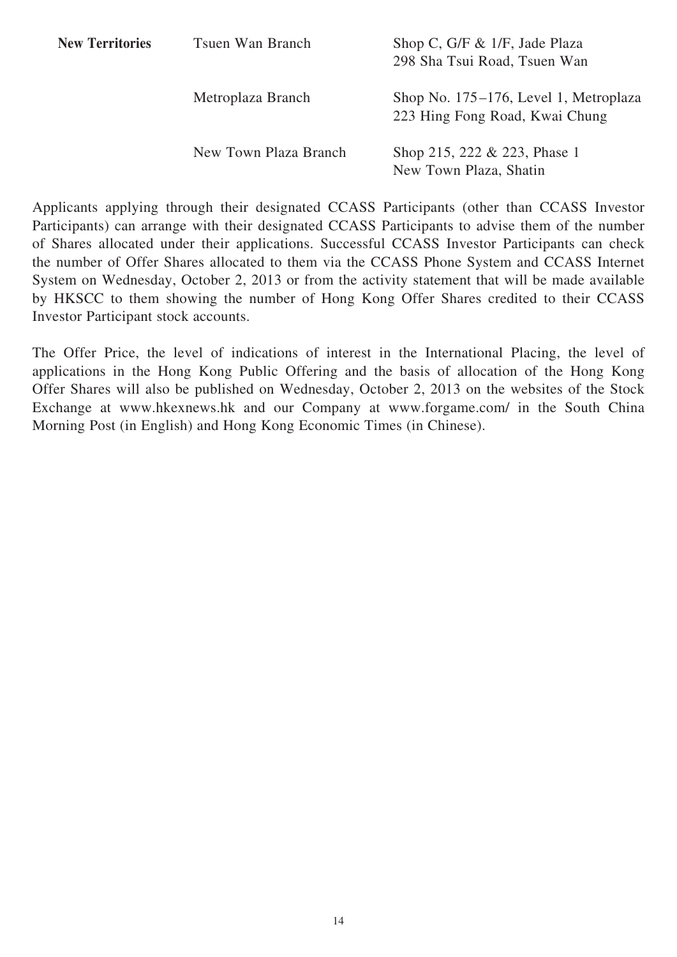| <b>New Territories</b> | Tsuen Wan Branch      | Shop C, G/F & 1/F, Jade Plaza<br>298 Sha Tsui Road, Tsuen Wan           |
|------------------------|-----------------------|-------------------------------------------------------------------------|
|                        | Metroplaza Branch     | Shop No. 175–176, Level 1, Metroplaza<br>223 Hing Fong Road, Kwai Chung |
|                        | New Town Plaza Branch | Shop 215, 222 & 223, Phase 1<br>New Town Plaza, Shatin                  |

Applicants applying through their designated CCASS Participants (other than CCASS Investor Participants) can arrange with their designated CCASS Participants to advise them of the number of Shares allocated under their applications. Successful CCASS Investor Participants can check the number of Offer Shares allocated to them via the CCASS Phone System and CCASS Internet System on Wednesday, October 2, 2013 or from the activity statement that will be made available by HKSCC to them showing the number of Hong Kong Offer Shares credited to their CCASS Investor Participant stock accounts.

The Offer Price, the level of indications of interest in the International Placing, the level of applications in the Hong Kong Public Offering and the basis of allocation of the Hong Kong Offer Shares will also be published on Wednesday, October 2, 2013 on the websites of the Stock Exchange at www.hkexnews.hk and our Company at www.forgame.com/ in the South China Morning Post (in English) and Hong Kong Economic Times (in Chinese).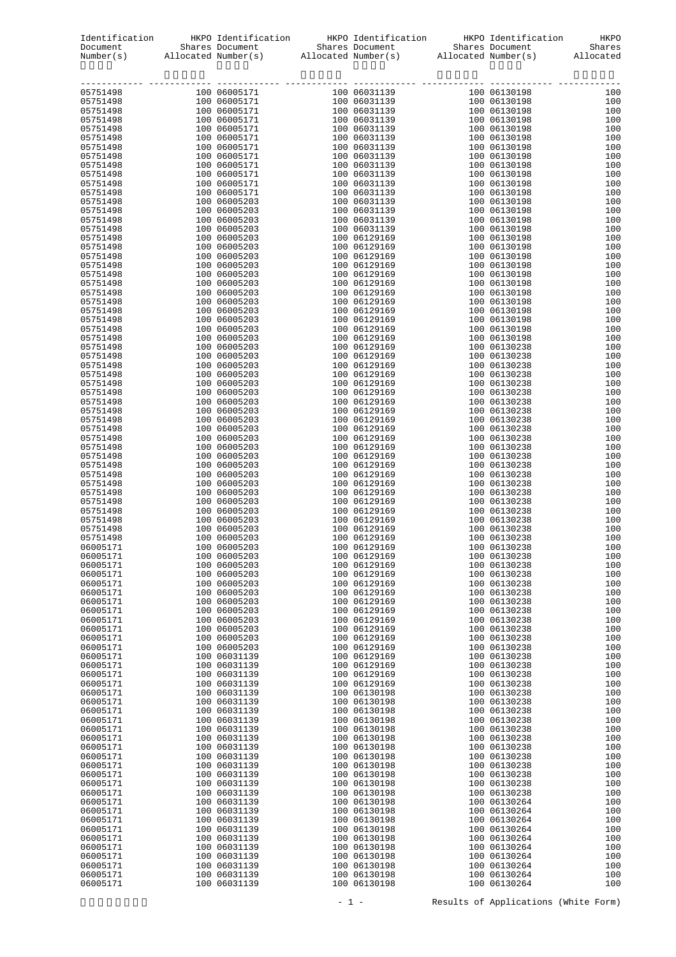|                      |                              | $\begin{tabular}{l c c c c} Identification & HKPO Identification & HKPO Identification & HKPO Identification & HKPO Identification & HKPODocument & Shares Document & Shares Document & SharesNumber(s) & Allocated Number(s) & Allocated Number(s) & AllocatedNumber(s) & LICated Number(s) & LICated Number(s) & LICated Number(s) & LICated Number(s) & LICated Number(s) & LICated Number(s) & LICated Number(s) & LICated Number(s) & LICated Number(s) & LICated Number(s) & LICated Number(s) & LICated Number(s) & LICated Number(s) & LICated Number(s) & LICated Number(s) & LICated Number(s) & LICated Number(s) & LICated Number(s) & LICated Number(s) &$ |                              |            |
|----------------------|------------------------------|-------------------------------------------------------------------------------------------------------------------------------------------------------------------------------------------------------------------------------------------------------------------------------------------------------------------------------------------------------------------------------------------------------------------------------------------------------------------------------------------------------------------------------------------------------------------------------------------------------------------------------------------------------------------------|------------------------------|------------|
|                      |                              |                                                                                                                                                                                                                                                                                                                                                                                                                                                                                                                                                                                                                                                                         |                              |            |
|                      |                              |                                                                                                                                                                                                                                                                                                                                                                                                                                                                                                                                                                                                                                                                         |                              |            |
|                      |                              |                                                                                                                                                                                                                                                                                                                                                                                                                                                                                                                                                                                                                                                                         |                              |            |
|                      |                              |                                                                                                                                                                                                                                                                                                                                                                                                                                                                                                                                                                                                                                                                         |                              |            |
|                      |                              |                                                                                                                                                                                                                                                                                                                                                                                                                                                                                                                                                                                                                                                                         |                              |            |
|                      |                              |                                                                                                                                                                                                                                                                                                                                                                                                                                                                                                                                                                                                                                                                         |                              |            |
|                      |                              |                                                                                                                                                                                                                                                                                                                                                                                                                                                                                                                                                                                                                                                                         |                              |            |
|                      |                              |                                                                                                                                                                                                                                                                                                                                                                                                                                                                                                                                                                                                                                                                         |                              |            |
|                      |                              |                                                                                                                                                                                                                                                                                                                                                                                                                                                                                                                                                                                                                                                                         |                              |            |
|                      |                              |                                                                                                                                                                                                                                                                                                                                                                                                                                                                                                                                                                                                                                                                         |                              |            |
|                      |                              |                                                                                                                                                                                                                                                                                                                                                                                                                                                                                                                                                                                                                                                                         |                              |            |
|                      |                              |                                                                                                                                                                                                                                                                                                                                                                                                                                                                                                                                                                                                                                                                         |                              |            |
|                      |                              |                                                                                                                                                                                                                                                                                                                                                                                                                                                                                                                                                                                                                                                                         |                              |            |
|                      |                              |                                                                                                                                                                                                                                                                                                                                                                                                                                                                                                                                                                                                                                                                         |                              |            |
|                      |                              |                                                                                                                                                                                                                                                                                                                                                                                                                                                                                                                                                                                                                                                                         |                              |            |
|                      |                              |                                                                                                                                                                                                                                                                                                                                                                                                                                                                                                                                                                                                                                                                         |                              |            |
|                      |                              |                                                                                                                                                                                                                                                                                                                                                                                                                                                                                                                                                                                                                                                                         |                              |            |
|                      |                              |                                                                                                                                                                                                                                                                                                                                                                                                                                                                                                                                                                                                                                                                         |                              |            |
|                      |                              |                                                                                                                                                                                                                                                                                                                                                                                                                                                                                                                                                                                                                                                                         |                              |            |
|                      |                              |                                                                                                                                                                                                                                                                                                                                                                                                                                                                                                                                                                                                                                                                         |                              |            |
|                      |                              |                                                                                                                                                                                                                                                                                                                                                                                                                                                                                                                                                                                                                                                                         |                              |            |
|                      |                              |                                                                                                                                                                                                                                                                                                                                                                                                                                                                                                                                                                                                                                                                         |                              |            |
|                      |                              |                                                                                                                                                                                                                                                                                                                                                                                                                                                                                                                                                                                                                                                                         |                              |            |
|                      |                              |                                                                                                                                                                                                                                                                                                                                                                                                                                                                                                                                                                                                                                                                         |                              |            |
|                      |                              |                                                                                                                                                                                                                                                                                                                                                                                                                                                                                                                                                                                                                                                                         |                              |            |
|                      |                              |                                                                                                                                                                                                                                                                                                                                                                                                                                                                                                                                                                                                                                                                         |                              |            |
|                      |                              |                                                                                                                                                                                                                                                                                                                                                                                                                                                                                                                                                                                                                                                                         |                              |            |
|                      |                              |                                                                                                                                                                                                                                                                                                                                                                                                                                                                                                                                                                                                                                                                         |                              |            |
|                      |                              |                                                                                                                                                                                                                                                                                                                                                                                                                                                                                                                                                                                                                                                                         |                              |            |
|                      |                              |                                                                                                                                                                                                                                                                                                                                                                                                                                                                                                                                                                                                                                                                         |                              |            |
|                      |                              |                                                                                                                                                                                                                                                                                                                                                                                                                                                                                                                                                                                                                                                                         |                              |            |
|                      |                              |                                                                                                                                                                                                                                                                                                                                                                                                                                                                                                                                                                                                                                                                         |                              |            |
|                      |                              |                                                                                                                                                                                                                                                                                                                                                                                                                                                                                                                                                                                                                                                                         |                              |            |
|                      |                              |                                                                                                                                                                                                                                                                                                                                                                                                                                                                                                                                                                                                                                                                         |                              |            |
|                      |                              |                                                                                                                                                                                                                                                                                                                                                                                                                                                                                                                                                                                                                                                                         |                              |            |
|                      |                              |                                                                                                                                                                                                                                                                                                                                                                                                                                                                                                                                                                                                                                                                         |                              |            |
|                      |                              |                                                                                                                                                                                                                                                                                                                                                                                                                                                                                                                                                                                                                                                                         |                              |            |
|                      |                              |                                                                                                                                                                                                                                                                                                                                                                                                                                                                                                                                                                                                                                                                         |                              |            |
|                      |                              |                                                                                                                                                                                                                                                                                                                                                                                                                                                                                                                                                                                                                                                                         |                              |            |
|                      |                              |                                                                                                                                                                                                                                                                                                                                                                                                                                                                                                                                                                                                                                                                         |                              |            |
|                      |                              |                                                                                                                                                                                                                                                                                                                                                                                                                                                                                                                                                                                                                                                                         |                              |            |
| 06005171             | 100 06005203                 | 100 06129169                                                                                                                                                                                                                                                                                                                                                                                                                                                                                                                                                                                                                                                            | 100 06130238                 | 100        |
| 06005171             | 100 06005203                 | 100 06129169                                                                                                                                                                                                                                                                                                                                                                                                                                                                                                                                                                                                                                                            | 100 06130238                 | 100        |
| 06005171             | 100 06005203                 | 100 06129169                                                                                                                                                                                                                                                                                                                                                                                                                                                                                                                                                                                                                                                            | 100 06130238                 | 100        |
| 06005171             | 100 06005203                 | 100 06129169                                                                                                                                                                                                                                                                                                                                                                                                                                                                                                                                                                                                                                                            | 100 06130238                 | 100        |
| 06005171<br>06005171 | 100 06005203<br>100 06005203 | 100 06129169<br>100 06129169                                                                                                                                                                                                                                                                                                                                                                                                                                                                                                                                                                                                                                            | 100 06130238<br>100 06130238 | 100<br>100 |
| 06005171             | 100 06005203                 | 100 06129169                                                                                                                                                                                                                                                                                                                                                                                                                                                                                                                                                                                                                                                            | 100 06130238                 | 100        |
| 06005171             | 100 06005203                 | 100 06129169                                                                                                                                                                                                                                                                                                                                                                                                                                                                                                                                                                                                                                                            | 100 06130238                 | 100        |
| 06005171             | 100 06005203                 | 100 06129169                                                                                                                                                                                                                                                                                                                                                                                                                                                                                                                                                                                                                                                            | 100 06130238                 | 100        |
| 06005171<br>06005171 | 100 06005203<br>100 06005203 | 100 06129169<br>100 06129169                                                                                                                                                                                                                                                                                                                                                                                                                                                                                                                                                                                                                                            | 100 06130238<br>100 06130238 | 100<br>100 |
| 06005171             | 100 06005203                 | 100 06129169                                                                                                                                                                                                                                                                                                                                                                                                                                                                                                                                                                                                                                                            | 100 06130238                 | 100        |
| 06005171             | 100 06031139                 | 100 06129169                                                                                                                                                                                                                                                                                                                                                                                                                                                                                                                                                                                                                                                            | 100 06130238                 | 100        |
| 06005171             | 100 06031139                 | 100 06129169                                                                                                                                                                                                                                                                                                                                                                                                                                                                                                                                                                                                                                                            | 100 06130238                 | 100        |
| 06005171             | 100 06031139                 | 100 06129169                                                                                                                                                                                                                                                                                                                                                                                                                                                                                                                                                                                                                                                            | 100 06130238                 | 100        |
| 06005171<br>06005171 | 100 06031139<br>100 06031139 | 100 06129169<br>100 06130198                                                                                                                                                                                                                                                                                                                                                                                                                                                                                                                                                                                                                                            | 100 06130238<br>100 06130238 | 100<br>100 |
| 06005171             | 100 06031139                 | 100 06130198                                                                                                                                                                                                                                                                                                                                                                                                                                                                                                                                                                                                                                                            | 100 06130238                 | 100        |
| 06005171             | 100 06031139                 | 100 06130198                                                                                                                                                                                                                                                                                                                                                                                                                                                                                                                                                                                                                                                            | 100 06130238                 | 100        |
| 06005171             | 100 06031139                 | 100 06130198                                                                                                                                                                                                                                                                                                                                                                                                                                                                                                                                                                                                                                                            | 100 06130238                 | 100        |
| 06005171<br>06005171 | 100 06031139<br>100 06031139 | 100 06130198<br>100 06130198                                                                                                                                                                                                                                                                                                                                                                                                                                                                                                                                                                                                                                            | 100 06130238<br>100 06130238 | 100<br>100 |
| 06005171             | 100 06031139                 | 100 06130198                                                                                                                                                                                                                                                                                                                                                                                                                                                                                                                                                                                                                                                            | 100 06130238                 | 100        |
| 06005171             | 100 06031139                 | 100 06130198                                                                                                                                                                                                                                                                                                                                                                                                                                                                                                                                                                                                                                                            | 100 06130238                 | 100        |
| 06005171             | 100 06031139                 | 100 06130198                                                                                                                                                                                                                                                                                                                                                                                                                                                                                                                                                                                                                                                            | 100 06130238                 | 100        |
| 06005171<br>06005171 | 100 06031139<br>100 06031139 | 100 06130198<br>100 06130198                                                                                                                                                                                                                                                                                                                                                                                                                                                                                                                                                                                                                                            | 100 06130238<br>100 06130238 | 100<br>100 |
| 06005171             | 100 06031139                 | 100 06130198                                                                                                                                                                                                                                                                                                                                                                                                                                                                                                                                                                                                                                                            | 100 06130238                 | 100        |
| 06005171             | 100 06031139                 | 100 06130198                                                                                                                                                                                                                                                                                                                                                                                                                                                                                                                                                                                                                                                            | 100 06130264                 | 100        |
| 06005171             | 100 06031139                 | 100 06130198                                                                                                                                                                                                                                                                                                                                                                                                                                                                                                                                                                                                                                                            | 100 06130264                 | 100        |
| 06005171<br>06005171 | 100 06031139<br>100 06031139 | 100 06130198<br>100 06130198                                                                                                                                                                                                                                                                                                                                                                                                                                                                                                                                                                                                                                            | 100 06130264<br>100 06130264 | 100<br>100 |
| 06005171             | 100 06031139                 | 100 06130198                                                                                                                                                                                                                                                                                                                                                                                                                                                                                                                                                                                                                                                            | 100 06130264                 | 100        |
| 06005171             | 100 06031139                 | 100 06130198                                                                                                                                                                                                                                                                                                                                                                                                                                                                                                                                                                                                                                                            | 100 06130264                 | 100        |
| 06005171             | 100 06031139                 | 100 06130198                                                                                                                                                                                                                                                                                                                                                                                                                                                                                                                                                                                                                                                            | 100 06130264                 | 100        |
| 06005171<br>06005171 | 100 06031139<br>100 06031139 | 100 06130198<br>100 06130198                                                                                                                                                                                                                                                                                                                                                                                                                                                                                                                                                                                                                                            | 100 06130264<br>100 06130264 | 100<br>100 |
| 06005171             | 100 06031139                 | 100 06130198                                                                                                                                                                                                                                                                                                                                                                                                                                                                                                                                                                                                                                                            | 100 06130264                 | 100        |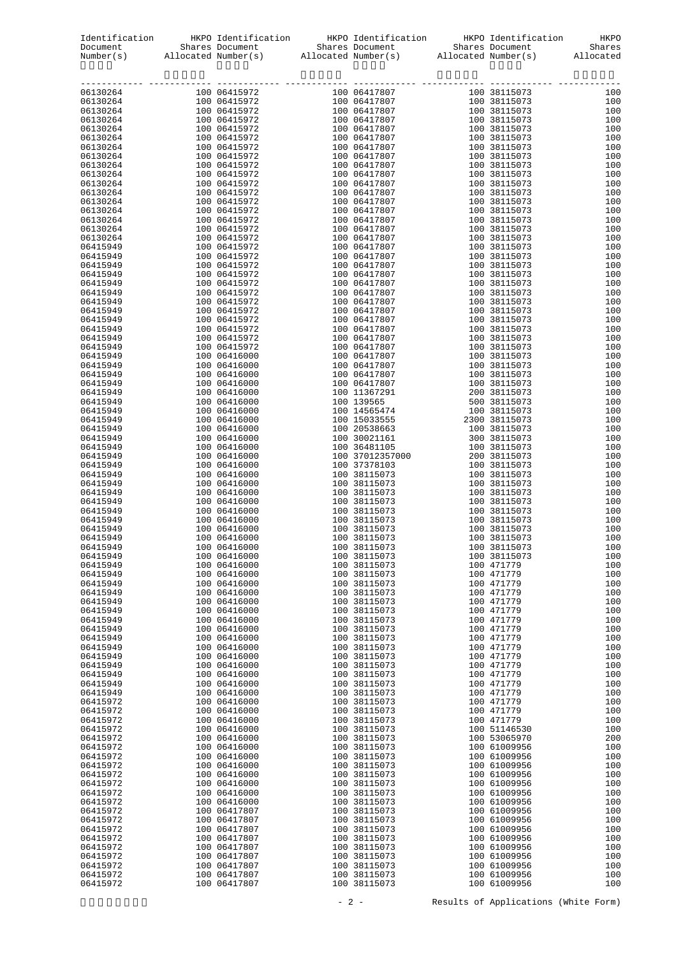| 06415949<br>100 06416000<br>100 38115073<br>100 38115073<br>100 38115073<br>06415949<br>100 06416000<br>100 38115073<br>06415949<br>100 06416000<br>100 38115073<br>100 471779<br>100 471779<br>06415949<br>100 06416000<br>100 38115073<br>100 06416000<br>100 38115073<br>100 471779<br>06415949<br>06415949<br>100 06416000<br>100 38115073<br>100 471779<br>100 06416000<br>100 471779<br>06415949<br>100 38115073<br>100 06416000<br>100 38115073<br>100 471779<br>06415949<br>06415949<br>100 06416000<br>100 38115073<br>100 471779<br>100 471779<br>06415949<br>100 06416000<br>100 38115073<br>100 06416000<br>100 38115073<br>100 471779<br>06415949<br>06415949<br>100 06416000<br>100 38115073<br>100 471779<br>100 471779<br>06415949<br>100 06416000<br>100 38115073<br>100 06416000<br>100 38115073<br>100 471779<br>06415949<br>06415949<br>100 06416000<br>100 38115073<br>100 471779<br>100 471779<br>06415949<br>100 06416000<br>100 38115073<br>100 06416000<br>100 38115073<br>100 471779<br>06415949<br>06415972<br>100 06416000<br>100 38115073<br>100 471779<br>100 471779<br>06415972<br>100 06416000<br>100 38115073<br>100 06416000<br>100 38115073<br>100 471779<br>06415972<br>06415972<br>100 06416000<br>100 38115073<br>100 51146530<br>06415972<br>100 06416000<br>100 38115073<br>100 53065970<br>100 06416000<br>100 38115073<br>06415972<br>100 61009956<br>06415972<br>100 06416000<br>100 38115073<br>100 61009956<br>06415972<br>100 06416000<br>100 38115073<br>100 61009956<br>100 06416000<br>100 38115073<br>100 61009956<br>06415972<br>06415972<br>100 06416000<br>100 38115073<br>100 61009956<br>06415972<br>100 06416000<br>100 38115073<br>100 61009956<br>100 06416000<br>100 38115073<br>100 61009956<br>06415972<br>06415972<br>100 06417807<br>100 38115073<br>100 61009956<br>06415972<br>100 06417807<br>100 38115073<br>100 61009956<br>100 06417807<br>100 38115073<br>100 61009956<br>06415972<br>100 06417807<br>100 38115073<br>100 61009956 |          |  |  | $\begin{tabular}{l c c c c c} Identification & HKPO Identification & HKPO Identification & HKPO Identification & HKPO Inverse Document & Shares Document & Shares Document & Shares Document & Shares Document & Shares Document & Shares Document & Shares Document & Shares Document & Shares Document & Shares Document & Shares Document & Shares Document & Shares Document & Shares Docident & Shares Document & Shares Docident & Shares Docident & Shares Document & Shares Document & Shares Document & Shares Document & Shares Document & Shares Document & Shares Docident & Shares Docident & Sha$ |            |
|----------------------------------------------------------------------------------------------------------------------------------------------------------------------------------------------------------------------------------------------------------------------------------------------------------------------------------------------------------------------------------------------------------------------------------------------------------------------------------------------------------------------------------------------------------------------------------------------------------------------------------------------------------------------------------------------------------------------------------------------------------------------------------------------------------------------------------------------------------------------------------------------------------------------------------------------------------------------------------------------------------------------------------------------------------------------------------------------------------------------------------------------------------------------------------------------------------------------------------------------------------------------------------------------------------------------------------------------------------------------------------------------------------------------------------------------------------------------------------------------------------------------------------------------------------------------------------------------------------------------------------------------------------------------------------------------------------------------------------------------------------------------------------------------------------------------------------------------------------------------------------------------------------------------------------------------------------------------------------------------------------|----------|--|--|-----------------------------------------------------------------------------------------------------------------------------------------------------------------------------------------------------------------------------------------------------------------------------------------------------------------------------------------------------------------------------------------------------------------------------------------------------------------------------------------------------------------------------------------------------------------------------------------------------------------|------------|
|                                                                                                                                                                                                                                                                                                                                                                                                                                                                                                                                                                                                                                                                                                                                                                                                                                                                                                                                                                                                                                                                                                                                                                                                                                                                                                                                                                                                                                                                                                                                                                                                                                                                                                                                                                                                                                                                                                                                                                                                          |          |  |  |                                                                                                                                                                                                                                                                                                                                                                                                                                                                                                                                                                                                                 |            |
|                                                                                                                                                                                                                                                                                                                                                                                                                                                                                                                                                                                                                                                                                                                                                                                                                                                                                                                                                                                                                                                                                                                                                                                                                                                                                                                                                                                                                                                                                                                                                                                                                                                                                                                                                                                                                                                                                                                                                                                                          |          |  |  |                                                                                                                                                                                                                                                                                                                                                                                                                                                                                                                                                                                                                 |            |
|                                                                                                                                                                                                                                                                                                                                                                                                                                                                                                                                                                                                                                                                                                                                                                                                                                                                                                                                                                                                                                                                                                                                                                                                                                                                                                                                                                                                                                                                                                                                                                                                                                                                                                                                                                                                                                                                                                                                                                                                          |          |  |  |                                                                                                                                                                                                                                                                                                                                                                                                                                                                                                                                                                                                                 |            |
|                                                                                                                                                                                                                                                                                                                                                                                                                                                                                                                                                                                                                                                                                                                                                                                                                                                                                                                                                                                                                                                                                                                                                                                                                                                                                                                                                                                                                                                                                                                                                                                                                                                                                                                                                                                                                                                                                                                                                                                                          |          |  |  |                                                                                                                                                                                                                                                                                                                                                                                                                                                                                                                                                                                                                 |            |
|                                                                                                                                                                                                                                                                                                                                                                                                                                                                                                                                                                                                                                                                                                                                                                                                                                                                                                                                                                                                                                                                                                                                                                                                                                                                                                                                                                                                                                                                                                                                                                                                                                                                                                                                                                                                                                                                                                                                                                                                          |          |  |  |                                                                                                                                                                                                                                                                                                                                                                                                                                                                                                                                                                                                                 |            |
|                                                                                                                                                                                                                                                                                                                                                                                                                                                                                                                                                                                                                                                                                                                                                                                                                                                                                                                                                                                                                                                                                                                                                                                                                                                                                                                                                                                                                                                                                                                                                                                                                                                                                                                                                                                                                                                                                                                                                                                                          |          |  |  |                                                                                                                                                                                                                                                                                                                                                                                                                                                                                                                                                                                                                 |            |
|                                                                                                                                                                                                                                                                                                                                                                                                                                                                                                                                                                                                                                                                                                                                                                                                                                                                                                                                                                                                                                                                                                                                                                                                                                                                                                                                                                                                                                                                                                                                                                                                                                                                                                                                                                                                                                                                                                                                                                                                          |          |  |  |                                                                                                                                                                                                                                                                                                                                                                                                                                                                                                                                                                                                                 |            |
|                                                                                                                                                                                                                                                                                                                                                                                                                                                                                                                                                                                                                                                                                                                                                                                                                                                                                                                                                                                                                                                                                                                                                                                                                                                                                                                                                                                                                                                                                                                                                                                                                                                                                                                                                                                                                                                                                                                                                                                                          |          |  |  |                                                                                                                                                                                                                                                                                                                                                                                                                                                                                                                                                                                                                 |            |
|                                                                                                                                                                                                                                                                                                                                                                                                                                                                                                                                                                                                                                                                                                                                                                                                                                                                                                                                                                                                                                                                                                                                                                                                                                                                                                                                                                                                                                                                                                                                                                                                                                                                                                                                                                                                                                                                                                                                                                                                          |          |  |  |                                                                                                                                                                                                                                                                                                                                                                                                                                                                                                                                                                                                                 |            |
|                                                                                                                                                                                                                                                                                                                                                                                                                                                                                                                                                                                                                                                                                                                                                                                                                                                                                                                                                                                                                                                                                                                                                                                                                                                                                                                                                                                                                                                                                                                                                                                                                                                                                                                                                                                                                                                                                                                                                                                                          |          |  |  |                                                                                                                                                                                                                                                                                                                                                                                                                                                                                                                                                                                                                 |            |
|                                                                                                                                                                                                                                                                                                                                                                                                                                                                                                                                                                                                                                                                                                                                                                                                                                                                                                                                                                                                                                                                                                                                                                                                                                                                                                                                                                                                                                                                                                                                                                                                                                                                                                                                                                                                                                                                                                                                                                                                          |          |  |  |                                                                                                                                                                                                                                                                                                                                                                                                                                                                                                                                                                                                                 |            |
|                                                                                                                                                                                                                                                                                                                                                                                                                                                                                                                                                                                                                                                                                                                                                                                                                                                                                                                                                                                                                                                                                                                                                                                                                                                                                                                                                                                                                                                                                                                                                                                                                                                                                                                                                                                                                                                                                                                                                                                                          |          |  |  |                                                                                                                                                                                                                                                                                                                                                                                                                                                                                                                                                                                                                 |            |
|                                                                                                                                                                                                                                                                                                                                                                                                                                                                                                                                                                                                                                                                                                                                                                                                                                                                                                                                                                                                                                                                                                                                                                                                                                                                                                                                                                                                                                                                                                                                                                                                                                                                                                                                                                                                                                                                                                                                                                                                          |          |  |  |                                                                                                                                                                                                                                                                                                                                                                                                                                                                                                                                                                                                                 |            |
|                                                                                                                                                                                                                                                                                                                                                                                                                                                                                                                                                                                                                                                                                                                                                                                                                                                                                                                                                                                                                                                                                                                                                                                                                                                                                                                                                                                                                                                                                                                                                                                                                                                                                                                                                                                                                                                                                                                                                                                                          |          |  |  |                                                                                                                                                                                                                                                                                                                                                                                                                                                                                                                                                                                                                 |            |
|                                                                                                                                                                                                                                                                                                                                                                                                                                                                                                                                                                                                                                                                                                                                                                                                                                                                                                                                                                                                                                                                                                                                                                                                                                                                                                                                                                                                                                                                                                                                                                                                                                                                                                                                                                                                                                                                                                                                                                                                          |          |  |  |                                                                                                                                                                                                                                                                                                                                                                                                                                                                                                                                                                                                                 |            |
|                                                                                                                                                                                                                                                                                                                                                                                                                                                                                                                                                                                                                                                                                                                                                                                                                                                                                                                                                                                                                                                                                                                                                                                                                                                                                                                                                                                                                                                                                                                                                                                                                                                                                                                                                                                                                                                                                                                                                                                                          |          |  |  |                                                                                                                                                                                                                                                                                                                                                                                                                                                                                                                                                                                                                 |            |
|                                                                                                                                                                                                                                                                                                                                                                                                                                                                                                                                                                                                                                                                                                                                                                                                                                                                                                                                                                                                                                                                                                                                                                                                                                                                                                                                                                                                                                                                                                                                                                                                                                                                                                                                                                                                                                                                                                                                                                                                          |          |  |  |                                                                                                                                                                                                                                                                                                                                                                                                                                                                                                                                                                                                                 |            |
|                                                                                                                                                                                                                                                                                                                                                                                                                                                                                                                                                                                                                                                                                                                                                                                                                                                                                                                                                                                                                                                                                                                                                                                                                                                                                                                                                                                                                                                                                                                                                                                                                                                                                                                                                                                                                                                                                                                                                                                                          |          |  |  |                                                                                                                                                                                                                                                                                                                                                                                                                                                                                                                                                                                                                 |            |
|                                                                                                                                                                                                                                                                                                                                                                                                                                                                                                                                                                                                                                                                                                                                                                                                                                                                                                                                                                                                                                                                                                                                                                                                                                                                                                                                                                                                                                                                                                                                                                                                                                                                                                                                                                                                                                                                                                                                                                                                          |          |  |  |                                                                                                                                                                                                                                                                                                                                                                                                                                                                                                                                                                                                                 |            |
|                                                                                                                                                                                                                                                                                                                                                                                                                                                                                                                                                                                                                                                                                                                                                                                                                                                                                                                                                                                                                                                                                                                                                                                                                                                                                                                                                                                                                                                                                                                                                                                                                                                                                                                                                                                                                                                                                                                                                                                                          |          |  |  |                                                                                                                                                                                                                                                                                                                                                                                                                                                                                                                                                                                                                 |            |
|                                                                                                                                                                                                                                                                                                                                                                                                                                                                                                                                                                                                                                                                                                                                                                                                                                                                                                                                                                                                                                                                                                                                                                                                                                                                                                                                                                                                                                                                                                                                                                                                                                                                                                                                                                                                                                                                                                                                                                                                          |          |  |  |                                                                                                                                                                                                                                                                                                                                                                                                                                                                                                                                                                                                                 |            |
|                                                                                                                                                                                                                                                                                                                                                                                                                                                                                                                                                                                                                                                                                                                                                                                                                                                                                                                                                                                                                                                                                                                                                                                                                                                                                                                                                                                                                                                                                                                                                                                                                                                                                                                                                                                                                                                                                                                                                                                                          |          |  |  |                                                                                                                                                                                                                                                                                                                                                                                                                                                                                                                                                                                                                 |            |
|                                                                                                                                                                                                                                                                                                                                                                                                                                                                                                                                                                                                                                                                                                                                                                                                                                                                                                                                                                                                                                                                                                                                                                                                                                                                                                                                                                                                                                                                                                                                                                                                                                                                                                                                                                                                                                                                                                                                                                                                          |          |  |  |                                                                                                                                                                                                                                                                                                                                                                                                                                                                                                                                                                                                                 |            |
|                                                                                                                                                                                                                                                                                                                                                                                                                                                                                                                                                                                                                                                                                                                                                                                                                                                                                                                                                                                                                                                                                                                                                                                                                                                                                                                                                                                                                                                                                                                                                                                                                                                                                                                                                                                                                                                                                                                                                                                                          |          |  |  |                                                                                                                                                                                                                                                                                                                                                                                                                                                                                                                                                                                                                 |            |
|                                                                                                                                                                                                                                                                                                                                                                                                                                                                                                                                                                                                                                                                                                                                                                                                                                                                                                                                                                                                                                                                                                                                                                                                                                                                                                                                                                                                                                                                                                                                                                                                                                                                                                                                                                                                                                                                                                                                                                                                          |          |  |  |                                                                                                                                                                                                                                                                                                                                                                                                                                                                                                                                                                                                                 |            |
|                                                                                                                                                                                                                                                                                                                                                                                                                                                                                                                                                                                                                                                                                                                                                                                                                                                                                                                                                                                                                                                                                                                                                                                                                                                                                                                                                                                                                                                                                                                                                                                                                                                                                                                                                                                                                                                                                                                                                                                                          |          |  |  |                                                                                                                                                                                                                                                                                                                                                                                                                                                                                                                                                                                                                 |            |
|                                                                                                                                                                                                                                                                                                                                                                                                                                                                                                                                                                                                                                                                                                                                                                                                                                                                                                                                                                                                                                                                                                                                                                                                                                                                                                                                                                                                                                                                                                                                                                                                                                                                                                                                                                                                                                                                                                                                                                                                          |          |  |  |                                                                                                                                                                                                                                                                                                                                                                                                                                                                                                                                                                                                                 |            |
|                                                                                                                                                                                                                                                                                                                                                                                                                                                                                                                                                                                                                                                                                                                                                                                                                                                                                                                                                                                                                                                                                                                                                                                                                                                                                                                                                                                                                                                                                                                                                                                                                                                                                                                                                                                                                                                                                                                                                                                                          |          |  |  |                                                                                                                                                                                                                                                                                                                                                                                                                                                                                                                                                                                                                 |            |
|                                                                                                                                                                                                                                                                                                                                                                                                                                                                                                                                                                                                                                                                                                                                                                                                                                                                                                                                                                                                                                                                                                                                                                                                                                                                                                                                                                                                                                                                                                                                                                                                                                                                                                                                                                                                                                                                                                                                                                                                          |          |  |  |                                                                                                                                                                                                                                                                                                                                                                                                                                                                                                                                                                                                                 |            |
|                                                                                                                                                                                                                                                                                                                                                                                                                                                                                                                                                                                                                                                                                                                                                                                                                                                                                                                                                                                                                                                                                                                                                                                                                                                                                                                                                                                                                                                                                                                                                                                                                                                                                                                                                                                                                                                                                                                                                                                                          |          |  |  |                                                                                                                                                                                                                                                                                                                                                                                                                                                                                                                                                                                                                 |            |
|                                                                                                                                                                                                                                                                                                                                                                                                                                                                                                                                                                                                                                                                                                                                                                                                                                                                                                                                                                                                                                                                                                                                                                                                                                                                                                                                                                                                                                                                                                                                                                                                                                                                                                                                                                                                                                                                                                                                                                                                          |          |  |  |                                                                                                                                                                                                                                                                                                                                                                                                                                                                                                                                                                                                                 |            |
|                                                                                                                                                                                                                                                                                                                                                                                                                                                                                                                                                                                                                                                                                                                                                                                                                                                                                                                                                                                                                                                                                                                                                                                                                                                                                                                                                                                                                                                                                                                                                                                                                                                                                                                                                                                                                                                                                                                                                                                                          |          |  |  |                                                                                                                                                                                                                                                                                                                                                                                                                                                                                                                                                                                                                 |            |
|                                                                                                                                                                                                                                                                                                                                                                                                                                                                                                                                                                                                                                                                                                                                                                                                                                                                                                                                                                                                                                                                                                                                                                                                                                                                                                                                                                                                                                                                                                                                                                                                                                                                                                                                                                                                                                                                                                                                                                                                          |          |  |  |                                                                                                                                                                                                                                                                                                                                                                                                                                                                                                                                                                                                                 |            |
|                                                                                                                                                                                                                                                                                                                                                                                                                                                                                                                                                                                                                                                                                                                                                                                                                                                                                                                                                                                                                                                                                                                                                                                                                                                                                                                                                                                                                                                                                                                                                                                                                                                                                                                                                                                                                                                                                                                                                                                                          |          |  |  |                                                                                                                                                                                                                                                                                                                                                                                                                                                                                                                                                                                                                 |            |
|                                                                                                                                                                                                                                                                                                                                                                                                                                                                                                                                                                                                                                                                                                                                                                                                                                                                                                                                                                                                                                                                                                                                                                                                                                                                                                                                                                                                                                                                                                                                                                                                                                                                                                                                                                                                                                                                                                                                                                                                          |          |  |  |                                                                                                                                                                                                                                                                                                                                                                                                                                                                                                                                                                                                                 |            |
|                                                                                                                                                                                                                                                                                                                                                                                                                                                                                                                                                                                                                                                                                                                                                                                                                                                                                                                                                                                                                                                                                                                                                                                                                                                                                                                                                                                                                                                                                                                                                                                                                                                                                                                                                                                                                                                                                                                                                                                                          |          |  |  |                                                                                                                                                                                                                                                                                                                                                                                                                                                                                                                                                                                                                 |            |
|                                                                                                                                                                                                                                                                                                                                                                                                                                                                                                                                                                                                                                                                                                                                                                                                                                                                                                                                                                                                                                                                                                                                                                                                                                                                                                                                                                                                                                                                                                                                                                                                                                                                                                                                                                                                                                                                                                                                                                                                          |          |  |  |                                                                                                                                                                                                                                                                                                                                                                                                                                                                                                                                                                                                                 |            |
|                                                                                                                                                                                                                                                                                                                                                                                                                                                                                                                                                                                                                                                                                                                                                                                                                                                                                                                                                                                                                                                                                                                                                                                                                                                                                                                                                                                                                                                                                                                                                                                                                                                                                                                                                                                                                                                                                                                                                                                                          |          |  |  |                                                                                                                                                                                                                                                                                                                                                                                                                                                                                                                                                                                                                 |            |
|                                                                                                                                                                                                                                                                                                                                                                                                                                                                                                                                                                                                                                                                                                                                                                                                                                                                                                                                                                                                                                                                                                                                                                                                                                                                                                                                                                                                                                                                                                                                                                                                                                                                                                                                                                                                                                                                                                                                                                                                          |          |  |  |                                                                                                                                                                                                                                                                                                                                                                                                                                                                                                                                                                                                                 |            |
|                                                                                                                                                                                                                                                                                                                                                                                                                                                                                                                                                                                                                                                                                                                                                                                                                                                                                                                                                                                                                                                                                                                                                                                                                                                                                                                                                                                                                                                                                                                                                                                                                                                                                                                                                                                                                                                                                                                                                                                                          |          |  |  |                                                                                                                                                                                                                                                                                                                                                                                                                                                                                                                                                                                                                 |            |
|                                                                                                                                                                                                                                                                                                                                                                                                                                                                                                                                                                                                                                                                                                                                                                                                                                                                                                                                                                                                                                                                                                                                                                                                                                                                                                                                                                                                                                                                                                                                                                                                                                                                                                                                                                                                                                                                                                                                                                                                          |          |  |  |                                                                                                                                                                                                                                                                                                                                                                                                                                                                                                                                                                                                                 |            |
|                                                                                                                                                                                                                                                                                                                                                                                                                                                                                                                                                                                                                                                                                                                                                                                                                                                                                                                                                                                                                                                                                                                                                                                                                                                                                                                                                                                                                                                                                                                                                                                                                                                                                                                                                                                                                                                                                                                                                                                                          |          |  |  |                                                                                                                                                                                                                                                                                                                                                                                                                                                                                                                                                                                                                 |            |
|                                                                                                                                                                                                                                                                                                                                                                                                                                                                                                                                                                                                                                                                                                                                                                                                                                                                                                                                                                                                                                                                                                                                                                                                                                                                                                                                                                                                                                                                                                                                                                                                                                                                                                                                                                                                                                                                                                                                                                                                          |          |  |  |                                                                                                                                                                                                                                                                                                                                                                                                                                                                                                                                                                                                                 | 100<br>100 |
|                                                                                                                                                                                                                                                                                                                                                                                                                                                                                                                                                                                                                                                                                                                                                                                                                                                                                                                                                                                                                                                                                                                                                                                                                                                                                                                                                                                                                                                                                                                                                                                                                                                                                                                                                                                                                                                                                                                                                                                                          |          |  |  |                                                                                                                                                                                                                                                                                                                                                                                                                                                                                                                                                                                                                 | 100        |
|                                                                                                                                                                                                                                                                                                                                                                                                                                                                                                                                                                                                                                                                                                                                                                                                                                                                                                                                                                                                                                                                                                                                                                                                                                                                                                                                                                                                                                                                                                                                                                                                                                                                                                                                                                                                                                                                                                                                                                                                          |          |  |  |                                                                                                                                                                                                                                                                                                                                                                                                                                                                                                                                                                                                                 | 100        |
|                                                                                                                                                                                                                                                                                                                                                                                                                                                                                                                                                                                                                                                                                                                                                                                                                                                                                                                                                                                                                                                                                                                                                                                                                                                                                                                                                                                                                                                                                                                                                                                                                                                                                                                                                                                                                                                                                                                                                                                                          |          |  |  |                                                                                                                                                                                                                                                                                                                                                                                                                                                                                                                                                                                                                 | 100        |
|                                                                                                                                                                                                                                                                                                                                                                                                                                                                                                                                                                                                                                                                                                                                                                                                                                                                                                                                                                                                                                                                                                                                                                                                                                                                                                                                                                                                                                                                                                                                                                                                                                                                                                                                                                                                                                                                                                                                                                                                          |          |  |  |                                                                                                                                                                                                                                                                                                                                                                                                                                                                                                                                                                                                                 | 100<br>100 |
|                                                                                                                                                                                                                                                                                                                                                                                                                                                                                                                                                                                                                                                                                                                                                                                                                                                                                                                                                                                                                                                                                                                                                                                                                                                                                                                                                                                                                                                                                                                                                                                                                                                                                                                                                                                                                                                                                                                                                                                                          |          |  |  |                                                                                                                                                                                                                                                                                                                                                                                                                                                                                                                                                                                                                 | 100        |
|                                                                                                                                                                                                                                                                                                                                                                                                                                                                                                                                                                                                                                                                                                                                                                                                                                                                                                                                                                                                                                                                                                                                                                                                                                                                                                                                                                                                                                                                                                                                                                                                                                                                                                                                                                                                                                                                                                                                                                                                          |          |  |  |                                                                                                                                                                                                                                                                                                                                                                                                                                                                                                                                                                                                                 | 100        |
|                                                                                                                                                                                                                                                                                                                                                                                                                                                                                                                                                                                                                                                                                                                                                                                                                                                                                                                                                                                                                                                                                                                                                                                                                                                                                                                                                                                                                                                                                                                                                                                                                                                                                                                                                                                                                                                                                                                                                                                                          |          |  |  |                                                                                                                                                                                                                                                                                                                                                                                                                                                                                                                                                                                                                 | 100        |
|                                                                                                                                                                                                                                                                                                                                                                                                                                                                                                                                                                                                                                                                                                                                                                                                                                                                                                                                                                                                                                                                                                                                                                                                                                                                                                                                                                                                                                                                                                                                                                                                                                                                                                                                                                                                                                                                                                                                                                                                          |          |  |  |                                                                                                                                                                                                                                                                                                                                                                                                                                                                                                                                                                                                                 | 100<br>100 |
|                                                                                                                                                                                                                                                                                                                                                                                                                                                                                                                                                                                                                                                                                                                                                                                                                                                                                                                                                                                                                                                                                                                                                                                                                                                                                                                                                                                                                                                                                                                                                                                                                                                                                                                                                                                                                                                                                                                                                                                                          |          |  |  |                                                                                                                                                                                                                                                                                                                                                                                                                                                                                                                                                                                                                 | 100        |
|                                                                                                                                                                                                                                                                                                                                                                                                                                                                                                                                                                                                                                                                                                                                                                                                                                                                                                                                                                                                                                                                                                                                                                                                                                                                                                                                                                                                                                                                                                                                                                                                                                                                                                                                                                                                                                                                                                                                                                                                          |          |  |  |                                                                                                                                                                                                                                                                                                                                                                                                                                                                                                                                                                                                                 | 100        |
|                                                                                                                                                                                                                                                                                                                                                                                                                                                                                                                                                                                                                                                                                                                                                                                                                                                                                                                                                                                                                                                                                                                                                                                                                                                                                                                                                                                                                                                                                                                                                                                                                                                                                                                                                                                                                                                                                                                                                                                                          |          |  |  |                                                                                                                                                                                                                                                                                                                                                                                                                                                                                                                                                                                                                 | 100        |
|                                                                                                                                                                                                                                                                                                                                                                                                                                                                                                                                                                                                                                                                                                                                                                                                                                                                                                                                                                                                                                                                                                                                                                                                                                                                                                                                                                                                                                                                                                                                                                                                                                                                                                                                                                                                                                                                                                                                                                                                          |          |  |  |                                                                                                                                                                                                                                                                                                                                                                                                                                                                                                                                                                                                                 | 100<br>100 |
|                                                                                                                                                                                                                                                                                                                                                                                                                                                                                                                                                                                                                                                                                                                                                                                                                                                                                                                                                                                                                                                                                                                                                                                                                                                                                                                                                                                                                                                                                                                                                                                                                                                                                                                                                                                                                                                                                                                                                                                                          |          |  |  |                                                                                                                                                                                                                                                                                                                                                                                                                                                                                                                                                                                                                 | 100        |
|                                                                                                                                                                                                                                                                                                                                                                                                                                                                                                                                                                                                                                                                                                                                                                                                                                                                                                                                                                                                                                                                                                                                                                                                                                                                                                                                                                                                                                                                                                                                                                                                                                                                                                                                                                                                                                                                                                                                                                                                          |          |  |  |                                                                                                                                                                                                                                                                                                                                                                                                                                                                                                                                                                                                                 | 100        |
|                                                                                                                                                                                                                                                                                                                                                                                                                                                                                                                                                                                                                                                                                                                                                                                                                                                                                                                                                                                                                                                                                                                                                                                                                                                                                                                                                                                                                                                                                                                                                                                                                                                                                                                                                                                                                                                                                                                                                                                                          |          |  |  |                                                                                                                                                                                                                                                                                                                                                                                                                                                                                                                                                                                                                 | 100        |
|                                                                                                                                                                                                                                                                                                                                                                                                                                                                                                                                                                                                                                                                                                                                                                                                                                                                                                                                                                                                                                                                                                                                                                                                                                                                                                                                                                                                                                                                                                                                                                                                                                                                                                                                                                                                                                                                                                                                                                                                          |          |  |  |                                                                                                                                                                                                                                                                                                                                                                                                                                                                                                                                                                                                                 | 100<br>200 |
|                                                                                                                                                                                                                                                                                                                                                                                                                                                                                                                                                                                                                                                                                                                                                                                                                                                                                                                                                                                                                                                                                                                                                                                                                                                                                                                                                                                                                                                                                                                                                                                                                                                                                                                                                                                                                                                                                                                                                                                                          |          |  |  |                                                                                                                                                                                                                                                                                                                                                                                                                                                                                                                                                                                                                 | 100        |
|                                                                                                                                                                                                                                                                                                                                                                                                                                                                                                                                                                                                                                                                                                                                                                                                                                                                                                                                                                                                                                                                                                                                                                                                                                                                                                                                                                                                                                                                                                                                                                                                                                                                                                                                                                                                                                                                                                                                                                                                          |          |  |  |                                                                                                                                                                                                                                                                                                                                                                                                                                                                                                                                                                                                                 | 100        |
|                                                                                                                                                                                                                                                                                                                                                                                                                                                                                                                                                                                                                                                                                                                                                                                                                                                                                                                                                                                                                                                                                                                                                                                                                                                                                                                                                                                                                                                                                                                                                                                                                                                                                                                                                                                                                                                                                                                                                                                                          |          |  |  |                                                                                                                                                                                                                                                                                                                                                                                                                                                                                                                                                                                                                 | 100        |
|                                                                                                                                                                                                                                                                                                                                                                                                                                                                                                                                                                                                                                                                                                                                                                                                                                                                                                                                                                                                                                                                                                                                                                                                                                                                                                                                                                                                                                                                                                                                                                                                                                                                                                                                                                                                                                                                                                                                                                                                          |          |  |  |                                                                                                                                                                                                                                                                                                                                                                                                                                                                                                                                                                                                                 | 100        |
|                                                                                                                                                                                                                                                                                                                                                                                                                                                                                                                                                                                                                                                                                                                                                                                                                                                                                                                                                                                                                                                                                                                                                                                                                                                                                                                                                                                                                                                                                                                                                                                                                                                                                                                                                                                                                                                                                                                                                                                                          |          |  |  |                                                                                                                                                                                                                                                                                                                                                                                                                                                                                                                                                                                                                 | 100<br>100 |
|                                                                                                                                                                                                                                                                                                                                                                                                                                                                                                                                                                                                                                                                                                                                                                                                                                                                                                                                                                                                                                                                                                                                                                                                                                                                                                                                                                                                                                                                                                                                                                                                                                                                                                                                                                                                                                                                                                                                                                                                          |          |  |  |                                                                                                                                                                                                                                                                                                                                                                                                                                                                                                                                                                                                                 | 100        |
|                                                                                                                                                                                                                                                                                                                                                                                                                                                                                                                                                                                                                                                                                                                                                                                                                                                                                                                                                                                                                                                                                                                                                                                                                                                                                                                                                                                                                                                                                                                                                                                                                                                                                                                                                                                                                                                                                                                                                                                                          |          |  |  |                                                                                                                                                                                                                                                                                                                                                                                                                                                                                                                                                                                                                 | 100        |
|                                                                                                                                                                                                                                                                                                                                                                                                                                                                                                                                                                                                                                                                                                                                                                                                                                                                                                                                                                                                                                                                                                                                                                                                                                                                                                                                                                                                                                                                                                                                                                                                                                                                                                                                                                                                                                                                                                                                                                                                          |          |  |  |                                                                                                                                                                                                                                                                                                                                                                                                                                                                                                                                                                                                                 | 100        |
|                                                                                                                                                                                                                                                                                                                                                                                                                                                                                                                                                                                                                                                                                                                                                                                                                                                                                                                                                                                                                                                                                                                                                                                                                                                                                                                                                                                                                                                                                                                                                                                                                                                                                                                                                                                                                                                                                                                                                                                                          | 06415972 |  |  |                                                                                                                                                                                                                                                                                                                                                                                                                                                                                                                                                                                                                 | 100<br>100 |
| 06415972<br>100 06417807<br>100 38115073<br>100 61009956                                                                                                                                                                                                                                                                                                                                                                                                                                                                                                                                                                                                                                                                                                                                                                                                                                                                                                                                                                                                                                                                                                                                                                                                                                                                                                                                                                                                                                                                                                                                                                                                                                                                                                                                                                                                                                                                                                                                                 |          |  |  |                                                                                                                                                                                                                                                                                                                                                                                                                                                                                                                                                                                                                 | 100        |
| 100 06417807<br>100 38115073<br>100 61009956<br>06415972                                                                                                                                                                                                                                                                                                                                                                                                                                                                                                                                                                                                                                                                                                                                                                                                                                                                                                                                                                                                                                                                                                                                                                                                                                                                                                                                                                                                                                                                                                                                                                                                                                                                                                                                                                                                                                                                                                                                                 |          |  |  |                                                                                                                                                                                                                                                                                                                                                                                                                                                                                                                                                                                                                 | 100        |
| 06415972<br>100 06417807<br>100 38115073<br>100 61009956                                                                                                                                                                                                                                                                                                                                                                                                                                                                                                                                                                                                                                                                                                                                                                                                                                                                                                                                                                                                                                                                                                                                                                                                                                                                                                                                                                                                                                                                                                                                                                                                                                                                                                                                                                                                                                                                                                                                                 |          |  |  |                                                                                                                                                                                                                                                                                                                                                                                                                                                                                                                                                                                                                 | 100        |
| 06415972<br>100 06417807<br>100 38115073<br>100 61009956<br>06415972<br>100 06417807<br>100 38115073<br>100 61009956                                                                                                                                                                                                                                                                                                                                                                                                                                                                                                                                                                                                                                                                                                                                                                                                                                                                                                                                                                                                                                                                                                                                                                                                                                                                                                                                                                                                                                                                                                                                                                                                                                                                                                                                                                                                                                                                                     |          |  |  |                                                                                                                                                                                                                                                                                                                                                                                                                                                                                                                                                                                                                 | 100<br>100 |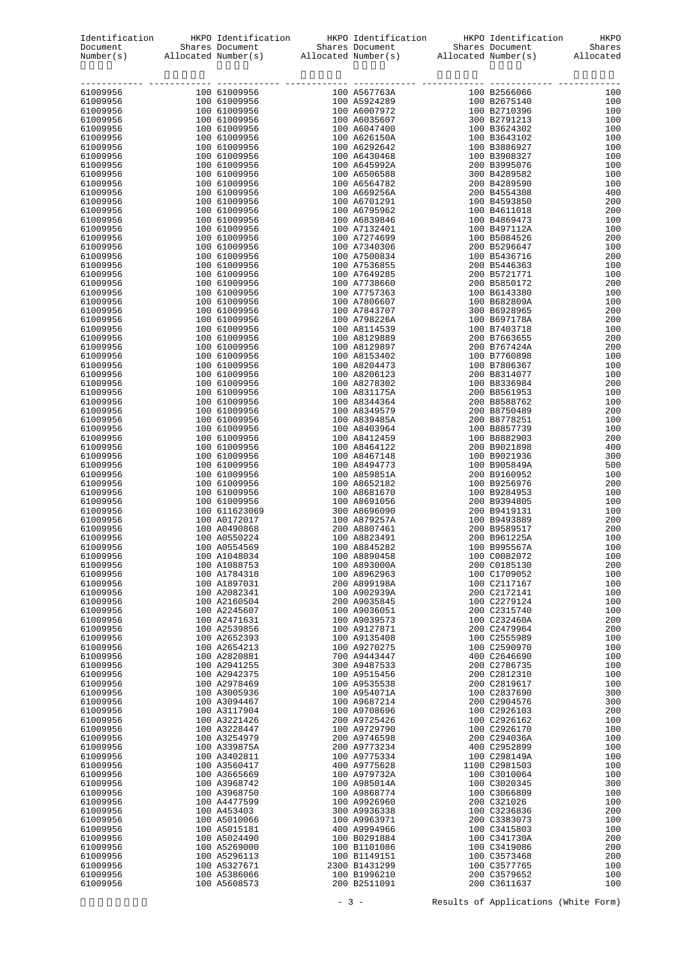| Identification<br>Document |                              | tion HKPO Identification HKPO Identification HKPO Identification HKPO Shares Document Shares Allocated Number(s) Allocated Number(s) Allocated Number(s) and Allocated Number(s) and Allocated Number(s) and Allocated Number( |                               |            |
|----------------------------|------------------------------|--------------------------------------------------------------------------------------------------------------------------------------------------------------------------------------------------------------------------------|-------------------------------|------------|
| Number(s)                  |                              |                                                                                                                                                                                                                                |                               |            |
|                            |                              |                                                                                                                                                                                                                                |                               |            |
| 61009956                   |                              |                                                                                                                                                                                                                                |                               | 100        |
| 61009956                   |                              |                                                                                                                                                                                                                                |                               | 100        |
| 61009956                   |                              |                                                                                                                                                                                                                                |                               | 100        |
| 61009956                   |                              |                                                                                                                                                                                                                                |                               | 100        |
| 61009956                   |                              |                                                                                                                                                                                                                                |                               | 100        |
| 61009956                   |                              |                                                                                                                                                                                                                                |                               | 100        |
| 61009956                   |                              |                                                                                                                                                                                                                                |                               | 100        |
| 61009956                   |                              |                                                                                                                                                                                                                                |                               | 100        |
| 61009956                   |                              |                                                                                                                                                                                                                                |                               | 100<br>100 |
| 61009956<br>61009956       |                              |                                                                                                                                                                                                                                |                               | 100        |
| 61009956                   |                              |                                                                                                                                                                                                                                |                               | 400        |
| 61009956                   |                              |                                                                                                                                                                                                                                |                               | 200        |
| 61009956                   |                              |                                                                                                                                                                                                                                |                               | 200        |
| 61009956                   |                              |                                                                                                                                                                                                                                |                               | 100        |
| 61009956                   |                              |                                                                                                                                                                                                                                |                               | 100        |
| 61009956                   |                              |                                                                                                                                                                                                                                |                               | 200        |
| 61009956                   |                              |                                                                                                                                                                                                                                |                               | 100        |
| 61009956                   |                              |                                                                                                                                                                                                                                |                               | 200        |
| 61009956                   |                              |                                                                                                                                                                                                                                |                               | 100        |
| 61009956                   |                              |                                                                                                                                                                                                                                |                               | 100        |
| 61009956                   |                              |                                                                                                                                                                                                                                |                               | 200        |
| 61009956                   |                              |                                                                                                                                                                                                                                |                               | 100        |
| 61009956                   |                              |                                                                                                                                                                                                                                |                               | 100        |
| 61009956                   |                              |                                                                                                                                                                                                                                |                               | 200        |
| 61009956<br>61009956       |                              |                                                                                                                                                                                                                                |                               | 200<br>100 |
| 61009956                   |                              |                                                                                                                                                                                                                                |                               | 200        |
| 61009956                   |                              |                                                                                                                                                                                                                                |                               | 200        |
| 61009956                   |                              |                                                                                                                                                                                                                                |                               | 100        |
| 61009956                   |                              |                                                                                                                                                                                                                                |                               | 100        |
| 61009956                   |                              |                                                                                                                                                                                                                                |                               | 100        |
| 61009956                   |                              |                                                                                                                                                                                                                                |                               | 200        |
| 61009956                   |                              |                                                                                                                                                                                                                                |                               | 100        |
| 61009956                   |                              |                                                                                                                                                                                                                                |                               | 100        |
| 61009956                   |                              |                                                                                                                                                                                                                                |                               | 200        |
| 61009956                   |                              |                                                                                                                                                                                                                                |                               | 100        |
| 61009956                   |                              |                                                                                                                                                                                                                                |                               | 100        |
| 61009956                   |                              |                                                                                                                                                                                                                                |                               | 200        |
| 61009956                   |                              |                                                                                                                                                                                                                                |                               | 400        |
| 61009956                   |                              |                                                                                                                                                                                                                                |                               | 300        |
| 61009956                   |                              |                                                                                                                                                                                                                                |                               | 500        |
| 61009956<br>61009956       |                              |                                                                                                                                                                                                                                |                               | 100<br>200 |
| 61009956                   |                              |                                                                                                                                                                                                                                |                               | 100        |
| 61009956                   |                              |                                                                                                                                                                                                                                |                               | 100        |
| 61009956                   |                              |                                                                                                                                                                                                                                |                               | 100        |
| 61009956                   |                              |                                                                                                                                                                                                                                |                               | 200        |
| 61009956                   |                              |                                                                                                                                                                                                                                |                               | 200        |
| 61009956                   |                              |                                                                                                                                                                                                                                |                               | 100        |
| 61009956                   |                              |                                                                                                                                                                                                                                |                               | 100        |
| 61009956                   |                              |                                                                                                                                                                                                                                |                               | 100        |
| 61009956                   | 100 A1088753                 | 100 A893000A                                                                                                                                                                                                                   | 200 C0185130                  | 200        |
| 61009956                   | 100 A1784318                 | 100 A8962963                                                                                                                                                                                                                   | 100 C1709052                  | 100        |
| 61009956                   | 100 A1897031                 | 200 A899198A                                                                                                                                                                                                                   | 100 C2117167                  | 100        |
| 61009956                   | 100 A2082341                 | 100 A902939A                                                                                                                                                                                                                   | 200 C2172141                  | 100        |
| 61009956                   | 100 A2160504                 | 200 A9035845                                                                                                                                                                                                                   | 100 C2279124                  | 100        |
| 61009956                   | 100 A2245607                 | 100 A9036051                                                                                                                                                                                                                   | 200 C2315740<br>100 C232460A  | 100        |
| 61009956                   | 100 A2471631                 | 100 A9039573<br>100 A9127871                                                                                                                                                                                                   | 200 C2479964                  | 200<br>200 |
| 61009956<br>61009956       | 100 A2539856<br>100 A2652393 | 100 A9135408                                                                                                                                                                                                                   | 100 C2555989                  | 100        |
| 61009956                   | 100 A2654213                 | 100 A9270275                                                                                                                                                                                                                   | 100 C2590970                  | 100        |
| 61009956                   | 100 A2820881                 | 700 A9443447                                                                                                                                                                                                                   | 400 C2646690                  | 100        |
| 61009956                   | 100 A2941255                 | 300 A9487533                                                                                                                                                                                                                   | 200 C2786735                  | 100        |
| 61009956                   | 100 A2942375                 | 100 A9515456                                                                                                                                                                                                                   | 200 C2812310                  | 100        |
| 61009956                   | 100 A2978469                 | 100 A9535538                                                                                                                                                                                                                   | 200 C2819617                  | 100        |
| 61009956                   | 100 A3005936                 | 100 A954071A                                                                                                                                                                                                                   | 100 C2837690                  | 300        |
| 61009956                   | 100 A3094467                 | 100 A9687214                                                                                                                                                                                                                   | 200 C2904576                  | 300        |
| 61009956                   | 100 A3117904                 | 100 A9708696                                                                                                                                                                                                                   | 100 C2926103                  | 200        |
| 61009956                   | 100 A3221426                 | 200 A9725426                                                                                                                                                                                                                   | 100 C2926162                  | 100        |
| 61009956                   | 100 A3228447                 | 100 A9729790                                                                                                                                                                                                                   | 100 C2926170                  | 100        |
| 61009956                   | 100 A3254979                 | 200 A9746598                                                                                                                                                                                                                   | 200 C294036A                  | 100        |
| 61009956                   | 100 A339875A                 | 200 A9773234                                                                                                                                                                                                                   | 400 C2952899                  | 100        |
| 61009956                   | 100 A3402811                 | 100 A9775334                                                                                                                                                                                                                   | 100 C298149A                  | 100        |
| 61009956                   | 100 A3560417                 | 400 A9775628                                                                                                                                                                                                                   | 1100 C2981503<br>100 C3010064 | 100        |
| 61009956<br>61009956       | 100 A3665669<br>100 A3968742 | 100 A979732A<br>100 A985014A                                                                                                                                                                                                   | 100 C3020345                  | 100<br>300 |
| 61009956                   | 100 A3968750                 | 100 A9868774                                                                                                                                                                                                                   | 100 C3066809                  | 100        |
| 61009956                   | 100 A4477599                 | 100 A9926960                                                                                                                                                                                                                   | 200 C321026                   | 100        |
| 61009956                   | 100 A453403                  | 300 A9936338                                                                                                                                                                                                                   | 100 C3236836                  | 200        |
| 61009956                   | 100 A5010066                 | 100 A9963971                                                                                                                                                                                                                   | 200 C3383073                  | 100        |
| 61009956                   | 100 A5015181                 | 400 A9994966                                                                                                                                                                                                                   | 100 C3415803                  | 100        |
| 61009956                   | 100 A5024490                 | 100 B0291884                                                                                                                                                                                                                   | 100 C341730A                  | 200        |
| 61009956                   | 100 A5269000                 | 100 B1101086                                                                                                                                                                                                                   | 100 C3419086                  | 200        |
| 61009956                   | 100 A5296113                 | 100 B1149151                                                                                                                                                                                                                   | 100 C3573468                  | 200        |
| 61009956                   | 100 A5327671                 | 2300 B1431299                                                                                                                                                                                                                  | 100 C3577765                  | 100        |
| 61009956                   | 100 A5386066                 | 100 B1996210                                                                                                                                                                                                                   | 200 C3579652                  | 100        |
| 61009956                   | 100 A5608573                 | 200 B2511091                                                                                                                                                                                                                   | 200 C3611637                  | 100        |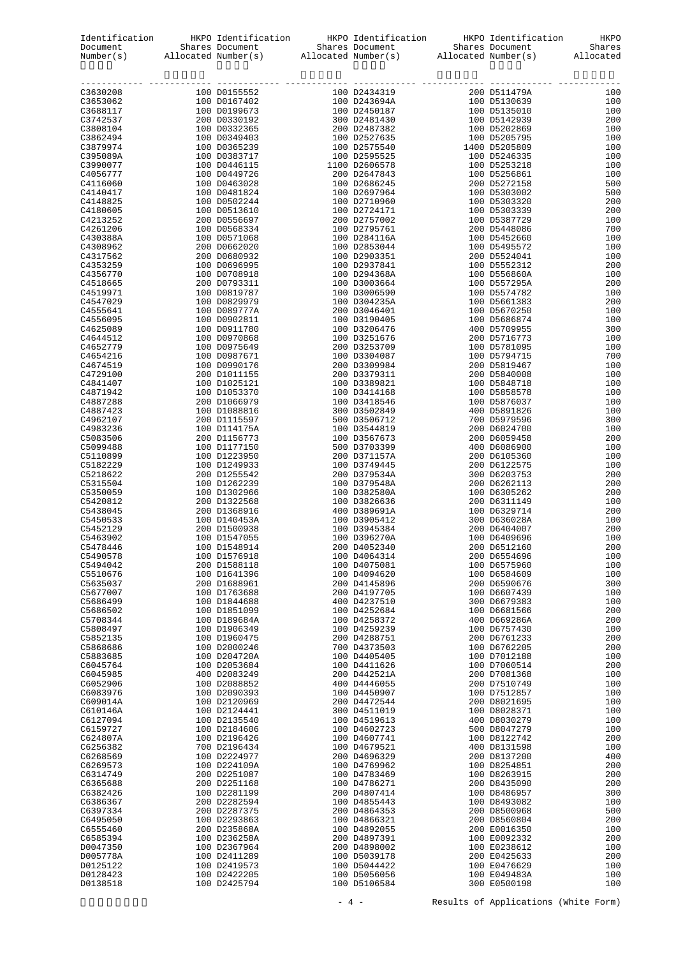| Identification<br>Document |                              | tion HKPO Identification HKPO Identification HKPO Identification HKPO Shares Document Shares Document Allocated Number(s) Allocated Number(s) and Allocated Number(s) and Allocated Number(s) and Allocated Number(s) and Allo                                                                                                                                                                                                  |                              |            |
|----------------------------|------------------------------|---------------------------------------------------------------------------------------------------------------------------------------------------------------------------------------------------------------------------------------------------------------------------------------------------------------------------------------------------------------------------------------------------------------------------------|------------------------------|------------|
| Number(s)                  |                              |                                                                                                                                                                                                                                                                                                                                                                                                                                 |                              |            |
|                            |                              | $\begin{small} \textbf{11} & \textbf{0} & \textbf{0} & \textbf{0} & \textbf{0} & \textbf{0} & \textbf{0} & \textbf{0} & \textbf{0} & \textbf{0} & \textbf{0} & \textbf{0} & \textbf{0} & \textbf{0} & \textbf{0} & \textbf{0} & \textbf{0} & \textbf{0} & \textbf{0} & \textbf{0} & \textbf{0} & \textbf{0} & \textbf{0} & \textbf{0} & \textbf{0} & \textbf{0} & \textbf{0} & \textbf{0} & \textbf{0} & \textbf{0} & \textbf{$ |                              |            |
| C3630208                   |                              |                                                                                                                                                                                                                                                                                                                                                                                                                                 |                              |            |
| C3653062                   |                              |                                                                                                                                                                                                                                                                                                                                                                                                                                 |                              |            |
| C3688117                   |                              |                                                                                                                                                                                                                                                                                                                                                                                                                                 |                              |            |
| C3742537                   |                              |                                                                                                                                                                                                                                                                                                                                                                                                                                 |                              |            |
| C3808104                   |                              |                                                                                                                                                                                                                                                                                                                                                                                                                                 |                              |            |
| C3862494<br>C3879974       |                              |                                                                                                                                                                                                                                                                                                                                                                                                                                 |                              |            |
| C395089A                   |                              |                                                                                                                                                                                                                                                                                                                                                                                                                                 |                              |            |
|                            |                              |                                                                                                                                                                                                                                                                                                                                                                                                                                 |                              |            |
| C3990077<br>C4056777       |                              |                                                                                                                                                                                                                                                                                                                                                                                                                                 |                              |            |
| C4116060                   |                              |                                                                                                                                                                                                                                                                                                                                                                                                                                 |                              |            |
|                            |                              |                                                                                                                                                                                                                                                                                                                                                                                                                                 |                              |            |
| C4140417<br>C4148825       |                              |                                                                                                                                                                                                                                                                                                                                                                                                                                 |                              |            |
| C4180605                   |                              |                                                                                                                                                                                                                                                                                                                                                                                                                                 |                              |            |
| C4213252                   |                              |                                                                                                                                                                                                                                                                                                                                                                                                                                 |                              |            |
| C4261206                   |                              |                                                                                                                                                                                                                                                                                                                                                                                                                                 |                              |            |
| C430388A                   |                              |                                                                                                                                                                                                                                                                                                                                                                                                                                 |                              |            |
| C4308962                   |                              |                                                                                                                                                                                                                                                                                                                                                                                                                                 |                              |            |
| C4317562                   |                              |                                                                                                                                                                                                                                                                                                                                                                                                                                 |                              |            |
| C4353259                   |                              |                                                                                                                                                                                                                                                                                                                                                                                                                                 |                              |            |
| C4356770                   |                              |                                                                                                                                                                                                                                                                                                                                                                                                                                 |                              |            |
| C4518665                   |                              |                                                                                                                                                                                                                                                                                                                                                                                                                                 |                              |            |
| C4519971                   |                              |                                                                                                                                                                                                                                                                                                                                                                                                                                 |                              |            |
| C4547029                   |                              |                                                                                                                                                                                                                                                                                                                                                                                                                                 |                              |            |
| C4555641                   |                              |                                                                                                                                                                                                                                                                                                                                                                                                                                 |                              |            |
| C4556095                   |                              |                                                                                                                                                                                                                                                                                                                                                                                                                                 |                              |            |
| C4625089                   |                              |                                                                                                                                                                                                                                                                                                                                                                                                                                 |                              |            |
| C4644512                   |                              |                                                                                                                                                                                                                                                                                                                                                                                                                                 |                              |            |
| C4652779                   |                              |                                                                                                                                                                                                                                                                                                                                                                                                                                 |                              |            |
| C4654216                   |                              |                                                                                                                                                                                                                                                                                                                                                                                                                                 |                              |            |
| C4674519                   |                              |                                                                                                                                                                                                                                                                                                                                                                                                                                 |                              |            |
| C4729100                   |                              |                                                                                                                                                                                                                                                                                                                                                                                                                                 |                              |            |
| C4841407                   |                              |                                                                                                                                                                                                                                                                                                                                                                                                                                 |                              |            |
| C4871942                   |                              |                                                                                                                                                                                                                                                                                                                                                                                                                                 |                              |            |
| C4887288                   |                              |                                                                                                                                                                                                                                                                                                                                                                                                                                 |                              |            |
| C4887423                   |                              |                                                                                                                                                                                                                                                                                                                                                                                                                                 |                              |            |
| C4962107                   |                              |                                                                                                                                                                                                                                                                                                                                                                                                                                 |                              |            |
| C4983236                   |                              |                                                                                                                                                                                                                                                                                                                                                                                                                                 |                              |            |
| C5083506                   |                              |                                                                                                                                                                                                                                                                                                                                                                                                                                 |                              |            |
| C5099488                   |                              |                                                                                                                                                                                                                                                                                                                                                                                                                                 |                              |            |
| C5110899                   |                              |                                                                                                                                                                                                                                                                                                                                                                                                                                 |                              |            |
| C5182229                   |                              |                                                                                                                                                                                                                                                                                                                                                                                                                                 |                              |            |
| C5218622                   |                              |                                                                                                                                                                                                                                                                                                                                                                                                                                 |                              |            |
| C5315504<br>C5350059       |                              |                                                                                                                                                                                                                                                                                                                                                                                                                                 |                              |            |
| C5420812                   |                              |                                                                                                                                                                                                                                                                                                                                                                                                                                 |                              |            |
| C5438045                   |                              |                                                                                                                                                                                                                                                                                                                                                                                                                                 |                              |            |
| C5450533                   |                              |                                                                                                                                                                                                                                                                                                                                                                                                                                 |                              |            |
| C5452129                   |                              |                                                                                                                                                                                                                                                                                                                                                                                                                                 |                              |            |
| C5463902                   |                              |                                                                                                                                                                                                                                                                                                                                                                                                                                 |                              |            |
| C5478446                   | 100 D1548914                 | 200 D4052340                                                                                                                                                                                                                                                                                                                                                                                                                    | 200 D6512160                 | 200        |
| C5490578                   | 100 D1576918                 | 100 D4064314                                                                                                                                                                                                                                                                                                                                                                                                                    | 200 D6554696                 | 100        |
| C5494042                   | 200 D1588118                 | 100 D4075081                                                                                                                                                                                                                                                                                                                                                                                                                    | 100 D6575960                 | 100        |
| C5510676                   | 100 D1641396                 | 100 D4094620                                                                                                                                                                                                                                                                                                                                                                                                                    | 100 D6584609                 | 100        |
| C5635037                   | 200 D1688961                 | 200 D4145896                                                                                                                                                                                                                                                                                                                                                                                                                    | 200 D6590676                 | 300        |
| C5677007                   | 100 D1763688                 | 200 D4197705                                                                                                                                                                                                                                                                                                                                                                                                                    | 100 D6607439                 | 100        |
| C5686499                   | 100 D1844688                 | 400 D4237510                                                                                                                                                                                                                                                                                                                                                                                                                    | 300 D6679383                 | 100        |
| C5686502                   | 100 D1851099                 | 100 D4252684                                                                                                                                                                                                                                                                                                                                                                                                                    | 100 D6681566                 | 200        |
| C5708344                   | 100 D189684A                 | 100 D4258372                                                                                                                                                                                                                                                                                                                                                                                                                    | 400 D669286A                 | 200        |
| C5808497                   | 100 D1906349                 | 100 D4259239                                                                                                                                                                                                                                                                                                                                                                                                                    | 100 D6757430                 | 100        |
| C5852135                   | 100 D1960475                 | 200 D4288751                                                                                                                                                                                                                                                                                                                                                                                                                    | 200 D6761233                 | 200        |
| C5868686                   | 100 D2000246                 | 700 D4373503                                                                                                                                                                                                                                                                                                                                                                                                                    | 100 D6762205                 | 200        |
| C5883685                   | 100 D204720A                 | 100 D4405405                                                                                                                                                                                                                                                                                                                                                                                                                    | 100 D7012188                 | 100        |
| C6045764                   | 100 D2053684                 | 100 D4411626                                                                                                                                                                                                                                                                                                                                                                                                                    | 100 D7060514                 | 200        |
| C6045985                   | 400 D2083249                 | 200 D442521A                                                                                                                                                                                                                                                                                                                                                                                                                    | 200 D7081368                 | 100        |
| C6052906                   | 100 D2088852                 | 400 D4446055                                                                                                                                                                                                                                                                                                                                                                                                                    | 200 D7510749                 | 100        |
| C6083976                   | 100 D2090393                 | 100 D4450907                                                                                                                                                                                                                                                                                                                                                                                                                    | 100 D7512857                 | 100        |
| C609014A                   | 100 D2120969                 | 200 D4472544                                                                                                                                                                                                                                                                                                                                                                                                                    | 200 D8021695                 | 100        |
| C610146A                   | 100 D2124441                 | 300 D4511019                                                                                                                                                                                                                                                                                                                                                                                                                    | 100 D8028371                 | 100        |
| C6127094                   | 100 D2135540                 | 100 D4519613                                                                                                                                                                                                                                                                                                                                                                                                                    | 400 D8030279                 | 100        |
| C6159727                   | 100 D2184606                 | 100 D4602723                                                                                                                                                                                                                                                                                                                                                                                                                    | 500 D8047279                 | 100        |
| C624807A                   | 100 D2196426                 | 100 D4607741                                                                                                                                                                                                                                                                                                                                                                                                                    | 100 D8122742                 | 200        |
| C6256382                   | 700 D2196434                 | 100 D4679521                                                                                                                                                                                                                                                                                                                                                                                                                    | 400 D8131598                 | 100<br>400 |
| C6268569<br>C6269573       | 100 D2224977<br>100 D224109A | 200 D4696329<br>100 D4769962                                                                                                                                                                                                                                                                                                                                                                                                    | 200 D8137200<br>100 D8254851 | 200        |
| C6314749                   | 200 D2251087                 | 100 D4783469                                                                                                                                                                                                                                                                                                                                                                                                                    | 100 D8263915                 | 200        |
| C6365688                   | 200 D2251168                 | 100 D4786271                                                                                                                                                                                                                                                                                                                                                                                                                    | 200 D8435090                 | 200        |
| C6382426                   | 100 D2281199                 | 200 D4807414                                                                                                                                                                                                                                                                                                                                                                                                                    | 100 D8486957                 | 300        |
| C6386367                   | 200 D2282594                 | 100 D4855443                                                                                                                                                                                                                                                                                                                                                                                                                    | 100 D8493082                 | 100        |
| C6397334                   | 200 D2287375                 | 200 D4864353                                                                                                                                                                                                                                                                                                                                                                                                                    | 200 D8500968                 | 500        |
| C6495050                   | 100 D2293863                 | 100 D4866321                                                                                                                                                                                                                                                                                                                                                                                                                    | 200 D8560804                 | 200        |
| C6555460                   | 200 D235868A                 | 100 D4892055                                                                                                                                                                                                                                                                                                                                                                                                                    | 200 E0016350                 | 100        |
| C6585394                   | 100 D236258A                 | 200 D4897391                                                                                                                                                                                                                                                                                                                                                                                                                    | 100 E0092332                 | 200        |
| D0047350                   | 100 D2367964                 | 200 D4898002                                                                                                                                                                                                                                                                                                                                                                                                                    | 100 E0238612                 | 100        |
| D005778A                   | 100 D2411289                 | 100 D5039178                                                                                                                                                                                                                                                                                                                                                                                                                    | 200 E0425633                 | 200        |
| D0125122                   | 100 D2419573                 | 100 D5044422                                                                                                                                                                                                                                                                                                                                                                                                                    | 100 E0476629                 | 100        |
| D0128423                   | 100 D2422205                 | 100 D5056056                                                                                                                                                                                                                                                                                                                                                                                                                    | 100 E049483A                 | 100        |
| D0138518                   | 100 D2425794                 | 100 D5106584                                                                                                                                                                                                                                                                                                                                                                                                                    | 300 E0500198                 | 100        |

#### - 4 - Results of Applications (White Form)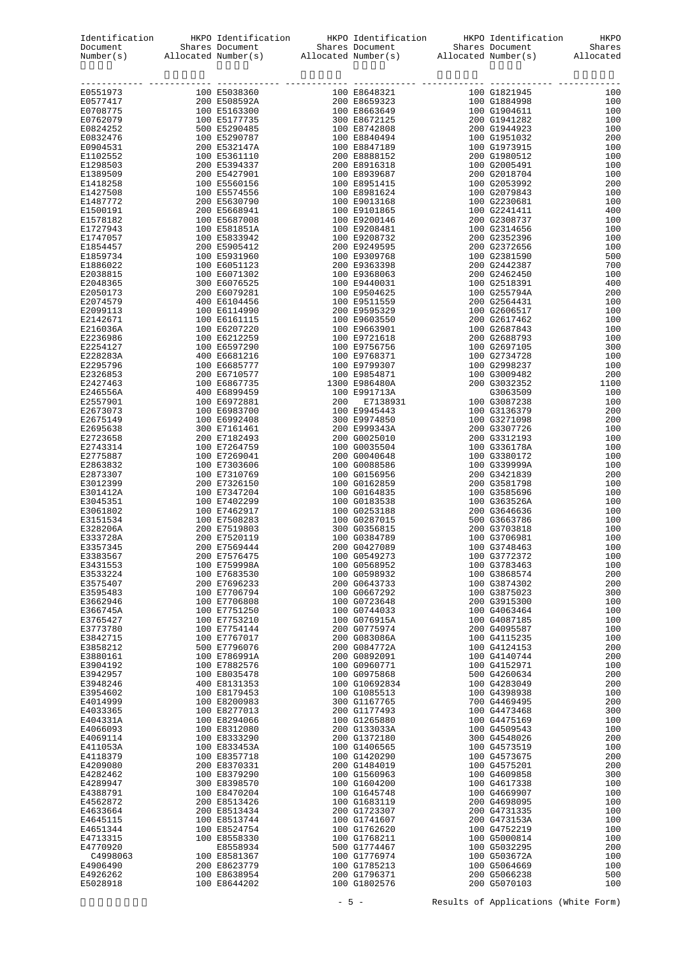|                      |                              | $\begin{tabular}{l c c c c} Identification & HKPO Identification & HKPO Identification & HKPO Identification & HKPO Identification & HKPODocument & Shares Document & Shares Document & SharesNumber(s) & Allocated Number(s) & Allocated Number(s) & Allocated \\ \end{tabular}$ |                              |            |
|----------------------|------------------------------|-----------------------------------------------------------------------------------------------------------------------------------------------------------------------------------------------------------------------------------------------------------------------------------|------------------------------|------------|
|                      |                              |                                                                                                                                                                                                                                                                                   |                              |            |
|                      |                              |                                                                                                                                                                                                                                                                                   |                              |            |
|                      |                              |                                                                                                                                                                                                                                                                                   |                              |            |
|                      |                              |                                                                                                                                                                                                                                                                                   |                              |            |
|                      |                              |                                                                                                                                                                                                                                                                                   |                              |            |
|                      |                              |                                                                                                                                                                                                                                                                                   |                              |            |
|                      |                              |                                                                                                                                                                                                                                                                                   |                              |            |
|                      |                              |                                                                                                                                                                                                                                                                                   |                              |            |
|                      |                              |                                                                                                                                                                                                                                                                                   |                              |            |
|                      |                              |                                                                                                                                                                                                                                                                                   |                              |            |
|                      |                              |                                                                                                                                                                                                                                                                                   |                              |            |
|                      |                              |                                                                                                                                                                                                                                                                                   |                              |            |
|                      |                              |                                                                                                                                                                                                                                                                                   |                              |            |
|                      |                              |                                                                                                                                                                                                                                                                                   |                              |            |
|                      |                              |                                                                                                                                                                                                                                                                                   |                              |            |
|                      |                              |                                                                                                                                                                                                                                                                                   |                              |            |
|                      |                              |                                                                                                                                                                                                                                                                                   |                              |            |
|                      |                              |                                                                                                                                                                                                                                                                                   |                              |            |
|                      |                              |                                                                                                                                                                                                                                                                                   |                              |            |
|                      |                              |                                                                                                                                                                                                                                                                                   |                              |            |
|                      |                              |                                                                                                                                                                                                                                                                                   |                              |            |
|                      |                              |                                                                                                                                                                                                                                                                                   |                              |            |
|                      |                              |                                                                                                                                                                                                                                                                                   |                              |            |
|                      |                              |                                                                                                                                                                                                                                                                                   |                              |            |
|                      |                              |                                                                                                                                                                                                                                                                                   |                              |            |
|                      |                              |                                                                                                                                                                                                                                                                                   |                              |            |
|                      |                              |                                                                                                                                                                                                                                                                                   |                              |            |
|                      |                              |                                                                                                                                                                                                                                                                                   |                              |            |
|                      |                              |                                                                                                                                                                                                                                                                                   |                              |            |
|                      |                              |                                                                                                                                                                                                                                                                                   |                              |            |
|                      |                              |                                                                                                                                                                                                                                                                                   |                              |            |
|                      |                              |                                                                                                                                                                                                                                                                                   |                              |            |
|                      |                              |                                                                                                                                                                                                                                                                                   |                              |            |
|                      |                              |                                                                                                                                                                                                                                                                                   |                              |            |
|                      |                              |                                                                                                                                                                                                                                                                                   |                              |            |
|                      |                              |                                                                                                                                                                                                                                                                                   |                              |            |
|                      |                              |                                                                                                                                                                                                                                                                                   |                              |            |
|                      |                              |                                                                                                                                                                                                                                                                                   |                              |            |
|                      |                              |                                                                                                                                                                                                                                                                                   |                              |            |
|                      |                              |                                                                                                                                                                                                                                                                                   |                              |            |
|                      |                              |                                                                                                                                                                                                                                                                                   |                              |            |
|                      |                              |                                                                                                                                                                                                                                                                                   |                              |            |
|                      |                              |                                                                                                                                                                                                                                                                                   |                              |            |
|                      |                              |                                                                                                                                                                                                                                                                                   |                              |            |
|                      |                              |                                                                                                                                                                                                                                                                                   |                              |            |
|                      |                              |                                                                                                                                                                                                                                                                                   |                              |            |
|                      |                              |                                                                                                                                                                                                                                                                                   |                              |            |
|                      |                              |                                                                                                                                                                                                                                                                                   |                              |            |
|                      |                              |                                                                                                                                                                                                                                                                                   |                              |            |
| E3357345             | 200 E7569444                 | 200 G0427089                                                                                                                                                                                                                                                                      | 100 G3748463                 | 100        |
| E3383567             | 200 E7576475                 | 100 G0549273                                                                                                                                                                                                                                                                      | 100 G3772372                 | 100        |
| E3431553             | 100 E759998A                 | 100 G0568952                                                                                                                                                                                                                                                                      | 100 G3783463                 | 100        |
| E3533224             | 100 E7683530                 | 100 G0598932                                                                                                                                                                                                                                                                      | 100 G3868574                 | 200        |
| E3575407             | 200 E7696233                 | 200 G0643733                                                                                                                                                                                                                                                                      | 100 G3874302                 | 200        |
| E3595483             | 100 E7706794                 | 100 G0667292                                                                                                                                                                                                                                                                      | 100 G3875023                 | 300        |
| E3662946             | 100 E7706808                 | 100 G0723648                                                                                                                                                                                                                                                                      | 200 G3915300                 | 100        |
| E366745A             | 100 E7751250                 | 100 G0744033                                                                                                                                                                                                                                                                      | 100 G4063464<br>100 G4087185 | 100        |
| E3765427<br>E3773780 | 100 E7753210<br>100 E7754144 | 100 G076915A<br>200 G0775974                                                                                                                                                                                                                                                      | 200 G4095587                 | 100<br>100 |
| E3842715             | 100 E7767017                 | 200 G083086A                                                                                                                                                                                                                                                                      | 100 G4115235                 | 100        |
| E3858212             | 500 E7796076                 | 200 G084772A                                                                                                                                                                                                                                                                      | 100 G4124153                 | 200        |
| E3880161             | 100 E786991A                 | 200 G0892091                                                                                                                                                                                                                                                                      | 100 G4140744                 | 200        |
| E3904192             | 100 E7882576                 | 100 G0960771                                                                                                                                                                                                                                                                      | 100 G4152971                 | 100        |
| E3942957             | 100 E8035478                 | 100 G0975868                                                                                                                                                                                                                                                                      | 500 G4260634                 | 200        |
| E3948246             | 400 E8131353                 | 100 G10692834                                                                                                                                                                                                                                                                     | 100 G4283049                 | 200        |
| E3954602             | 100 E8179453                 | 100 G1085513                                                                                                                                                                                                                                                                      | 100 G4398938                 | 100        |
| E4014999             | 100 E8200983                 | 300 G1167765                                                                                                                                                                                                                                                                      | 700 G4469495                 | 200        |
| E4033365             | 100 E8277013                 | 200 G1177493                                                                                                                                                                                                                                                                      | 100 G4473468                 | 300        |
| E404331A             | 100 E8294066                 | 100 G1265880                                                                                                                                                                                                                                                                      | 100 G4475169                 | 100        |
| E4066093             | 100 E8312080                 | 200 G133033A                                                                                                                                                                                                                                                                      | 100 G4509543                 | 100        |
| E4069114             | 100 E8333290                 | 200 G1372180                                                                                                                                                                                                                                                                      | 300 G4548026                 | 200        |
| E411053A             | 100 E833453A                 | 100 G1406565                                                                                                                                                                                                                                                                      | 100 G4573519                 | 100        |
| E4118379             | 100 E8357718                 | 100 G1420290                                                                                                                                                                                                                                                                      | 100 G4573675                 | 200        |
| E4209080<br>E4282462 | 200 E8370331<br>100 E8379290 | 200 G1484019<br>100 G1560963                                                                                                                                                                                                                                                      | 100 G4575201<br>100 G4609858 | 200<br>300 |
| E4289947             | 300 E8398570                 | 100 G1604200                                                                                                                                                                                                                                                                      | 100 G4617338                 | 100        |
| E4388791             | 100 E8470204                 | 100 G1645748                                                                                                                                                                                                                                                                      | 100 G4669907                 | 100        |
| E4562872             | 200 E8513426                 | 100 G1683119                                                                                                                                                                                                                                                                      | 200 G4698095                 | 100        |
| E4633664             | 200 E8513434                 | 200 G1723307                                                                                                                                                                                                                                                                      | 200 G4731335                 | 100        |
| E4645115             | 100 E8513744                 | 100 G1741607                                                                                                                                                                                                                                                                      | 200 G473153A                 | 100        |
| E4651344             | 100 E8524754                 | 100 G1762620                                                                                                                                                                                                                                                                      | 100 G4752219                 | 100        |
| E4713315             | 100 E8558330                 | 100 G1768211                                                                                                                                                                                                                                                                      | 100 G5000814                 | 100        |
| E4770920             | E8558934                     | 500 G1774467                                                                                                                                                                                                                                                                      | 100 G5032295                 | 200        |
| C4998063             | 100 E8581367                 | 100 G1776974                                                                                                                                                                                                                                                                      | 100 G503672A                 | 100        |
| E4906490             | 200 E8623779                 | 100 G1785213                                                                                                                                                                                                                                                                      | 100 G5064669                 | 100        |
| E4926262             | 100 E8638954                 | 200 G1796371                                                                                                                                                                                                                                                                      | 200 G5066238                 | 500        |
| E5028918             | 100 E8644202                 | 100 G1802576                                                                                                                                                                                                                                                                      | 200 G5070103                 | 100        |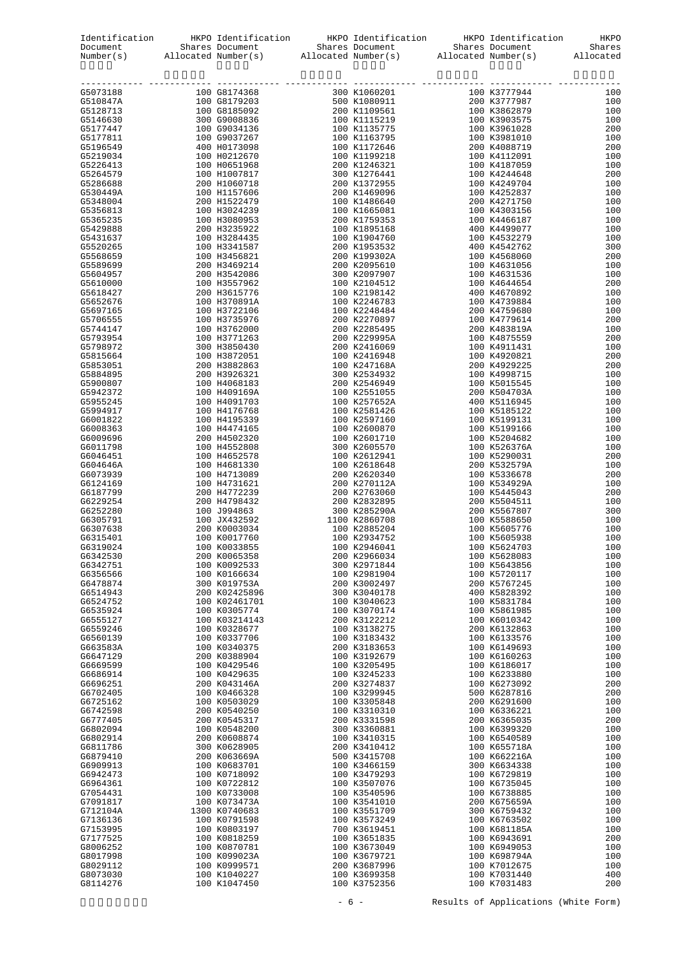|                      | $\begin{tabular}{l c c c c} Identification & HKPO Identification & HKPO Identification & HKPO Identification & HKPO Identification & HKPODocument & Shares Document & Shares Document & SharesNumber(s) & Allocated Number(s) & Allocated Number(s) & Allocated \\ \end{tabular}$ |                              |                              |            |
|----------------------|-----------------------------------------------------------------------------------------------------------------------------------------------------------------------------------------------------------------------------------------------------------------------------------|------------------------------|------------------------------|------------|
|                      |                                                                                                                                                                                                                                                                                   |                              |                              |            |
|                      |                                                                                                                                                                                                                                                                                   |                              |                              |            |
|                      |                                                                                                                                                                                                                                                                                   |                              |                              |            |
|                      |                                                                                                                                                                                                                                                                                   |                              |                              |            |
|                      |                                                                                                                                                                                                                                                                                   |                              |                              |            |
|                      |                                                                                                                                                                                                                                                                                   |                              |                              |            |
|                      |                                                                                                                                                                                                                                                                                   |                              |                              |            |
|                      |                                                                                                                                                                                                                                                                                   |                              |                              |            |
|                      |                                                                                                                                                                                                                                                                                   |                              |                              |            |
|                      |                                                                                                                                                                                                                                                                                   |                              |                              |            |
|                      |                                                                                                                                                                                                                                                                                   |                              |                              |            |
|                      |                                                                                                                                                                                                                                                                                   |                              |                              |            |
|                      |                                                                                                                                                                                                                                                                                   |                              |                              |            |
|                      |                                                                                                                                                                                                                                                                                   |                              |                              |            |
|                      |                                                                                                                                                                                                                                                                                   |                              |                              |            |
|                      |                                                                                                                                                                                                                                                                                   |                              |                              |            |
|                      |                                                                                                                                                                                                                                                                                   |                              |                              |            |
|                      |                                                                                                                                                                                                                                                                                   |                              |                              |            |
|                      |                                                                                                                                                                                                                                                                                   |                              |                              |            |
|                      |                                                                                                                                                                                                                                                                                   |                              |                              |            |
|                      |                                                                                                                                                                                                                                                                                   |                              |                              |            |
|                      |                                                                                                                                                                                                                                                                                   |                              |                              |            |
|                      |                                                                                                                                                                                                                                                                                   |                              |                              |            |
|                      |                                                                                                                                                                                                                                                                                   |                              |                              |            |
|                      |                                                                                                                                                                                                                                                                                   |                              |                              |            |
|                      |                                                                                                                                                                                                                                                                                   |                              |                              |            |
|                      |                                                                                                                                                                                                                                                                                   |                              |                              |            |
|                      |                                                                                                                                                                                                                                                                                   |                              |                              |            |
|                      |                                                                                                                                                                                                                                                                                   |                              |                              |            |
|                      |                                                                                                                                                                                                                                                                                   |                              |                              |            |
|                      |                                                                                                                                                                                                                                                                                   |                              |                              |            |
|                      |                                                                                                                                                                                                                                                                                   |                              |                              |            |
|                      |                                                                                                                                                                                                                                                                                   |                              |                              |            |
|                      |                                                                                                                                                                                                                                                                                   |                              |                              |            |
|                      |                                                                                                                                                                                                                                                                                   |                              |                              |            |
|                      |                                                                                                                                                                                                                                                                                   |                              |                              |            |
|                      |                                                                                                                                                                                                                                                                                   |                              |                              |            |
|                      |                                                                                                                                                                                                                                                                                   |                              |                              |            |
|                      |                                                                                                                                                                                                                                                                                   |                              |                              |            |
|                      |                                                                                                                                                                                                                                                                                   |                              |                              |            |
|                      |                                                                                                                                                                                                                                                                                   |                              |                              |            |
|                      |                                                                                                                                                                                                                                                                                   |                              |                              |            |
|                      |                                                                                                                                                                                                                                                                                   |                              |                              |            |
|                      |                                                                                                                                                                                                                                                                                   |                              |                              |            |
|                      |                                                                                                                                                                                                                                                                                   |                              |                              |            |
|                      |                                                                                                                                                                                                                                                                                   |                              |                              |            |
|                      |                                                                                                                                                                                                                                                                                   |                              |                              |            |
| G6319024             | 100 K0033855                                                                                                                                                                                                                                                                      | 100 K2946041                 | 100 K5624703                 | 100        |
| G6342530             | 200 K0065358                                                                                                                                                                                                                                                                      | 200 K2966034                 | 100 K5628083                 | 100        |
| G6342751             | 100 K0092533                                                                                                                                                                                                                                                                      | 300 K2971844                 | 100 K5643856                 | 100        |
| G6356566<br>G6478874 | 100 K0166634<br>300 K019753A                                                                                                                                                                                                                                                      | 100 K2981904<br>200 K3002497 | 100 K5720117<br>200 K5767245 | 100<br>100 |
| G6514943             | 200 K02425896                                                                                                                                                                                                                                                                     | 300 K3040178                 | 400 K5828392                 | 100        |
| G6524752             | 100 K02461701                                                                                                                                                                                                                                                                     | 100 K3040623                 | 100 K5831784                 | 100        |
| G6535924             | 100 K0305774                                                                                                                                                                                                                                                                      | 100 K3070174                 | 100 K5861985                 | 100        |
| G6555127             | 100 K03214143                                                                                                                                                                                                                                                                     | 200 K3122212                 | 100 K6010342                 | 100        |
| G6559246             | 100 K0328677                                                                                                                                                                                                                                                                      | 100 K3138275                 | 200 K6132863                 | 100        |
| G6560139             | 100 K0337706                                                                                                                                                                                                                                                                      | 100 K3183432                 | 100 K6133576                 | 100        |
| G663583A             | 100 K0340375                                                                                                                                                                                                                                                                      | 200 K3183653                 | 100 K6149693                 | 100        |
| G6647129             | 200 K0388904                                                                                                                                                                                                                                                                      | 100 K3192679                 | 100 K6160263                 | 100        |
| G6669599             | 100 K0429546<br>100 K0429635                                                                                                                                                                                                                                                      | 100 K3205495                 | 100 K6186017                 | 100        |
| G6686914<br>G6696251 | 200 K043146A                                                                                                                                                                                                                                                                      | 100 K3245233<br>200 K3274837 | 100 K6233880<br>100 K6273092 | 100<br>200 |
| G6702405             | 100 K0466328                                                                                                                                                                                                                                                                      | 100 K3299945                 | 500 K6287816                 | 200        |
| G6725162             | 100 K0503029                                                                                                                                                                                                                                                                      | 100 K3305848                 | 200 K6291600                 | 100        |
| G6742598             | 200 K0540250                                                                                                                                                                                                                                                                      | 100 K3310310                 | 100 K6336221                 | 100        |
| G6777405             | 200 K0545317                                                                                                                                                                                                                                                                      | 200 K3331598                 | 200 K6365035                 | 200        |
| G6802094             | 100 K0548200                                                                                                                                                                                                                                                                      | 300 K3360881                 | 100 K6399320                 | 100        |
| G6802914             | 200 K0608874                                                                                                                                                                                                                                                                      | 100 K3410315                 | 100 K6540589                 | 100        |
| G6811786             | 300 K0628905                                                                                                                                                                                                                                                                      | 200 K3410412                 | 100 K655718A                 | 100        |
| G6879410             | 200 K063669A                                                                                                                                                                                                                                                                      | 500 K3415708                 | 100 K662216A                 | 100        |
| G6909913             | 100 K0683701                                                                                                                                                                                                                                                                      | 100 K3466159                 | 300 K6634338                 | 100        |
| G6942473             | 100 K0718092                                                                                                                                                                                                                                                                      | 100 K3479293                 | 100 K6729819                 | 100        |
| G6964361<br>G7054431 | 100 K0722812<br>100 K0733008                                                                                                                                                                                                                                                      | 100 K3507076<br>100 K3540596 | 100 K6735045<br>100 K6738885 | 100<br>100 |
| G7091817             | 100 K073473A                                                                                                                                                                                                                                                                      | 100 K3541010                 | 200 K675659A                 | 100        |
| G712104A             | 1300 K0740683                                                                                                                                                                                                                                                                     | 100 K3551709                 | 300 K6759432                 | 100        |
| G7136136             | 100 K0791598                                                                                                                                                                                                                                                                      | 100 K3573249                 | 100 K6763502                 | 100        |
| G7153995             | 100 K0803197                                                                                                                                                                                                                                                                      | 700 K3619451                 | 100 K681185A                 | 100        |
| G7177525             | 100 K0818259                                                                                                                                                                                                                                                                      | 100 K3651835                 | 100 K6943691                 | 200        |
| G8006252             | 100 K0870781                                                                                                                                                                                                                                                                      | 100 K3673049                 | 100 K6949053                 | 100        |
| G8017998             | 100 K099023A                                                                                                                                                                                                                                                                      | 100 K3679721                 | 100 K698794A                 | 100        |
| G8029112             | 100 K0999571                                                                                                                                                                                                                                                                      | 200 K3687996                 | 100 K7012675                 | 100        |
| G8073030             | 100 K1040227                                                                                                                                                                                                                                                                      | 100 K3699358                 | 100 K7031440                 | 400        |
| G8114276             | 100 K1047450                                                                                                                                                                                                                                                                      | 100 K3752356                 | 100 K7031483                 | 200        |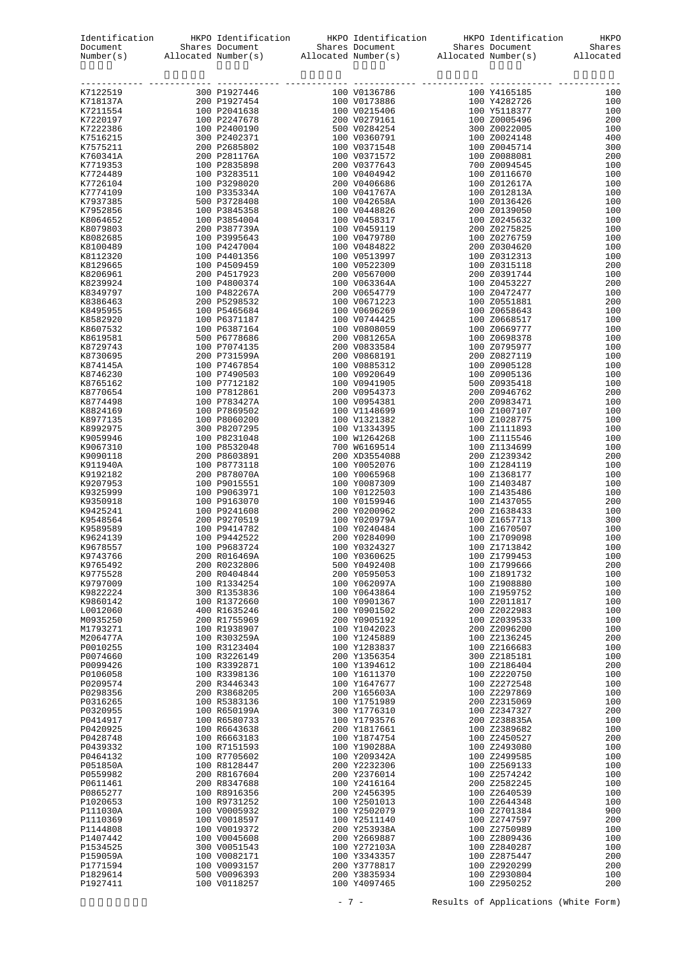| Identification<br>Document<br>Number(s) |                              | ation HKPO Identification HKPO Identification HKPO Identification HKPO Shares Document Shares Document Shares Allocated Number(s) Allocated Number(s) and Allocated Number(s) and Allocated Number(s) and Allocated Number(s)                               |                              |                                    |
|-----------------------------------------|------------------------------|-------------------------------------------------------------------------------------------------------------------------------------------------------------------------------------------------------------------------------------------------------------|------------------------------|------------------------------------|
| K7122519                                |                              | 3200 14:37445<br>2200 14:37445<br>2200 14:37445<br>2200 14:37445<br>2200 14:37445<br>2200 14:37445<br>2200 14:37445<br>2200 14:37445<br>2200 14:37445<br>2200 14:3745<br>2200 14:3745<br>2200 14:3745<br>2200 14:3745<br>2200 14:3745<br>2200 14:3745<br>22 |                              |                                    |
| K718137A                                |                              |                                                                                                                                                                                                                                                             |                              |                                    |
| K7211554<br>K7220197                    |                              |                                                                                                                                                                                                                                                             |                              |                                    |
|                                         |                              |                                                                                                                                                                                                                                                             |                              |                                    |
| K7222386                                |                              |                                                                                                                                                                                                                                                             |                              |                                    |
| K7516215                                |                              |                                                                                                                                                                                                                                                             |                              |                                    |
| K7575211                                |                              |                                                                                                                                                                                                                                                             |                              |                                    |
| K760341A                                |                              |                                                                                                                                                                                                                                                             |                              |                                    |
| K7719353                                |                              |                                                                                                                                                                                                                                                             |                              |                                    |
| K7724489<br>K7726104                    |                              |                                                                                                                                                                                                                                                             |                              |                                    |
| K7774109                                |                              |                                                                                                                                                                                                                                                             |                              |                                    |
| K7937385                                |                              |                                                                                                                                                                                                                                                             |                              |                                    |
| K7952856                                |                              |                                                                                                                                                                                                                                                             |                              |                                    |
| K8064652                                |                              |                                                                                                                                                                                                                                                             |                              |                                    |
| K8079803                                |                              |                                                                                                                                                                                                                                                             |                              |                                    |
| K8082685                                |                              |                                                                                                                                                                                                                                                             |                              |                                    |
| K8100489                                |                              |                                                                                                                                                                                                                                                             |                              |                                    |
| K8112320                                |                              |                                                                                                                                                                                                                                                             |                              |                                    |
| K8129665                                |                              |                                                                                                                                                                                                                                                             |                              |                                    |
| K8206961<br>K8239924                    |                              |                                                                                                                                                                                                                                                             |                              |                                    |
| K8349797                                |                              |                                                                                                                                                                                                                                                             |                              |                                    |
| K8386463                                |                              |                                                                                                                                                                                                                                                             |                              |                                    |
| K8495955                                |                              |                                                                                                                                                                                                                                                             |                              |                                    |
| K8582920                                |                              |                                                                                                                                                                                                                                                             |                              |                                    |
| K8607532                                |                              |                                                                                                                                                                                                                                                             |                              |                                    |
| K8619581                                |                              |                                                                                                                                                                                                                                                             |                              |                                    |
| K8729743                                |                              |                                                                                                                                                                                                                                                             |                              |                                    |
| K8730695                                |                              |                                                                                                                                                                                                                                                             |                              |                                    |
| K874145A<br>K8746230                    |                              |                                                                                                                                                                                                                                                             |                              |                                    |
| K8765162                                |                              |                                                                                                                                                                                                                                                             |                              |                                    |
| K8770654                                |                              |                                                                                                                                                                                                                                                             |                              |                                    |
| K8774498                                |                              |                                                                                                                                                                                                                                                             |                              |                                    |
| K8824169                                |                              |                                                                                                                                                                                                                                                             |                              |                                    |
| K8977135                                |                              |                                                                                                                                                                                                                                                             |                              |                                    |
| K8992975                                |                              |                                                                                                                                                                                                                                                             |                              |                                    |
| K9059946                                |                              |                                                                                                                                                                                                                                                             |                              |                                    |
| K9067310<br>K9090118                    |                              |                                                                                                                                                                                                                                                             |                              |                                    |
| K911940A                                |                              |                                                                                                                                                                                                                                                             |                              |                                    |
| K9192182                                |                              |                                                                                                                                                                                                                                                             |                              | $\frac{1}{20}$<br>$\frac{100}{30}$ |
| K9207953                                |                              |                                                                                                                                                                                                                                                             |                              |                                    |
| K9325999                                |                              |                                                                                                                                                                                                                                                             |                              |                                    |
| K9350918                                |                              |                                                                                                                                                                                                                                                             |                              |                                    |
| K9425241                                |                              |                                                                                                                                                                                                                                                             |                              |                                    |
| K9548564<br>K9589589                    |                              |                                                                                                                                                                                                                                                             |                              |                                    |
| K9624139                                |                              |                                                                                                                                                                                                                                                             |                              |                                    |
| K9678557                                | 100 P9683724                 | 100 Y0324327                                                                                                                                                                                                                                                | 100 Z1713842                 |                                    |
| K9743766                                | 200 R016469A                 | 100 Y0360625                                                                                                                                                                                                                                                | 100 Z1799453                 | 100                                |
| K9765492                                | 200 R0232806                 | 500 Y0492408                                                                                                                                                                                                                                                | 100 Z1799666                 | 200                                |
| K9775528                                | 200 R0404844                 | 200 Y0595053                                                                                                                                                                                                                                                | 100 Z1891732                 | 100                                |
| K9797009                                | 100 R1334254                 | 100 Y062097A                                                                                                                                                                                                                                                | 100 Z1908880                 | 100                                |
| K9822224                                | 300 R1353836                 | 100 Y0643864                                                                                                                                                                                                                                                | 100 Z1959752                 | 100                                |
| K9860142                                | 100 R1372660                 | 100 Y0901367                                                                                                                                                                                                                                                | 100 Z2011817                 | 100                                |
| L0012060                                | 400 R1635246<br>200 R1755969 | 100 Y0901502                                                                                                                                                                                                                                                | 200 Z2022983                 | 100<br>100                         |
| M0935250<br>M1793271                    | 100 R1938907                 | 200 Y0905192<br>100 Y1042023                                                                                                                                                                                                                                | 100 Z2039533<br>200 Z2096200 | 100                                |
| M206477A                                | 100 R303259A                 | 100 Y1245889                                                                                                                                                                                                                                                | 100 Z2136245                 | 200                                |
| P0010255                                | 100 R3123404                 | 100 Y1283837                                                                                                                                                                                                                                                | 100 Z2166683                 | 100                                |
| P0074660                                | 100 R3226149                 | 200 Y1356354                                                                                                                                                                                                                                                | 300 Z2185181                 | 100                                |
| P0099426                                | 100 R3392871                 | 100 Y1394612                                                                                                                                                                                                                                                | 100 Z2186404                 | 200                                |
| P0106058                                | 100 R3398136                 | 100 Y1611370                                                                                                                                                                                                                                                | 100 Z2220750                 | 100                                |
| P0209574                                | 200 R3446343                 | 100 Y1647677                                                                                                                                                                                                                                                | 100 Z2272548                 | 100                                |
| P0298356                                | 200 R3868205                 | 200 Y165603A                                                                                                                                                                                                                                                | 100 Z2297869                 | 100                                |
| P0316265                                | 100 R5383136                 | 100 Y1751989                                                                                                                                                                                                                                                | 200 Z2315069                 | 100                                |
| P0320955<br>P0414917                    | 100 R650199A<br>100 R6580733 | 300 Y1776310<br>100 Y1793576                                                                                                                                                                                                                                | 100 Z2347327<br>200 Z238835A | 200<br>100                         |
| P0420925                                | 100 R6643638                 | 200 Y1817661                                                                                                                                                                                                                                                | 100 Z2389682                 | 100                                |
| P0428748                                | 100 R6663183                 | 100 Y1874754                                                                                                                                                                                                                                                | 100 Z2450527                 | 200                                |
| P0439332                                | 100 R7151593                 | 100 Y190288A                                                                                                                                                                                                                                                | 100 Z2493080                 | 100                                |
| P0464132                                | 100 R7705602                 | 100 Y209342A                                                                                                                                                                                                                                                | 100 Z2499585                 | 100                                |
| P051850A                                | 100 R8128447                 | 200 Y2232306                                                                                                                                                                                                                                                | 100 Z2569133                 | 100                                |
| P0559982                                | 200 R8167604                 | 200 Y2376014                                                                                                                                                                                                                                                | 100 Z2574242                 | 100                                |
| P0611461<br>P0865277                    | 200 R8347688<br>100 R8916356 | 100 Y2416164<br>200 Y2456395                                                                                                                                                                                                                                | 200 Z2582245<br>100 Z2640539 | 100<br>100                         |
| P1020653                                | 100 R9731252                 | 100 Y2501013                                                                                                                                                                                                                                                | 100 Z2644348                 | 100                                |
| P111030A                                | 100 V0005932                 | 100 Y2502079                                                                                                                                                                                                                                                | 100 Z2701384                 | 900                                |
| P1110369                                | 100 V0018597                 | 100 Y2511140                                                                                                                                                                                                                                                | 100 Z2747597                 | 200                                |
| P1144808                                | 100 V0019372                 | 200 Y253938A                                                                                                                                                                                                                                                | 100 Z2750989                 | 100                                |
| P1407442                                | 100 V0045608                 | 200 Y2669887                                                                                                                                                                                                                                                | 100 Z2809436                 | 100                                |
| P1534525                                | 300 V0051543                 | 100 Y272103A                                                                                                                                                                                                                                                | 100 Z2840287                 | 100                                |
| P159059A                                | 100 V0082171                 | 100 Y3343357                                                                                                                                                                                                                                                | 100 Z2875447                 | 200                                |
| P1771594                                | 100 V0093157                 | 200 Y3778817                                                                                                                                                                                                                                                | 100 Z2920299                 | 200                                |
| P1829614                                | 500 V0096393<br>100 V0118257 | 200 Y3835934<br>100 Y4097465                                                                                                                                                                                                                                | 100 Z2930804<br>100 Z2950252 | 100<br>200                         |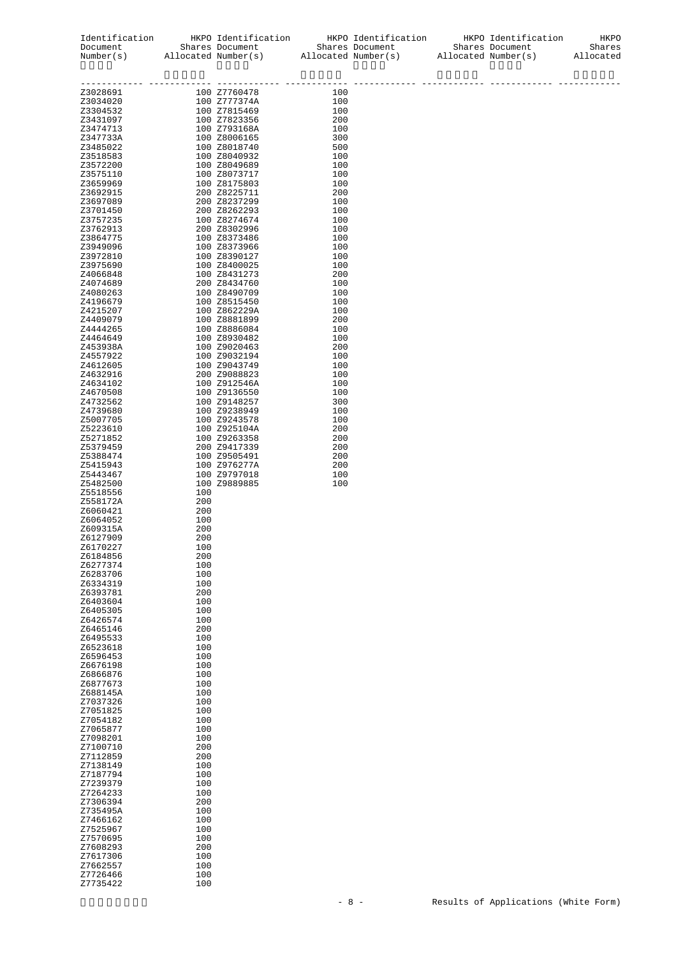| Identification<br>Document<br>Number(s) |            | HKPO Identification<br>Shares Document |            | HKPO Identification<br>Shares Document<br>Allocated Number(s) Allocated Number(s) Allocated Number(s) | HKPO Identification<br>Shares Document | HKPO<br>Shares<br>Allocated |
|-----------------------------------------|------------|----------------------------------------|------------|-------------------------------------------------------------------------------------------------------|----------------------------------------|-----------------------------|
|                                         |            |                                        |            |                                                                                                       |                                        |                             |
| Z3028691                                |            | 100 Z7760478                           | 100        |                                                                                                       |                                        |                             |
| Z3034020                                |            | 100 Z777374A                           | 100        |                                                                                                       |                                        |                             |
| Z3304532                                |            | 100 Z7815469                           | 100<br>200 |                                                                                                       |                                        |                             |
| Z3431097<br>Z3474713                    |            | 100 Z7823356<br>100 Z793168A           | 100        |                                                                                                       |                                        |                             |
| Z347733A                                |            | 100 Z8006165                           | 300        |                                                                                                       |                                        |                             |
| Z3485022                                |            | 100 Z8018740                           | 500        |                                                                                                       |                                        |                             |
| Z3518583                                |            | 100 Z8040932                           | 100        |                                                                                                       |                                        |                             |
| Z3572200                                |            | 100 Z8049689                           | 100        |                                                                                                       |                                        |                             |
| Z3575110                                |            | 100 Z8073717                           | 100        |                                                                                                       |                                        |                             |
| Z3659969                                |            | 100 Z8175803<br>200 Z8225711           | 100<br>200 |                                                                                                       |                                        |                             |
| Z3692915<br>Z3697089                    |            | 200 Z8237299                           | 100        |                                                                                                       |                                        |                             |
| Z3701450                                |            | 200 Z8262293                           | 100        |                                                                                                       |                                        |                             |
| Z3757235                                |            | 100 Z8274674                           | 100        |                                                                                                       |                                        |                             |
| Z3762913                                |            | 200 Z8302996                           | 100        |                                                                                                       |                                        |                             |
| Z3864775                                |            | 100 Z8373486                           | 100        |                                                                                                       |                                        |                             |
| Z3949096<br>Z3972810                    |            | 100 Z8373966<br>100 Z8390127           | 100<br>100 |                                                                                                       |                                        |                             |
| Z3975690                                |            | 100 Z8400025                           | 100        |                                                                                                       |                                        |                             |
| Z4066848                                |            | 100 Z8431273                           | 200        |                                                                                                       |                                        |                             |
| Z4074689                                |            | 200 Z8434760                           | 100        |                                                                                                       |                                        |                             |
| Z4080263                                |            | 100 Z8490709                           | 100        |                                                                                                       |                                        |                             |
| Z4196679                                |            | 100 Z8515450                           | 100<br>100 |                                                                                                       |                                        |                             |
| Z4215207<br>Z4409079                    |            | 100 Z862229A<br>100 Z8881899           | 200        |                                                                                                       |                                        |                             |
| Z4444265                                |            | 100 Z8886084                           | 100        |                                                                                                       |                                        |                             |
| Z4464649                                |            | 100 Z8930482                           | 100        |                                                                                                       |                                        |                             |
| Z453938A                                |            | 100 Z9020463                           | 200        |                                                                                                       |                                        |                             |
| Z4557922                                |            | 100 Z9032194                           | 100        |                                                                                                       |                                        |                             |
| Z4612605                                |            | 100 Z9043749                           | 100<br>100 |                                                                                                       |                                        |                             |
| Z4632916<br>Z4634102                    |            | 200 Z9088823<br>100 Z912546A           | 100        |                                                                                                       |                                        |                             |
| Z4670508                                |            | 100 Z9136550                           | 100        |                                                                                                       |                                        |                             |
| Z4732562                                |            | 100 Z9148257                           | 300        |                                                                                                       |                                        |                             |
| Z4739680                                |            | 100 Z9238949                           | 100        |                                                                                                       |                                        |                             |
| Z5007705                                |            | 100 Z9243578                           | 100        |                                                                                                       |                                        |                             |
| Z5223610                                |            | 100 Z925104A                           | 200        |                                                                                                       |                                        |                             |
| Z5271852<br>Z5379459                    |            | 100 29263358<br>200 Z9417339           | 200<br>200 |                                                                                                       |                                        |                             |
| Z5388474                                |            | 100 Z9505491                           | 200        |                                                                                                       |                                        |                             |
| Z5415943                                |            | 100 Z976277A                           | 200        |                                                                                                       |                                        |                             |
| Z5443467                                |            | 100 Z9797018                           | 100        |                                                                                                       |                                        |                             |
| Z5482500                                |            | 100 Z9889885                           | 100        |                                                                                                       |                                        |                             |
| Z5518556<br>Z558172A                    | 100<br>200 |                                        |            |                                                                                                       |                                        |                             |
| Z6060421                                | 200        |                                        |            |                                                                                                       |                                        |                             |
| Z6064052                                | 100        |                                        |            |                                                                                                       |                                        |                             |
| Z609315A                                | 200        |                                        |            |                                                                                                       |                                        |                             |
| Z6127909                                | 200        |                                        |            |                                                                                                       |                                        |                             |
| Z6170227<br>Z6184856                    | 100<br>200 |                                        |            |                                                                                                       |                                        |                             |
| Z6277374                                | 100        |                                        |            |                                                                                                       |                                        |                             |
| Z6283706                                | 100        |                                        |            |                                                                                                       |                                        |                             |
| Z6334319                                | 100        |                                        |            |                                                                                                       |                                        |                             |
| Z6393781                                | 200        |                                        |            |                                                                                                       |                                        |                             |
| Z6403604<br>Z6405305                    | 100<br>100 |                                        |            |                                                                                                       |                                        |                             |
| Z6426574                                | 100        |                                        |            |                                                                                                       |                                        |                             |
| Z6465146                                | 200        |                                        |            |                                                                                                       |                                        |                             |
| Z6495533                                | 100        |                                        |            |                                                                                                       |                                        |                             |
| Z6523618                                | 100        |                                        |            |                                                                                                       |                                        |                             |
| Z6596453                                | 100<br>100 |                                        |            |                                                                                                       |                                        |                             |
| Z6676198<br>Z6866876                    | 100        |                                        |            |                                                                                                       |                                        |                             |
| Z6877673                                | 100        |                                        |            |                                                                                                       |                                        |                             |
| Z688145A                                | 100        |                                        |            |                                                                                                       |                                        |                             |
| Z7037326                                | 100        |                                        |            |                                                                                                       |                                        |                             |
| Z7051825                                | 100        |                                        |            |                                                                                                       |                                        |                             |
| Z7054182                                | 100        |                                        |            |                                                                                                       |                                        |                             |
| Z7065877<br>Z7098201                    | 100<br>100 |                                        |            |                                                                                                       |                                        |                             |
| Z7100710                                | 200        |                                        |            |                                                                                                       |                                        |                             |
| Z7112859                                | 200        |                                        |            |                                                                                                       |                                        |                             |
| Z7138149                                | 100        |                                        |            |                                                                                                       |                                        |                             |
| Z7187794                                | 100        |                                        |            |                                                                                                       |                                        |                             |
| Z7239379                                | 100        |                                        |            |                                                                                                       |                                        |                             |
| Z7264233<br>Z7306394                    | 100<br>200 |                                        |            |                                                                                                       |                                        |                             |
| Z735495A                                | 100        |                                        |            |                                                                                                       |                                        |                             |
| Z7466162                                | 100        |                                        |            |                                                                                                       |                                        |                             |
| Z7525967                                | 100        |                                        |            |                                                                                                       |                                        |                             |
| Z7570695                                | 100        |                                        |            |                                                                                                       |                                        |                             |
| Z7608293                                | 200        |                                        |            |                                                                                                       |                                        |                             |
| Z7617306<br>Z7662557                    | 100<br>100 |                                        |            |                                                                                                       |                                        |                             |
| Z7726466                                | 100        |                                        |            |                                                                                                       |                                        |                             |
| Z7735422                                | 100        |                                        |            |                                                                                                       |                                        |                             |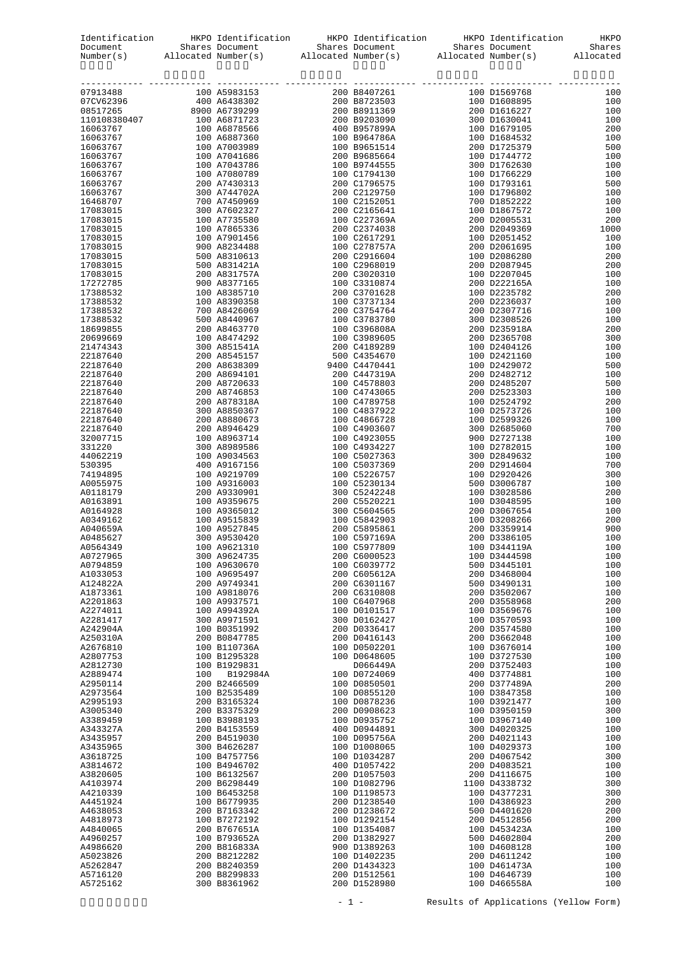| Identification<br>Document<br>Number(s) |                              |                              | ation HKPO Identification HKPO Identification HKPO Identification HKPO Shares Document Shares Document Shares Allocated Number(s) Allocated Number(s) and Allocated Number(s) and Allocated Number(s) and Allocated Number(s) |            |
|-----------------------------------------|------------------------------|------------------------------|-------------------------------------------------------------------------------------------------------------------------------------------------------------------------------------------------------------------------------|------------|
|                                         |                              |                              |                                                                                                                                                                                                                               |            |
|                                         |                              |                              |                                                                                                                                                                                                                               |            |
|                                         |                              |                              |                                                                                                                                                                                                                               |            |
|                                         |                              |                              |                                                                                                                                                                                                                               |            |
|                                         |                              |                              |                                                                                                                                                                                                                               |            |
|                                         |                              |                              |                                                                                                                                                                                                                               |            |
|                                         |                              |                              |                                                                                                                                                                                                                               |            |
|                                         |                              |                              |                                                                                                                                                                                                                               |            |
|                                         |                              |                              |                                                                                                                                                                                                                               |            |
|                                         |                              |                              |                                                                                                                                                                                                                               |            |
|                                         |                              |                              |                                                                                                                                                                                                                               |            |
|                                         |                              |                              |                                                                                                                                                                                                                               |            |
|                                         |                              |                              |                                                                                                                                                                                                                               |            |
|                                         |                              |                              |                                                                                                                                                                                                                               |            |
|                                         |                              |                              |                                                                                                                                                                                                                               |            |
|                                         |                              |                              |                                                                                                                                                                                                                               |            |
|                                         |                              |                              |                                                                                                                                                                                                                               |            |
|                                         |                              |                              |                                                                                                                                                                                                                               |            |
|                                         |                              |                              |                                                                                                                                                                                                                               |            |
|                                         |                              |                              |                                                                                                                                                                                                                               |            |
|                                         |                              |                              |                                                                                                                                                                                                                               |            |
|                                         |                              |                              |                                                                                                                                                                                                                               |            |
|                                         |                              |                              |                                                                                                                                                                                                                               |            |
|                                         |                              |                              |                                                                                                                                                                                                                               |            |
|                                         |                              |                              |                                                                                                                                                                                                                               |            |
|                                         |                              |                              |                                                                                                                                                                                                                               |            |
|                                         |                              |                              |                                                                                                                                                                                                                               |            |
|                                         |                              |                              |                                                                                                                                                                                                                               |            |
|                                         |                              |                              |                                                                                                                                                                                                                               |            |
|                                         |                              |                              |                                                                                                                                                                                                                               |            |
|                                         |                              |                              |                                                                                                                                                                                                                               |            |
|                                         |                              |                              |                                                                                                                                                                                                                               |            |
|                                         |                              |                              |                                                                                                                                                                                                                               |            |
|                                         |                              |                              |                                                                                                                                                                                                                               |            |
|                                         |                              |                              |                                                                                                                                                                                                                               |            |
|                                         |                              |                              |                                                                                                                                                                                                                               |            |
|                                         |                              |                              |                                                                                                                                                                                                                               |            |
|                                         |                              |                              |                                                                                                                                                                                                                               |            |
|                                         |                              |                              |                                                                                                                                                                                                                               |            |
|                                         |                              |                              |                                                                                                                                                                                                                               |            |
|                                         |                              |                              |                                                                                                                                                                                                                               |            |
|                                         |                              |                              |                                                                                                                                                                                                                               |            |
|                                         |                              |                              |                                                                                                                                                                                                                               |            |
| A0564349<br>A0727965                    | 100 A9621310<br>300 A9624735 | 100 C5977809<br>200 C6000523 | 100 D344119A<br>100 D3444598                                                                                                                                                                                                  | 100<br>100 |
| A0794859                                | 100 A9630670                 | 100 C6039772                 | 500 D3445101                                                                                                                                                                                                                  | 100        |
| A1033053                                | 100 A9695497                 | 200 C605612A                 | 200 D3468004                                                                                                                                                                                                                  | 100        |
| A124822A                                | 200 A9749341                 | 200 C6301167                 | 500 D3490131                                                                                                                                                                                                                  | 100        |
| A1873361                                | 100 A9818076                 | 200 C6310808                 | 200 D3502067                                                                                                                                                                                                                  | 100        |
| A2201863                                | 100 A9937571<br>100 A994392A | 100 C6407968                 | 200 D3558968<br>100 D3569676                                                                                                                                                                                                  | 200<br>100 |
| A2274011<br>A2281417                    | 300 A9971591                 | 100 D0101517<br>300 D0162427 | 100 D3570593                                                                                                                                                                                                                  | 100        |
| A242904A                                | 100 B0351992                 | 200 D0336417                 | 200 D3574580                                                                                                                                                                                                                  | 100        |
| A250310A                                | 200 B0847785                 | 200 D0416143                 | 200 D3662048                                                                                                                                                                                                                  | 100        |
| A2676810                                | 100 B110736A                 | 100 D0502201                 | 100 D3676014                                                                                                                                                                                                                  | 100        |
| A2807753                                | 100 B1295328                 | 100 D0648605                 | 100 D3727530                                                                                                                                                                                                                  | 100        |
| A2812730<br>A2889474                    | 100 B1929831<br>100 B192984A | D066449A<br>100 D0724069     | 200 D3752403<br>400 D3774881                                                                                                                                                                                                  | 100<br>100 |
| A2950114                                | 200 B2466509                 | 100 D0850501                 | 200 D377489A                                                                                                                                                                                                                  | 200        |
| A2973564                                | 100 B2535489                 | 100 D0855120                 | 100 D3847358                                                                                                                                                                                                                  | 100        |
| A2995193                                | 200 B3165324                 | 100 D0878236                 | 100 D3921477                                                                                                                                                                                                                  | 100        |
| A3005340                                | 200 B3375329                 | 200 D0908623                 | 100 D3950159                                                                                                                                                                                                                  | 300        |
| A3389459                                | 100 B3988193                 | 100 D0935752                 | 100 D3967140                                                                                                                                                                                                                  | 100        |
| A343327A<br>A3435957                    | 200 B4153559<br>200 B4519030 | 400 D0944891<br>100 D095756A | 300 D4020325<br>200 D4021143                                                                                                                                                                                                  | 100<br>100 |
| A3435965                                | 300 B4626287                 | 100 D1008065                 | 100 D4029373                                                                                                                                                                                                                  | 100        |
| A3618725                                | 100 B4757756                 | 100 D1034287                 | 200 D4067542                                                                                                                                                                                                                  | 300        |
| A3814672                                | 100 B4946702                 | 400 D1057422                 | 200 D4083521                                                                                                                                                                                                                  | 100        |
| A3820605                                | 100 B6132567                 | 200 D1057503                 | 200 D4116675                                                                                                                                                                                                                  | 100        |
| A4103974                                | 200 B6298449                 | 100 D1082796                 | 1100 D4338732                                                                                                                                                                                                                 | 300        |
| A4210339<br>A4451924                    | 100 B6453258<br>100 B6779935 | 100 D1198573<br>200 D1238540 | 100 D4377231<br>100 D4386923                                                                                                                                                                                                  | 300<br>200 |
| A4638053                                | 200 B7163342                 | 200 D1238672                 | 500 D4401620                                                                                                                                                                                                                  | 200        |
| A4818973                                | 100 B7272192                 | 100 D1292154                 | 200 D4512856                                                                                                                                                                                                                  | 200        |
| A4840065                                | 200 B767651A                 | 100 D1354087                 | 100 D453423A                                                                                                                                                                                                                  | 100        |
| A4960257                                | 100 B793652A                 | 200 D1382927                 | 500 D4602804                                                                                                                                                                                                                  | 200        |
| A4986620                                | 200 B816833A                 | 900 D1389263                 | 100 D4608128                                                                                                                                                                                                                  | 100        |
| A5023826                                | 200 B8212282                 | 100 D1402235                 | 200 D4611242                                                                                                                                                                                                                  | 100<br>100 |
| A5262847<br>A5716120                    | 200 B8240359<br>200 B8299833 | 200 D1434323<br>200 D1512561 | 100 D461473A<br>100 D4646739                                                                                                                                                                                                  | 100        |
| A5725162                                | 300 B8361962                 | 200 D1528980                 | 100 D466558A                                                                                                                                                                                                                  | 100        |

- 1 - Results of Applications (Yellow Form)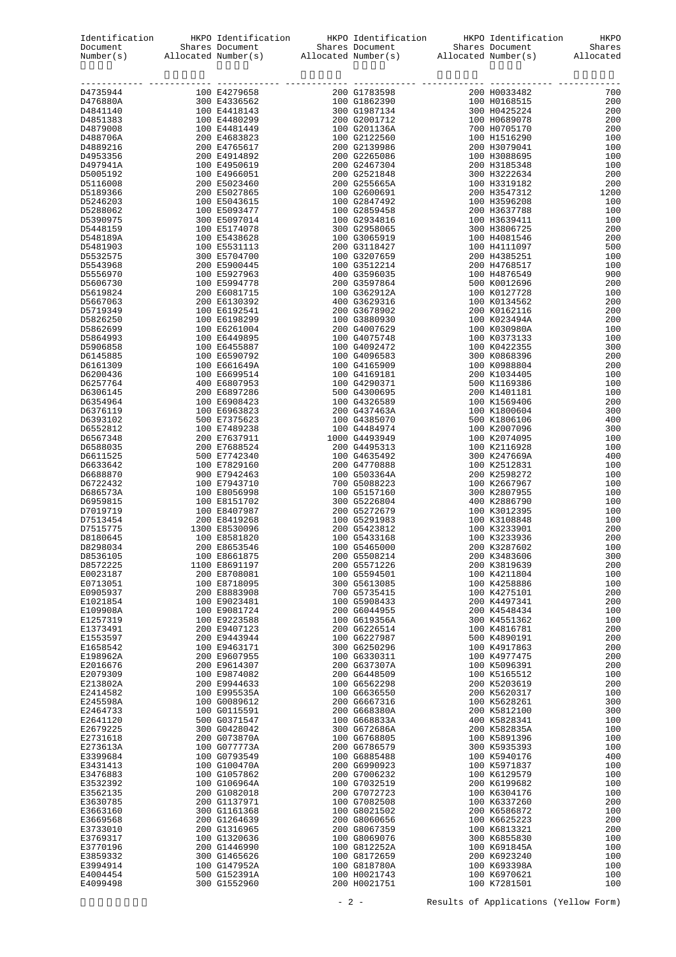|                                                                                                                                                                                                                                                                      |                              | Identification HKPO Identification HKPO Identification HKPO Identification                                                                                                                                                     |                              | HKPO       |
|----------------------------------------------------------------------------------------------------------------------------------------------------------------------------------------------------------------------------------------------------------------------|------------------------------|--------------------------------------------------------------------------------------------------------------------------------------------------------------------------------------------------------------------------------|------------------------------|------------|
|                                                                                                                                                                                                                                                                      |                              | Document Shares Document Shares Document Shares Document Shares Allocated Number (s) and Allocated Number (s) and Allocated Number (s) and Allocated Number (s) and Allocated Number (s) and Allocated Number (s) and Allocate |                              |            |
| $\begin{smallmatrix} 1.02749444 & 1.131 & 1.12744688 & 2000 & 1.783488 & 2000 & 1.783488 & 2000 & 1.783488 & 2000 & 1.783488 & 2000 & 1.783488 & 2000 & 1.783488 & 2000 & 1.783488 & 2000 & 1.783488 & 2000 & 1.783488 & 2.000 & 1.783488 & 2.000 & 1.783488 & 2.00$ |                              |                                                                                                                                                                                                                                |                              |            |
|                                                                                                                                                                                                                                                                      |                              |                                                                                                                                                                                                                                |                              |            |
|                                                                                                                                                                                                                                                                      |                              |                                                                                                                                                                                                                                |                              |            |
|                                                                                                                                                                                                                                                                      |                              |                                                                                                                                                                                                                                |                              |            |
|                                                                                                                                                                                                                                                                      |                              |                                                                                                                                                                                                                                |                              |            |
|                                                                                                                                                                                                                                                                      |                              |                                                                                                                                                                                                                                |                              |            |
|                                                                                                                                                                                                                                                                      |                              |                                                                                                                                                                                                                                |                              |            |
|                                                                                                                                                                                                                                                                      |                              |                                                                                                                                                                                                                                |                              |            |
|                                                                                                                                                                                                                                                                      |                              |                                                                                                                                                                                                                                |                              |            |
|                                                                                                                                                                                                                                                                      |                              |                                                                                                                                                                                                                                |                              |            |
|                                                                                                                                                                                                                                                                      |                              |                                                                                                                                                                                                                                |                              |            |
|                                                                                                                                                                                                                                                                      |                              |                                                                                                                                                                                                                                |                              |            |
|                                                                                                                                                                                                                                                                      |                              |                                                                                                                                                                                                                                |                              |            |
|                                                                                                                                                                                                                                                                      |                              |                                                                                                                                                                                                                                |                              |            |
|                                                                                                                                                                                                                                                                      |                              |                                                                                                                                                                                                                                |                              |            |
|                                                                                                                                                                                                                                                                      |                              |                                                                                                                                                                                                                                |                              |            |
|                                                                                                                                                                                                                                                                      |                              |                                                                                                                                                                                                                                |                              |            |
|                                                                                                                                                                                                                                                                      |                              |                                                                                                                                                                                                                                |                              |            |
|                                                                                                                                                                                                                                                                      |                              |                                                                                                                                                                                                                                |                              |            |
|                                                                                                                                                                                                                                                                      |                              |                                                                                                                                                                                                                                |                              |            |
|                                                                                                                                                                                                                                                                      |                              |                                                                                                                                                                                                                                |                              |            |
|                                                                                                                                                                                                                                                                      |                              |                                                                                                                                                                                                                                |                              |            |
|                                                                                                                                                                                                                                                                      |                              |                                                                                                                                                                                                                                |                              |            |
|                                                                                                                                                                                                                                                                      |                              |                                                                                                                                                                                                                                |                              |            |
|                                                                                                                                                                                                                                                                      |                              |                                                                                                                                                                                                                                |                              |            |
|                                                                                                                                                                                                                                                                      |                              |                                                                                                                                                                                                                                |                              |            |
|                                                                                                                                                                                                                                                                      |                              |                                                                                                                                                                                                                                |                              |            |
|                                                                                                                                                                                                                                                                      |                              |                                                                                                                                                                                                                                |                              |            |
|                                                                                                                                                                                                                                                                      |                              |                                                                                                                                                                                                                                |                              |            |
|                                                                                                                                                                                                                                                                      |                              |                                                                                                                                                                                                                                |                              |            |
|                                                                                                                                                                                                                                                                      |                              |                                                                                                                                                                                                                                |                              |            |
|                                                                                                                                                                                                                                                                      |                              |                                                                                                                                                                                                                                |                              |            |
|                                                                                                                                                                                                                                                                      |                              |                                                                                                                                                                                                                                |                              |            |
|                                                                                                                                                                                                                                                                      |                              |                                                                                                                                                                                                                                |                              |            |
|                                                                                                                                                                                                                                                                      |                              |                                                                                                                                                                                                                                |                              |            |
|                                                                                                                                                                                                                                                                      |                              |                                                                                                                                                                                                                                |                              |            |
|                                                                                                                                                                                                                                                                      |                              |                                                                                                                                                                                                                                |                              |            |
|                                                                                                                                                                                                                                                                      |                              |                                                                                                                                                                                                                                |                              |            |
|                                                                                                                                                                                                                                                                      |                              |                                                                                                                                                                                                                                |                              |            |
|                                                                                                                                                                                                                                                                      |                              |                                                                                                                                                                                                                                |                              |            |
|                                                                                                                                                                                                                                                                      |                              |                                                                                                                                                                                                                                |                              |            |
|                                                                                                                                                                                                                                                                      |                              |                                                                                                                                                                                                                                |                              |            |
|                                                                                                                                                                                                                                                                      |                              |                                                                                                                                                                                                                                |                              |            |
| D8298034                                                                                                                                                                                                                                                             | 200 E8653546                 | 100 G5465000                                                                                                                                                                                                                   | 200 K3287602                 | 100        |
| D8536105                                                                                                                                                                                                                                                             | 100 E8661875                 | 200 G5508214                                                                                                                                                                                                                   | 200 K3483606                 | 300        |
| D8572225                                                                                                                                                                                                                                                             | 1100 E8691197                | 200 G5571226                                                                                                                                                                                                                   | 200 K3819639                 | 200        |
| E0023187                                                                                                                                                                                                                                                             | 200 E8708081                 | 100 G5594501                                                                                                                                                                                                                   | 100 K4211804                 | 100        |
| E0713051                                                                                                                                                                                                                                                             | 100 E8718095                 | 300 G5613085                                                                                                                                                                                                                   | 100 K4258886                 | 100        |
| E0905937<br>E1021854                                                                                                                                                                                                                                                 | 200 E8883908<br>100 E9023481 | 700 G5735415<br>100 G5908433                                                                                                                                                                                                   | 100 K4275101<br>200 K4497341 | 200<br>200 |
| E109908A                                                                                                                                                                                                                                                             | 100 E9081724                 | 200 G6044955                                                                                                                                                                                                                   | 200 K4548434                 | 100        |
| E1257319                                                                                                                                                                                                                                                             | 100 E9223588                 | 100 G619356A                                                                                                                                                                                                                   | 300 K4551362                 | 100        |
| E1373491                                                                                                                                                                                                                                                             | 200 E9407123                 | 200 G6226514                                                                                                                                                                                                                   | 100 K4816781                 | 200        |
| E1553597                                                                                                                                                                                                                                                             | 200 E9443944                 | 100 G6227987                                                                                                                                                                                                                   | 500 K4890191                 | 200        |
| E1658542                                                                                                                                                                                                                                                             | 100 E9463171                 | 300 G6250296                                                                                                                                                                                                                   | 100 K4917863                 | 200        |
| E198962A<br>E2016676                                                                                                                                                                                                                                                 | 200 E9607955<br>200 E9614307 | 100 G6330311<br>200 G637307A                                                                                                                                                                                                   | 100 K4977475<br>100 K5096391 | 200<br>200 |
| E2079309                                                                                                                                                                                                                                                             | 100 E9874082                 | 200 G6448509                                                                                                                                                                                                                   | 100 K5165512                 | 100        |
| E213802A                                                                                                                                                                                                                                                             | 200 E9944633                 | 100 G6562298                                                                                                                                                                                                                   | 200 K5203619                 | 200        |
| E2414582                                                                                                                                                                                                                                                             | 100 E995535A                 | 100 G6636550                                                                                                                                                                                                                   | 200 K5620317                 | 100        |
| E245598A                                                                                                                                                                                                                                                             | 100 G0089612                 | 200 G6667316                                                                                                                                                                                                                   | 100 K5628261                 | 300        |
| E2464733                                                                                                                                                                                                                                                             | 100 G0115591                 | 200 G668380A                                                                                                                                                                                                                   | 200 K5812100                 | 300        |
| E2641120<br>E2679225                                                                                                                                                                                                                                                 | 500 G0371547<br>300 G0428042 | 100 G668833A<br>300 G672686A                                                                                                                                                                                                   | 400 K5828341<br>200 K582835A | 100<br>100 |
| E2731618                                                                                                                                                                                                                                                             | 200 G073870A                 | 100 G6768805                                                                                                                                                                                                                   | 100 K5891396                 | 100        |
| E273613A                                                                                                                                                                                                                                                             | 100 G077773A                 | 200 G6786579                                                                                                                                                                                                                   | 300 K5935393                 | 100        |
| E3399684                                                                                                                                                                                                                                                             | 100 G0793549                 | 100 G6885488                                                                                                                                                                                                                   | 100 K5940176                 | 400        |
| E3431413                                                                                                                                                                                                                                                             | 100 G100470A                 | 200 G6990923                                                                                                                                                                                                                   | 100 K5971837                 | 100        |
| E3476883                                                                                                                                                                                                                                                             | 100 G1057862                 | 200 G7006232                                                                                                                                                                                                                   | 100 K6129579                 | 100        |
| E3532392                                                                                                                                                                                                                                                             | 100 G106964A                 | 100 G7032519                                                                                                                                                                                                                   | 200 K6199682                 | 100        |
| E3562135<br>E3630785                                                                                                                                                                                                                                                 | 200 G1082018<br>200 G1137971 | 200 G7072723<br>100 G7082508                                                                                                                                                                                                   | 100 K6304176<br>100 K6337260 | 100<br>200 |
| E3663160                                                                                                                                                                                                                                                             | 300 G1161368                 | 100 G8021502                                                                                                                                                                                                                   | 200 K6586872                 | 100        |
| E3669568                                                                                                                                                                                                                                                             | 200 G1264639                 | 200 G8060656                                                                                                                                                                                                                   | 100 K6625223                 | 200        |
| E3733010                                                                                                                                                                                                                                                             | 200 G1316965                 | 200 G8067359                                                                                                                                                                                                                   | 100 K6813321                 | 200        |
| E3769317                                                                                                                                                                                                                                                             | 100 G1320636                 | 100 G8069076                                                                                                                                                                                                                   | 300 K6855830                 | 100        |
| E3770196                                                                                                                                                                                                                                                             | 200 G1446990                 | 100 G812252A                                                                                                                                                                                                                   | 100 K691845A                 | 100        |
| E3859332                                                                                                                                                                                                                                                             | 300 G1465626                 | 100 G8172659                                                                                                                                                                                                                   | 200 K6923240                 | 100        |
| E3994914<br>E4004454                                                                                                                                                                                                                                                 | 100 G147952A<br>500 G152391A | 100 G818780A<br>100 H0021743                                                                                                                                                                                                   | 100 K693398A<br>100 K6970621 | 100<br>100 |
| E4099498                                                                                                                                                                                                                                                             | 300 G1552960                 | 200 H0021751                                                                                                                                                                                                                   | 100 K7281501                 | 100        |
|                                                                                                                                                                                                                                                                      |                              |                                                                                                                                                                                                                                |                              |            |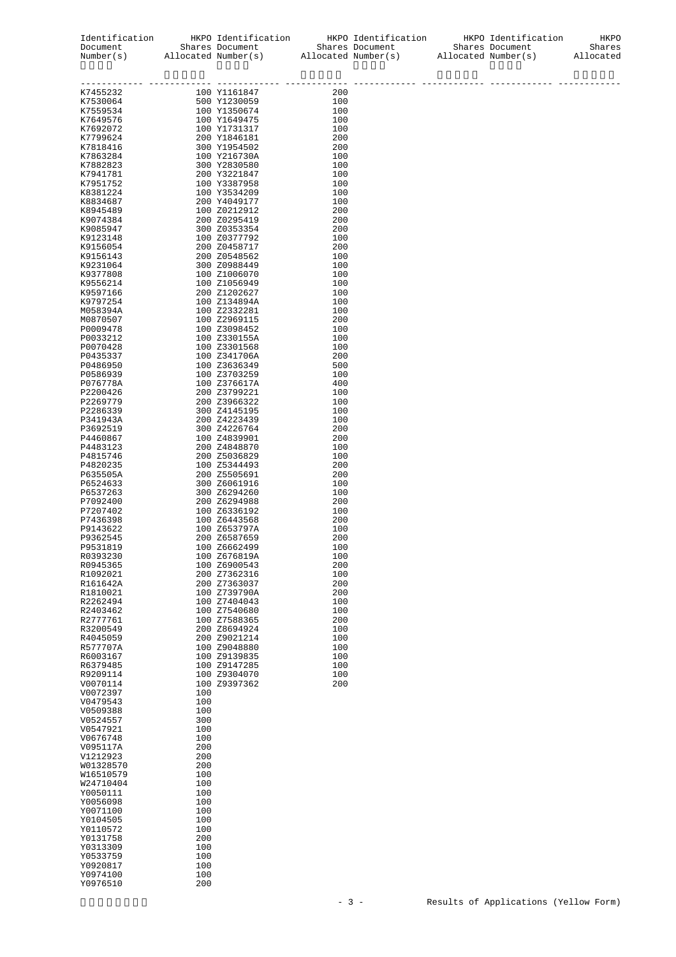| Identification<br>Document |            | HKPO Identification<br>Shares Document |            | HKPO Identification<br>Shares Document |                          | HKPO Identification<br>Shares Document<br>Number(s) Allocated Number(s) Allocated Number(s) Allocated Number(s) Allocated | HKPO<br>Shares |
|----------------------------|------------|----------------------------------------|------------|----------------------------------------|--------------------------|---------------------------------------------------------------------------------------------------------------------------|----------------|
|                            |            |                                        |            |                                        | ------ ------------- --- |                                                                                                                           |                |
| K7455232                   |            |                                        | 200        |                                        |                          |                                                                                                                           |                |
| K7530064                   |            |                                        | 100        |                                        |                          |                                                                                                                           |                |
| K7559534<br>K7649576       |            |                                        | 100<br>100 |                                        |                          |                                                                                                                           |                |
| K7692072                   |            |                                        | 100        |                                        |                          |                                                                                                                           |                |
| K7799624                   |            |                                        | 200        |                                        |                          |                                                                                                                           |                |
| K7818416                   |            |                                        | 200        |                                        |                          |                                                                                                                           |                |
| K7863284                   |            |                                        | 100        |                                        |                          |                                                                                                                           |                |
| K7882823<br>K7941781       |            |                                        | 100<br>100 |                                        |                          |                                                                                                                           |                |
| K7951752                   |            |                                        | 100        |                                        |                          |                                                                                                                           |                |
| K8381224                   |            |                                        | 100        |                                        |                          |                                                                                                                           |                |
| K8834687                   |            |                                        | 100        |                                        |                          |                                                                                                                           |                |
| K8945489                   |            |                                        | 200        |                                        |                          |                                                                                                                           |                |
| K9074384<br>K9085947       |            |                                        | 200<br>200 |                                        |                          |                                                                                                                           |                |
| K9123148                   |            |                                        | 100        |                                        |                          |                                                                                                                           |                |
| K9156054                   |            |                                        | 200        |                                        |                          |                                                                                                                           |                |
| K9156143                   |            |                                        | 100        |                                        |                          |                                                                                                                           |                |
| K9231064                   |            |                                        | 100        |                                        |                          |                                                                                                                           |                |
| K9377808<br>K9556214       |            |                                        | 100<br>100 |                                        |                          |                                                                                                                           |                |
| K9597166                   |            |                                        | 100        |                                        |                          |                                                                                                                           |                |
| K9797254                   |            |                                        | 100        |                                        |                          |                                                                                                                           |                |
| M058394A                   |            |                                        | 100        |                                        |                          |                                                                                                                           |                |
| M0870507                   |            |                                        | 200        |                                        |                          |                                                                                                                           |                |
| P0009478<br>P0033212       |            |                                        | 100<br>100 |                                        |                          |                                                                                                                           |                |
| P0070428                   |            |                                        | 100        |                                        |                          |                                                                                                                           |                |
| P0435337                   |            |                                        | 200        |                                        |                          |                                                                                                                           |                |
| P0486950                   |            |                                        | 500        |                                        |                          |                                                                                                                           |                |
| P0586939                   |            |                                        | 100        |                                        |                          |                                                                                                                           |                |
| P076778A<br>P2200426       |            |                                        | 400<br>100 |                                        |                          |                                                                                                                           |                |
| P2269779                   |            |                                        | 100        |                                        |                          |                                                                                                                           |                |
| P2286339                   |            |                                        | 100        |                                        |                          |                                                                                                                           |                |
| P341943A                   |            |                                        | 100        |                                        |                          |                                                                                                                           |                |
| P3692519                   |            |                                        | 200        |                                        |                          |                                                                                                                           |                |
| P4460867                   |            | 100 Z4839901                           | 200<br>100 |                                        |                          |                                                                                                                           |                |
| P4483123<br>P4815746       |            | 200 Z4848870<br>200 Z5036829           | 100        |                                        |                          |                                                                                                                           |                |
| P4820235                   |            | 100 Z5344493                           | 200        |                                        |                          |                                                                                                                           |                |
| P635505A                   |            | 200 Z5505691                           | 200        |                                        |                          |                                                                                                                           |                |
| P6524633                   |            | 300 Z6061916                           | 100        |                                        |                          |                                                                                                                           |                |
| P6537263                   |            | 300 Z6294260                           | 100        |                                        |                          |                                                                                                                           |                |
| P7092400<br>P7207402       |            | 200 Z6294988<br>100 Z6336192           | 200<br>100 |                                        |                          |                                                                                                                           |                |
| P7436398                   |            | 100 Z6443568                           | 200        |                                        |                          |                                                                                                                           |                |
| P9143622                   |            | 100 Z653797A                           | 100        |                                        |                          |                                                                                                                           |                |
| P9362545                   |            | 200 Z6587659                           | 200        |                                        |                          |                                                                                                                           |                |
| P9531819                   |            | 100 Z6662499                           | 100        |                                        |                          |                                                                                                                           |                |
| R0393230<br>R0945365       |            | 100 Z676819A<br>100 Z6900543           | 100<br>200 |                                        |                          |                                                                                                                           |                |
| R1092021                   |            | 200 Z7362316                           | 100        |                                        |                          |                                                                                                                           |                |
| R161642A                   |            | 200 Z7363037                           | 200        |                                        |                          |                                                                                                                           |                |
| R1810021                   |            | 100 Z739790A                           | 200        |                                        |                          |                                                                                                                           |                |
| R2262494                   |            | 100 Z7404043                           | 100        |                                        |                          |                                                                                                                           |                |
| R2403462<br>R2777761       |            | 100 Z7540680<br>100 Z7588365           | 100<br>200 |                                        |                          |                                                                                                                           |                |
| R3200549                   |            | 200 Z8694924                           | 100        |                                        |                          |                                                                                                                           |                |
| R4045059                   |            | 200 Z9021214                           | 100        |                                        |                          |                                                                                                                           |                |
| R577707A                   |            | 100 Z9048880                           | 100        |                                        |                          |                                                                                                                           |                |
| R6003167                   |            | 100 Z9139835                           | 100        |                                        |                          |                                                                                                                           |                |
| R6379485<br>R9209114       |            | 100 Z9147285<br>100 Z9304070           | 100<br>100 |                                        |                          |                                                                                                                           |                |
| V0070114                   |            | 100 Z9397362                           | 200        |                                        |                          |                                                                                                                           |                |
| V0072397                   | 100        |                                        |            |                                        |                          |                                                                                                                           |                |
| V0479543                   | 100        |                                        |            |                                        |                          |                                                                                                                           |                |
| V0509388                   | 100        |                                        |            |                                        |                          |                                                                                                                           |                |
| V0524557<br>V0547921       | 300<br>100 |                                        |            |                                        |                          |                                                                                                                           |                |
| V0676748                   | 100        |                                        |            |                                        |                          |                                                                                                                           |                |
| V095117A                   | 200        |                                        |            |                                        |                          |                                                                                                                           |                |
| V1212923                   | 200        |                                        |            |                                        |                          |                                                                                                                           |                |
| W01328570                  | 200        |                                        |            |                                        |                          |                                                                                                                           |                |
| W16510579                  | 100<br>100 |                                        |            |                                        |                          |                                                                                                                           |                |
| W24710404<br>Y0050111      | 100        |                                        |            |                                        |                          |                                                                                                                           |                |
| Y0056098                   | 100        |                                        |            |                                        |                          |                                                                                                                           |                |
| Y0071100                   | 100        |                                        |            |                                        |                          |                                                                                                                           |                |
| Y0104505                   | 100        |                                        |            |                                        |                          |                                                                                                                           |                |
| Y0110572                   | 100        |                                        |            |                                        |                          |                                                                                                                           |                |
| Y0131758<br>Y0313309       | 200<br>100 |                                        |            |                                        |                          |                                                                                                                           |                |
| Y0533759                   | 100        |                                        |            |                                        |                          |                                                                                                                           |                |
| Y0920817                   | 100        |                                        |            |                                        |                          |                                                                                                                           |                |
| Y0974100                   | 100        |                                        |            |                                        |                          |                                                                                                                           |                |
| Y0976510                   | 200        |                                        |            |                                        |                          |                                                                                                                           |                |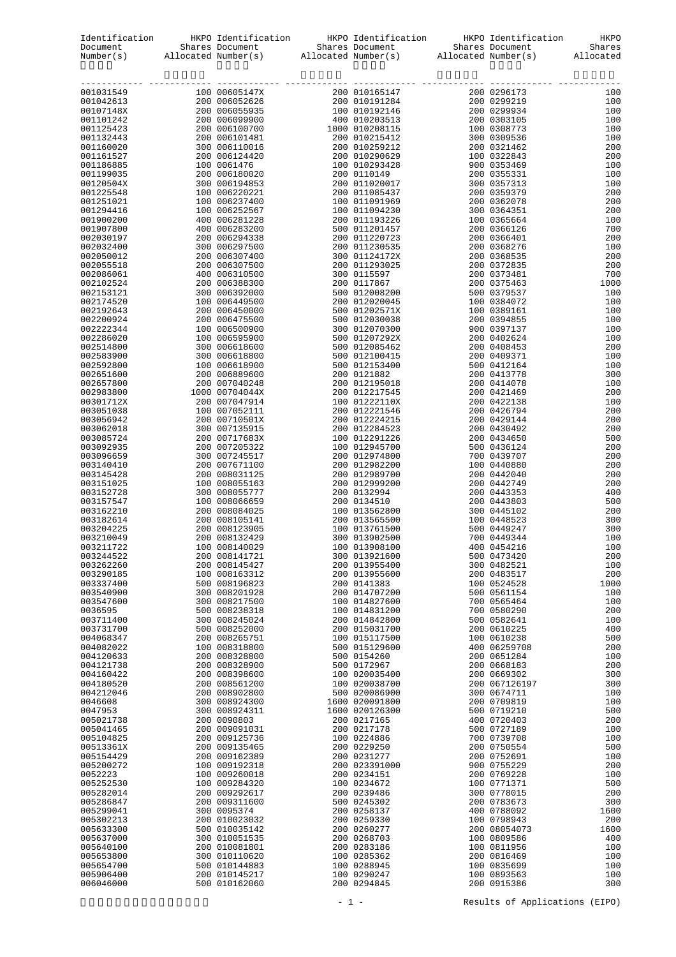|                        |                                |                                | Identification HKPO Identification HKPO Identification HKPO Identification HKPO Document Shares Document Shares Document Shares Document Shares Number(s) allocated Number(s) allocated Number(s) and Refugees Allocated Numbe |             |
|------------------------|--------------------------------|--------------------------------|--------------------------------------------------------------------------------------------------------------------------------------------------------------------------------------------------------------------------------|-------------|
|                        |                                |                                |                                                                                                                                                                                                                                |             |
|                        |                                |                                |                                                                                                                                                                                                                                |             |
|                        |                                |                                |                                                                                                                                                                                                                                |             |
|                        |                                |                                |                                                                                                                                                                                                                                |             |
|                        |                                |                                |                                                                                                                                                                                                                                |             |
|                        |                                |                                |                                                                                                                                                                                                                                |             |
|                        |                                |                                |                                                                                                                                                                                                                                |             |
|                        |                                |                                |                                                                                                                                                                                                                                |             |
|                        |                                |                                |                                                                                                                                                                                                                                |             |
|                        |                                |                                |                                                                                                                                                                                                                                |             |
|                        |                                |                                |                                                                                                                                                                                                                                |             |
|                        |                                |                                |                                                                                                                                                                                                                                |             |
|                        |                                |                                |                                                                                                                                                                                                                                |             |
|                        |                                |                                |                                                                                                                                                                                                                                |             |
|                        |                                |                                |                                                                                                                                                                                                                                |             |
|                        |                                |                                |                                                                                                                                                                                                                                |             |
|                        |                                |                                |                                                                                                                                                                                                                                |             |
|                        |                                |                                |                                                                                                                                                                                                                                |             |
|                        |                                |                                |                                                                                                                                                                                                                                |             |
|                        |                                |                                |                                                                                                                                                                                                                                |             |
|                        |                                |                                |                                                                                                                                                                                                                                |             |
|                        |                                |                                |                                                                                                                                                                                                                                |             |
|                        |                                |                                |                                                                                                                                                                                                                                |             |
|                        |                                |                                |                                                                                                                                                                                                                                |             |
|                        |                                |                                |                                                                                                                                                                                                                                |             |
|                        |                                |                                |                                                                                                                                                                                                                                |             |
|                        |                                |                                |                                                                                                                                                                                                                                |             |
|                        |                                |                                |                                                                                                                                                                                                                                |             |
|                        |                                |                                |                                                                                                                                                                                                                                |             |
|                        |                                |                                |                                                                                                                                                                                                                                |             |
|                        |                                |                                |                                                                                                                                                                                                                                |             |
|                        |                                |                                |                                                                                                                                                                                                                                |             |
|                        |                                |                                |                                                                                                                                                                                                                                |             |
|                        |                                |                                |                                                                                                                                                                                                                                |             |
|                        |                                |                                |                                                                                                                                                                                                                                |             |
|                        |                                |                                |                                                                                                                                                                                                                                |             |
|                        |                                |                                |                                                                                                                                                                                                                                |             |
|                        |                                |                                |                                                                                                                                                                                                                                |             |
|                        |                                |                                |                                                                                                                                                                                                                                |             |
|                        |                                |                                |                                                                                                                                                                                                                                |             |
|                        |                                |                                |                                                                                                                                                                                                                                |             |
|                        |                                |                                |                                                                                                                                                                                                                                |             |
|                        |                                |                                |                                                                                                                                                                                                                                |             |
| 003211722              | 100 008140029                  | 100 013908100                  | 400 0454216                                                                                                                                                                                                                    | 100         |
| 003244522<br>003262260 | 200 008141721<br>200 008145427 | 300 013921600<br>200 013955400 | 500 0473420<br>300 0482521                                                                                                                                                                                                     | 200<br>100  |
| 003290185              | 100 008163312                  | 200 013955600                  | 200 0483517                                                                                                                                                                                                                    | 200         |
| 003337400              | 500 008196823                  | 200 0141383                    | 100 0524528                                                                                                                                                                                                                    | 1000        |
| 003540900              | 300 008201928                  | 200 014707200                  | 500 0561154                                                                                                                                                                                                                    | 100         |
| 003547600              | 300 008217500                  | 100 014827600                  | 700 0565464                                                                                                                                                                                                                    | 100         |
| 0036595                | 500 008238318<br>300 008245024 | 100 014831200<br>200 014842800 | 700 0580290<br>500 0582641                                                                                                                                                                                                     | 200         |
| 003711400<br>003731700 | 500 008252000                  | 200 015031700                  | 200 0610225                                                                                                                                                                                                                    | 100<br>400  |
| 004068347              | 200 008265751                  | 100 015117500                  | 100 0610238                                                                                                                                                                                                                    | 500         |
| 004082022              | 100 008318800                  | 500 015129600                  | 400 06259708                                                                                                                                                                                                                   | 200         |
| 004120633              | 200 008328800                  | 500 0154260                    | 200 0651284                                                                                                                                                                                                                    | 100         |
| 004121738              | 200 008328900                  | 500 0172967                    | 200 0668183                                                                                                                                                                                                                    | 200         |
| 004160422<br>004180520 | 200 008398600<br>200 008561200 | 100 020035400<br>100 020038700 | 200 0669302<br>200 067126197                                                                                                                                                                                                   | 300<br>300  |
| 004212046              | 200 008902800                  | 500 020086900                  | 300 0674711                                                                                                                                                                                                                    | 100         |
| 0046608                | 300 008924300                  | 1600 020091800                 | 200 0709819                                                                                                                                                                                                                    | 100         |
| 0047953                | 300 008924311                  | 1600 020126300                 | 500 0719210                                                                                                                                                                                                                    | 500         |
| 005021738              | 200 0090803                    | 200 0217165                    | 400 0720403                                                                                                                                                                                                                    | 200         |
| 005041465              | 200 009091031                  | 200 0217178                    | 500 0727189                                                                                                                                                                                                                    | 100         |
| 005104825<br>00513361X | 200 009125736<br>200 009135465 | 100 0224886<br>200 0229250     | 700 0739708<br>200 0750554                                                                                                                                                                                                     | 100<br>500  |
| 005154429              | 200 009162389                  | 200 0231277                    | 200 0752691                                                                                                                                                                                                                    | 100         |
| 005200272              | 100 009192318                  | 200 023391000                  | 900 0755229                                                                                                                                                                                                                    | 200         |
| 0052223                | 100 009260018                  | 200 0234151                    | 200 0769228                                                                                                                                                                                                                    | 100         |
| 005252530              | 100 009284320                  | 100 0234672                    | 100 0771371                                                                                                                                                                                                                    | 500         |
| 005282014              | 200 009292617                  | 200 0239486                    | 300 0778015                                                                                                                                                                                                                    | 200         |
| 005286847<br>005299041 | 200 009311600<br>300 0095374   | 500 0245302<br>200 0258137     | 200 0783673<br>400 0788092                                                                                                                                                                                                     | 300<br>1600 |
| 005302213              | 200 010023032                  | 200 0259330                    | 100 0798943                                                                                                                                                                                                                    | 200         |
| 005633300              | 500 010035142                  | 200 0260277                    | 200 08054073                                                                                                                                                                                                                   | 1600        |
| 005637000              | 300 010051535                  | 200 0268703                    | 100 0809586                                                                                                                                                                                                                    | 400         |
| 005640100              | 200 010081801                  | 200 0283186                    | 100 0811956                                                                                                                                                                                                                    | 100         |
| 005653800              | 300 010110620                  | 100 0285362                    | 200 0816469                                                                                                                                                                                                                    | 100         |
| 005654700<br>005906400 | 500 010144883<br>200 010145217 | 100 0288945<br>100 0290247     | 100 0835699<br>100 0893563                                                                                                                                                                                                     | 100<br>100  |
| 006046000              | 500 010162060                  | 200 0294845                    | 200 0915386                                                                                                                                                                                                                    | 300         |

#### - 1 - Results of Applications (EIPO)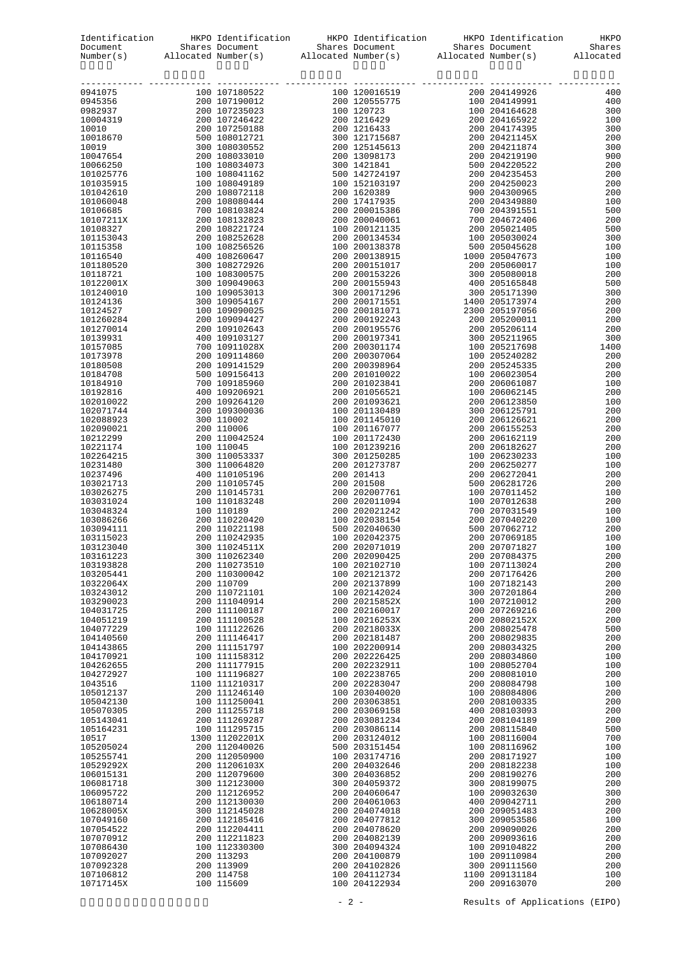| Identification<br>Document<br>Number(s) |                                | ition HKPO Identification HKPO Identification HKPO Identification HKPO Shares Document Shares Document Shares Allocated Number(s) Allocated Number(s) and Allocated Number(s) and Allocated Number(s) and Allocated Number(s) |                                |            |
|-----------------------------------------|--------------------------------|-------------------------------------------------------------------------------------------------------------------------------------------------------------------------------------------------------------------------------|--------------------------------|------------|
|                                         |                                |                                                                                                                                                                                                                               |                                |            |
|                                         |                                |                                                                                                                                                                                                                               |                                |            |
|                                         |                                |                                                                                                                                                                                                                               |                                |            |
|                                         |                                |                                                                                                                                                                                                                               |                                |            |
|                                         |                                |                                                                                                                                                                                                                               |                                |            |
|                                         |                                |                                                                                                                                                                                                                               |                                |            |
|                                         |                                |                                                                                                                                                                                                                               |                                |            |
|                                         |                                |                                                                                                                                                                                                                               |                                |            |
|                                         |                                |                                                                                                                                                                                                                               |                                |            |
|                                         |                                |                                                                                                                                                                                                                               |                                |            |
|                                         |                                |                                                                                                                                                                                                                               |                                |            |
|                                         |                                |                                                                                                                                                                                                                               |                                |            |
|                                         |                                |                                                                                                                                                                                                                               |                                |            |
|                                         |                                |                                                                                                                                                                                                                               |                                |            |
|                                         |                                |                                                                                                                                                                                                                               |                                |            |
|                                         |                                |                                                                                                                                                                                                                               |                                |            |
|                                         |                                |                                                                                                                                                                                                                               |                                |            |
|                                         |                                |                                                                                                                                                                                                                               |                                |            |
|                                         |                                |                                                                                                                                                                                                                               |                                |            |
|                                         |                                |                                                                                                                                                                                                                               |                                |            |
|                                         |                                |                                                                                                                                                                                                                               |                                |            |
|                                         |                                |                                                                                                                                                                                                                               |                                |            |
|                                         |                                |                                                                                                                                                                                                                               |                                |            |
|                                         |                                |                                                                                                                                                                                                                               |                                |            |
|                                         |                                |                                                                                                                                                                                                                               |                                |            |
|                                         |                                |                                                                                                                                                                                                                               |                                |            |
|                                         |                                |                                                                                                                                                                                                                               |                                |            |
|                                         |                                |                                                                                                                                                                                                                               |                                |            |
|                                         |                                |                                                                                                                                                                                                                               |                                |            |
|                                         |                                |                                                                                                                                                                                                                               |                                |            |
|                                         |                                |                                                                                                                                                                                                                               |                                |            |
|                                         |                                |                                                                                                                                                                                                                               |                                |            |
|                                         |                                |                                                                                                                                                                                                                               |                                |            |
|                                         |                                |                                                                                                                                                                                                                               |                                |            |
|                                         |                                |                                                                                                                                                                                                                               |                                |            |
|                                         |                                |                                                                                                                                                                                                                               |                                |            |
|                                         |                                |                                                                                                                                                                                                                               |                                |            |
|                                         |                                |                                                                                                                                                                                                                               |                                |            |
|                                         |                                |                                                                                                                                                                                                                               |                                |            |
|                                         |                                |                                                                                                                                                                                                                               |                                |            |
|                                         |                                |                                                                                                                                                                                                                               |                                |            |
|                                         |                                |                                                                                                                                                                                                                               |                                |            |
| 103123040                               | 300 11024511X                  | 200 202071019<br>200 202090425                                                                                                                                                                                                | 200 207071827<br>200 207084375 | 100<br>200 |
| 103161223<br>103193828                  | 300 110262340<br>200 110273510 | 100 202102710                                                                                                                                                                                                                 | 100 207113024                  | 200        |
| 103205441                               | 200 110300042                  | 100 202121372                                                                                                                                                                                                                 | 200 207176426                  | 200        |
| 10322064X                               | 200 110709                     | 200 202137899                                                                                                                                                                                                                 | 100 207182143                  | 200        |
| 103243012                               | 200 110721101                  | 100 202142024                                                                                                                                                                                                                 | 300 207201864                  | 200        |
| 103290023<br>104031725                  | 200 111040914<br>200 111100187 | 200 20215852X<br>200 202160017                                                                                                                                                                                                | 100 207210012<br>200 207269216 | 200<br>200 |
| 104051219                               | 200 111100528                  | 100 20216253X                                                                                                                                                                                                                 | 200 20802152X                  | 200        |
| 104077229                               | 100 111122626                  | 200 20218033X                                                                                                                                                                                                                 | 200 208025478                  | 500        |
| 104140560                               | 200 111146417                  | 200 202181487                                                                                                                                                                                                                 | 200 208029835                  | 200        |
| 104143865                               | 200 111151797                  | 100 202200914                                                                                                                                                                                                                 | 200 208034325                  | 200        |
| 104170921<br>104262655                  | 100 111158312<br>200 111177915 | 200 202226425<br>200 202232911                                                                                                                                                                                                | 200 208034860<br>100 208052704 | 100<br>100 |
| 104272927                               | 100 111196827                  | 100 202238765                                                                                                                                                                                                                 | 200 208081010                  | 200        |
| 1043516                                 | 1100 111210317                 | 200 202283047                                                                                                                                                                                                                 | 200 208084798                  | 100        |
| 105012137                               | 200 111246140                  | 100 203040020                                                                                                                                                                                                                 | 100 208084806                  | 200        |
| 105042130                               | 100 111250041                  | 200 203063851                                                                                                                                                                                                                 | 200 208100335                  | 200        |
| 105070305                               | 200 111255718<br>200 111269287 | 200 203069158<br>200 203081234                                                                                                                                                                                                | 400 208103093<br>200 208104189 | 200<br>200 |
| 105143041<br>105164231                  | 100 111295715                  | 200 203086114                                                                                                                                                                                                                 | 200 208115840                  | 500        |
| 10517                                   | 1300 11202201X                 | 200 203124012                                                                                                                                                                                                                 | 100 208116004                  | 700        |
| 105205024                               | 200 112040026                  | 500 203151454                                                                                                                                                                                                                 | 100 208116962                  | 100        |
| 105255741                               | 200 112050900                  | 100 203174716                                                                                                                                                                                                                 | 200 208171927                  | 100        |
| 10529292X                               | 200 11206103X<br>200 112079600 | 200 204032646<br>300 204036852                                                                                                                                                                                                | 200 208182238<br>200 208190276 | 100<br>200 |
| 106015131<br>106081718                  | 300 112123000                  | 300 204059372                                                                                                                                                                                                                 | 300 208199075                  | 200        |
| 106095722                               | 200 112126952                  | 200 204060647                                                                                                                                                                                                                 | 100 209032630                  | 300        |
| 106180714                               | 200 112130030                  | 200 204061063                                                                                                                                                                                                                 | 400 209042711                  | 200        |
| 10628005X                               | 300 112145028                  | 200 204074018                                                                                                                                                                                                                 | 200 209051483                  | 200        |
| 107049160                               | 200 112185416                  | 200 204077812                                                                                                                                                                                                                 | 300 209053586                  | 100        |
| 107054522<br>107070912                  | 200 112204411<br>200 112211823 | 200 204078620<br>200 204082139                                                                                                                                                                                                | 200 209090026<br>200 209093616 | 200<br>200 |
| 107086430                               | 100 112330300                  | 300 204094324                                                                                                                                                                                                                 | 100 209104822                  | 200        |
| 107092027                               | 200 113293                     | 200 204100879                                                                                                                                                                                                                 | 100 209110984                  | 200        |
| 107092328                               | 200 113909                     | 200 204102826                                                                                                                                                                                                                 | 300 209111560                  | 200        |
| 107106812                               | 200 114758                     | 100 204112734                                                                                                                                                                                                                 | 1100 209131184                 | 100        |
| 10717145X                               | 100 115609                     | 100 204122934                                                                                                                                                                                                                 | 200 209163070                  | 200        |

#### - 2 - Results of Applications (EIPO)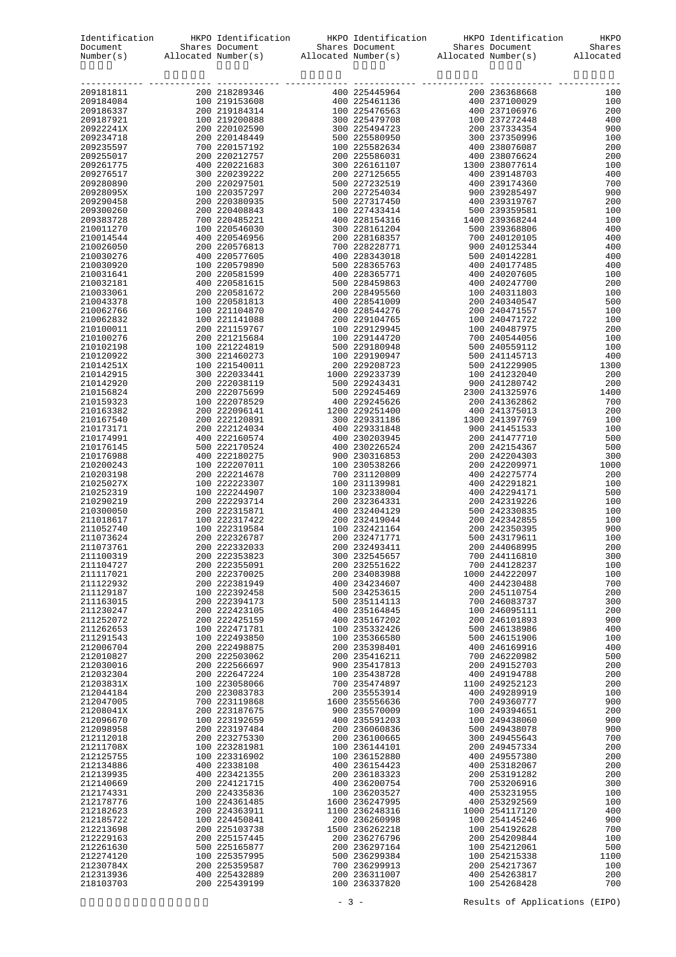|                        |                                | Identification HKPO Identification HKPO Identification HKPO Identification                                                                                                                                                     |                                 | HKPO       |
|------------------------|--------------------------------|--------------------------------------------------------------------------------------------------------------------------------------------------------------------------------------------------------------------------------|---------------------------------|------------|
|                        |                                | Document Shares Document Shares Document Shares Document Shares Number(s) Allocated Number(s) and Allocated Number(s) and Allocated Number(s) and Allocated Number(s) and Allocated Number(s) and Allocated Number(s) and Allo |                                 |            |
|                        |                                |                                                                                                                                                                                                                                |                                 |            |
|                        |                                |                                                                                                                                                                                                                                |                                 |            |
|                        |                                |                                                                                                                                                                                                                                |                                 |            |
|                        |                                |                                                                                                                                                                                                                                |                                 |            |
|                        |                                |                                                                                                                                                                                                                                |                                 |            |
|                        |                                |                                                                                                                                                                                                                                |                                 |            |
|                        |                                |                                                                                                                                                                                                                                |                                 |            |
|                        |                                |                                                                                                                                                                                                                                |                                 |            |
|                        |                                |                                                                                                                                                                                                                                |                                 |            |
|                        |                                |                                                                                                                                                                                                                                |                                 |            |
|                        |                                |                                                                                                                                                                                                                                |                                 |            |
|                        |                                |                                                                                                                                                                                                                                |                                 |            |
|                        |                                |                                                                                                                                                                                                                                |                                 |            |
|                        |                                |                                                                                                                                                                                                                                |                                 |            |
|                        |                                |                                                                                                                                                                                                                                |                                 |            |
|                        |                                |                                                                                                                                                                                                                                |                                 |            |
|                        |                                |                                                                                                                                                                                                                                |                                 |            |
|                        |                                |                                                                                                                                                                                                                                |                                 |            |
|                        |                                |                                                                                                                                                                                                                                |                                 |            |
|                        |                                |                                                                                                                                                                                                                                |                                 |            |
|                        |                                |                                                                                                                                                                                                                                |                                 |            |
|                        |                                |                                                                                                                                                                                                                                |                                 |            |
|                        |                                |                                                                                                                                                                                                                                |                                 |            |
|                        |                                |                                                                                                                                                                                                                                |                                 |            |
|                        |                                |                                                                                                                                                                                                                                |                                 |            |
|                        |                                |                                                                                                                                                                                                                                |                                 |            |
|                        |                                |                                                                                                                                                                                                                                |                                 |            |
|                        |                                |                                                                                                                                                                                                                                |                                 |            |
|                        |                                |                                                                                                                                                                                                                                |                                 |            |
|                        |                                |                                                                                                                                                                                                                                |                                 |            |
|                        |                                |                                                                                                                                                                                                                                |                                 |            |
|                        |                                |                                                                                                                                                                                                                                |                                 |            |
|                        |                                |                                                                                                                                                                                                                                |                                 |            |
|                        |                                |                                                                                                                                                                                                                                |                                 |            |
|                        |                                |                                                                                                                                                                                                                                |                                 |            |
|                        |                                |                                                                                                                                                                                                                                |                                 |            |
|                        |                                |                                                                                                                                                                                                                                |                                 |            |
|                        |                                |                                                                                                                                                                                                                                |                                 |            |
|                        |                                |                                                                                                                                                                                                                                |                                 |            |
|                        |                                |                                                                                                                                                                                                                                |                                 |            |
|                        |                                |                                                                                                                                                                                                                                |                                 |            |
|                        |                                |                                                                                                                                                                                                                                |                                 |            |
|                        |                                |                                                                                                                                                                                                                                |                                 |            |
| 211073761              | 200 222332033                  | 200 232493411                                                                                                                                                                                                                  | 200 244068995                   | 200        |
| 211100319              | 200 222353823                  | 300 232545657                                                                                                                                                                                                                  | 700 244116810                   | 300        |
| 211104727              | 200 222355091<br>200 222370025 | 200 232551622                                                                                                                                                                                                                  | 700 244128237                   | 100<br>100 |
| 211117021<br>211122932 | 200 222381949                  | 200 234083988<br>400 234234607                                                                                                                                                                                                 | 1000 244222097<br>400 244230488 | 700        |
| 211129187              | 100 222392458                  | 500 234253615                                                                                                                                                                                                                  | 200 245110754                   | 200        |
| 211163015              | 200 222394173                  | 500 235114113                                                                                                                                                                                                                  | 700 246083737                   | 300        |
| 211230247              | 200 222423105                  | 400 235164845                                                                                                                                                                                                                  | 100 246095111                   | 200        |
| 211252072              | 200 222425159                  | 400 235167202                                                                                                                                                                                                                  | 200 246101893                   | 900        |
| 211262653<br>211291543 | 100 222471781<br>100 222493850 | 100 235332426<br>100 235366580                                                                                                                                                                                                 | 500 246138986<br>500 246151906  | 400<br>100 |
| 212006704              | 200 222498875                  | 200 235398401                                                                                                                                                                                                                  | 400 246169916                   | 400        |
| 212010827              | 200 222503062                  | 200 235416211                                                                                                                                                                                                                  | 700 246220982                   | 500        |
| 212030016              | 200 222566697                  | 900 235417813                                                                                                                                                                                                                  | 200 249152703                   | 200        |
| 212032304              | 200 222647224                  | 100 235438728                                                                                                                                                                                                                  | 400 249194788                   | 200        |
| 21203831X<br>212044184 | 100 223058066<br>200 223083783 | 700 235474897<br>200 235553914                                                                                                                                                                                                 | 1100 249252123<br>400 249289919 | 200<br>100 |
| 212047005              | 700 223119868                  | 1600 235556636                                                                                                                                                                                                                 | 700 249360777                   | 900        |
| 21208041X              | 200 223187675                  | 900 235570009                                                                                                                                                                                                                  | 100 249394651                   | 200        |
| 212096670              | 100 223192659                  | 400 235591203                                                                                                                                                                                                                  | 100 249438060                   | 900        |
| 212098958              | 200 223197484                  | 200 236060836                                                                                                                                                                                                                  | 500 249438078                   | 900        |
| 212112018<br>21211708X | 200 223275330<br>100 223281981 | 200 236100665<br>100 236144101                                                                                                                                                                                                 | 300 249455643<br>200 249457334  | 700<br>200 |
| 212125755              | 100 223316902                  | 100 236152880                                                                                                                                                                                                                  | 400 249557380                   | 200        |
| 212134886              | 400 22338108                   | 400 236154423                                                                                                                                                                                                                  | 400 253182067                   | 200        |
| 212139935              | 400 223421355                  | 200 236183323                                                                                                                                                                                                                  | 200 253191282                   | 200        |
| 212140669              | 200 224121715                  | 400 236200754                                                                                                                                                                                                                  | 700 253206916                   | 300        |
| 212174331              | 200 224335836                  | 100 236203527                                                                                                                                                                                                                  | 400 253231955                   | 100        |
| 212178776<br>212182623 | 100 224361485<br>200 224363911 | 1600 236247995<br>1100 236248316                                                                                                                                                                                               | 400 253292569<br>1000 254117120 | 100<br>400 |
| 212185722              | 100 224450841                  | 200 236260998                                                                                                                                                                                                                  | 100 254145246                   | 900        |
| 212213698              | 200 225103738                  | 1500 236262218                                                                                                                                                                                                                 | 100 254192628                   | 700        |
| 212229163              | 200 225157445                  | 200 236276796                                                                                                                                                                                                                  | 200 254209844                   | 100        |
| 212261630              | 500 225165877                  | 200 236297164                                                                                                                                                                                                                  | 100 254212061                   | 500        |
| 212274120              | 100 225357995                  | 500 236299384                                                                                                                                                                                                                  | 100 254215338                   | 1100       |
| 21230784X<br>212313936 | 200 225359587<br>400 225432889 | 700 236299913<br>200 236311007                                                                                                                                                                                                 | 200 254217367<br>400 254263817  | 100<br>200 |
| 218103703              | 200 225439199                  | 100 236337820                                                                                                                                                                                                                  | 100 254268428                   | 700        |

- 3 - Results of Applications (EIPO)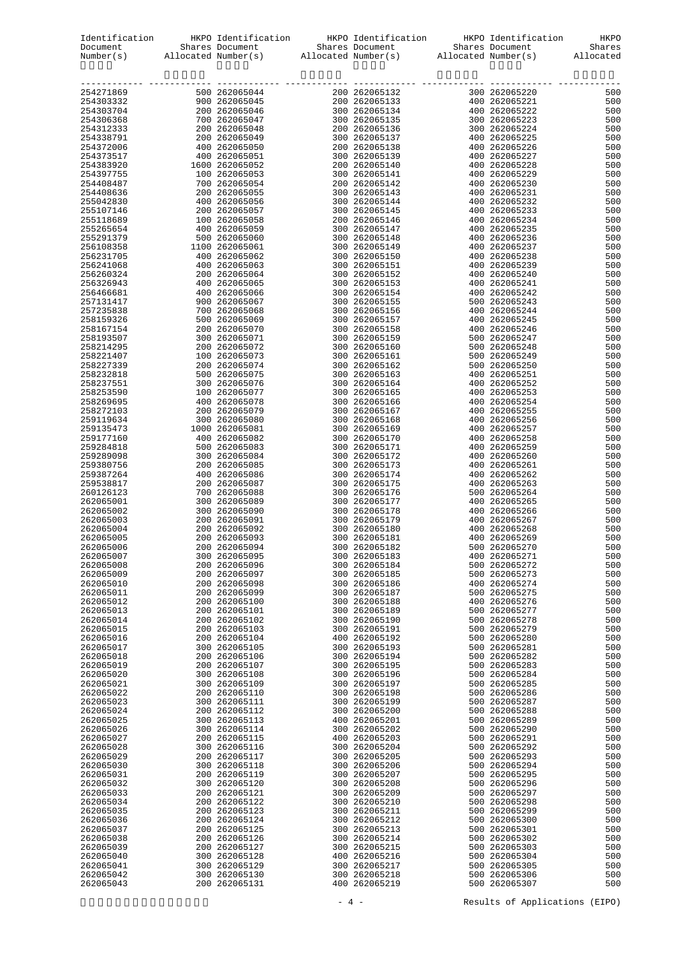|                        |                                | Identification HKPO Identification HKPO Identification HKPO Identification                                                                                                                                                                                                                                                                                                                                                                                                                       |                                | HKPO       |
|------------------------|--------------------------------|--------------------------------------------------------------------------------------------------------------------------------------------------------------------------------------------------------------------------------------------------------------------------------------------------------------------------------------------------------------------------------------------------------------------------------------------------------------------------------------------------|--------------------------------|------------|
|                        |                                | $\begin{minipage}[c]{0.9\textwidth} \begin{minipage}[c]{0.9\textwidth} \begin{minipage}[c]{0.9\textwidth} \begin{minipage}[c]{0.9\textwidth} \begin{minipage}[c]{0.9\textwidth} \begin{minipage}[c]{0.9\textwidth} \begin{minipage}[c]{0.9\textwidth} \begin{minipage}[c]{0.9\textwidth} \begin{minipage}[c]{0.9\textwidth} \begin{minipage}[c]{0.9\textwidth} \begin{minipage}[c]{0.9\textwidth} \begin{minipage}[c]{0.9\textwidth} \begin{minipage}[c]{0.9\textwidth} \begin{minipage}[c]{0.9$ |                                |            |
|                        |                                |                                                                                                                                                                                                                                                                                                                                                                                                                                                                                                  |                                |            |
|                        |                                |                                                                                                                                                                                                                                                                                                                                                                                                                                                                                                  |                                |            |
|                        |                                |                                                                                                                                                                                                                                                                                                                                                                                                                                                                                                  |                                |            |
|                        |                                |                                                                                                                                                                                                                                                                                                                                                                                                                                                                                                  |                                |            |
|                        |                                |                                                                                                                                                                                                                                                                                                                                                                                                                                                                                                  |                                |            |
|                        |                                |                                                                                                                                                                                                                                                                                                                                                                                                                                                                                                  |                                |            |
|                        |                                |                                                                                                                                                                                                                                                                                                                                                                                                                                                                                                  |                                |            |
|                        |                                |                                                                                                                                                                                                                                                                                                                                                                                                                                                                                                  |                                |            |
|                        |                                |                                                                                                                                                                                                                                                                                                                                                                                                                                                                                                  |                                |            |
|                        |                                |                                                                                                                                                                                                                                                                                                                                                                                                                                                                                                  |                                |            |
|                        |                                |                                                                                                                                                                                                                                                                                                                                                                                                                                                                                                  |                                |            |
|                        |                                |                                                                                                                                                                                                                                                                                                                                                                                                                                                                                                  |                                |            |
|                        |                                |                                                                                                                                                                                                                                                                                                                                                                                                                                                                                                  |                                |            |
|                        |                                |                                                                                                                                                                                                                                                                                                                                                                                                                                                                                                  |                                |            |
|                        |                                |                                                                                                                                                                                                                                                                                                                                                                                                                                                                                                  |                                |            |
|                        |                                |                                                                                                                                                                                                                                                                                                                                                                                                                                                                                                  |                                |            |
|                        |                                |                                                                                                                                                                                                                                                                                                                                                                                                                                                                                                  |                                |            |
|                        |                                |                                                                                                                                                                                                                                                                                                                                                                                                                                                                                                  |                                |            |
|                        |                                |                                                                                                                                                                                                                                                                                                                                                                                                                                                                                                  |                                |            |
|                        |                                |                                                                                                                                                                                                                                                                                                                                                                                                                                                                                                  |                                |            |
|                        |                                |                                                                                                                                                                                                                                                                                                                                                                                                                                                                                                  |                                |            |
|                        |                                |                                                                                                                                                                                                                                                                                                                                                                                                                                                                                                  |                                |            |
|                        |                                |                                                                                                                                                                                                                                                                                                                                                                                                                                                                                                  |                                |            |
|                        |                                |                                                                                                                                                                                                                                                                                                                                                                                                                                                                                                  |                                |            |
|                        |                                |                                                                                                                                                                                                                                                                                                                                                                                                                                                                                                  |                                |            |
|                        |                                |                                                                                                                                                                                                                                                                                                                                                                                                                                                                                                  |                                |            |
|                        |                                |                                                                                                                                                                                                                                                                                                                                                                                                                                                                                                  |                                |            |
|                        |                                |                                                                                                                                                                                                                                                                                                                                                                                                                                                                                                  |                                |            |
|                        |                                |                                                                                                                                                                                                                                                                                                                                                                                                                                                                                                  |                                |            |
|                        |                                |                                                                                                                                                                                                                                                                                                                                                                                                                                                                                                  |                                |            |
|                        |                                |                                                                                                                                                                                                                                                                                                                                                                                                                                                                                                  |                                |            |
|                        |                                |                                                                                                                                                                                                                                                                                                                                                                                                                                                                                                  |                                |            |
|                        |                                |                                                                                                                                                                                                                                                                                                                                                                                                                                                                                                  |                                |            |
|                        |                                |                                                                                                                                                                                                                                                                                                                                                                                                                                                                                                  |                                |            |
|                        |                                |                                                                                                                                                                                                                                                                                                                                                                                                                                                                                                  |                                |            |
|                        |                                |                                                                                                                                                                                                                                                                                                                                                                                                                                                                                                  |                                |            |
|                        |                                |                                                                                                                                                                                                                                                                                                                                                                                                                                                                                                  |                                |            |
|                        |                                |                                                                                                                                                                                                                                                                                                                                                                                                                                                                                                  |                                |            |
|                        |                                |                                                                                                                                                                                                                                                                                                                                                                                                                                                                                                  |                                |            |
|                        |                                |                                                                                                                                                                                                                                                                                                                                                                                                                                                                                                  |                                |            |
|                        |                                |                                                                                                                                                                                                                                                                                                                                                                                                                                                                                                  |                                |            |
|                        |                                |                                                                                                                                                                                                                                                                                                                                                                                                                                                                                                  |                                |            |
|                        |                                |                                                                                                                                                                                                                                                                                                                                                                                                                                                                                                  |                                |            |
|                        |                                |                                                                                                                                                                                                                                                                                                                                                                                                                                                                                                  |                                |            |
|                        |                                |                                                                                                                                                                                                                                                                                                                                                                                                                                                                                                  |                                |            |
|                        |                                |                                                                                                                                                                                                                                                                                                                                                                                                                                                                                                  |                                |            |
| 262065006              | 200 262065094                  | 300 262065182                                                                                                                                                                                                                                                                                                                                                                                                                                                                                    | 500 262065270                  | 500        |
| 262065007              | 300 262065095                  | 300 262065183<br>300 262065184                                                                                                                                                                                                                                                                                                                                                                                                                                                                   | 400 262065271                  | 500        |
| 262065008<br>262065009 | 200 262065096<br>200 262065097 | 300 262065185                                                                                                                                                                                                                                                                                                                                                                                                                                                                                    | 500 262065272<br>500 262065273 | 500<br>500 |
| 262065010              | 200 262065098                  | 300 262065186                                                                                                                                                                                                                                                                                                                                                                                                                                                                                    | 400 262065274                  | 500        |
| 262065011              | 200 262065099                  | 300 262065187                                                                                                                                                                                                                                                                                                                                                                                                                                                                                    | 500 262065275                  | 500        |
| 262065012              | 200 262065100                  | 300 262065188                                                                                                                                                                                                                                                                                                                                                                                                                                                                                    | 400 262065276                  | 500        |
| 262065013              | 200 262065101                  | 300 262065189                                                                                                                                                                                                                                                                                                                                                                                                                                                                                    | 500 262065277                  | 500        |
| 262065014              | 200 262065102                  | 300 262065190                                                                                                                                                                                                                                                                                                                                                                                                                                                                                    | 500 262065278                  | 500        |
| 262065015              | 200 262065103                  | 300 262065191                                                                                                                                                                                                                                                                                                                                                                                                                                                                                    | 500 262065279                  | 500        |
| 262065016              | 200 262065104                  | 400 262065192                                                                                                                                                                                                                                                                                                                                                                                                                                                                                    | 500 262065280                  | 500        |
| 262065017              | 300 262065105                  | 300 262065193                                                                                                                                                                                                                                                                                                                                                                                                                                                                                    | 500 262065281                  | 500        |
| 262065018              | 200 262065106                  | 300 262065194                                                                                                                                                                                                                                                                                                                                                                                                                                                                                    | 500 262065282                  | 500        |
| 262065019<br>262065020 | 200 262065107<br>300 262065108 | 300 262065195<br>300 262065196                                                                                                                                                                                                                                                                                                                                                                                                                                                                   | 500 262065283<br>500 262065284 | 500<br>500 |
| 262065021              | 300 262065109                  | 300 262065197                                                                                                                                                                                                                                                                                                                                                                                                                                                                                    | 500 262065285                  | 500        |
| 262065022              | 200 262065110                  | 300 262065198                                                                                                                                                                                                                                                                                                                                                                                                                                                                                    | 500 262065286                  | 500        |
| 262065023              | 300 262065111                  | 300 262065199                                                                                                                                                                                                                                                                                                                                                                                                                                                                                    | 500 262065287                  | 500        |
| 262065024              | 200 262065112                  | 300 262065200                                                                                                                                                                                                                                                                                                                                                                                                                                                                                    | 500 262065288                  | 500        |
| 262065025              | 300 262065113                  | 400 262065201                                                                                                                                                                                                                                                                                                                                                                                                                                                                                    | 500 262065289                  | 500        |
| 262065026              | 300 262065114                  | 300 262065202                                                                                                                                                                                                                                                                                                                                                                                                                                                                                    | 500 262065290                  | 500        |
| 262065027              | 200 262065115                  | 400 262065203                                                                                                                                                                                                                                                                                                                                                                                                                                                                                    | 500 262065291                  | 500        |
| 262065028              | 300 262065116                  | 300 262065204                                                                                                                                                                                                                                                                                                                                                                                                                                                                                    | 500 262065292                  | 500        |
| 262065029              | 200 262065117                  | 300 262065205                                                                                                                                                                                                                                                                                                                                                                                                                                                                                    | 500 262065293                  | 500        |
| 262065030              | 300 262065118                  | 300 262065206                                                                                                                                                                                                                                                                                                                                                                                                                                                                                    | 500 262065294                  | 500        |
| 262065031              | 200 262065119                  | 300 262065207                                                                                                                                                                                                                                                                                                                                                                                                                                                                                    | 500 262065295                  | 500        |
| 262065032              | 300 262065120                  | 300 262065208<br>300 262065209                                                                                                                                                                                                                                                                                                                                                                                                                                                                   | 500 262065296                  | 500<br>500 |
| 262065033<br>262065034 | 200 262065121<br>200 262065122 | 300 262065210                                                                                                                                                                                                                                                                                                                                                                                                                                                                                    | 500 262065297<br>500 262065298 | 500        |
| 262065035              | 200 262065123                  | 300 262065211                                                                                                                                                                                                                                                                                                                                                                                                                                                                                    | 500 262065299                  | 500        |
| 262065036              | 200 262065124                  | 300 262065212                                                                                                                                                                                                                                                                                                                                                                                                                                                                                    | 500 262065300                  | 500        |
| 262065037              | 200 262065125                  | 300 262065213                                                                                                                                                                                                                                                                                                                                                                                                                                                                                    | 500 262065301                  | 500        |
| 262065038              | 200 262065126                  | 300 262065214                                                                                                                                                                                                                                                                                                                                                                                                                                                                                    | 500 262065302                  | 500        |
| 262065039              | 200 262065127                  | 300 262065215                                                                                                                                                                                                                                                                                                                                                                                                                                                                                    | 500 262065303                  | 500        |
| 262065040              | 300 262065128                  | 400 262065216                                                                                                                                                                                                                                                                                                                                                                                                                                                                                    | 500 262065304                  | 500        |
| 262065041              | 300 262065129                  | 300 262065217                                                                                                                                                                                                                                                                                                                                                                                                                                                                                    | 500 262065305                  | 500        |
| 262065042              | 300 262065130                  | 300 262065218                                                                                                                                                                                                                                                                                                                                                                                                                                                                                    | 500 262065306                  | 500        |
| 262065043              | 200 262065131                  | 400 262065219                                                                                                                                                                                                                                                                                                                                                                                                                                                                                    | 500 262065307                  | 500        |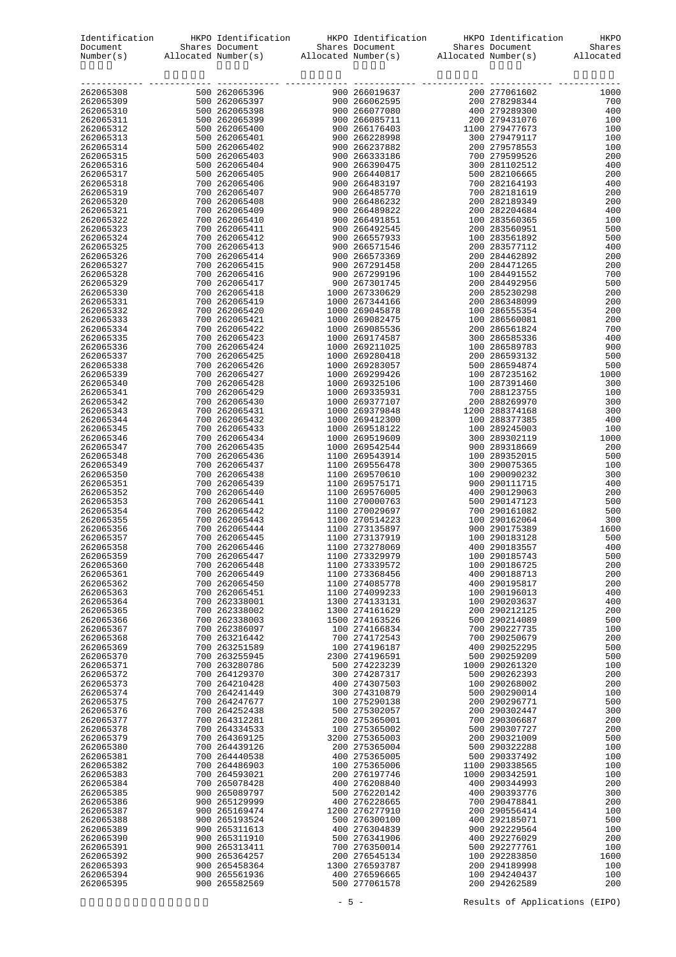|                        |                                | Identification HKPO Identification HKPO Identification HKPO Identification HKPO                                                                                                                                                                 |                                |             |
|------------------------|--------------------------------|-------------------------------------------------------------------------------------------------------------------------------------------------------------------------------------------------------------------------------------------------|--------------------------------|-------------|
|                        |                                | Document Shares Document Shares Document Shares Document Shares Allocated Number (s) Allocated Number (s) Allocated Number (s) Allocated Number (s) and allocated Number (s) and $\mathbb{R}$ and $\mathbb{R}$ and $\mathbb{R}$ and $\mathbb{R$ |                                |             |
|                        |                                |                                                                                                                                                                                                                                                 |                                |             |
|                        |                                |                                                                                                                                                                                                                                                 |                                |             |
|                        |                                |                                                                                                                                                                                                                                                 |                                |             |
|                        |                                |                                                                                                                                                                                                                                                 |                                |             |
|                        |                                |                                                                                                                                                                                                                                                 |                                |             |
|                        |                                |                                                                                                                                                                                                                                                 |                                |             |
|                        |                                |                                                                                                                                                                                                                                                 |                                |             |
|                        |                                |                                                                                                                                                                                                                                                 |                                |             |
|                        |                                |                                                                                                                                                                                                                                                 |                                |             |
|                        |                                |                                                                                                                                                                                                                                                 |                                |             |
|                        |                                |                                                                                                                                                                                                                                                 |                                |             |
|                        |                                |                                                                                                                                                                                                                                                 |                                |             |
|                        |                                |                                                                                                                                                                                                                                                 |                                |             |
|                        |                                |                                                                                                                                                                                                                                                 |                                |             |
|                        |                                |                                                                                                                                                                                                                                                 |                                |             |
|                        |                                |                                                                                                                                                                                                                                                 |                                |             |
|                        |                                |                                                                                                                                                                                                                                                 |                                |             |
|                        |                                |                                                                                                                                                                                                                                                 |                                |             |
|                        |                                |                                                                                                                                                                                                                                                 |                                |             |
|                        |                                |                                                                                                                                                                                                                                                 |                                |             |
|                        |                                |                                                                                                                                                                                                                                                 |                                |             |
|                        |                                |                                                                                                                                                                                                                                                 |                                |             |
|                        |                                |                                                                                                                                                                                                                                                 |                                |             |
|                        |                                |                                                                                                                                                                                                                                                 |                                |             |
|                        |                                |                                                                                                                                                                                                                                                 |                                |             |
|                        |                                |                                                                                                                                                                                                                                                 |                                |             |
|                        |                                |                                                                                                                                                                                                                                                 |                                |             |
|                        |                                |                                                                                                                                                                                                                                                 |                                |             |
|                        |                                |                                                                                                                                                                                                                                                 |                                |             |
|                        |                                |                                                                                                                                                                                                                                                 |                                |             |
|                        |                                |                                                                                                                                                                                                                                                 |                                |             |
|                        |                                |                                                                                                                                                                                                                                                 |                                |             |
|                        |                                |                                                                                                                                                                                                                                                 |                                |             |
|                        |                                |                                                                                                                                                                                                                                                 |                                |             |
|                        |                                |                                                                                                                                                                                                                                                 |                                |             |
|                        |                                |                                                                                                                                                                                                                                                 |                                |             |
|                        |                                |                                                                                                                                                                                                                                                 |                                |             |
|                        |                                |                                                                                                                                                                                                                                                 |                                |             |
|                        |                                |                                                                                                                                                                                                                                                 |                                |             |
|                        |                                |                                                                                                                                                                                                                                                 |                                |             |
|                        |                                |                                                                                                                                                                                                                                                 |                                |             |
|                        |                                |                                                                                                                                                                                                                                                 |                                |             |
| 262065358              | 700 262065446                  | 1100 273278069                                                                                                                                                                                                                                  | 400 290183557                  | 400         |
| 262065359              | 700 262065447                  | 1100 273329979                                                                                                                                                                                                                                  | 100 290185743                  | 500         |
| 262065360              | 700 262065448                  | 1100 273339572                                                                                                                                                                                                                                  | 100 290186725                  | 200         |
| 262065361              | 700 262065449                  | 1100 273368456                                                                                                                                                                                                                                  | 400 290188713                  | 200         |
| 262065362<br>262065363 | 700 262065450<br>700 262065451 | 1100 274085778<br>1100 274099233                                                                                                                                                                                                                | 400 290195817<br>100 290196013 | 200<br>400  |
| 262065364              | 700 262338001                  | 1300 274133131                                                                                                                                                                                                                                  | 100 290203637                  | 400         |
| 262065365              | 700 262338002                  | 1300 274161629                                                                                                                                                                                                                                  | 200 290212125                  | 200         |
| 262065366              | 700 262338003                  | 1500 274163526                                                                                                                                                                                                                                  | 500 290214089                  | 500         |
| 262065367              | 700 262386097                  | 100 274166834                                                                                                                                                                                                                                   | 700 290227735                  | 100         |
| 262065368<br>262065369 | 700 263216442<br>700 263251589 | 700 274172543<br>100 274196187                                                                                                                                                                                                                  | 700 290250679<br>400 290252295 | 200<br>500  |
| 262065370              | 700 263255945                  | 2300 274196591                                                                                                                                                                                                                                  | 500 290259209                  | 500         |
| 262065371              | 700 263280786                  | 500 274223239                                                                                                                                                                                                                                   | 1000 290261320                 | 100         |
| 262065372              | 700 264129370                  | 300 274287317                                                                                                                                                                                                                                   | 500 290262393                  | 200         |
| 262065373              | 700 264210428                  | 400 274307503                                                                                                                                                                                                                                   | 100 290268002                  | 200         |
| 262065374<br>262065375 | 700 264241449<br>700 264247677 | 300 274310879<br>100 275290138                                                                                                                                                                                                                  | 500 290290014<br>200 290296771 | 100<br>500  |
| 262065376              | 700 264252438                  | 500 275302057                                                                                                                                                                                                                                   | 200 290302447                  | 300         |
| 262065377              | 700 264312281                  | 200 275365001                                                                                                                                                                                                                                   | 700 290306687                  | 200         |
| 262065378              | 700 264334533                  | 100 275365002                                                                                                                                                                                                                                   | 500 290307727                  | 200         |
| 262065379              | 700 264369125                  | 3200 275365003                                                                                                                                                                                                                                  | 200 290321009                  | 500         |
| 262065380<br>262065381 | 700 264439126<br>700 264440538 | 200 275365004<br>400 275365005                                                                                                                                                                                                                  | 500 290322288<br>500 290337492 | 100<br>100  |
| 262065382              | 700 264486903                  | 100 275365006                                                                                                                                                                                                                                   | 1100 290338565                 | 100         |
| 262065383              | 700 264593021                  | 200 276197746                                                                                                                                                                                                                                   | 1000 290342591                 | 100         |
| 262065384              | 700 265078428                  | 400 276208840                                                                                                                                                                                                                                   | 400 290344993                  | 200         |
| 262065385              | 900 265089797                  | 500 276220142                                                                                                                                                                                                                                   | 400 290393776                  | 300         |
| 262065386<br>262065387 | 900 265129999<br>900 265169474 | 400 276228665<br>1200 276277910                                                                                                                                                                                                                 | 700 290478841<br>200 290556414 | 200<br>100  |
| 262065388              | 900 265193524                  | 500 276300100                                                                                                                                                                                                                                   | 400 292185071                  | 500         |
| 262065389              | 900 265311613                  | 400 276304839                                                                                                                                                                                                                                   | 900 292229564                  | 100         |
| 262065390              | 900 265311910                  | 500 276341906                                                                                                                                                                                                                                   | 400 292276029                  | 200         |
| 262065391              | 900 265313411                  | 700 276350014                                                                                                                                                                                                                                   | 500 292277761                  | 100         |
| 262065392              | 900 265364257<br>900 265458364 | 200 276545134                                                                                                                                                                                                                                   | 100 292283850<br>200 294189998 | 1600<br>100 |
| 262065393<br>262065394 | 900 265561936                  | 1300 276593787<br>400 276596665                                                                                                                                                                                                                 | 100 294240437                  | 100         |
| 262065395              | 900 265582569                  | 500 277061578                                                                                                                                                                                                                                   | 200 294262589                  | 200         |

#### - 5 - Results of Applications (EIPO)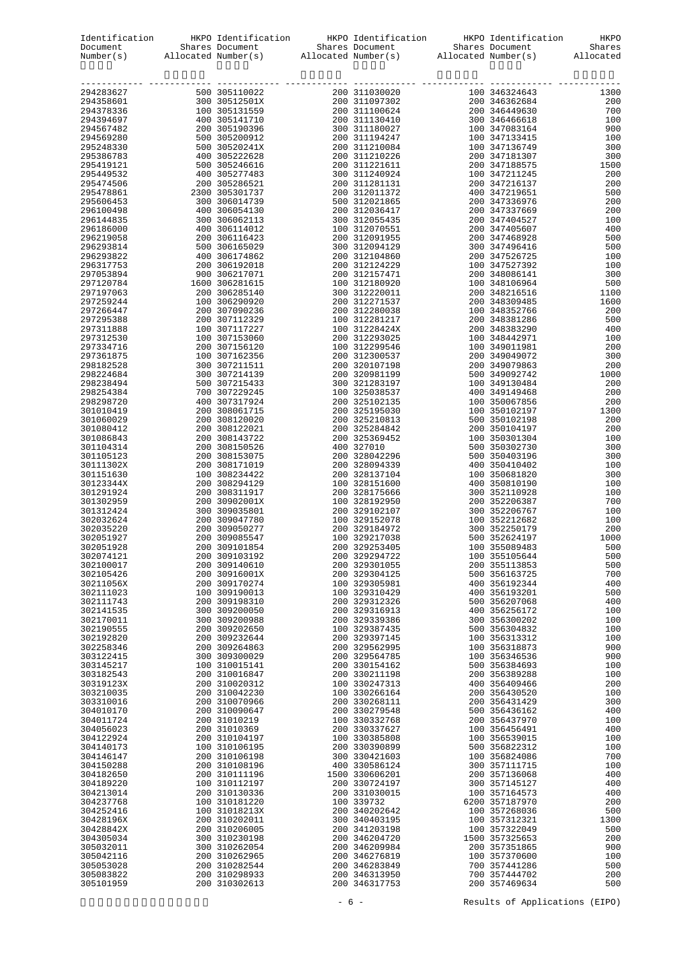|                        |                                | Identification HKPO Identification HKPO Identification HKPO Identification                                                                                                                                                                                                                                                                                                                                                                                                                       |                                 | HKPO       |
|------------------------|--------------------------------|--------------------------------------------------------------------------------------------------------------------------------------------------------------------------------------------------------------------------------------------------------------------------------------------------------------------------------------------------------------------------------------------------------------------------------------------------------------------------------------------------|---------------------------------|------------|
|                        |                                | $\begin{minipage}[c]{0.9\textwidth} \begin{minipage}[c]{0.9\textwidth} \begin{minipage}[c]{0.9\textwidth} \begin{minipage}[c]{0.9\textwidth} \begin{minipage}[c]{0.9\textwidth} \begin{minipage}[c]{0.9\textwidth} \begin{minipage}[c]{0.9\textwidth} \begin{minipage}[c]{0.9\textwidth} \begin{minipage}[c]{0.9\textwidth} \begin{minipage}[c]{0.9\textwidth} \begin{minipage}[c]{0.9\textwidth} \begin{minipage}[c]{0.9\textwidth} \begin{minipage}[c]{0.9\textwidth} \begin{minipage}[c]{0.9$ |                                 |            |
|                        |                                |                                                                                                                                                                                                                                                                                                                                                                                                                                                                                                  |                                 |            |
|                        |                                |                                                                                                                                                                                                                                                                                                                                                                                                                                                                                                  |                                 |            |
|                        |                                |                                                                                                                                                                                                                                                                                                                                                                                                                                                                                                  |                                 |            |
|                        |                                |                                                                                                                                                                                                                                                                                                                                                                                                                                                                                                  |                                 |            |
|                        |                                |                                                                                                                                                                                                                                                                                                                                                                                                                                                                                                  |                                 |            |
|                        |                                |                                                                                                                                                                                                                                                                                                                                                                                                                                                                                                  |                                 |            |
|                        |                                |                                                                                                                                                                                                                                                                                                                                                                                                                                                                                                  |                                 |            |
|                        |                                |                                                                                                                                                                                                                                                                                                                                                                                                                                                                                                  |                                 |            |
|                        |                                |                                                                                                                                                                                                                                                                                                                                                                                                                                                                                                  |                                 |            |
|                        |                                |                                                                                                                                                                                                                                                                                                                                                                                                                                                                                                  |                                 |            |
|                        |                                |                                                                                                                                                                                                                                                                                                                                                                                                                                                                                                  |                                 |            |
|                        |                                |                                                                                                                                                                                                                                                                                                                                                                                                                                                                                                  |                                 |            |
|                        |                                |                                                                                                                                                                                                                                                                                                                                                                                                                                                                                                  |                                 |            |
|                        |                                |                                                                                                                                                                                                                                                                                                                                                                                                                                                                                                  |                                 |            |
|                        |                                |                                                                                                                                                                                                                                                                                                                                                                                                                                                                                                  |                                 |            |
|                        |                                |                                                                                                                                                                                                                                                                                                                                                                                                                                                                                                  |                                 |            |
|                        |                                |                                                                                                                                                                                                                                                                                                                                                                                                                                                                                                  |                                 |            |
|                        |                                |                                                                                                                                                                                                                                                                                                                                                                                                                                                                                                  |                                 |            |
|                        |                                |                                                                                                                                                                                                                                                                                                                                                                                                                                                                                                  |                                 |            |
|                        |                                |                                                                                                                                                                                                                                                                                                                                                                                                                                                                                                  |                                 |            |
|                        |                                |                                                                                                                                                                                                                                                                                                                                                                                                                                                                                                  |                                 |            |
|                        |                                |                                                                                                                                                                                                                                                                                                                                                                                                                                                                                                  |                                 |            |
|                        |                                |                                                                                                                                                                                                                                                                                                                                                                                                                                                                                                  |                                 |            |
|                        |                                |                                                                                                                                                                                                                                                                                                                                                                                                                                                                                                  |                                 |            |
|                        |                                |                                                                                                                                                                                                                                                                                                                                                                                                                                                                                                  |                                 |            |
|                        |                                |                                                                                                                                                                                                                                                                                                                                                                                                                                                                                                  |                                 |            |
|                        |                                |                                                                                                                                                                                                                                                                                                                                                                                                                                                                                                  |                                 |            |
|                        |                                |                                                                                                                                                                                                                                                                                                                                                                                                                                                                                                  |                                 |            |
|                        |                                |                                                                                                                                                                                                                                                                                                                                                                                                                                                                                                  |                                 |            |
|                        |                                |                                                                                                                                                                                                                                                                                                                                                                                                                                                                                                  |                                 |            |
|                        |                                |                                                                                                                                                                                                                                                                                                                                                                                                                                                                                                  |                                 |            |
|                        |                                |                                                                                                                                                                                                                                                                                                                                                                                                                                                                                                  |                                 |            |
|                        |                                |                                                                                                                                                                                                                                                                                                                                                                                                                                                                                                  |                                 |            |
|                        |                                |                                                                                                                                                                                                                                                                                                                                                                                                                                                                                                  |                                 |            |
|                        |                                |                                                                                                                                                                                                                                                                                                                                                                                                                                                                                                  |                                 |            |
|                        |                                |                                                                                                                                                                                                                                                                                                                                                                                                                                                                                                  |                                 |            |
|                        |                                |                                                                                                                                                                                                                                                                                                                                                                                                                                                                                                  |                                 |            |
|                        |                                |                                                                                                                                                                                                                                                                                                                                                                                                                                                                                                  |                                 |            |
|                        |                                |                                                                                                                                                                                                                                                                                                                                                                                                                                                                                                  |                                 |            |
|                        |                                |                                                                                                                                                                                                                                                                                                                                                                                                                                                                                                  |                                 |            |
| 302051928<br>302074121 | 200 309101854<br>200 309103192 | 200 329253405<br>200 329294722                                                                                                                                                                                                                                                                                                                                                                                                                                                                   | 100 355089483<br>100 355105644  | 500<br>500 |
| 302100017              | 200 309140610                  | 200 329301055                                                                                                                                                                                                                                                                                                                                                                                                                                                                                    | 200 355113853                   | 500        |
| 302105426              | 200 30916001X                  | 200 329304125                                                                                                                                                                                                                                                                                                                                                                                                                                                                                    | 500 356163725                   | 700        |
| 30211056X              | 200 309170274                  | 100 329305981                                                                                                                                                                                                                                                                                                                                                                                                                                                                                    | 400 356192344                   | 400        |
| 302111023<br>302111743 | 100 309190013<br>200 309198310 | 100 329310429<br>200 329312326                                                                                                                                                                                                                                                                                                                                                                                                                                                                   | 400 356193201<br>500 356207068  | 500<br>400 |
| 302141535              | 300 309200050                  | 200 329316913                                                                                                                                                                                                                                                                                                                                                                                                                                                                                    | 400 356256172                   | 100        |
| 302170011              | 300 309200988                  | 200 329339386                                                                                                                                                                                                                                                                                                                                                                                                                                                                                    | 300 356300202                   | 100        |
| 302190555<br>302192820 | 200 309202650<br>200 309232644 | 100 329387435<br>200 329397145                                                                                                                                                                                                                                                                                                                                                                                                                                                                   | 500 356304832<br>100 356313312  | 100<br>100 |
| 302258346              | 200 309264863                  | 200 329562995                                                                                                                                                                                                                                                                                                                                                                                                                                                                                    | 100 356318873                   | 900        |
| 303122415              | 300 309300029                  | 200 329564785                                                                                                                                                                                                                                                                                                                                                                                                                                                                                    | 100 356346536                   | 900        |
| 303145217              | 100 310015141                  | 200 330154162                                                                                                                                                                                                                                                                                                                                                                                                                                                                                    | 500 356384693                   | 100        |
| 303182543<br>30319123X | 200 310016847<br>200 310020312 | 200 330211198<br>100 330247313                                                                                                                                                                                                                                                                                                                                                                                                                                                                   | 200 356389288<br>400 356409466  | 100<br>200 |
| 303210035              | 200 310042230                  | 100 330266164                                                                                                                                                                                                                                                                                                                                                                                                                                                                                    | 200 356430520                   | 100        |
| 303310016              | 200 310070966                  | 200 330268111                                                                                                                                                                                                                                                                                                                                                                                                                                                                                    | 200 356431429                   | 300        |
| 304010170              | 200 310090647                  | 200 330279548                                                                                                                                                                                                                                                                                                                                                                                                                                                                                    | 500 356436162                   | 400        |
| 304011724<br>304056023 | 200 31010219<br>200 31010369   | 100 330332768<br>200 330337627                                                                                                                                                                                                                                                                                                                                                                                                                                                                   | 200 356437970<br>100 356456491  | 100<br>400 |
| 304122924              | 200 310104197                  | 100 330385808                                                                                                                                                                                                                                                                                                                                                                                                                                                                                    | 100 356539015                   | 100        |
| 304140173              | 100 310106195                  | 200 330390899                                                                                                                                                                                                                                                                                                                                                                                                                                                                                    | 500 356822312                   | 100        |
| 304146147<br>304150288 | 200 310106198<br>200 310108196 | 300 330421603<br>400 330586124                                                                                                                                                                                                                                                                                                                                                                                                                                                                   | 100 356824086<br>300 357111715  | 700<br>100 |
| 304182650              | 200 310111196                  | 1500 330606201                                                                                                                                                                                                                                                                                                                                                                                                                                                                                   | 200 357136068                   | 400        |
| 304189220              | 100 310112197                  | 200 330724197                                                                                                                                                                                                                                                                                                                                                                                                                                                                                    | 300 357145127                   | 400        |
| 304213014              | 200 310130336                  | 200 331030015                                                                                                                                                                                                                                                                                                                                                                                                                                                                                    | 100 357164573                   | 400        |
| 304237768<br>304252416 | 100 310181220<br>100 31018213X | 100 339732<br>200 340202642                                                                                                                                                                                                                                                                                                                                                                                                                                                                      | 6200 357187970<br>100 357268036 | 200<br>500 |
| 30428196X              | 200 310202011                  | 300 340403195                                                                                                                                                                                                                                                                                                                                                                                                                                                                                    | 100 357312321                   | 1300       |
| 30428842X              | 200 310206005                  | 200 341203198                                                                                                                                                                                                                                                                                                                                                                                                                                                                                    | 100 357322049                   | 500        |
| 304305034<br>305032011 | 300 310230198<br>300 310262054 | 200 346204720<br>200 346209984                                                                                                                                                                                                                                                                                                                                                                                                                                                                   | 1500 357325653<br>200 357351865 | 200<br>900 |
| 305042116              | 200 310262965                  | 200 346276819                                                                                                                                                                                                                                                                                                                                                                                                                                                                                    | 100 357370600                   | 100        |
| 305053028              | 200 310282544                  | 200 346283849                                                                                                                                                                                                                                                                                                                                                                                                                                                                                    | 700 357441286                   | 500        |
| 305083822              | 200 310298933                  | 200 346313950                                                                                                                                                                                                                                                                                                                                                                                                                                                                                    | 700 357444702                   | 200        |
| 305101959              | 200 310302613                  | 200 346317753                                                                                                                                                                                                                                                                                                                                                                                                                                                                                    | 200 357469634                   | 500        |

- 6 - Results of Applications (EIPO)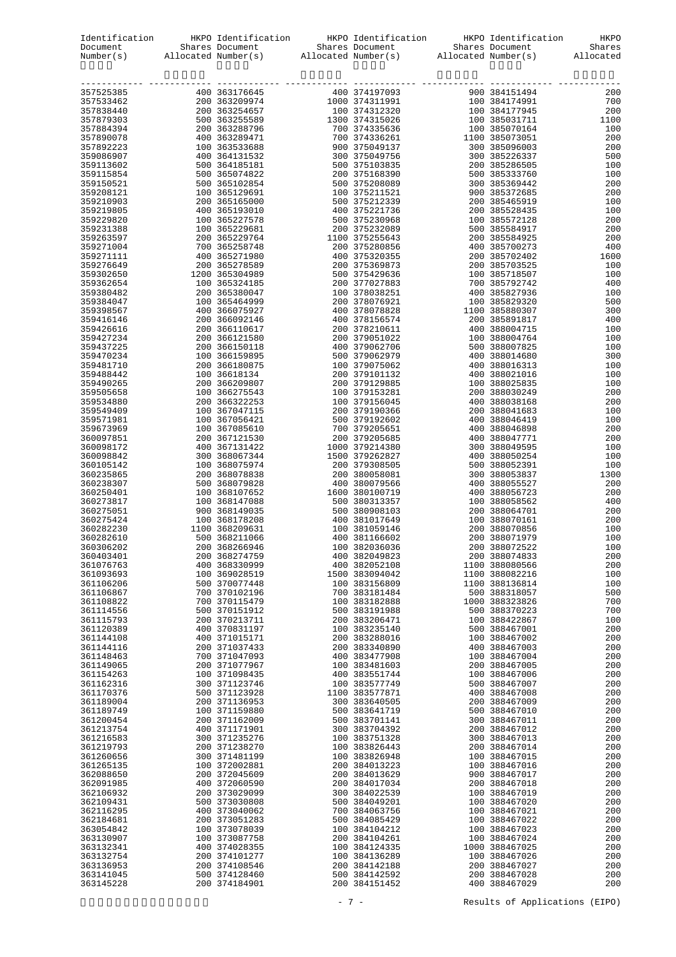|                        |                                | Identification HKPO Identification HKPO Identification HKPO Identification                                                                                                                                                     |                                 | HKPO       |
|------------------------|--------------------------------|--------------------------------------------------------------------------------------------------------------------------------------------------------------------------------------------------------------------------------|---------------------------------|------------|
|                        |                                | Document Shares Document Shares Document Shares Document Shares Number(s) Allocated Number(s) and Allocated Number(s) and Allocated Number(s) and Allocated Number(s) and Allocated Number(s) and Allocated Number(s) and Allo |                                 |            |
|                        |                                |                                                                                                                                                                                                                                |                                 |            |
|                        |                                |                                                                                                                                                                                                                                |                                 |            |
|                        |                                |                                                                                                                                                                                                                                |                                 |            |
|                        |                                |                                                                                                                                                                                                                                |                                 |            |
|                        |                                |                                                                                                                                                                                                                                |                                 |            |
|                        |                                |                                                                                                                                                                                                                                |                                 |            |
|                        |                                |                                                                                                                                                                                                                                |                                 |            |
|                        |                                |                                                                                                                                                                                                                                |                                 |            |
|                        |                                |                                                                                                                                                                                                                                |                                 |            |
|                        |                                |                                                                                                                                                                                                                                |                                 |            |
|                        |                                |                                                                                                                                                                                                                                |                                 |            |
|                        |                                |                                                                                                                                                                                                                                |                                 |            |
|                        |                                |                                                                                                                                                                                                                                |                                 |            |
|                        |                                |                                                                                                                                                                                                                                |                                 |            |
|                        |                                |                                                                                                                                                                                                                                |                                 |            |
|                        |                                |                                                                                                                                                                                                                                |                                 |            |
|                        |                                |                                                                                                                                                                                                                                |                                 |            |
|                        |                                |                                                                                                                                                                                                                                |                                 |            |
|                        |                                |                                                                                                                                                                                                                                |                                 |            |
|                        |                                |                                                                                                                                                                                                                                |                                 |            |
|                        |                                |                                                                                                                                                                                                                                |                                 |            |
|                        |                                |                                                                                                                                                                                                                                |                                 |            |
|                        |                                |                                                                                                                                                                                                                                |                                 |            |
|                        |                                |                                                                                                                                                                                                                                |                                 |            |
|                        |                                |                                                                                                                                                                                                                                |                                 |            |
|                        |                                |                                                                                                                                                                                                                                |                                 |            |
|                        |                                |                                                                                                                                                                                                                                |                                 |            |
|                        |                                |                                                                                                                                                                                                                                |                                 |            |
|                        |                                |                                                                                                                                                                                                                                |                                 |            |
|                        |                                |                                                                                                                                                                                                                                |                                 |            |
|                        |                                |                                                                                                                                                                                                                                |                                 |            |
|                        |                                |                                                                                                                                                                                                                                |                                 |            |
|                        |                                |                                                                                                                                                                                                                                |                                 |            |
|                        |                                |                                                                                                                                                                                                                                |                                 |            |
|                        |                                |                                                                                                                                                                                                                                |                                 |            |
|                        |                                |                                                                                                                                                                                                                                |                                 |            |
|                        |                                |                                                                                                                                                                                                                                |                                 |            |
|                        |                                |                                                                                                                                                                                                                                |                                 |            |
|                        |                                |                                                                                                                                                                                                                                |                                 |            |
|                        |                                |                                                                                                                                                                                                                                |                                 |            |
|                        |                                |                                                                                                                                                                                                                                |                                 |            |
|                        |                                |                                                                                                                                                                                                                                |                                 |            |
|                        |                                |                                                                                                                                                                                                                                |                                 |            |
| 360306202              | 200 368266946                  | 100 382036036                                                                                                                                                                                                                  | 200 388072522                   | 100        |
| 360403401              | 200 368274759                  | 400 382049823                                                                                                                                                                                                                  | 200 388074833                   | 200        |
| 361076763              | 400 368330999                  | 400 382052108                                                                                                                                                                                                                  | 1100 388080566                  | 200        |
| 361093693              | 100 369028519                  | 1500 383094042                                                                                                                                                                                                                 | 1100 388082216                  | 100        |
| 361106206              | 500 370077448                  | 100 383156809                                                                                                                                                                                                                  | 1100 388136814                  | 100        |
| 361106867              | 700 370102196                  | 700 383181484<br>100 383182888                                                                                                                                                                                                 | 500 388318057                   | 500        |
| 361108822<br>361114556 | 700 370115479<br>500 370151912 | 500 383191988                                                                                                                                                                                                                  | 1000 388323826<br>500 388370223 | 700<br>700 |
| 361115793              | 200 370213711                  | 200 383206471                                                                                                                                                                                                                  | 100 388422867                   | 100        |
| 361120389              | 400 370831197                  | 100 383235140                                                                                                                                                                                                                  | 500 388467001                   | 200        |
| 361144108              | 400 371015171                  | 200 383288016                                                                                                                                                                                                                  | 100 388467002                   | 200        |
| 361144116              | 200 371037433                  | 200 383340890                                                                                                                                                                                                                  | 400 388467003                   | 200        |
| 361148463<br>361149065 | 700 371047093<br>200 371077967 | 400 383477908<br>100 383481603                                                                                                                                                                                                 | 100 388467004<br>200 388467005  | 200<br>200 |
| 361154263              | 100 371098435                  | 400 383551744                                                                                                                                                                                                                  | 100 388467006                   | 200        |
| 361162316              | 300 371123746                  | 100 383577749                                                                                                                                                                                                                  | 500 388467007                   | 200        |
| 361170376              | 500 371123928                  | 1100 383577871                                                                                                                                                                                                                 | 400 388467008                   | 200        |
| 361189004              | 200 371136953                  | 300 383640505                                                                                                                                                                                                                  | 200 388467009                   | 200        |
| 361189749              | 100 371159880                  | 500 383641719                                                                                                                                                                                                                  | 500 388467010                   | 200        |
| 361200454              | 200 371162009<br>400 371171901 | 500 383701141<br>300 383704392                                                                                                                                                                                                 | 300 388467011<br>200 388467012  | 200<br>200 |
| 361213754<br>361216583 | 300 371235276                  | 100 383751328                                                                                                                                                                                                                  | 300 388467013                   | 200        |
| 361219793              | 200 371238270                  | 100 383826443                                                                                                                                                                                                                  | 200 388467014                   | 200        |
| 361260656              | 300 371481199                  | 100 383826948                                                                                                                                                                                                                  | 100 388467015                   | 200        |
| 361265135              | 100 372002881                  | 200 384013223                                                                                                                                                                                                                  | 100 388467016                   | 200        |
| 362088650              | 200 372045609                  | 200 384013629                                                                                                                                                                                                                  | 900 388467017                   | 200        |
| 362091985              | 400 372060590                  | 200 384017034                                                                                                                                                                                                                  | 200 388467018                   | 200        |
| 362106932<br>362109431 | 200 373029099<br>500 373030808 | 300 384022539<br>500 384049201                                                                                                                                                                                                 | 100 388467019<br>100 388467020  | 200<br>200 |
| 362116295              | 400 373040062                  | 700 384063756                                                                                                                                                                                                                  | 100 388467021                   | 200        |
| 362184681              | 200 373051283                  | 500 384085429                                                                                                                                                                                                                  | 100 388467022                   | 200        |
| 363054842              | 100 373078039                  | 100 384104212                                                                                                                                                                                                                  | 100 388467023                   | 200        |
| 363130907              | 100 373087758                  | 200 384104261                                                                                                                                                                                                                  | 100 388467024                   | 200        |
| 363132341              | 400 374028355                  | 100 384124335                                                                                                                                                                                                                  | 1000 388467025                  | 200        |
| 363132754              | 200 374101277                  | 100 384136289                                                                                                                                                                                                                  | 100 388467026                   | 200        |
| 363136953              | 200 374108546                  | 200 384142188                                                                                                                                                                                                                  | 200 388467027                   | 200<br>200 |
| 363141045<br>363145228 | 500 374128460<br>200 374184901 | 500 384142592<br>200 384151452                                                                                                                                                                                                 | 200 388467028<br>400 388467029  | 200        |
|                        |                                |                                                                                                                                                                                                                                |                                 |            |

#### - 7 - Results of Applications (EIPO)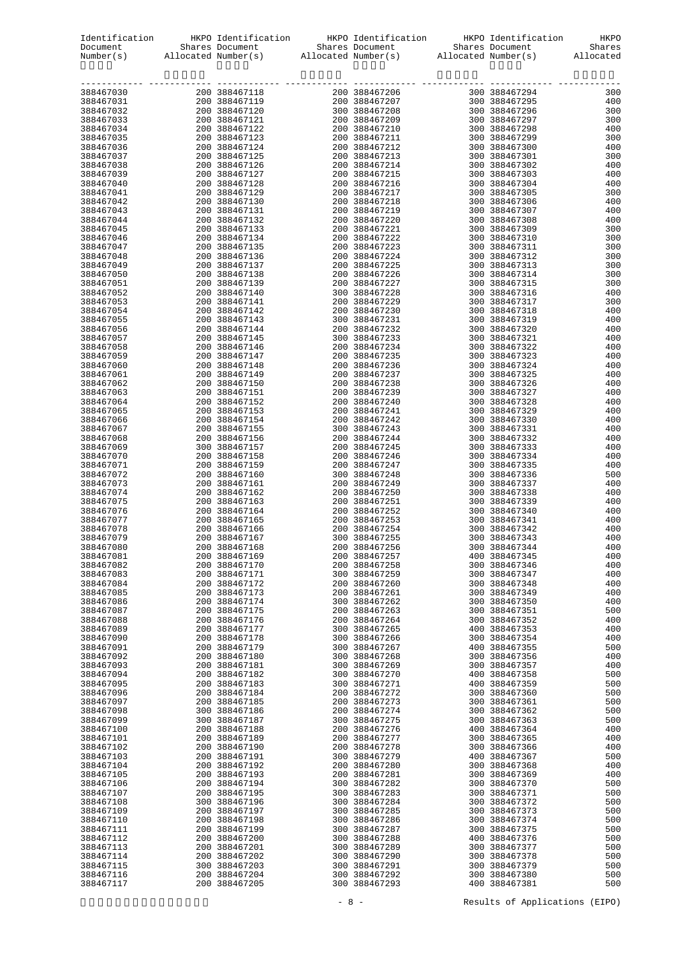| Identification<br>Document          | HKPO Identification            | HKPO Identification HKPO Identification<br>Shares Document Shares Document Shares Document<br>Number(s) Allocated Number(s) Allocated Number(s) Allocated Number(s) Allocated |                                | HKPO<br>Shares |
|-------------------------------------|--------------------------------|-------------------------------------------------------------------------------------------------------------------------------------------------------------------------------|--------------------------------|----------------|
|                                     |                                |                                                                                                                                                                               |                                |                |
| 388467030                           |                                |                                                                                                                                                                               |                                |                |
| 388467031<br>388467032<br>388467033 |                                |                                                                                                                                                                               |                                |                |
|                                     |                                |                                                                                                                                                                               |                                |                |
| 388467034                           |                                |                                                                                                                                                                               |                                |                |
| 388467035                           |                                |                                                                                                                                                                               |                                |                |
| 388467036                           |                                |                                                                                                                                                                               |                                |                |
| 388467037<br>388467038              |                                |                                                                                                                                                                               |                                |                |
| 388467039                           |                                |                                                                                                                                                                               |                                |                |
| 388467040                           |                                |                                                                                                                                                                               |                                |                |
| 388467041                           |                                |                                                                                                                                                                               |                                |                |
| 388467042                           |                                |                                                                                                                                                                               |                                |                |
| 388467043<br>388467044              |                                |                                                                                                                                                                               |                                |                |
| 388467045                           |                                |                                                                                                                                                                               |                                |                |
| 388467046                           |                                |                                                                                                                                                                               |                                |                |
| 388467047                           |                                |                                                                                                                                                                               |                                |                |
| 388467048                           |                                |                                                                                                                                                                               |                                |                |
| 388467049                           |                                |                                                                                                                                                                               |                                |                |
| 388467050<br>388467051              |                                |                                                                                                                                                                               |                                |                |
| 388467052                           |                                |                                                                                                                                                                               |                                |                |
| 388467053                           |                                |                                                                                                                                                                               |                                |                |
| 388467054                           |                                |                                                                                                                                                                               |                                |                |
| 388467055                           |                                |                                                                                                                                                                               |                                |                |
| 388467056<br>388467057              |                                |                                                                                                                                                                               |                                |                |
| 388467058                           |                                |                                                                                                                                                                               |                                |                |
| 388467059                           |                                |                                                                                                                                                                               |                                |                |
| 388467060                           |                                |                                                                                                                                                                               |                                |                |
| 388467061                           |                                |                                                                                                                                                                               |                                |                |
| 388467062                           |                                |                                                                                                                                                                               |                                |                |
| 388467063<br>388467064              |                                |                                                                                                                                                                               |                                |                |
| 388467065                           |                                |                                                                                                                                                                               |                                |                |
| 388467066                           |                                |                                                                                                                                                                               |                                |                |
| 388467067                           |                                |                                                                                                                                                                               |                                |                |
| 388467068                           |                                |                                                                                                                                                                               |                                |                |
| 388467069                           |                                |                                                                                                                                                                               |                                |                |
| 388467070<br>388467071              |                                |                                                                                                                                                                               |                                |                |
| 388467072                           |                                |                                                                                                                                                                               |                                |                |
| 388467073                           |                                |                                                                                                                                                                               |                                |                |
| 388467074                           |                                |                                                                                                                                                                               |                                |                |
| 388467075                           |                                |                                                                                                                                                                               |                                |                |
| 388467076<br>388467077              |                                |                                                                                                                                                                               |                                |                |
| 388467078                           |                                |                                                                                                                                                                               |                                |                |
| 388467079                           |                                |                                                                                                                                                                               |                                |                |
| 388467080                           | 200 388467168                  | 200 388467256                                                                                                                                                                 | 300 388467344                  | 400            |
| 388467081                           | 200 388467169                  | 200 388467257                                                                                                                                                                 | 400 388467345                  | 400            |
| 388467082<br>388467083              | 200 388467170<br>200 388467171 | 200 388467258<br>300 388467259                                                                                                                                                | 300 388467346<br>300 388467347 | 400<br>400     |
| 388467084                           | 200 388467172                  | 200 388467260                                                                                                                                                                 | 300 388467348                  | 400            |
| 388467085                           | 200 388467173                  | 200 388467261                                                                                                                                                                 | 300 388467349                  | 400            |
| 388467086                           | 200 388467174                  | 300 388467262                                                                                                                                                                 | 300 388467350                  | 400            |
| 388467087                           | 200 388467175                  | 200 388467263                                                                                                                                                                 | 300 388467351                  | 500            |
| 388467088<br>388467089              | 200 388467176<br>200 388467177 | 200 388467264<br>300 388467265                                                                                                                                                | 300 388467352<br>400 388467353 | 400<br>400     |
| 388467090                           | 200 388467178                  | 300 388467266                                                                                                                                                                 | 300 388467354                  | 400            |
| 388467091                           | 200 388467179                  | 300 388467267                                                                                                                                                                 | 400 388467355                  | 500            |
| 388467092                           | 200 388467180                  | 300 388467268                                                                                                                                                                 | 300 388467356                  | 400            |
| 388467093                           | 200 388467181                  | 300 388467269                                                                                                                                                                 | 300 388467357                  | 400            |
| 388467094                           | 200 388467182<br>200 388467183 | 300 388467270                                                                                                                                                                 | 400 388467358                  | 500            |
| 388467095<br>388467096              | 200 388467184                  | 300 388467271<br>200 388467272                                                                                                                                                | 400 388467359<br>300 388467360 | 500<br>500     |
| 388467097                           | 200 388467185                  | 200 388467273                                                                                                                                                                 | 300 388467361                  | 500            |
| 388467098                           | 300 388467186                  | 200 388467274                                                                                                                                                                 | 300 388467362                  | 500            |
| 388467099                           | 300 388467187                  | 300 388467275                                                                                                                                                                 | 300 388467363                  | 500            |
| 388467100                           | 200 388467188                  | 200 388467276                                                                                                                                                                 | 400 388467364                  | 400            |
| 388467101                           | 200 388467189                  | 200 388467277                                                                                                                                                                 | 300 388467365                  | 400            |
| 388467102<br>388467103              | 200 388467190<br>200 388467191 | 200 388467278<br>300 388467279                                                                                                                                                | 300 388467366<br>400 388467367 | 400<br>500     |
| 388467104                           | 200 388467192                  | 200 388467280                                                                                                                                                                 | 300 388467368                  | 400            |
| 388467105                           | 200 388467193                  | 200 388467281                                                                                                                                                                 | 300 388467369                  | 400            |
| 388467106                           | 200 388467194                  | 300 388467282                                                                                                                                                                 | 300 388467370                  | 500            |
| 388467107                           | 200 388467195                  | 300 388467283                                                                                                                                                                 | 300 388467371                  | 500            |
| 388467108                           | 300 388467196<br>200 388467197 | 300 388467284<br>300 388467285                                                                                                                                                | 300 388467372                  | 500<br>500     |
| 388467109<br>388467110              | 200 388467198                  | 300 388467286                                                                                                                                                                 | 300 388467373<br>300 388467374 | 500            |
| 388467111                           | 200 388467199                  | 300 388467287                                                                                                                                                                 | 300 388467375                  | 500            |
| 388467112                           | 200 388467200                  | 300 388467288                                                                                                                                                                 | 400 388467376                  | 500            |
| 388467113                           | 200 388467201                  | 300 388467289                                                                                                                                                                 | 300 388467377                  | 500            |
| 388467114                           | 200 388467202                  | 300 388467290<br>300 388467291                                                                                                                                                | 300 388467378<br>300 388467379 | 500<br>500     |
| 388467115<br>388467116              | 300 388467203<br>200 388467204 | 300 388467292                                                                                                                                                                 | 300 388467380                  | 500            |
| 388467117                           | 200 388467205                  | 300 388467293                                                                                                                                                                 | 400 388467381                  | 500            |
|                                     |                                |                                                                                                                                                                               |                                |                |

#### - 8 - Results of Applications (EIPO)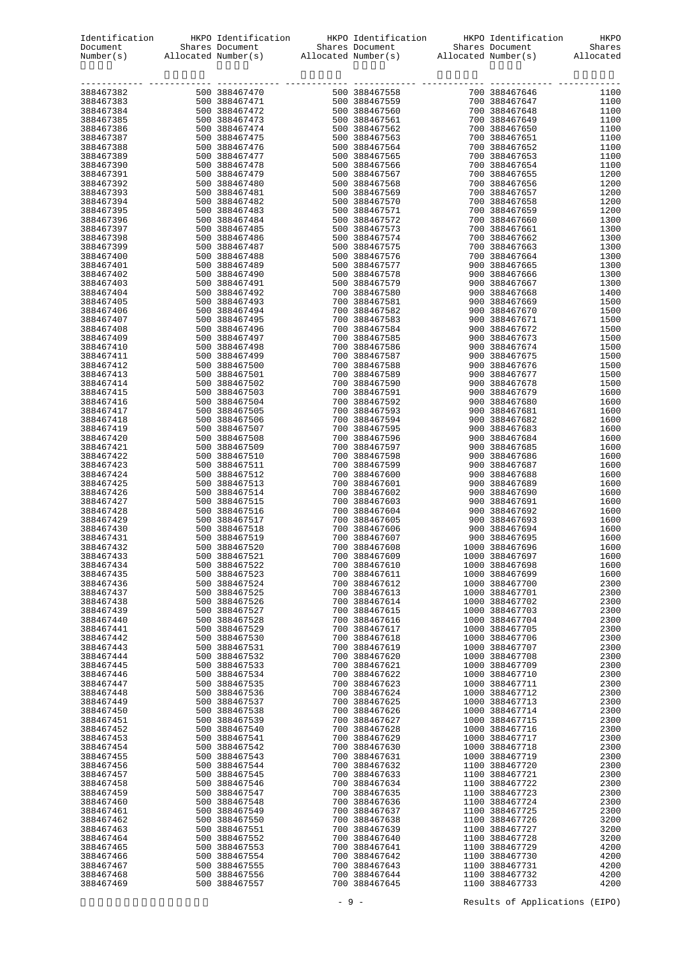| Identification         | HKPO Identification            | HKPO Identification HKPO Identification                                                                                                                                                                                                     |                                  | HKPO         |
|------------------------|--------------------------------|---------------------------------------------------------------------------------------------------------------------------------------------------------------------------------------------------------------------------------------------|----------------------------------|--------------|
| Document<br>Number(s)  |                                | Shares Document Shares Document Shares Document<br>Allocated Number(s) Allocated Number(s) Allocated Number(s) Allocated                                                                                                                    |                                  | Shares       |
|                        |                                |                                                                                                                                                                                                                                             |                                  |              |
|                        |                                | $\begin{smallmatrix} 1.01&0.188467700&0&0.1886677568&0&0.1884677646&0.0000000&0.1884677646&0.0000000&0.1884677646&0.000000&0.1884677646&0.000000&0.1884677646&0.000000&0.1884677646&0.00000&0.00000&0.00000&0.00000&0.00000&0.00000&0.0000$ |                                  |              |
| 388467382              |                                |                                                                                                                                                                                                                                             |                                  | 1100         |
| 388467383              |                                |                                                                                                                                                                                                                                             |                                  | 1100         |
| 388467384              |                                |                                                                                                                                                                                                                                             |                                  | 1100         |
| 388467385              |                                |                                                                                                                                                                                                                                             |                                  | 1100         |
| 388467386              |                                |                                                                                                                                                                                                                                             |                                  | 1100         |
| 388467387<br>388467388 |                                |                                                                                                                                                                                                                                             |                                  | 1100<br>1100 |
| 388467389              |                                |                                                                                                                                                                                                                                             |                                  | 1100         |
| 388467390              |                                |                                                                                                                                                                                                                                             |                                  | 1100         |
| 388467391              |                                |                                                                                                                                                                                                                                             |                                  | 1200         |
| 388467392              |                                |                                                                                                                                                                                                                                             |                                  | 1200         |
| 388467393              |                                |                                                                                                                                                                                                                                             |                                  | 1200         |
| 388467394<br>388467395 |                                |                                                                                                                                                                                                                                             |                                  | 1200<br>1200 |
| 388467396              |                                |                                                                                                                                                                                                                                             |                                  | 1300         |
| 388467397              |                                |                                                                                                                                                                                                                                             |                                  | 1300         |
| 388467398              |                                |                                                                                                                                                                                                                                             |                                  | 1300         |
| 388467399              |                                |                                                                                                                                                                                                                                             |                                  | 1300         |
| 388467400<br>388467401 |                                |                                                                                                                                                                                                                                             |                                  | 1300<br>1300 |
| 388467402              |                                |                                                                                                                                                                                                                                             |                                  | 1300         |
| 388467403              |                                |                                                                                                                                                                                                                                             |                                  | 1300         |
| 388467404              |                                |                                                                                                                                                                                                                                             |                                  | 1400         |
| 388467405              |                                |                                                                                                                                                                                                                                             |                                  | 1500         |
| 388467406              |                                |                                                                                                                                                                                                                                             |                                  | 1500         |
| 388467407<br>388467408 |                                |                                                                                                                                                                                                                                             |                                  | 1500<br>1500 |
| 388467409              |                                |                                                                                                                                                                                                                                             |                                  | 1500         |
| 388467410              |                                |                                                                                                                                                                                                                                             |                                  | 1500         |
| 388467411              |                                |                                                                                                                                                                                                                                             |                                  | 1500         |
| 388467412              |                                |                                                                                                                                                                                                                                             |                                  | 1500         |
| 388467413<br>388467414 |                                |                                                                                                                                                                                                                                             |                                  | 1500<br>1500 |
| 388467415              |                                |                                                                                                                                                                                                                                             |                                  | 1600         |
| 388467416              |                                |                                                                                                                                                                                                                                             |                                  | 1600         |
| 388467417              |                                |                                                                                                                                                                                                                                             |                                  | 1600         |
| 388467418              |                                |                                                                                                                                                                                                                                             |                                  | 1600         |
| 388467419              |                                |                                                                                                                                                                                                                                             |                                  | 1600         |
| 388467420<br>388467421 |                                |                                                                                                                                                                                                                                             |                                  | 1600<br>1600 |
| 388467422              |                                |                                                                                                                                                                                                                                             |                                  | 1600         |
| 388467423              |                                |                                                                                                                                                                                                                                             |                                  | 1600         |
| 388467424              |                                |                                                                                                                                                                                                                                             |                                  | 1600         |
| 388467425              |                                |                                                                                                                                                                                                                                             |                                  | 1600         |
| 388467426<br>388467427 |                                |                                                                                                                                                                                                                                             |                                  | 1600<br>1600 |
| 388467428              |                                |                                                                                                                                                                                                                                             |                                  | 1600         |
| 388467429              |                                |                                                                                                                                                                                                                                             |                                  | 1600         |
| 388467430              |                                |                                                                                                                                                                                                                                             |                                  | 1600         |
| 388467431              |                                |                                                                                                                                                                                                                                             |                                  | 1600         |
| 388467432              | 500 388467520<br>500 388467521 | 700 388467608<br>700 388467609                                                                                                                                                                                                              | 1000 388467696<br>1000 388467697 | 1600         |
| 388467433<br>388467434 | 500 388467522                  | 700 388467610                                                                                                                                                                                                                               | 1000 388467698                   | 1600<br>1600 |
| 388467435              | 500 388467523                  | 700 388467611                                                                                                                                                                                                                               | 1000 388467699                   | 1600         |
| 388467436              | 500 388467524                  | 700 388467612                                                                                                                                                                                                                               | 1000 388467700                   | 2300         |
| 388467437              | 500 388467525                  | 700 388467613                                                                                                                                                                                                                               | 1000 388467701                   | 2300         |
| 388467438<br>388467439 | 500 388467526<br>500 388467527 | 700 388467614<br>700 388467615                                                                                                                                                                                                              | 1000 388467702<br>1000 388467703 | 2300<br>2300 |
| 388467440              | 500 388467528                  | 700 388467616                                                                                                                                                                                                                               | 1000 388467704                   | 2300         |
| 388467441              | 500 388467529                  | 700 388467617                                                                                                                                                                                                                               | 1000 388467705                   | 2300         |
| 388467442              | 500 388467530                  | 700 388467618                                                                                                                                                                                                                               | 1000 388467706                   | 2300         |
| 388467443              | 500 388467531                  | 700 388467619                                                                                                                                                                                                                               | 1000 388467707                   | 2300         |
| 388467444              | 500 388467532                  | 700 388467620                                                                                                                                                                                                                               | 1000 388467708                   | 2300         |
| 388467445<br>388467446 | 500 388467533<br>500 388467534 | 700 388467621<br>700 388467622                                                                                                                                                                                                              | 1000 388467709<br>1000 388467710 | 2300<br>2300 |
| 388467447              | 500 388467535                  | 700 388467623                                                                                                                                                                                                                               | 1000 388467711                   | 2300         |
| 388467448              | 500 388467536                  | 700 388467624                                                                                                                                                                                                                               | 1000 388467712                   | 2300         |
| 388467449              | 500 388467537                  | 700 388467625                                                                                                                                                                                                                               | 1000 388467713                   | 2300         |
| 388467450              | 500 388467538                  | 700 388467626                                                                                                                                                                                                                               | 1000 388467714                   | 2300         |
| 388467451<br>388467452 | 500 388467539<br>500 388467540 | 700 388467627<br>700 388467628                                                                                                                                                                                                              | 1000 388467715<br>1000 388467716 | 2300<br>2300 |
| 388467453              | 500 388467541                  | 700 388467629                                                                                                                                                                                                                               | 1000 388467717                   | 2300         |
| 388467454              | 500 388467542                  | 700 388467630                                                                                                                                                                                                                               | 1000 388467718                   | 2300         |
| 388467455              | 500 388467543                  | 700 388467631                                                                                                                                                                                                                               | 1000 388467719                   | 2300         |
| 388467456              | 500 388467544                  | 700 388467632                                                                                                                                                                                                                               | 1100 388467720                   | 2300         |
| 388467457<br>388467458 | 500 388467545<br>500 388467546 | 700 388467633<br>700 388467634                                                                                                                                                                                                              | 1100 388467721<br>1100 388467722 | 2300<br>2300 |
| 388467459              | 500 388467547                  | 700 388467635                                                                                                                                                                                                                               | 1100 388467723                   | 2300         |
| 388467460              | 500 388467548                  | 700 388467636                                                                                                                                                                                                                               | 1100 388467724                   | 2300         |
| 388467461              | 500 388467549                  | 700 388467637                                                                                                                                                                                                                               | 1100 388467725                   | 2300         |
| 388467462              | 500 388467550                  | 700 388467638                                                                                                                                                                                                                               | 1100 388467726                   | 3200         |
| 388467463              | 500 388467551<br>500 388467552 | 700 388467639                                                                                                                                                                                                                               | 1100 388467727                   | 3200         |
| 388467464<br>388467465 | 500 388467553                  | 700 388467640<br>700 388467641                                                                                                                                                                                                              | 1100 388467728<br>1100 388467729 | 3200<br>4200 |
| 388467466              | 500 388467554                  | 700 388467642                                                                                                                                                                                                                               | 1100 388467730                   | 4200         |
| 388467467              | 500 388467555                  | 700 388467643                                                                                                                                                                                                                               | 1100 388467731                   | 4200         |
| 388467468              | 500 388467556                  | 700 388467644                                                                                                                                                                                                                               | 1100 388467732                   | 4200         |
| 388467469              | 500 388467557                  | 700 388467645                                                                                                                                                                                                                               | 1100 388467733                   | 4200         |

#### - 9 - Results of Applications (EIPO)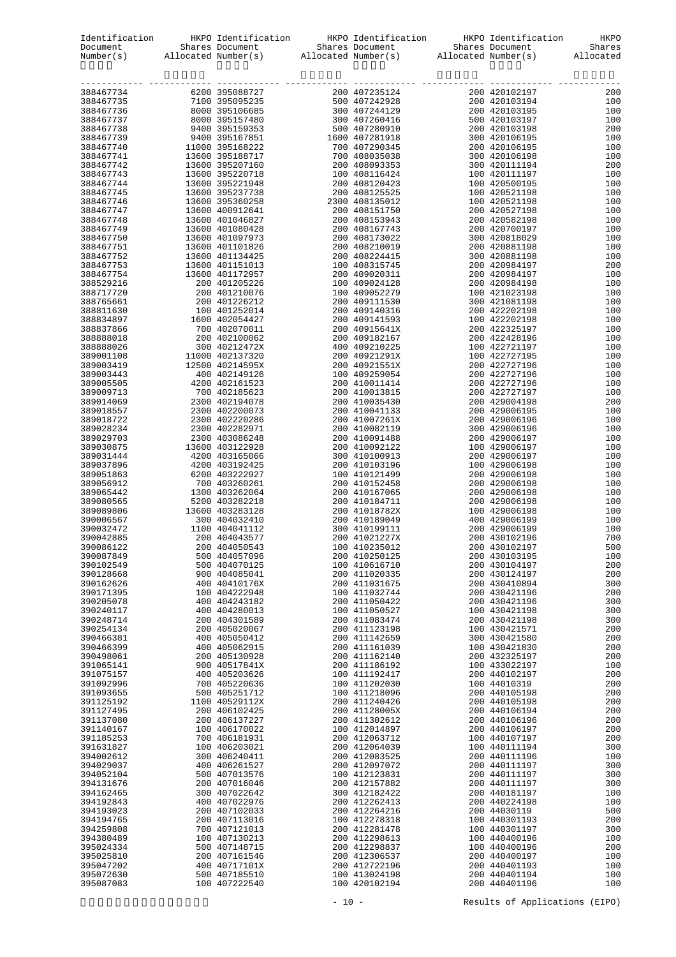|                        | Identification HKPO Identification HKPO Identification HKPO Identification |                                                                                                                                                                                                                                    |                                | HKPO       |
|------------------------|----------------------------------------------------------------------------|------------------------------------------------------------------------------------------------------------------------------------------------------------------------------------------------------------------------------------|--------------------------------|------------|
|                        |                                                                            | Number(s) Mares Document<br>Shares Document<br>Mumber(s) Allocated Number(s) Allocated Number(s) Allocated Number(s) Allocated Number(s) Allocated Number(s) and the Mumber(s) and the Mumber(s) and Mumber(s) and Mumber(s) and M |                                |            |
|                        |                                                                            |                                                                                                                                                                                                                                    |                                |            |
|                        |                                                                            |                                                                                                                                                                                                                                    |                                |            |
|                        |                                                                            |                                                                                                                                                                                                                                    |                                |            |
|                        |                                                                            |                                                                                                                                                                                                                                    |                                |            |
|                        |                                                                            |                                                                                                                                                                                                                                    |                                |            |
|                        |                                                                            |                                                                                                                                                                                                                                    |                                |            |
|                        |                                                                            |                                                                                                                                                                                                                                    |                                |            |
|                        |                                                                            |                                                                                                                                                                                                                                    |                                |            |
|                        |                                                                            |                                                                                                                                                                                                                                    |                                |            |
|                        |                                                                            |                                                                                                                                                                                                                                    |                                |            |
|                        |                                                                            |                                                                                                                                                                                                                                    |                                |            |
|                        |                                                                            |                                                                                                                                                                                                                                    |                                |            |
|                        |                                                                            |                                                                                                                                                                                                                                    |                                |            |
|                        |                                                                            |                                                                                                                                                                                                                                    |                                |            |
|                        |                                                                            |                                                                                                                                                                                                                                    |                                |            |
|                        |                                                                            |                                                                                                                                                                                                                                    |                                |            |
|                        |                                                                            |                                                                                                                                                                                                                                    |                                |            |
|                        |                                                                            |                                                                                                                                                                                                                                    |                                |            |
|                        |                                                                            |                                                                                                                                                                                                                                    |                                |            |
|                        |                                                                            |                                                                                                                                                                                                                                    |                                |            |
|                        |                                                                            |                                                                                                                                                                                                                                    |                                |            |
|                        |                                                                            |                                                                                                                                                                                                                                    |                                |            |
|                        |                                                                            |                                                                                                                                                                                                                                    |                                |            |
|                        |                                                                            |                                                                                                                                                                                                                                    |                                |            |
|                        |                                                                            |                                                                                                                                                                                                                                    |                                |            |
|                        |                                                                            |                                                                                                                                                                                                                                    |                                |            |
|                        |                                                                            |                                                                                                                                                                                                                                    |                                |            |
|                        |                                                                            |                                                                                                                                                                                                                                    |                                |            |
|                        |                                                                            |                                                                                                                                                                                                                                    |                                |            |
|                        |                                                                            |                                                                                                                                                                                                                                    |                                |            |
|                        |                                                                            |                                                                                                                                                                                                                                    |                                |            |
|                        |                                                                            |                                                                                                                                                                                                                                    |                                |            |
|                        |                                                                            |                                                                                                                                                                                                                                    |                                |            |
|                        |                                                                            |                                                                                                                                                                                                                                    |                                |            |
|                        |                                                                            |                                                                                                                                                                                                                                    |                                |            |
|                        |                                                                            |                                                                                                                                                                                                                                    |                                |            |
|                        |                                                                            |                                                                                                                                                                                                                                    |                                |            |
|                        |                                                                            |                                                                                                                                                                                                                                    |                                |            |
|                        |                                                                            |                                                                                                                                                                                                                                    |                                |            |
|                        |                                                                            |                                                                                                                                                                                                                                    |                                |            |
|                        |                                                                            |                                                                                                                                                                                                                                    |                                |            |
|                        |                                                                            |                                                                                                                                                                                                                                    |                                |            |
|                        |                                                                            |                                                                                                                                                                                                                                    |                                |            |
|                        |                                                                            |                                                                                                                                                                                                                                    |                                |            |
|                        |                                                                            |                                                                                                                                                                                                                                    |                                |            |
| 390086122              | 200 404050543                                                              | 100 410235012                                                                                                                                                                                                                      | 200 430102197                  | 500        |
| 390087849              | 500 404057096                                                              | 200 410250125                                                                                                                                                                                                                      | 200 430103195                  | 100        |
| 390102549              | 500 404070125                                                              | 100 410616710                                                                                                                                                                                                                      | 200 430104197                  | 200        |
| 390128668              | 900 404085041                                                              | 200 411020335                                                                                                                                                                                                                      | 200 430124197                  | 200        |
| 390162626              | 400 40410176X                                                              | 200 411031675                                                                                                                                                                                                                      | 200 430410894                  | 300        |
| 390171395              | 100 404222948                                                              | 100 411032744                                                                                                                                                                                                                      | 200 430421196                  | 200        |
| 390205078              | 400 404243182                                                              | 200 411050422                                                                                                                                                                                                                      | 200 430421196                  | 300        |
| 390240117              | 400 404280013                                                              | 100 411050527                                                                                                                                                                                                                      | 100 430421198                  | 300        |
| 390248714<br>390254134 | 200 404301589<br>200 405020067                                             | 200 411083474<br>200 411123198                                                                                                                                                                                                     | 200 430421198<br>100 430421571 | 300<br>200 |
| 390466381              | 400 405050412                                                              | 200 411142659                                                                                                                                                                                                                      | 300 430421580                  | 200        |
| 390466399              | 400 405062915                                                              | 200 411161039                                                                                                                                                                                                                      | 100 430421830                  | 200        |
| 390498061              | 200 405130928                                                              | 200 411162140                                                                                                                                                                                                                      | 200 432325197                  | 200        |
| 391065141              | 900 40517841X                                                              | 200 411186192                                                                                                                                                                                                                      | 100 433022197                  | 100        |
| 391075157              | 400 405203626                                                              | 100 411192417                                                                                                                                                                                                                      | 200 440102197                  | 200        |
| 391092996              | 700 405220636                                                              | 100 411202030                                                                                                                                                                                                                      | 100 44010319                   | 200        |
| 391093655              | 500 405251712                                                              | 100 411218096                                                                                                                                                                                                                      | 200 440105198                  | 200        |
| 391125192<br>391127495 | 1100 40529112X<br>200 406102425                                            | 200 411240426<br>200 41128005X                                                                                                                                                                                                     | 200 440105198<br>200 440106194 | 200<br>200 |
| 391137080              | 200 406137227                                                              | 200 411302612                                                                                                                                                                                                                      | 200 440106196                  | 200        |
| 391140167              | 100 406170022                                                              | 100 412014897                                                                                                                                                                                                                      | 200 440106197                  | 200        |
| 391185253              | 700 406181931                                                              | 200 412063712                                                                                                                                                                                                                      | 100 440107197                  | 200        |
| 391631827              | 100 406203021                                                              | 200 412064039                                                                                                                                                                                                                      | 100 440111194                  | 300        |
| 394002612              | 300 406240411                                                              | 200 412083525                                                                                                                                                                                                                      | 200 440111196                  | 100        |
| 394029037              | 400 406261527                                                              | 200 412097072                                                                                                                                                                                                                      | 200 440111197                  | 300        |
| 394052104              | 500 407013576                                                              | 100 412123831                                                                                                                                                                                                                      | 200 440111197                  | 300        |
| 394131676<br>394162465 | 200 407016046<br>300 407022642                                             | 200 412157882<br>300 412182422                                                                                                                                                                                                     | 200 440111197<br>200 440181197 | 300<br>100 |
| 394192843              | 400 407022976                                                              | 200 412262413                                                                                                                                                                                                                      | 200 440224198                  | 100        |
| 394193023              | 200 407102033                                                              | 200 412264216                                                                                                                                                                                                                      | 200 44030119                   | 500        |
| 394194765              | 200 407113016                                                              | 100 412278318                                                                                                                                                                                                                      | 100 440301193                  | 200        |
| 394259808              | 700 407121013                                                              | 200 412281478                                                                                                                                                                                                                      | 100 440301197                  | 300        |
| 394380489              | 100 407130213                                                              | 200 412298613                                                                                                                                                                                                                      | 100 440400196                  | 100        |
| 395024334              | 500 407148715                                                              | 200 412298837                                                                                                                                                                                                                      | 100 440400196                  | 200        |
| 395025810              | 200 407161546                                                              | 200 412306537                                                                                                                                                                                                                      | 200 440400197                  | 100        |
| 395047202              | 400 40717101X                                                              | 200 412722196                                                                                                                                                                                                                      | 200 440401193                  | 100        |
| 395072630              | 500 407185510                                                              | 100 413024198                                                                                                                                                                                                                      | 200 440401194                  | 100        |
| 395087083              | 100 407222540                                                              | 100 420102194                                                                                                                                                                                                                      | 200 440401196                  | 100        |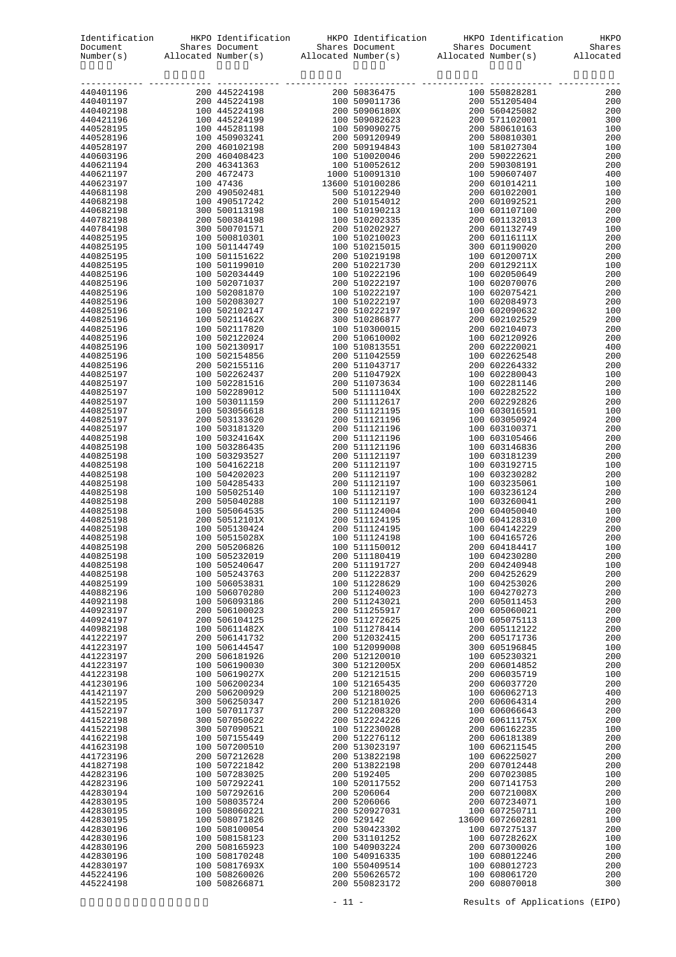|                        | Identification HKPO Identification | HKPO Identification HKPO Identification                                                                                                                                                                                                             |                                | HKPO       |
|------------------------|------------------------------------|-----------------------------------------------------------------------------------------------------------------------------------------------------------------------------------------------------------------------------------------------------|--------------------------------|------------|
|                        |                                    | Document Shares Document Shares Document Shares Document Shares Number (s) allocated Number (s) allocated Number (s) allocated Number (s) allocated Number (s) and $\mathbb{R}$ and $\mathbb{R}$ and $\mathbb{R}$ and $\mathbb{R}$ and $\mathbb{R}$ |                                |            |
|                        |                                    |                                                                                                                                                                                                                                                     |                                |            |
|                        |                                    |                                                                                                                                                                                                                                                     |                                |            |
|                        |                                    |                                                                                                                                                                                                                                                     |                                |            |
|                        |                                    |                                                                                                                                                                                                                                                     |                                |            |
|                        |                                    |                                                                                                                                                                                                                                                     |                                |            |
|                        |                                    |                                                                                                                                                                                                                                                     |                                |            |
|                        |                                    |                                                                                                                                                                                                                                                     |                                |            |
|                        |                                    |                                                                                                                                                                                                                                                     |                                |            |
|                        |                                    |                                                                                                                                                                                                                                                     |                                |            |
|                        |                                    |                                                                                                                                                                                                                                                     |                                |            |
|                        |                                    |                                                                                                                                                                                                                                                     |                                |            |
|                        |                                    |                                                                                                                                                                                                                                                     |                                |            |
|                        |                                    |                                                                                                                                                                                                                                                     |                                |            |
|                        |                                    |                                                                                                                                                                                                                                                     |                                |            |
|                        |                                    |                                                                                                                                                                                                                                                     |                                |            |
|                        |                                    |                                                                                                                                                                                                                                                     |                                |            |
|                        |                                    |                                                                                                                                                                                                                                                     |                                |            |
|                        |                                    |                                                                                                                                                                                                                                                     |                                |            |
|                        |                                    |                                                                                                                                                                                                                                                     |                                |            |
|                        |                                    |                                                                                                                                                                                                                                                     |                                |            |
|                        |                                    |                                                                                                                                                                                                                                                     |                                |            |
|                        |                                    |                                                                                                                                                                                                                                                     |                                |            |
|                        |                                    |                                                                                                                                                                                                                                                     |                                |            |
|                        |                                    |                                                                                                                                                                                                                                                     |                                |            |
|                        |                                    |                                                                                                                                                                                                                                                     |                                |            |
|                        |                                    |                                                                                                                                                                                                                                                     |                                |            |
|                        |                                    |                                                                                                                                                                                                                                                     |                                |            |
|                        |                                    |                                                                                                                                                                                                                                                     |                                |            |
|                        |                                    |                                                                                                                                                                                                                                                     |                                |            |
|                        |                                    |                                                                                                                                                                                                                                                     |                                |            |
|                        |                                    |                                                                                                                                                                                                                                                     |                                |            |
|                        |                                    |                                                                                                                                                                                                                                                     |                                |            |
|                        |                                    |                                                                                                                                                                                                                                                     |                                |            |
|                        |                                    |                                                                                                                                                                                                                                                     |                                |            |
|                        |                                    |                                                                                                                                                                                                                                                     |                                |            |
|                        |                                    |                                                                                                                                                                                                                                                     |                                |            |
|                        |                                    |                                                                                                                                                                                                                                                     |                                |            |
|                        |                                    |                                                                                                                                                                                                                                                     |                                |            |
|                        |                                    |                                                                                                                                                                                                                                                     |                                |            |
|                        |                                    |                                                                                                                                                                                                                                                     |                                |            |
|                        |                                    |                                                                                                                                                                                                                                                     |                                |            |
|                        |                                    |                                                                                                                                                                                                                                                     |                                |            |
|                        |                                    |                                                                                                                                                                                                                                                     |                                |            |
| 440825198              | 200 505206826                      | 100 511150012                                                                                                                                                                                                                                       | 200 604184417                  | 100        |
| 440825198              | 100 505232019                      | 200 511180419                                                                                                                                                                                                                                       | 100 604230280                  | 200        |
| 440825198              | 100 505240647                      | 200 511191727                                                                                                                                                                                                                                       | 200 604240948                  | 100        |
| 440825198              | 100 505243763                      | 200 511222837                                                                                                                                                                                                                                       | 200 604252629                  | 200        |
| 440825199              | 100 506053831                      | 100 511228629                                                                                                                                                                                                                                       | 100 604253026                  | 200        |
| 440882196<br>440921198 | 100 506070280<br>100 506093186     | 200 511240023<br>200 511243021                                                                                                                                                                                                                      | 100 604270273<br>200 605011453 | 200<br>200 |
| 440923197              | 200 506100023                      | 200 511255917                                                                                                                                                                                                                                       | 200 605060021                  | 200        |
| 440924197              | 200 506104125                      | 200 511272625                                                                                                                                                                                                                                       | 100 605075113                  | 200        |
| 440982198              | 100 50611482X                      | 100 511278414                                                                                                                                                                                                                                       | 200 605112122                  | 200        |
| 441222197              | 200 506141732                      | 200 512032415                                                                                                                                                                                                                                       | 200 605171736                  | 200        |
| 441223197<br>441223197 | 100 506144547<br>200 506181926     | 100 512099008<br>200 512120010                                                                                                                                                                                                                      | 300 605196845<br>100 605230321 | 100<br>200 |
| 441223197              | 100 506190030                      | 300 51212005X                                                                                                                                                                                                                                       | 200 606014852                  | 200        |
| 441223198              | 100 50619027X                      | 200 512121515                                                                                                                                                                                                                                       | 200 606035719                  | 100        |
| 441230196              | 100 506200234                      | 100 512165435                                                                                                                                                                                                                                       | 200 606037720                  | 200        |
| 441421197              | 200 506200929                      | 200 512180025                                                                                                                                                                                                                                       | 100 606062713                  | 400        |
| 441522195              | 300 506250347                      | 200 512181026                                                                                                                                                                                                                                       | 200 606064314                  | 200        |
| 441522197              | 100 507011737                      | 200 512208320                                                                                                                                                                                                                                       | 100 606066643                  | 200        |
| 441522198<br>441522198 | 300 507050622<br>300 507090521     | 200 512224226<br>100 512230028                                                                                                                                                                                                                      | 200 60611175X<br>200 606162235 | 200<br>100 |
| 441622198              | 100 507155449                      | 200 512276112                                                                                                                                                                                                                                       | 200 606181389                  | 200        |
| 441623198              | 100 507200510                      | 200 513023197                                                                                                                                                                                                                                       | 100 606211545                  | 200        |
| 441723196              | 200 507212628                      | 200 513822198                                                                                                                                                                                                                                       | 100 606225027                  | 200        |
| 441827198              | 100 507221842                      | 200 513822198                                                                                                                                                                                                                                       | 200 607012448                  | 200        |
| 442823196<br>442823196 | 100 507283025<br>100 507292241     | 200 5192405<br>100 520117552                                                                                                                                                                                                                        | 200 607023085<br>200 607141753 | 100<br>200 |
| 442830194              | 100 507292616                      | 200 5206064                                                                                                                                                                                                                                         | 200 60721008X                  | 200        |
| 442830195              | 100 508035724                      | 200 5206066                                                                                                                                                                                                                                         | 200 607234071                  | 100        |
| 442830195              | 100 508060221                      | 200 520927031                                                                                                                                                                                                                                       | 100 607250711                  | 200        |
| 442830195              | 100 508071826                      | 200 529142                                                                                                                                                                                                                                          | 13600 607260281                | 100        |
| 442830196              | 100 508100054                      | 200 530423302                                                                                                                                                                                                                                       | 100 607275137                  | 200        |
| 442830196<br>442830196 | 100 508158123<br>200 508165923     | 200 531101252<br>100 540903224                                                                                                                                                                                                                      | 100 60728262X<br>200 607300026 | 100<br>100 |
| 442830196              | 100 508170248                      | 100 540916335                                                                                                                                                                                                                                       | 100 608012246                  | 200        |
| 442830197              | 100 50817693X                      | 100 550409514                                                                                                                                                                                                                                       | 100 608012723                  | 200        |
| 445224196              | 100 508260026                      | 200 550626572                                                                                                                                                                                                                                       | 100 608061720                  | 200        |
| 445224198              | 100 508266871                      | 200 550823172                                                                                                                                                                                                                                       | 200 608070018                  | 300        |

### - 11 - Results of Applications (EIPO)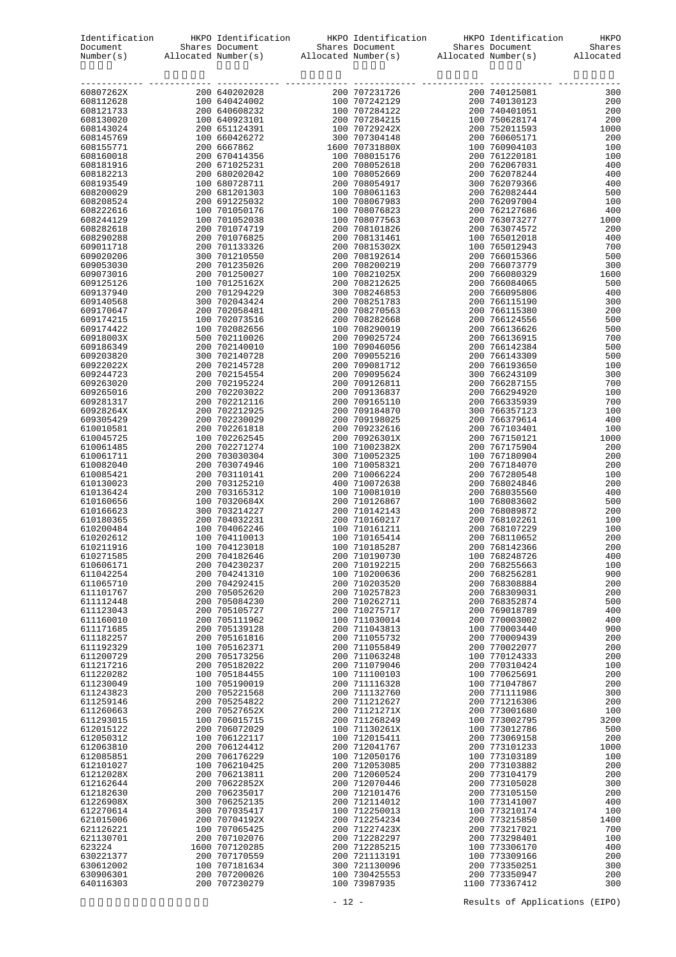|                        |                                | Tdentification HKPO Identification HKPO Identification HKPO Identification HKPO Identification HKPO Document Shares Document Shares Document Shares Number(s) Allocated Number(s) and Allocated Number(s) and Allocated Number |                                |             |
|------------------------|--------------------------------|--------------------------------------------------------------------------------------------------------------------------------------------------------------------------------------------------------------------------------|--------------------------------|-------------|
|                        |                                |                                                                                                                                                                                                                                |                                |             |
|                        |                                |                                                                                                                                                                                                                                |                                |             |
|                        |                                |                                                                                                                                                                                                                                |                                |             |
|                        |                                |                                                                                                                                                                                                                                |                                |             |
|                        |                                |                                                                                                                                                                                                                                |                                |             |
|                        |                                |                                                                                                                                                                                                                                |                                |             |
|                        |                                |                                                                                                                                                                                                                                |                                |             |
|                        |                                |                                                                                                                                                                                                                                |                                |             |
|                        |                                |                                                                                                                                                                                                                                |                                |             |
|                        |                                |                                                                                                                                                                                                                                |                                |             |
|                        |                                |                                                                                                                                                                                                                                |                                |             |
|                        |                                |                                                                                                                                                                                                                                |                                |             |
|                        |                                |                                                                                                                                                                                                                                |                                |             |
|                        |                                |                                                                                                                                                                                                                                |                                |             |
|                        |                                |                                                                                                                                                                                                                                |                                |             |
|                        |                                |                                                                                                                                                                                                                                |                                |             |
|                        |                                |                                                                                                                                                                                                                                |                                |             |
|                        |                                |                                                                                                                                                                                                                                |                                |             |
|                        |                                |                                                                                                                                                                                                                                |                                |             |
|                        |                                |                                                                                                                                                                                                                                |                                |             |
|                        |                                |                                                                                                                                                                                                                                |                                |             |
|                        |                                |                                                                                                                                                                                                                                |                                |             |
|                        |                                |                                                                                                                                                                                                                                |                                |             |
|                        |                                |                                                                                                                                                                                                                                |                                |             |
|                        |                                |                                                                                                                                                                                                                                |                                |             |
|                        |                                |                                                                                                                                                                                                                                |                                |             |
|                        |                                |                                                                                                                                                                                                                                |                                |             |
|                        |                                |                                                                                                                                                                                                                                |                                |             |
|                        |                                |                                                                                                                                                                                                                                |                                |             |
|                        |                                |                                                                                                                                                                                                                                |                                |             |
|                        |                                |                                                                                                                                                                                                                                |                                |             |
|                        |                                |                                                                                                                                                                                                                                |                                |             |
|                        |                                |                                                                                                                                                                                                                                |                                |             |
|                        |                                |                                                                                                                                                                                                                                |                                |             |
|                        |                                |                                                                                                                                                                                                                                |                                |             |
|                        |                                |                                                                                                                                                                                                                                |                                |             |
|                        |                                |                                                                                                                                                                                                                                |                                |             |
|                        |                                |                                                                                                                                                                                                                                |                                |             |
|                        |                                |                                                                                                                                                                                                                                |                                |             |
|                        |                                |                                                                                                                                                                                                                                |                                |             |
| 610211916              | 100 704123018                  | 100 710185287                                                                                                                                                                                                                  | 200 768142366                  | 200         |
| 610271585<br>610606171 | 200 704182646<br>200 704230237 | 200 710190730<br>200 710192215                                                                                                                                                                                                 | 100 768248726<br>200 768255663 | 400<br>100  |
| 611042254              | 200 704241310                  | 100 710200636                                                                                                                                                                                                                  | 200 768256281                  | 900         |
| 611065710              | 200 704292415                  | 200 710203520                                                                                                                                                                                                                  | 200 768308884                  | 200         |
| 611101767<br>611112448 | 200 705052620<br>200 705084230 | 200 710257823<br>200 710262711                                                                                                                                                                                                 | 200 768309031<br>200 768352874 | 200<br>500  |
| 611123043              | 200 705105727                  | 200 710275717                                                                                                                                                                                                                  | 200 769018789                  | 400         |
| 611160010              | 200 705111962                  | 100 711030014                                                                                                                                                                                                                  | 200 770003002                  | 400         |
| 611171685<br>611182257 | 200 705139128<br>200 705161816 | 200 711043813<br>200 711055732                                                                                                                                                                                                 | 100 770003440<br>200 770009439 | 900<br>200  |
| 611192329              | 100 705162371                  | 200 711055849                                                                                                                                                                                                                  | 200 770022077                  | 200         |
| 611200729              | 200 705173256                  | 200 711063248                                                                                                                                                                                                                  | 100 770124333                  | 200         |
| 611217216              | 200 705182022                  | 200 711079046                                                                                                                                                                                                                  | 200 770310424                  | 100         |
| 611220282<br>611230049 | 100 705184455<br>100 705190019 | 100 711100103<br>200 711116328                                                                                                                                                                                                 | 100 770625691<br>100 771047867 | 200<br>200  |
| 611243823              | 200 705221568                  | 200 711132760                                                                                                                                                                                                                  | 200 771111986                  | 300         |
| 611259146              | 200 705254822                  | 200 711212627                                                                                                                                                                                                                  | 200 771216306                  | 200         |
| 611260663<br>611293015 | 200 70527652X<br>100 706015715 | 200 71121271X<br>200 711268249                                                                                                                                                                                                 | 200 773001680<br>100 773002795 | 100<br>3200 |
| 612015122              | 200 706072029                  | 100 71130261X                                                                                                                                                                                                                  | 100 773012786                  | 500         |
| 612050312              | 100 706122117                  | 100 712015411                                                                                                                                                                                                                  | 200 773069158                  | 200         |
| 612063810<br>612085851 | 200 706124412<br>200 706176229 | 200 712041767<br>100 712050176                                                                                                                                                                                                 | 200 773101233<br>100 773103189 | 1000<br>100 |
| 612101027              | 100 706210425                  | 200 712053085                                                                                                                                                                                                                  | 200 773103882                  | 200         |
| 61212028X              | 200 706213811                  | 200 712060524                                                                                                                                                                                                                  | 200 773104179                  | 200         |
| 612162644<br>612182630 | 200 70622852X<br>200 706235017 | 200 712070446<br>200 712101476                                                                                                                                                                                                 | 200 773105028<br>200 773105150 | 300<br>200  |
| 61226908X              | 300 706252135                  | 200 712114012                                                                                                                                                                                                                  | 100 773141007                  | 400         |
| 612270614              | 300 707035417                  | 100 712250013                                                                                                                                                                                                                  | 100 773210174                  | 100         |
| 621015006              | 200 70704192X                  | 200 712254234                                                                                                                                                                                                                  | 200 773215850                  | 1400<br>700 |
| 621126221<br>621130701 | 100 707065425<br>200 707102076 | 200 71227423X<br>200 712282297                                                                                                                                                                                                 | 200 773217021<br>200 773298401 | 100         |
| 623224                 | 1600 707120285                 | 200 712285215                                                                                                                                                                                                                  | 100 773306170                  | 400         |
| 630221377              | 200 707170559                  | 200 721113191                                                                                                                                                                                                                  | 100 773309166                  | 200         |
| 630612002<br>630906301 | 100 707181634<br>200 707200026 | 300 721130096<br>100 730425553                                                                                                                                                                                                 | 200 773350251<br>200 773350947 | 300<br>200  |
| 640116303              | 200 707230279                  | 100 73987935                                                                                                                                                                                                                   | 1100 773367412                 | 300         |

- 12 - Results of Applications (EIPO)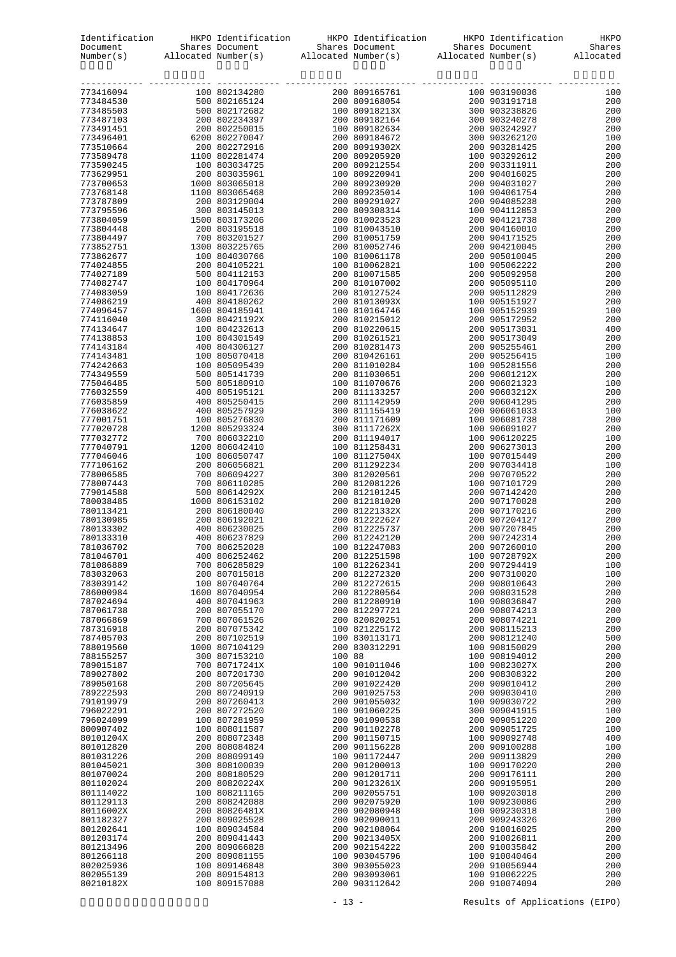|                        | Identification HKPO Identification HKPO Identification HKPO Identification |        |                                |                                                                                                                                                                                                                                                                                                                                                                                                                                                                                                  | HKPO       |
|------------------------|----------------------------------------------------------------------------|--------|--------------------------------|--------------------------------------------------------------------------------------------------------------------------------------------------------------------------------------------------------------------------------------------------------------------------------------------------------------------------------------------------------------------------------------------------------------------------------------------------------------------------------------------------|------------|
|                        |                                                                            |        |                                | $\begin{minipage}[c]{0.9\textwidth} \begin{minipage}[c]{0.9\textwidth} \begin{minipage}[c]{0.9\textwidth} \begin{minipage}[c]{0.9\textwidth} \begin{minipage}[c]{0.9\textwidth} \begin{minipage}[c]{0.9\textwidth} \begin{minipage}[c]{0.9\textwidth} \begin{minipage}[c]{0.9\textwidth} \begin{minipage}[c]{0.9\textwidth} \begin{minipage}[c]{0.9\textwidth} \begin{minipage}[c]{0.9\textwidth} \begin{minipage}[c]{0.9\textwidth} \begin{minipage}[c]{0.9\textwidth} \begin{minipage}[c]{0.9$ |            |
|                        |                                                                            |        |                                |                                                                                                                                                                                                                                                                                                                                                                                                                                                                                                  |            |
|                        |                                                                            |        |                                |                                                                                                                                                                                                                                                                                                                                                                                                                                                                                                  |            |
|                        |                                                                            |        |                                |                                                                                                                                                                                                                                                                                                                                                                                                                                                                                                  |            |
|                        |                                                                            |        |                                |                                                                                                                                                                                                                                                                                                                                                                                                                                                                                                  |            |
|                        |                                                                            |        |                                |                                                                                                                                                                                                                                                                                                                                                                                                                                                                                                  |            |
|                        |                                                                            |        |                                |                                                                                                                                                                                                                                                                                                                                                                                                                                                                                                  |            |
|                        |                                                                            |        |                                |                                                                                                                                                                                                                                                                                                                                                                                                                                                                                                  |            |
|                        |                                                                            |        |                                |                                                                                                                                                                                                                                                                                                                                                                                                                                                                                                  |            |
|                        |                                                                            |        |                                |                                                                                                                                                                                                                                                                                                                                                                                                                                                                                                  |            |
|                        |                                                                            |        |                                |                                                                                                                                                                                                                                                                                                                                                                                                                                                                                                  |            |
|                        |                                                                            |        |                                |                                                                                                                                                                                                                                                                                                                                                                                                                                                                                                  |            |
|                        |                                                                            |        |                                |                                                                                                                                                                                                                                                                                                                                                                                                                                                                                                  |            |
|                        |                                                                            |        |                                |                                                                                                                                                                                                                                                                                                                                                                                                                                                                                                  |            |
|                        |                                                                            |        |                                |                                                                                                                                                                                                                                                                                                                                                                                                                                                                                                  |            |
|                        |                                                                            |        |                                |                                                                                                                                                                                                                                                                                                                                                                                                                                                                                                  |            |
|                        |                                                                            |        |                                |                                                                                                                                                                                                                                                                                                                                                                                                                                                                                                  |            |
|                        |                                                                            |        |                                |                                                                                                                                                                                                                                                                                                                                                                                                                                                                                                  |            |
|                        |                                                                            |        |                                |                                                                                                                                                                                                                                                                                                                                                                                                                                                                                                  |            |
|                        |                                                                            |        |                                |                                                                                                                                                                                                                                                                                                                                                                                                                                                                                                  |            |
|                        |                                                                            |        |                                |                                                                                                                                                                                                                                                                                                                                                                                                                                                                                                  |            |
|                        |                                                                            |        |                                |                                                                                                                                                                                                                                                                                                                                                                                                                                                                                                  |            |
|                        |                                                                            |        |                                |                                                                                                                                                                                                                                                                                                                                                                                                                                                                                                  |            |
|                        |                                                                            |        |                                |                                                                                                                                                                                                                                                                                                                                                                                                                                                                                                  |            |
|                        |                                                                            |        |                                |                                                                                                                                                                                                                                                                                                                                                                                                                                                                                                  |            |
|                        |                                                                            |        |                                |                                                                                                                                                                                                                                                                                                                                                                                                                                                                                                  |            |
|                        |                                                                            |        |                                |                                                                                                                                                                                                                                                                                                                                                                                                                                                                                                  |            |
|                        |                                                                            |        |                                |                                                                                                                                                                                                                                                                                                                                                                                                                                                                                                  |            |
|                        |                                                                            |        |                                |                                                                                                                                                                                                                                                                                                                                                                                                                                                                                                  |            |
|                        |                                                                            |        |                                |                                                                                                                                                                                                                                                                                                                                                                                                                                                                                                  |            |
|                        |                                                                            |        |                                |                                                                                                                                                                                                                                                                                                                                                                                                                                                                                                  |            |
|                        |                                                                            |        |                                |                                                                                                                                                                                                                                                                                                                                                                                                                                                                                                  |            |
|                        |                                                                            |        |                                |                                                                                                                                                                                                                                                                                                                                                                                                                                                                                                  |            |
|                        |                                                                            |        |                                |                                                                                                                                                                                                                                                                                                                                                                                                                                                                                                  |            |
|                        |                                                                            |        |                                |                                                                                                                                                                                                                                                                                                                                                                                                                                                                                                  |            |
|                        |                                                                            |        |                                |                                                                                                                                                                                                                                                                                                                                                                                                                                                                                                  |            |
|                        |                                                                            |        |                                |                                                                                                                                                                                                                                                                                                                                                                                                                                                                                                  |            |
|                        |                                                                            |        |                                |                                                                                                                                                                                                                                                                                                                                                                                                                                                                                                  |            |
|                        |                                                                            |        |                                |                                                                                                                                                                                                                                                                                                                                                                                                                                                                                                  |            |
|                        |                                                                            |        |                                |                                                                                                                                                                                                                                                                                                                                                                                                                                                                                                  |            |
|                        |                                                                            |        |                                |                                                                                                                                                                                                                                                                                                                                                                                                                                                                                                  |            |
|                        |                                                                            |        |                                |                                                                                                                                                                                                                                                                                                                                                                                                                                                                                                  |            |
|                        |                                                                            |        |                                |                                                                                                                                                                                                                                                                                                                                                                                                                                                                                                  |            |
|                        |                                                                            |        |                                |                                                                                                                                                                                                                                                                                                                                                                                                                                                                                                  |            |
|                        |                                                                            |        |                                |                                                                                                                                                                                                                                                                                                                                                                                                                                                                                                  |            |
| 781036702              | 700 806252028                                                              |        | 100 812247083                  | 200 907260010                                                                                                                                                                                                                                                                                                                                                                                                                                                                                    | 200        |
| 781046701              | 400 806252462                                                              |        | 200 812251598                  | 100 90728792X                                                                                                                                                                                                                                                                                                                                                                                                                                                                                    | 200        |
| 781086889              | 700 806285829                                                              |        | 100 812262341                  | 200 907294419                                                                                                                                                                                                                                                                                                                                                                                                                                                                                    | 100        |
| 783032063              | 200 807015018                                                              |        | 200 812272320                  | 200 907310020                                                                                                                                                                                                                                                                                                                                                                                                                                                                                    | 100        |
| 783039142<br>786000984 | 100 807040764<br>1600 807040954                                            |        | 200 812272615<br>200 812280564 | 200 908010643<br>200 908031528                                                                                                                                                                                                                                                                                                                                                                                                                                                                   | 200<br>200 |
| 787024694              | 400 807041963                                                              |        | 200 812280910                  | 100 908036847                                                                                                                                                                                                                                                                                                                                                                                                                                                                                    | 200        |
| 787061738              | 200 807055170                                                              |        | 200 812297721                  | 200 908074213                                                                                                                                                                                                                                                                                                                                                                                                                                                                                    | 200        |
| 787066869              | 700 807061526                                                              |        | 200 820820251                  | 200 908074221                                                                                                                                                                                                                                                                                                                                                                                                                                                                                    | 200        |
| 787316918              | 200 807075342                                                              |        | 100 821225172                  | 200 908115213                                                                                                                                                                                                                                                                                                                                                                                                                                                                                    | 200        |
| 787405703              | 200 807102519<br>1000 807104129                                            |        | 100 830113171                  | 200 908121240                                                                                                                                                                                                                                                                                                                                                                                                                                                                                    | 500        |
| 788019560<br>788155257 | 300 807153210                                                              | 100 88 | 200 830312291                  | 100 908150029<br>100 908194012                                                                                                                                                                                                                                                                                                                                                                                                                                                                   | 200<br>200 |
| 789015187              | 700 80717241X                                                              |        | 100 901011046                  | 100 90823027X                                                                                                                                                                                                                                                                                                                                                                                                                                                                                    | 200        |
| 789027802              | 200 807201730                                                              |        | 200 901012042                  | 200 908308322                                                                                                                                                                                                                                                                                                                                                                                                                                                                                    | 200        |
| 789050168              | 200 807205645                                                              |        | 200 901022420                  | 200 909010412                                                                                                                                                                                                                                                                                                                                                                                                                                                                                    | 200        |
| 789222593              | 200 807240919                                                              |        | 200 901025753                  | 200 909030410                                                                                                                                                                                                                                                                                                                                                                                                                                                                                    | 200        |
| 791019979              | 200 807260413                                                              |        | 200 901055032                  | 100 909030722                                                                                                                                                                                                                                                                                                                                                                                                                                                                                    | 200        |
| 796022291              | 200 807272520                                                              |        | 100 901060225                  | 300 909041915                                                                                                                                                                                                                                                                                                                                                                                                                                                                                    | 100        |
| 796024099<br>800907402 | 100 807281959<br>100 808011587                                             |        | 200 901090538<br>200 901102278 | 200 909051220<br>200 909051725                                                                                                                                                                                                                                                                                                                                                                                                                                                                   | 200<br>100 |
| 80101204X              | 200 808072348                                                              |        | 200 901150715                  | 100 909092748                                                                                                                                                                                                                                                                                                                                                                                                                                                                                    | 400        |
| 801012820              | 200 808084824                                                              |        | 200 901156228                  | 200 909100288                                                                                                                                                                                                                                                                                                                                                                                                                                                                                    | 100        |
| 801031226              | 200 808099149                                                              |        | 100 901172447                  | 200 909113829                                                                                                                                                                                                                                                                                                                                                                                                                                                                                    | 200        |
| 801045021              | 300 808100039                                                              |        | 200 901200013                  | 100 909170220                                                                                                                                                                                                                                                                                                                                                                                                                                                                                    | 200        |
| 801070024              | 200 808180529                                                              |        | 200 901201711                  | 200 909176111                                                                                                                                                                                                                                                                                                                                                                                                                                                                                    | 200        |
| 801102024              | 200 80820224X                                                              |        | 200 90123261X                  | 200 909195951                                                                                                                                                                                                                                                                                                                                                                                                                                                                                    | 200        |
| 801114022<br>801129113 | 100 808211165<br>200 808242088                                             |        | 200 902055751<br>200 902075920 | 100 909203018<br>100 909230086                                                                                                                                                                                                                                                                                                                                                                                                                                                                   | 200<br>200 |
| 80116002X              | 200 80826481X                                                              |        | 200 902080948                  | 100 909230318                                                                                                                                                                                                                                                                                                                                                                                                                                                                                    | 100        |
| 801182327              | 200 809025528                                                              |        | 200 902090011                  | 200 909243326                                                                                                                                                                                                                                                                                                                                                                                                                                                                                    | 200        |
| 801202641              | 100 809034584                                                              |        | 200 902108064                  | 200 910016025                                                                                                                                                                                                                                                                                                                                                                                                                                                                                    | 200        |
| 801203174              | 200 809041443                                                              |        | 200 90213405X                  | 200 910026811                                                                                                                                                                                                                                                                                                                                                                                                                                                                                    | 200        |
| 801213496              | 200 809066828                                                              |        | 200 902154222                  | 200 910035842                                                                                                                                                                                                                                                                                                                                                                                                                                                                                    | 200        |
| 801266118              | 200 809081155                                                              |        | 100 903045796                  | 100 910040464                                                                                                                                                                                                                                                                                                                                                                                                                                                                                    | 200        |
| 802025936<br>802055139 | 100 809146848<br>200 809154813                                             |        | 300 903055023<br>200 903093061 | 200 910056944<br>100 910062225                                                                                                                                                                                                                                                                                                                                                                                                                                                                   | 200<br>200 |
| 80210182X              | 100 809157088                                                              |        | 200 903112642                  | 200 910074094                                                                                                                                                                                                                                                                                                                                                                                                                                                                                    | 200        |
|                        |                                                                            |        |                                |                                                                                                                                                                                                                                                                                                                                                                                                                                                                                                  |            |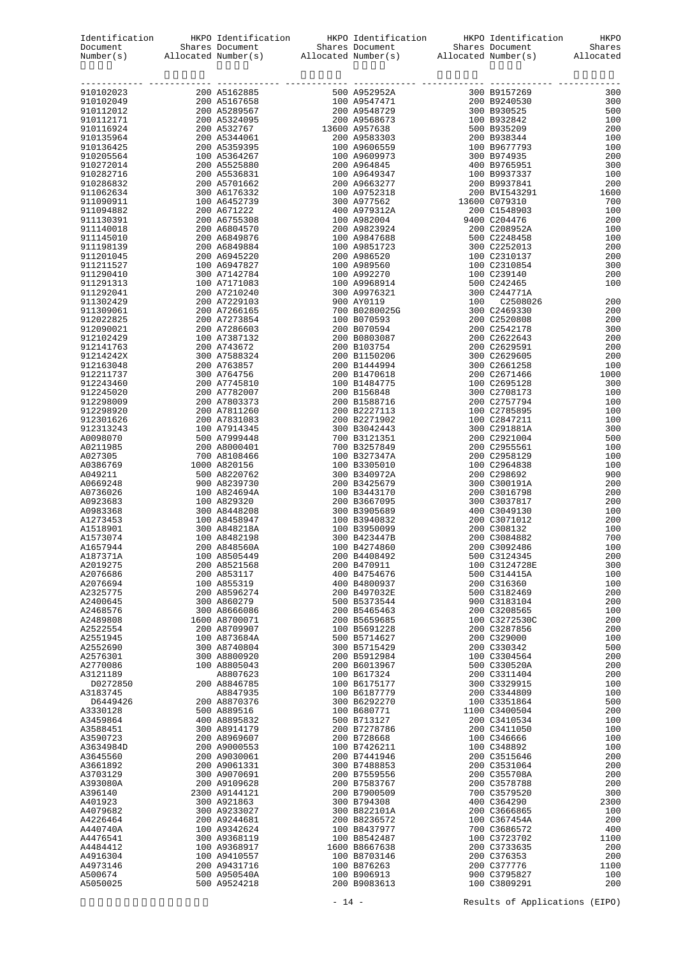| Identification HKPO Identification HKPO Identification HKPO Identification HKPO Identification HKPO Document Shares Document Shares Document Shares Number(s) Allocated Number(s) and Allocated Number(s) and Allocated Number<br>A1657944<br>200 A848560A<br>100 B4274860<br>200 C3092486<br>100<br>100 A8505449<br>200 B4408492<br>500 C3124345<br>A187371A<br>200<br>200 A8521568<br>100 C3124728E<br>A2019275<br>200 B470911<br>300<br>A2076686<br>200 A853117<br>400 B4754676<br>500 C314415A<br>100<br>100 A855319<br>400 B4800937<br>200 C316360<br>100<br>A2076694<br>200 A8596274<br>A2325775<br>200 B497032E<br>500 C3182469<br>200<br>300 A860279<br>500 B5373544<br>900 C3183104<br>200<br>A2400645<br>300 A8666086<br>200 B5465463<br>200 C3208565<br>100<br>A2468576<br>A2489808<br>1600 A8700071<br>200 B5659685<br>100 C3272530C<br>200 |  |  |  |
|---------------------------------------------------------------------------------------------------------------------------------------------------------------------------------------------------------------------------------------------------------------------------------------------------------------------------------------------------------------------------------------------------------------------------------------------------------------------------------------------------------------------------------------------------------------------------------------------------------------------------------------------------------------------------------------------------------------------------------------------------------------------------------------------------------------------------------------------------------|--|--|--|
|                                                                                                                                                                                                                                                                                                                                                                                                                                                                                                                                                                                                                                                                                                                                                                                                                                                         |  |  |  |
|                                                                                                                                                                                                                                                                                                                                                                                                                                                                                                                                                                                                                                                                                                                                                                                                                                                         |  |  |  |
|                                                                                                                                                                                                                                                                                                                                                                                                                                                                                                                                                                                                                                                                                                                                                                                                                                                         |  |  |  |
|                                                                                                                                                                                                                                                                                                                                                                                                                                                                                                                                                                                                                                                                                                                                                                                                                                                         |  |  |  |
|                                                                                                                                                                                                                                                                                                                                                                                                                                                                                                                                                                                                                                                                                                                                                                                                                                                         |  |  |  |
|                                                                                                                                                                                                                                                                                                                                                                                                                                                                                                                                                                                                                                                                                                                                                                                                                                                         |  |  |  |
|                                                                                                                                                                                                                                                                                                                                                                                                                                                                                                                                                                                                                                                                                                                                                                                                                                                         |  |  |  |
|                                                                                                                                                                                                                                                                                                                                                                                                                                                                                                                                                                                                                                                                                                                                                                                                                                                         |  |  |  |
|                                                                                                                                                                                                                                                                                                                                                                                                                                                                                                                                                                                                                                                                                                                                                                                                                                                         |  |  |  |
|                                                                                                                                                                                                                                                                                                                                                                                                                                                                                                                                                                                                                                                                                                                                                                                                                                                         |  |  |  |
|                                                                                                                                                                                                                                                                                                                                                                                                                                                                                                                                                                                                                                                                                                                                                                                                                                                         |  |  |  |
|                                                                                                                                                                                                                                                                                                                                                                                                                                                                                                                                                                                                                                                                                                                                                                                                                                                         |  |  |  |
|                                                                                                                                                                                                                                                                                                                                                                                                                                                                                                                                                                                                                                                                                                                                                                                                                                                         |  |  |  |
|                                                                                                                                                                                                                                                                                                                                                                                                                                                                                                                                                                                                                                                                                                                                                                                                                                                         |  |  |  |
|                                                                                                                                                                                                                                                                                                                                                                                                                                                                                                                                                                                                                                                                                                                                                                                                                                                         |  |  |  |
|                                                                                                                                                                                                                                                                                                                                                                                                                                                                                                                                                                                                                                                                                                                                                                                                                                                         |  |  |  |
|                                                                                                                                                                                                                                                                                                                                                                                                                                                                                                                                                                                                                                                                                                                                                                                                                                                         |  |  |  |
|                                                                                                                                                                                                                                                                                                                                                                                                                                                                                                                                                                                                                                                                                                                                                                                                                                                         |  |  |  |
|                                                                                                                                                                                                                                                                                                                                                                                                                                                                                                                                                                                                                                                                                                                                                                                                                                                         |  |  |  |
|                                                                                                                                                                                                                                                                                                                                                                                                                                                                                                                                                                                                                                                                                                                                                                                                                                                         |  |  |  |
|                                                                                                                                                                                                                                                                                                                                                                                                                                                                                                                                                                                                                                                                                                                                                                                                                                                         |  |  |  |
|                                                                                                                                                                                                                                                                                                                                                                                                                                                                                                                                                                                                                                                                                                                                                                                                                                                         |  |  |  |
|                                                                                                                                                                                                                                                                                                                                                                                                                                                                                                                                                                                                                                                                                                                                                                                                                                                         |  |  |  |
|                                                                                                                                                                                                                                                                                                                                                                                                                                                                                                                                                                                                                                                                                                                                                                                                                                                         |  |  |  |
|                                                                                                                                                                                                                                                                                                                                                                                                                                                                                                                                                                                                                                                                                                                                                                                                                                                         |  |  |  |
|                                                                                                                                                                                                                                                                                                                                                                                                                                                                                                                                                                                                                                                                                                                                                                                                                                                         |  |  |  |
|                                                                                                                                                                                                                                                                                                                                                                                                                                                                                                                                                                                                                                                                                                                                                                                                                                                         |  |  |  |
|                                                                                                                                                                                                                                                                                                                                                                                                                                                                                                                                                                                                                                                                                                                                                                                                                                                         |  |  |  |
|                                                                                                                                                                                                                                                                                                                                                                                                                                                                                                                                                                                                                                                                                                                                                                                                                                                         |  |  |  |
|                                                                                                                                                                                                                                                                                                                                                                                                                                                                                                                                                                                                                                                                                                                                                                                                                                                         |  |  |  |
|                                                                                                                                                                                                                                                                                                                                                                                                                                                                                                                                                                                                                                                                                                                                                                                                                                                         |  |  |  |
|                                                                                                                                                                                                                                                                                                                                                                                                                                                                                                                                                                                                                                                                                                                                                                                                                                                         |  |  |  |
|                                                                                                                                                                                                                                                                                                                                                                                                                                                                                                                                                                                                                                                                                                                                                                                                                                                         |  |  |  |
|                                                                                                                                                                                                                                                                                                                                                                                                                                                                                                                                                                                                                                                                                                                                                                                                                                                         |  |  |  |
|                                                                                                                                                                                                                                                                                                                                                                                                                                                                                                                                                                                                                                                                                                                                                                                                                                                         |  |  |  |
|                                                                                                                                                                                                                                                                                                                                                                                                                                                                                                                                                                                                                                                                                                                                                                                                                                                         |  |  |  |
|                                                                                                                                                                                                                                                                                                                                                                                                                                                                                                                                                                                                                                                                                                                                                                                                                                                         |  |  |  |
|                                                                                                                                                                                                                                                                                                                                                                                                                                                                                                                                                                                                                                                                                                                                                                                                                                                         |  |  |  |
|                                                                                                                                                                                                                                                                                                                                                                                                                                                                                                                                                                                                                                                                                                                                                                                                                                                         |  |  |  |
|                                                                                                                                                                                                                                                                                                                                                                                                                                                                                                                                                                                                                                                                                                                                                                                                                                                         |  |  |  |
|                                                                                                                                                                                                                                                                                                                                                                                                                                                                                                                                                                                                                                                                                                                                                                                                                                                         |  |  |  |
|                                                                                                                                                                                                                                                                                                                                                                                                                                                                                                                                                                                                                                                                                                                                                                                                                                                         |  |  |  |
|                                                                                                                                                                                                                                                                                                                                                                                                                                                                                                                                                                                                                                                                                                                                                                                                                                                         |  |  |  |
|                                                                                                                                                                                                                                                                                                                                                                                                                                                                                                                                                                                                                                                                                                                                                                                                                                                         |  |  |  |
|                                                                                                                                                                                                                                                                                                                                                                                                                                                                                                                                                                                                                                                                                                                                                                                                                                                         |  |  |  |
|                                                                                                                                                                                                                                                                                                                                                                                                                                                                                                                                                                                                                                                                                                                                                                                                                                                         |  |  |  |
|                                                                                                                                                                                                                                                                                                                                                                                                                                                                                                                                                                                                                                                                                                                                                                                                                                                         |  |  |  |
|                                                                                                                                                                                                                                                                                                                                                                                                                                                                                                                                                                                                                                                                                                                                                                                                                                                         |  |  |  |
|                                                                                                                                                                                                                                                                                                                                                                                                                                                                                                                                                                                                                                                                                                                                                                                                                                                         |  |  |  |
|                                                                                                                                                                                                                                                                                                                                                                                                                                                                                                                                                                                                                                                                                                                                                                                                                                                         |  |  |  |
|                                                                                                                                                                                                                                                                                                                                                                                                                                                                                                                                                                                                                                                                                                                                                                                                                                                         |  |  |  |
|                                                                                                                                                                                                                                                                                                                                                                                                                                                                                                                                                                                                                                                                                                                                                                                                                                                         |  |  |  |
|                                                                                                                                                                                                                                                                                                                                                                                                                                                                                                                                                                                                                                                                                                                                                                                                                                                         |  |  |  |
|                                                                                                                                                                                                                                                                                                                                                                                                                                                                                                                                                                                                                                                                                                                                                                                                                                                         |  |  |  |
|                                                                                                                                                                                                                                                                                                                                                                                                                                                                                                                                                                                                                                                                                                                                                                                                                                                         |  |  |  |
|                                                                                                                                                                                                                                                                                                                                                                                                                                                                                                                                                                                                                                                                                                                                                                                                                                                         |  |  |  |
|                                                                                                                                                                                                                                                                                                                                                                                                                                                                                                                                                                                                                                                                                                                                                                                                                                                         |  |  |  |
| A2522554<br>200 A8709907<br>100 B5691228<br>200 C3287856<br>200                                                                                                                                                                                                                                                                                                                                                                                                                                                                                                                                                                                                                                                                                                                                                                                         |  |  |  |
| 100 A873684A<br>500 B5714627<br>200 C329000<br>100<br>A2551945                                                                                                                                                                                                                                                                                                                                                                                                                                                                                                                                                                                                                                                                                                                                                                                          |  |  |  |
| A2552690<br>300 A8740804<br>300 B5715429<br>200 C330342<br>500                                                                                                                                                                                                                                                                                                                                                                                                                                                                                                                                                                                                                                                                                                                                                                                          |  |  |  |
| A2576301<br>300 A8800920<br>200 B5912984<br>100 C3304564<br>200                                                                                                                                                                                                                                                                                                                                                                                                                                                                                                                                                                                                                                                                                                                                                                                         |  |  |  |
| 100 A8805043<br>200 B6013967<br>500 C330520A<br>200<br>A2770086                                                                                                                                                                                                                                                                                                                                                                                                                                                                                                                                                                                                                                                                                                                                                                                         |  |  |  |
| A3121189<br>A8807623<br>100 B617324<br>200 C3311404<br>200                                                                                                                                                                                                                                                                                                                                                                                                                                                                                                                                                                                                                                                                                                                                                                                              |  |  |  |
| D0272850<br>200 A8846785<br>100 B6175177<br>300 C3329915<br>100<br>A8847935<br>100                                                                                                                                                                                                                                                                                                                                                                                                                                                                                                                                                                                                                                                                                                                                                                      |  |  |  |
| 200 C3344809<br>A3183745<br>100 B6187779<br>D6449426<br>200 A8870376<br>300 B6292270<br>100 C3351864<br>500                                                                                                                                                                                                                                                                                                                                                                                                                                                                                                                                                                                                                                                                                                                                             |  |  |  |
| A3330128<br>500 A889516<br>100 B680771<br>1100 C3400504<br>200                                                                                                                                                                                                                                                                                                                                                                                                                                                                                                                                                                                                                                                                                                                                                                                          |  |  |  |
| 400 A8895832<br>500 B713127<br>200 C3410534<br>100<br>A3459864                                                                                                                                                                                                                                                                                                                                                                                                                                                                                                                                                                                                                                                                                                                                                                                          |  |  |  |
| 300 A8914179<br>200 B7278786<br>200 C3411050<br>100<br>A3588451                                                                                                                                                                                                                                                                                                                                                                                                                                                                                                                                                                                                                                                                                                                                                                                         |  |  |  |
| 200 A8969607<br>200 B728668<br>100 C346666<br>100<br>A3590723                                                                                                                                                                                                                                                                                                                                                                                                                                                                                                                                                                                                                                                                                                                                                                                           |  |  |  |
| 200 A9000553<br>100 B7426211<br>100 C348892<br>100<br>A3634984D                                                                                                                                                                                                                                                                                                                                                                                                                                                                                                                                                                                                                                                                                                                                                                                         |  |  |  |
| 200 A9030061<br>200 B7441946<br>200 C3515646<br>200<br>A3645560                                                                                                                                                                                                                                                                                                                                                                                                                                                                                                                                                                                                                                                                                                                                                                                         |  |  |  |
| 200 A9061331<br>300 B7488853<br>200 C3531064<br>200<br>A3661892                                                                                                                                                                                                                                                                                                                                                                                                                                                                                                                                                                                                                                                                                                                                                                                         |  |  |  |
| 300 A9070691<br>200 B7559556<br>200 C355708A<br>200<br>A3703129                                                                                                                                                                                                                                                                                                                                                                                                                                                                                                                                                                                                                                                                                                                                                                                         |  |  |  |
| 200 A9109628<br>200 B7583767<br>200 C3578788<br>200<br>A393080A                                                                                                                                                                                                                                                                                                                                                                                                                                                                                                                                                                                                                                                                                                                                                                                         |  |  |  |
| 2300 A9144121<br>200 B7900509<br>700 C3579520<br>300<br>A396140                                                                                                                                                                                                                                                                                                                                                                                                                                                                                                                                                                                                                                                                                                                                                                                         |  |  |  |
| 300 A921863<br>300 B794308<br>400 C364290<br>A401923<br>2300                                                                                                                                                                                                                                                                                                                                                                                                                                                                                                                                                                                                                                                                                                                                                                                            |  |  |  |
| 300 A9233027<br>300 B822101A<br>200 C3666865<br>100<br>A4079682                                                                                                                                                                                                                                                                                                                                                                                                                                                                                                                                                                                                                                                                                                                                                                                         |  |  |  |
| 200 A9244681<br>200 B8236572<br>100 C367454A<br>200<br>A4226464                                                                                                                                                                                                                                                                                                                                                                                                                                                                                                                                                                                                                                                                                                                                                                                         |  |  |  |
| 100 A9342624<br>100 B8437977<br>700 C3686572<br>400<br>A440740A                                                                                                                                                                                                                                                                                                                                                                                                                                                                                                                                                                                                                                                                                                                                                                                         |  |  |  |
| A4476541<br>300 A9368119<br>100 B8542487<br>100 C3723702<br>1100<br>100 A9368917<br>1600 B8667638<br>200 C3733635<br>200                                                                                                                                                                                                                                                                                                                                                                                                                                                                                                                                                                                                                                                                                                                                |  |  |  |
| A4484412<br>100 A9410557<br>100 B8703146<br>200 C376353<br>200<br>A4916304                                                                                                                                                                                                                                                                                                                                                                                                                                                                                                                                                                                                                                                                                                                                                                              |  |  |  |
| A4973146<br>200 A9431716<br>100 B876263<br>200 C377776<br>1100                                                                                                                                                                                                                                                                                                                                                                                                                                                                                                                                                                                                                                                                                                                                                                                          |  |  |  |
| A500674<br>500 A950540A<br>100 B906913<br>900 C3795827<br>100                                                                                                                                                                                                                                                                                                                                                                                                                                                                                                                                                                                                                                                                                                                                                                                           |  |  |  |
| 100 C3809291<br>200<br>A5050025<br>500 A9524218<br>200 B9083613                                                                                                                                                                                                                                                                                                                                                                                                                                                                                                                                                                                                                                                                                                                                                                                         |  |  |  |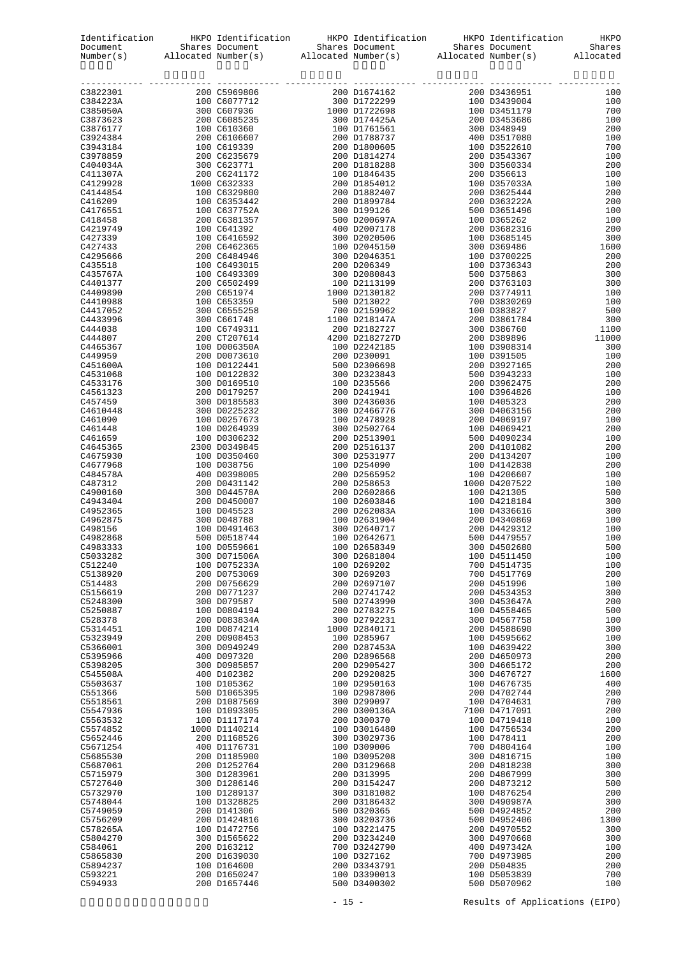|                      |                              | Tdentification HKPO Identification HKPO Identification HKPO Identification HKPO Identification HKPO Document Shares Document Shares Document Shares Number(s) Allocated Number(s) Allocated Number(s) and the Mumber(s) $\lambda$ a |                              |            |
|----------------------|------------------------------|-------------------------------------------------------------------------------------------------------------------------------------------------------------------------------------------------------------------------------------|------------------------------|------------|
|                      |                              |                                                                                                                                                                                                                                     |                              |            |
|                      |                              |                                                                                                                                                                                                                                     |                              |            |
|                      |                              |                                                                                                                                                                                                                                     |                              |            |
|                      |                              |                                                                                                                                                                                                                                     |                              |            |
|                      |                              |                                                                                                                                                                                                                                     |                              |            |
|                      |                              |                                                                                                                                                                                                                                     |                              |            |
|                      |                              |                                                                                                                                                                                                                                     |                              |            |
|                      |                              |                                                                                                                                                                                                                                     |                              |            |
|                      |                              |                                                                                                                                                                                                                                     |                              |            |
|                      |                              |                                                                                                                                                                                                                                     |                              |            |
|                      |                              |                                                                                                                                                                                                                                     |                              |            |
|                      |                              |                                                                                                                                                                                                                                     |                              |            |
|                      |                              |                                                                                                                                                                                                                                     |                              |            |
|                      |                              |                                                                                                                                                                                                                                     |                              |            |
|                      |                              |                                                                                                                                                                                                                                     |                              |            |
|                      |                              |                                                                                                                                                                                                                                     |                              |            |
|                      |                              |                                                                                                                                                                                                                                     |                              |            |
|                      |                              |                                                                                                                                                                                                                                     |                              |            |
|                      |                              |                                                                                                                                                                                                                                     |                              |            |
|                      |                              |                                                                                                                                                                                                                                     |                              |            |
|                      |                              |                                                                                                                                                                                                                                     |                              |            |
|                      |                              |                                                                                                                                                                                                                                     |                              |            |
|                      |                              |                                                                                                                                                                                                                                     |                              |            |
|                      |                              |                                                                                                                                                                                                                                     |                              |            |
|                      |                              |                                                                                                                                                                                                                                     |                              |            |
|                      |                              |                                                                                                                                                                                                                                     |                              |            |
|                      |                              |                                                                                                                                                                                                                                     |                              |            |
|                      |                              |                                                                                                                                                                                                                                     |                              |            |
|                      |                              |                                                                                                                                                                                                                                     |                              |            |
|                      |                              |                                                                                                                                                                                                                                     |                              |            |
|                      |                              |                                                                                                                                                                                                                                     |                              |            |
|                      |                              |                                                                                                                                                                                                                                     |                              |            |
|                      |                              |                                                                                                                                                                                                                                     |                              |            |
|                      |                              |                                                                                                                                                                                                                                     |                              |            |
|                      |                              |                                                                                                                                                                                                                                     |                              |            |
|                      |                              |                                                                                                                                                                                                                                     |                              |            |
|                      |                              |                                                                                                                                                                                                                                     |                              |            |
|                      |                              |                                                                                                                                                                                                                                     |                              |            |
|                      |                              |                                                                                                                                                                                                                                     |                              |            |
|                      |                              |                                                                                                                                                                                                                                     |                              |            |
|                      |                              |                                                                                                                                                                                                                                     |                              |            |
|                      |                              |                                                                                                                                                                                                                                     |                              |            |
|                      |                              |                                                                                                                                                                                                                                     |                              |            |
|                      |                              |                                                                                                                                                                                                                                     |                              |            |
|                      |                              | 500 D0518744 100 D2642671 500 D4479557                                                                                                                                                                                              |                              |            |
| C4983333             | 100 D0559661                 | 100 D2658349                                                                                                                                                                                                                        | 300 D4502680                 | 500        |
| C5033282             | 300 D071506A                 | 300 D2681804                                                                                                                                                                                                                        | 100 D4511450                 | 100        |
| C512240              | 100 D075233A                 | 100 D269202                                                                                                                                                                                                                         | 700 D4514735                 | 100        |
| C5138920             | 200 D0753069                 | 300 D269203                                                                                                                                                                                                                         | 700 D4517769                 | 200        |
| C514483              | 200 D0756629                 | 200 D2697107                                                                                                                                                                                                                        | 200 D451996                  | 100        |
| C5156619             | 200 D0771237                 | 200 D2741742                                                                                                                                                                                                                        | 200 D4534353                 | 300        |
| C5248300<br>C5250887 | 300 D079587<br>100 D0804194  | 500 D2743990<br>200 D2783275                                                                                                                                                                                                        | 300 D453647A<br>100 D4558465 | 200<br>500 |
| C528378              | 200 D083834A                 | 300 D2792231                                                                                                                                                                                                                        | 300 D4567758                 | 100        |
| C5314451             | 100 D0874214                 | 1000 D2840171                                                                                                                                                                                                                       | 200 D4588690                 | 300        |
| C5323949             | 200 D0908453                 | 100 D285967                                                                                                                                                                                                                         | 100 D4595662                 | 100        |
| C5366001             | 300 D0949249                 | 200 D287453A                                                                                                                                                                                                                        | 100 D4639422                 | 300        |
| C5395966             | 400 D097320                  | 200 D2896568                                                                                                                                                                                                                        | 200 D4650973                 | 200        |
| C5398205             | 300 D0985857                 | 200 D2905427                                                                                                                                                                                                                        | 300 D4665172                 | 200        |
| C545508A             | 400 D102382                  | 200 D2920825                                                                                                                                                                                                                        | 300 D4676727                 | 1600       |
| C5503637<br>C551366  | 100 D105362<br>500 D1065395  | 100 D2950163<br>100 D2987806                                                                                                                                                                                                        | 100 D4676735<br>200 D4702744 | 400<br>200 |
| C5518561             | 200 D1087569                 | 300 D299097                                                                                                                                                                                                                         | 100 D4704631                 | 700        |
| C5547936             | 100 D1093305                 | 200 D300136A                                                                                                                                                                                                                        | 7100 D4717091                | 200        |
| C5563532             | 100 D1117174                 | 200 D300370                                                                                                                                                                                                                         | 100 D4719418                 | 100        |
| C5574852             | 1000 D1140214                | 100 D3016480                                                                                                                                                                                                                        | 100 D4756534                 | 200        |
| C5652446             | 200 D1168526                 | 300 D3029736                                                                                                                                                                                                                        | 100 D478411                  | 200        |
| C5671254             | 400 D1176731                 | 100 D309006                                                                                                                                                                                                                         | 700 D4804164                 | 100        |
| C5685530             | 200 D1185900                 | 100 D3095208                                                                                                                                                                                                                        | 300 D4816715                 | 100        |
| C5687061             | 200 D1252764                 | 200 D3129668                                                                                                                                                                                                                        | 200 D4818238                 | 300        |
| C5715979             | 300 D1283961                 | 200 D313995                                                                                                                                                                                                                         | 200 D4867999                 | 300        |
| C5727640<br>C5732970 | 300 D1286146<br>100 D1289137 | 200 D3154247<br>300 D3181082                                                                                                                                                                                                        | 200 D4873212<br>100 D4876254 | 500<br>200 |
| C5748044             | 100 D1328825                 | 200 D3186432                                                                                                                                                                                                                        | 300 D490987A                 | 300        |
| C5749059             | 200 D141306                  | 500 D320365                                                                                                                                                                                                                         | 500 D4924852                 | 200        |
| C5756209             | 200 D1424816                 | 300 D3203736                                                                                                                                                                                                                        | 500 D4952406                 | 1300       |
| C578265A             | 100 D1472756                 | 100 D3221475                                                                                                                                                                                                                        | 200 D4970552                 | 300        |
| C5804270             | 300 D1565622                 | 200 D3234240                                                                                                                                                                                                                        | 300 D4970668                 | 300        |
| C584061              | 200 D163212                  | 700 D3242790                                                                                                                                                                                                                        | 400 D497342A                 | 100        |
| C5865830             | 200 D1639030                 | 100 D327162                                                                                                                                                                                                                         | 700 D4973985                 | 200        |
| C5894237             | 100 D164600                  | 200 D3343791                                                                                                                                                                                                                        | 200 D504835                  | 200<br>700 |
| C593221<br>C594933   | 200 D1650247<br>200 D1657446 | 100 D3390013<br>500 D3400302                                                                                                                                                                                                        | 100 D5053839<br>500 D5070962 | 100        |
|                      |                              |                                                                                                                                                                                                                                     |                              |            |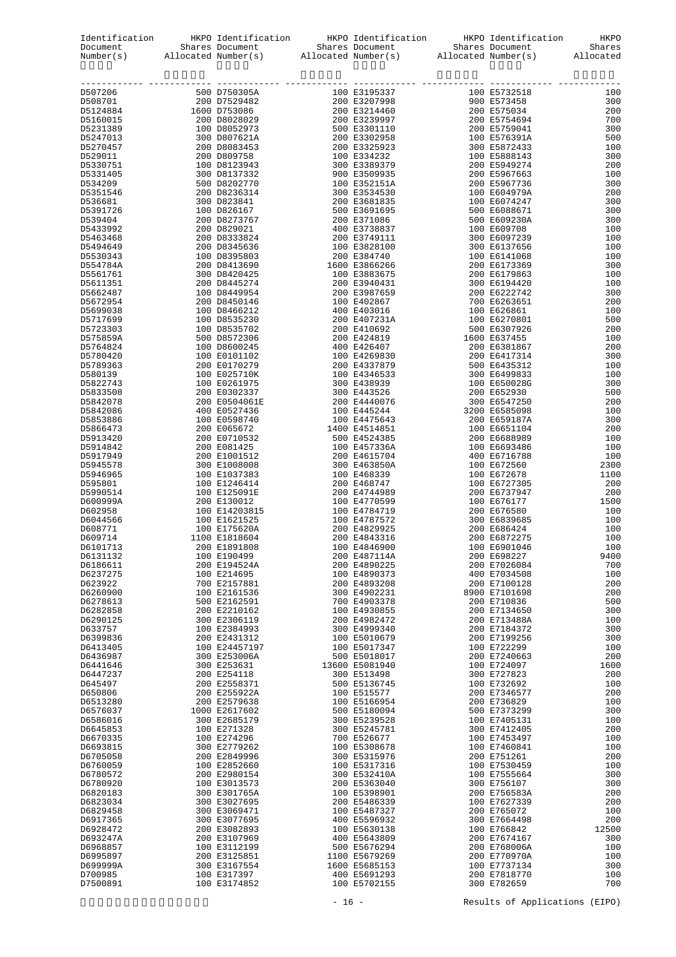|                      |                              |                              | Tdentification HKPO Identification HKPO Identification HKPO Identification HKPO Identification HKPO Document Shares Document Shares Document Shares Number(s) Allocated Number(s) and Allocated Number(s) and Allocated Number |            |
|----------------------|------------------------------|------------------------------|--------------------------------------------------------------------------------------------------------------------------------------------------------------------------------------------------------------------------------|------------|
|                      |                              |                              |                                                                                                                                                                                                                                |            |
|                      |                              |                              |                                                                                                                                                                                                                                |            |
|                      |                              |                              |                                                                                                                                                                                                                                |            |
|                      |                              |                              |                                                                                                                                                                                                                                |            |
|                      |                              |                              |                                                                                                                                                                                                                                |            |
|                      |                              |                              |                                                                                                                                                                                                                                |            |
|                      |                              |                              |                                                                                                                                                                                                                                |            |
|                      |                              |                              |                                                                                                                                                                                                                                |            |
|                      |                              |                              |                                                                                                                                                                                                                                |            |
|                      |                              |                              |                                                                                                                                                                                                                                |            |
|                      |                              |                              |                                                                                                                                                                                                                                |            |
|                      |                              |                              |                                                                                                                                                                                                                                |            |
|                      |                              |                              |                                                                                                                                                                                                                                |            |
|                      |                              |                              |                                                                                                                                                                                                                                |            |
|                      |                              |                              |                                                                                                                                                                                                                                |            |
|                      |                              |                              |                                                                                                                                                                                                                                |            |
|                      |                              |                              |                                                                                                                                                                                                                                |            |
|                      |                              |                              |                                                                                                                                                                                                                                |            |
|                      |                              |                              |                                                                                                                                                                                                                                |            |
|                      |                              |                              |                                                                                                                                                                                                                                |            |
|                      |                              |                              |                                                                                                                                                                                                                                |            |
|                      |                              |                              |                                                                                                                                                                                                                                |            |
|                      |                              |                              |                                                                                                                                                                                                                                |            |
|                      |                              |                              |                                                                                                                                                                                                                                |            |
|                      |                              |                              |                                                                                                                                                                                                                                |            |
|                      |                              |                              |                                                                                                                                                                                                                                |            |
|                      |                              |                              |                                                                                                                                                                                                                                |            |
|                      |                              |                              |                                                                                                                                                                                                                                |            |
|                      |                              |                              |                                                                                                                                                                                                                                |            |
|                      |                              |                              |                                                                                                                                                                                                                                |            |
|                      |                              |                              |                                                                                                                                                                                                                                |            |
|                      |                              |                              |                                                                                                                                                                                                                                |            |
|                      |                              |                              |                                                                                                                                                                                                                                |            |
|                      |                              |                              |                                                                                                                                                                                                                                |            |
|                      |                              |                              |                                                                                                                                                                                                                                |            |
|                      |                              |                              |                                                                                                                                                                                                                                |            |
|                      |                              |                              |                                                                                                                                                                                                                                |            |
|                      |                              |                              |                                                                                                                                                                                                                                |            |
|                      |                              |                              |                                                                                                                                                                                                                                |            |
|                      |                              |                              |                                                                                                                                                                                                                                |            |
|                      |                              |                              |                                                                                                                                                                                                                                |            |
|                      |                              |                              |                                                                                                                                                                                                                                |            |
|                      |                              |                              |                                                                                                                                                                                                                                |            |
|                      |                              |                              |                                                                                                                                                                                                                                |            |
|                      |                              |                              |                                                                                                                                                                                                                                |            |
|                      |                              |                              |                                                                                                                                                                                                                                |            |
| D609714              | 1100 E1818604                | 200 E4843316 200 E6872275    |                                                                                                                                                                                                                                |            |
| D6101713             | 200 E1891808                 | 100 E4846900                 | 100 E6901046                                                                                                                                                                                                                   | 100        |
| D6131132             | 100 E190499                  | 200 E487114A                 | 200 E698227                                                                                                                                                                                                                    | 9400       |
| D6186611             | 200 E194524A                 | 200 E4890225                 | 200 E7026084                                                                                                                                                                                                                   | 700        |
| D6237275<br>D623922  | 100 E214695<br>700 E2157881  | 100 E4890373<br>200 E4893208 | 400 E7034508<br>200 E7100128                                                                                                                                                                                                   | 100<br>200 |
| D6260900             | 100 E2161536                 | 300 E4902231                 | 8900 E7101698                                                                                                                                                                                                                  | 200        |
| D6278613             | 500 E2162591                 | 700 E4903378                 | 200 E710836                                                                                                                                                                                                                    | 500        |
| D6282858             | 200 E2210162                 | 100 E4930855                 | 200 E7134650                                                                                                                                                                                                                   | 300        |
| D6290125             | 300 E2306119                 | 200 E4982472                 | 200 E713488A                                                                                                                                                                                                                   | 100        |
| D633757              | 100 E2384993                 | 300 E4999340                 | 200 E7184372                                                                                                                                                                                                                   | 300        |
| D6399836             | 200 E2431312                 | 100 E5010679                 | 200 E7199256                                                                                                                                                                                                                   | 300        |
| D6413405             | 100 E24457197                | 100 E5017347                 | 100 E722299                                                                                                                                                                                                                    | 100        |
| D6436987             | 300 E253006A                 | 500 E5018017                 | 200 E7240663                                                                                                                                                                                                                   | 200        |
| D6441646             | 300 E253631                  | 13600 E5081940               | 100 E724097                                                                                                                                                                                                                    | 1600       |
| D6447237             | 200 E254118                  | 300 E513498<br>500 E5136745  | 300 E727823                                                                                                                                                                                                                    | 200<br>100 |
| D645497<br>D650806   | 200 E2558371<br>200 E255922A | 100 E515577                  | 100 E732692<br>200 E7346577                                                                                                                                                                                                    | 200        |
| D6513280             | 200 E2579638                 | 100 E5166954                 | 200 E736829                                                                                                                                                                                                                    | 100        |
| D6576037             | 1000 E2617602                | 500 E5180094                 | 500 E7373299                                                                                                                                                                                                                   | 300        |
| D6586016             | 300 E2685179                 | 300 E5239528                 | 100 E7405131                                                                                                                                                                                                                   | 100        |
| D6645853             | 100 E271328                  | 300 E5245781                 | 300 E7412405                                                                                                                                                                                                                   | 200        |
| D6670335             | 100 E274296                  | 700 E526677                  | 100 E7453497                                                                                                                                                                                                                   | 100        |
| D6693815             | 300 E2779262                 | 100 E5308678                 | 100 E7460841                                                                                                                                                                                                                   | 100        |
| D6705058             | 200 E2849996                 | 300 E5315976                 | 200 E751261                                                                                                                                                                                                                    | 200        |
| D6760059             | 100 E2852660                 | 100 E5317316                 | 100 E7530459                                                                                                                                                                                                                   | 100        |
| D6780572             | 200 E2980154                 | 300 E532410A                 | 100 E7555664                                                                                                                                                                                                                   | 300        |
| D6780920<br>D6820183 | 100 E3013573<br>300 E301765A | 200 E5363040<br>100 E5398901 | 300 E756107<br>200 E756583A                                                                                                                                                                                                    | 300<br>200 |
| D6823034             | 300 E3027695                 | 200 E5486339                 | 100 E7627339                                                                                                                                                                                                                   | 200        |
| D6829458             | 300 E3069471                 | 100 E5487327                 | 200 E765072                                                                                                                                                                                                                    | 100        |
| D6917365             | 300 E3077695                 | 400 E5596932                 | 300 E7664498                                                                                                                                                                                                                   | 200        |
| D6928472             | 200 E3082893                 | 100 E5630138                 | 100 E766842                                                                                                                                                                                                                    | 12500      |
| D693247A             | 200 E3107969                 | 400 E5643809                 | 200 E7674167                                                                                                                                                                                                                   | 300        |
| D6968857             | 100 E3112199                 | 500 E5676294                 | 200 E768006A                                                                                                                                                                                                                   | 100        |
| D6995897             | 200 E3125851                 | 1100 E5679269                | 200 E770970A                                                                                                                                                                                                                   | 100        |
| D699999A             | 300 E3167554                 | 1600 E5685153                | 100 E7737134                                                                                                                                                                                                                   | 300        |
| D700985              | 100 E317397                  | 400 E5691293                 | 200 E7818770                                                                                                                                                                                                                   | 100        |
| D7500891             | 100 E3174852                 | 100 E5702155                 | 300 E782659                                                                                                                                                                                                                    | 700        |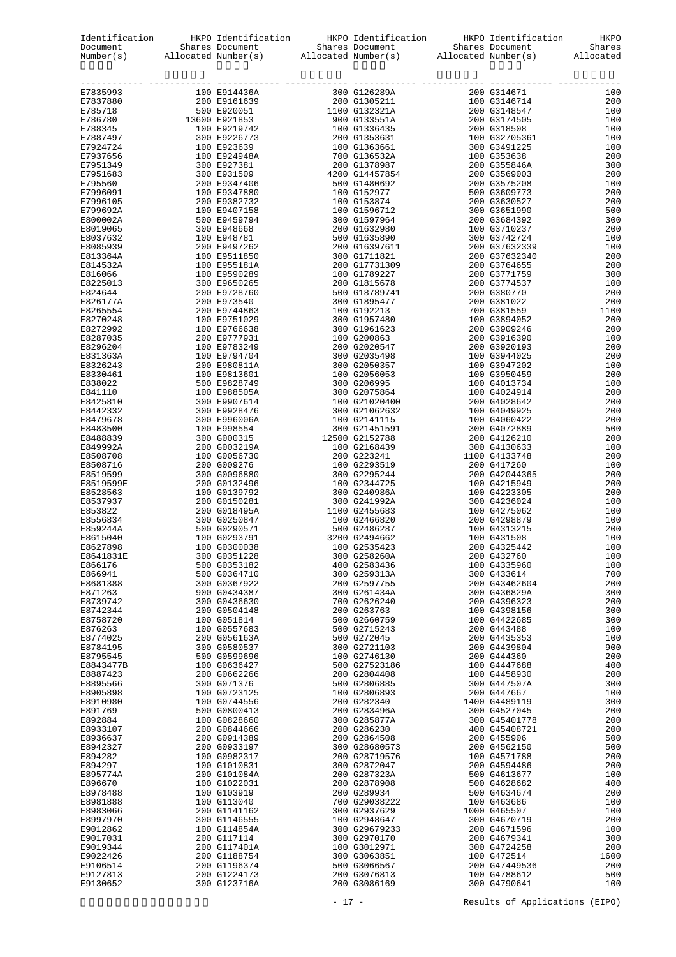|                      |                              | Identification HKPO Identification HKPO Identification HKPO Identification HKPO Identification HKPO Document<br>Document Shares Document Shares Document Shares Document Shares Number(s) Allocated Number(s) Allocated Number(s)                                          |                                |             |
|----------------------|------------------------------|----------------------------------------------------------------------------------------------------------------------------------------------------------------------------------------------------------------------------------------------------------------------------|--------------------------------|-------------|
|                      |                              | $\begin{smallmatrix} 128191911 & 1310 & 19144000, & 1000 & 13262000, & 2000 & 1014471 \\ 1310 & 1310 & 19144000, & 1000 & 13262000, & 2000 & 1014471 \\ 141 & 1310 & 13144000, & 1000 & 13244000, & 2000 & 10144711 \\ 141 & 1410 & 1410 & 1410 & 1410 & 1410 & 1410 & 14$ |                                |             |
|                      |                              |                                                                                                                                                                                                                                                                            |                                |             |
|                      |                              |                                                                                                                                                                                                                                                                            |                                |             |
|                      |                              |                                                                                                                                                                                                                                                                            |                                |             |
|                      |                              |                                                                                                                                                                                                                                                                            |                                |             |
|                      |                              |                                                                                                                                                                                                                                                                            |                                |             |
|                      |                              |                                                                                                                                                                                                                                                                            |                                |             |
|                      |                              |                                                                                                                                                                                                                                                                            |                                |             |
|                      |                              |                                                                                                                                                                                                                                                                            |                                |             |
|                      |                              |                                                                                                                                                                                                                                                                            |                                |             |
|                      |                              |                                                                                                                                                                                                                                                                            |                                |             |
|                      |                              |                                                                                                                                                                                                                                                                            |                                |             |
|                      |                              |                                                                                                                                                                                                                                                                            |                                |             |
|                      |                              |                                                                                                                                                                                                                                                                            |                                |             |
|                      |                              |                                                                                                                                                                                                                                                                            |                                |             |
|                      |                              |                                                                                                                                                                                                                                                                            |                                |             |
|                      |                              |                                                                                                                                                                                                                                                                            |                                |             |
|                      |                              |                                                                                                                                                                                                                                                                            |                                |             |
|                      |                              |                                                                                                                                                                                                                                                                            |                                |             |
|                      |                              |                                                                                                                                                                                                                                                                            |                                |             |
|                      |                              |                                                                                                                                                                                                                                                                            |                                |             |
|                      |                              |                                                                                                                                                                                                                                                                            |                                |             |
|                      |                              |                                                                                                                                                                                                                                                                            |                                |             |
|                      |                              |                                                                                                                                                                                                                                                                            |                                |             |
|                      |                              |                                                                                                                                                                                                                                                                            |                                |             |
|                      |                              |                                                                                                                                                                                                                                                                            |                                |             |
|                      |                              |                                                                                                                                                                                                                                                                            |                                |             |
|                      |                              |                                                                                                                                                                                                                                                                            |                                |             |
|                      |                              |                                                                                                                                                                                                                                                                            |                                |             |
|                      |                              |                                                                                                                                                                                                                                                                            |                                |             |
|                      |                              |                                                                                                                                                                                                                                                                            |                                |             |
|                      |                              |                                                                                                                                                                                                                                                                            |                                |             |
|                      |                              |                                                                                                                                                                                                                                                                            |                                |             |
|                      |                              |                                                                                                                                                                                                                                                                            |                                |             |
|                      |                              |                                                                                                                                                                                                                                                                            |                                |             |
|                      |                              |                                                                                                                                                                                                                                                                            |                                |             |
|                      |                              |                                                                                                                                                                                                                                                                            |                                |             |
|                      |                              |                                                                                                                                                                                                                                                                            |                                |             |
|                      |                              |                                                                                                                                                                                                                                                                            |                                |             |
|                      |                              |                                                                                                                                                                                                                                                                            |                                |             |
| E8627898             | 100 G0300038                 | 100 G2535423                                                                                                                                                                                                                                                               | 200 G4325442                   | 100         |
| E8641831E<br>E866176 | 300 G0351228<br>500 G0353182 | 300 G258260A<br>400 G2583436                                                                                                                                                                                                                                               | 200 G432760<br>100 G4335960    | 100<br>100  |
| E866941              | 500 G0364710                 | 300 G259313A                                                                                                                                                                                                                                                               | 300 G433614                    | 700         |
| E8681388             | 300 G0367922                 | 200 G2597755                                                                                                                                                                                                                                                               | 200 G43462604                  | 200         |
| E871263              | 900 G0434387                 | 300 G261434A                                                                                                                                                                                                                                                               | 300 G436829A                   | 300         |
| E8739742<br>E8742344 | 300 G0436630<br>200 G0504148 | 700 G2626240<br>200 G263763                                                                                                                                                                                                                                                | 200 G4396323<br>100 G4398156   | 200<br>300  |
| E8758720             | 100 G051814                  | 500 G2660759                                                                                                                                                                                                                                                               | 100 G4422685                   | 300         |
| E876263              | 100 G0557683                 | 500 G2715243                                                                                                                                                                                                                                                               | 200 G443488                    | 100         |
| E8774025<br>E8784195 | 200 G056163A<br>300 G0580537 | 500 G272045<br>300 G2721103                                                                                                                                                                                                                                                | 200 G4435353<br>200 G4439804   | 100<br>900  |
| E8795545             | 500 G0599696                 | 100 G2746130                                                                                                                                                                                                                                                               | 200 G444360                    | 200         |
| E8843477B            | 100 G0636427                 | 500 G27523186                                                                                                                                                                                                                                                              | 100 G4447688                   | 400         |
| E8887423             | 200 G0662266                 | 200 G2804408                                                                                                                                                                                                                                                               | 100 G4458930                   | 200         |
| E8895566<br>E8905898 | 300 G071376<br>100 G0723125  | 500 G2806885<br>100 G2806893                                                                                                                                                                                                                                               | 300 G447507A<br>200 G447667    | 300<br>100  |
| E8910980             | 100 G0744556                 | 200 G282340                                                                                                                                                                                                                                                                | 1400 G4489119                  | 300         |
| E891769              | 500 G0800413                 | 200 G283496A                                                                                                                                                                                                                                                               | 300 G4527045                   | 200         |
| E892884              | 100 G0828660<br>200 G0844666 | 300 G285877A<br>200 G286230                                                                                                                                                                                                                                                | 300 G45401778<br>400 G45408721 | 200<br>200  |
| E8933107<br>E8936637 | 200 G0914389                 | 200 G2864508                                                                                                                                                                                                                                                               | 200 G455906                    | 500         |
| E8942327             | 200 G0933197                 | 300 G28680573                                                                                                                                                                                                                                                              | 200 G4562150                   | 500         |
| E894282              | 100 G0982317                 | 200 G28719576                                                                                                                                                                                                                                                              | 100 G4571788                   | 200         |
| E894297<br>E895774A  | 100 G1010831<br>200 G101084A | 300 G2872047<br>200 G287323A                                                                                                                                                                                                                                               | 200 G4594486<br>500 G4613677   | 200<br>100  |
| E896670              | 100 G1022031                 | 200 G2878908                                                                                                                                                                                                                                                               | 500 G4628682                   | 400         |
| E8978488             | 100 G103919                  | 200 G289934                                                                                                                                                                                                                                                                | 500 G4634674                   | 200         |
| E8981888             | 100 G113040                  | 700 G29038222                                                                                                                                                                                                                                                              | 100 G463686                    | 100         |
| E8983066<br>E8997970 | 200 G1141162<br>300 G1146555 | 300 G2937629<br>100 G2948647                                                                                                                                                                                                                                               | 1000 G465507<br>300 G4670719   | 100<br>200  |
| E9012862             | 100 G114854A                 | 300 G29679233                                                                                                                                                                                                                                                              | 200 G4671596                   | 100         |
| E9017031             | 200 G117114                  | 300 G2970170                                                                                                                                                                                                                                                               | 200 G4679341                   | 300         |
| E9019344<br>E9022426 | 200 G117401A<br>200 G1188754 | 100 G3012971<br>300 G3063851                                                                                                                                                                                                                                               | 300 G4724258<br>100 G472514    | 200<br>1600 |
| E9106514             | 200 G1196374                 | 500 G3066567                                                                                                                                                                                                                                                               | 200 G47449536                  | 200         |
| E9127813             | 200 G1224173                 | 200 G3076813                                                                                                                                                                                                                                                               | 100 G4788612                   | 500         |
| E9130652             | 300 G123716A                 | 200 G3086169                                                                                                                                                                                                                                                               | 300 G4790641                   | 100         |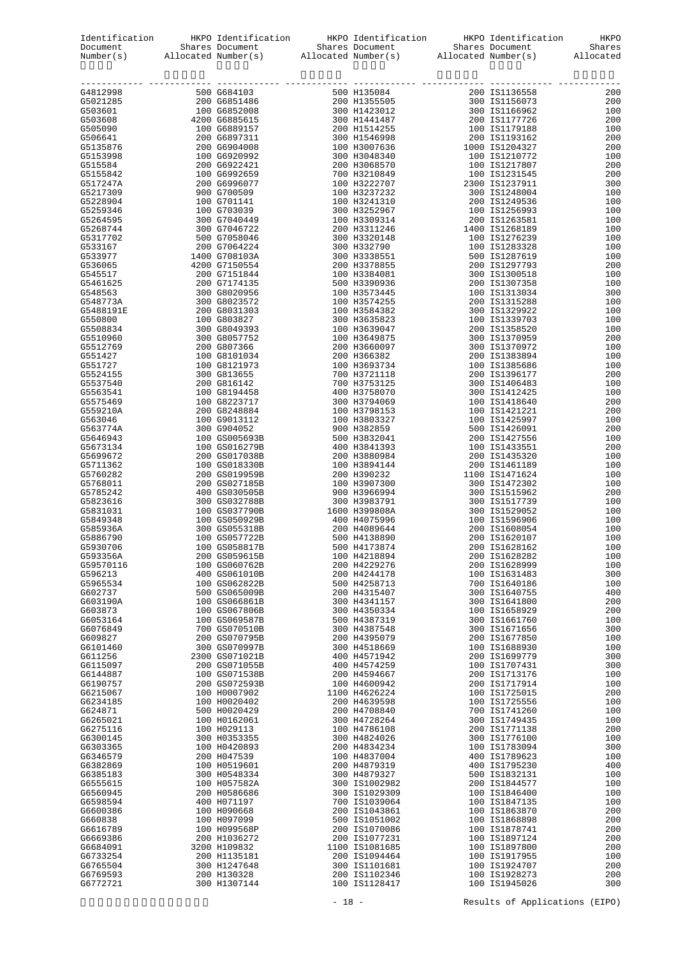|                      |                                | Identification HKPO Identification HKPO Identification HKPO Identification HKPO Document Shares Document Shares Document Shares Number(s) allocated Number(s) allocated Number(s) and Refugees Mumber(s) and Mumber(s) and Mum |                                |            |
|----------------------|--------------------------------|--------------------------------------------------------------------------------------------------------------------------------------------------------------------------------------------------------------------------------|--------------------------------|------------|
|                      |                                |                                                                                                                                                                                                                                |                                |            |
|                      |                                |                                                                                                                                                                                                                                |                                |            |
|                      |                                |                                                                                                                                                                                                                                |                                |            |
|                      |                                |                                                                                                                                                                                                                                |                                |            |
|                      |                                |                                                                                                                                                                                                                                |                                |            |
|                      |                                |                                                                                                                                                                                                                                |                                |            |
|                      |                                |                                                                                                                                                                                                                                |                                |            |
|                      |                                |                                                                                                                                                                                                                                |                                |            |
|                      |                                |                                                                                                                                                                                                                                |                                |            |
|                      |                                |                                                                                                                                                                                                                                |                                |            |
|                      |                                |                                                                                                                                                                                                                                |                                |            |
|                      |                                |                                                                                                                                                                                                                                |                                |            |
|                      |                                |                                                                                                                                                                                                                                |                                |            |
|                      |                                |                                                                                                                                                                                                                                |                                |            |
|                      |                                |                                                                                                                                                                                                                                |                                |            |
|                      |                                |                                                                                                                                                                                                                                |                                |            |
|                      |                                |                                                                                                                                                                                                                                |                                |            |
|                      |                                |                                                                                                                                                                                                                                |                                |            |
|                      |                                |                                                                                                                                                                                                                                |                                |            |
|                      |                                |                                                                                                                                                                                                                                |                                |            |
|                      |                                |                                                                                                                                                                                                                                |                                |            |
|                      |                                |                                                                                                                                                                                                                                |                                |            |
|                      |                                |                                                                                                                                                                                                                                |                                |            |
|                      |                                |                                                                                                                                                                                                                                |                                |            |
|                      |                                |                                                                                                                                                                                                                                |                                |            |
|                      |                                |                                                                                                                                                                                                                                |                                |            |
|                      |                                |                                                                                                                                                                                                                                |                                |            |
|                      |                                |                                                                                                                                                                                                                                |                                |            |
|                      |                                |                                                                                                                                                                                                                                |                                |            |
|                      |                                |                                                                                                                                                                                                                                |                                |            |
|                      |                                |                                                                                                                                                                                                                                |                                |            |
|                      |                                |                                                                                                                                                                                                                                |                                |            |
|                      |                                |                                                                                                                                                                                                                                |                                |            |
|                      |                                |                                                                                                                                                                                                                                |                                |            |
|                      |                                |                                                                                                                                                                                                                                |                                |            |
|                      |                                |                                                                                                                                                                                                                                |                                |            |
|                      |                                |                                                                                                                                                                                                                                |                                |            |
|                      |                                |                                                                                                                                                                                                                                |                                |            |
|                      |                                |                                                                                                                                                                                                                                |                                |            |
|                      |                                |                                                                                                                                                                                                                                |                                |            |
|                      |                                |                                                                                                                                                                                                                                |                                |            |
|                      |                                |                                                                                                                                                                                                                                |                                |            |
|                      |                                |                                                                                                                                                                                                                                |                                |            |
|                      |                                |                                                                                                                                                                                                                                |                                |            |
| G5930706<br>G593356A | 100 GS058817B<br>200 GS059615B | 500 H4173874<br>100 H4218894                                                                                                                                                                                                   | 200 IS1628162<br>200 IS1628282 | 100<br>100 |
| G59570116            | 100 GS060762B                  | 200 H4229276                                                                                                                                                                                                                   | 200 IS1628999                  | 100        |
| G596213              | 400 GS061010B                  | 200 H4244178                                                                                                                                                                                                                   | 100 IS1631483                  | 300        |
| G5965534             | 100 GS062822B                  | 500 H4258713                                                                                                                                                                                                                   | 700 IS1640186                  | 100        |
| G602737              | 500 GS065009B                  | 200 H4315407                                                                                                                                                                                                                   | 300 IS1640755                  | 400        |
| G603190A             | 100 GS066861B                  | 300 H4341157                                                                                                                                                                                                                   | 300 IS1641800                  | 200        |
| G603873<br>G6053164  | 100 GS067806B<br>100 GS069587B | 300 H4350334<br>500 H4387319                                                                                                                                                                                                   | 100 IS1658929<br>300 IS1661760 | 200<br>100 |
| G6076849             | 700 GS070510B                  | 300 H4387548                                                                                                                                                                                                                   | 300 IS1671656                  | 300        |
| G609827              | 200 GS070795B                  | 200 H4395079                                                                                                                                                                                                                   | 200 IS1677850                  | 100        |
| G6101460             | 300 GS070997B                  | 300 H4518669                                                                                                                                                                                                                   | 100 IS1688930                  | 100        |
| G611256              | 2300 GS071021B                 | 400 H4571942                                                                                                                                                                                                                   | 200 IS1699779                  | 300        |
| G6115097             | 200 GS071055B                  | 400 H4574259                                                                                                                                                                                                                   | 100 IS1707431                  | 300        |
| G6144887<br>G6190757 | 100 GS071538B<br>200 GS072593B | 200 H4594667<br>100 H4600942                                                                                                                                                                                                   | 200 IS1713176<br>200 IS1717914 | 100<br>100 |
| G6215067             | 100 H0007902                   | 1100 H4626224                                                                                                                                                                                                                  | 100 IS1725015                  | 200        |
| G6234185             | 100 H0020402                   | 200 H4639598                                                                                                                                                                                                                   | 100 IS1725556                  | 100        |
| G624871              | 500 H0020429                   | 200 H4708840                                                                                                                                                                                                                   | 700 IS1741260                  | 100        |
| G6265021             | 100 H0162061                   | 300 H4728264                                                                                                                                                                                                                   | 300 IS1749435                  | 100        |
| G6275116             | 100 H029113                    | 100 H4786108                                                                                                                                                                                                                   | 200 IS1771138                  | 200        |
| G6300145             | 300 H0353355                   | 300 H4824026                                                                                                                                                                                                                   | 300 IS1776100                  | 100        |
| G6303365<br>G6346579 | 100 H0420893<br>200 H047539    | 200 H4834234<br>100 H4837004                                                                                                                                                                                                   | 100 IS1783094<br>400 IS1789623 | 300<br>100 |
| G6382869             | 100 H0519601                   | 200 H4879319                                                                                                                                                                                                                   | 400 IS1795230                  | 400        |
| G6385183             | 300 H0548334                   | 300 H4879327                                                                                                                                                                                                                   | 500 IS1832131                  | 100        |
| G6555615             | 100 H057582A                   | 300 IS1002982                                                                                                                                                                                                                  | 200 IS1844577                  | 100        |
| G6560945             | 200 H0586686                   | 300 IS1029309                                                                                                                                                                                                                  | 100 IS1846400                  | 100        |
| G6598594             | 400 H071197                    | 700 IS1039064                                                                                                                                                                                                                  | 100 IS1847135                  | 100        |
| G6600386             | 100 H090668                    | 200 IS1043861                                                                                                                                                                                                                  | 100 IS1863870                  | 200        |
| G660838              | 100 H097099                    | 500 IS1051002                                                                                                                                                                                                                  | 100 IS1868898                  | 200        |
| G6616789<br>G6669386 | 100 H099568P<br>200 H1036272   | 200 IS1070086<br>200 IS1077231                                                                                                                                                                                                 | 100 IS1878741<br>100 IS1897124 | 200<br>200 |
| G6684091             | 3200 H109832                   | 1100 IS1081685                                                                                                                                                                                                                 | 100 IS1897800                  | 200        |
| G6733254             | 200 H1135181                   | 200 IS1094464                                                                                                                                                                                                                  | 100 IS1917955                  | 100        |
| G6765504             | 300 H1247648                   | 300 IS1101681                                                                                                                                                                                                                  | 100 IS1924707                  | 200        |
| G6769593             | 200 H130328                    | 200 IS1102346                                                                                                                                                                                                                  | 100 IS1928273                  | 200        |
| G6772721             | 300 H1307144                   | 100 IS1128417                                                                                                                                                                                                                  | 100 IS1945026                  | 300        |

#### - 18 - Results of Applications (EIPO)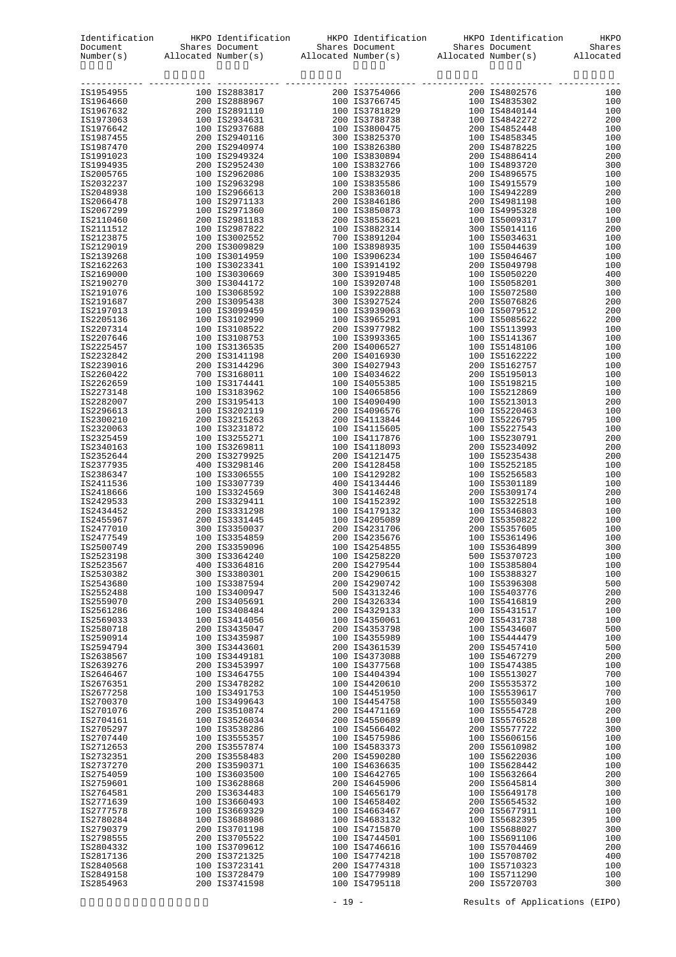|                                                                                                                                                                                                                                                                          |                                | Identification HKPO Identification HKPO Identification HKPO Identification                                                                                                                                                                                                                                                                                                                                                                                                                       |                                | HKPO       |
|--------------------------------------------------------------------------------------------------------------------------------------------------------------------------------------------------------------------------------------------------------------------------|--------------------------------|--------------------------------------------------------------------------------------------------------------------------------------------------------------------------------------------------------------------------------------------------------------------------------------------------------------------------------------------------------------------------------------------------------------------------------------------------------------------------------------------------|--------------------------------|------------|
|                                                                                                                                                                                                                                                                          |                                | $\begin{minipage}[c]{0.9\textwidth} \begin{minipage}[c]{0.9\textwidth} \begin{minipage}[c]{0.9\textwidth} \begin{minipage}[c]{0.9\textwidth} \begin{minipage}[c]{0.9\textwidth} \begin{minipage}[c]{0.9\textwidth} \begin{minipage}[c]{0.9\textwidth} \begin{minipage}[c]{0.9\textwidth} \begin{minipage}[c]{0.9\textwidth} \begin{minipage}[c]{0.9\textwidth} \begin{minipage}[c]{0.9\textwidth} \begin{minipage}[c]{0.9\textwidth} \begin{minipage}[c]{0.9\textwidth} \begin{minipage}[c]{0.9$ |                                |            |
| $\begin{small} \begin{smallmatrix} 11.96448888 & 14.6646888 & 14.66468888811 & 2000 & 21.67468488 & 2000 & 21.67468488 & 2000 & 21.67468488 & 2000 & 21.67468488 & 2000 & 21.67468488 & 2000 & 21.67468488 & 2000 & 21.67468488 & 2000 & 21.67468488 & 2000 & 21.674684$ |                                |                                                                                                                                                                                                                                                                                                                                                                                                                                                                                                  |                                |            |
|                                                                                                                                                                                                                                                                          |                                |                                                                                                                                                                                                                                                                                                                                                                                                                                                                                                  |                                |            |
|                                                                                                                                                                                                                                                                          |                                |                                                                                                                                                                                                                                                                                                                                                                                                                                                                                                  |                                |            |
|                                                                                                                                                                                                                                                                          |                                |                                                                                                                                                                                                                                                                                                                                                                                                                                                                                                  |                                |            |
|                                                                                                                                                                                                                                                                          |                                |                                                                                                                                                                                                                                                                                                                                                                                                                                                                                                  |                                |            |
|                                                                                                                                                                                                                                                                          |                                |                                                                                                                                                                                                                                                                                                                                                                                                                                                                                                  |                                |            |
|                                                                                                                                                                                                                                                                          |                                |                                                                                                                                                                                                                                                                                                                                                                                                                                                                                                  |                                |            |
|                                                                                                                                                                                                                                                                          |                                |                                                                                                                                                                                                                                                                                                                                                                                                                                                                                                  |                                |            |
|                                                                                                                                                                                                                                                                          |                                |                                                                                                                                                                                                                                                                                                                                                                                                                                                                                                  |                                |            |
|                                                                                                                                                                                                                                                                          |                                |                                                                                                                                                                                                                                                                                                                                                                                                                                                                                                  |                                |            |
|                                                                                                                                                                                                                                                                          |                                |                                                                                                                                                                                                                                                                                                                                                                                                                                                                                                  |                                |            |
|                                                                                                                                                                                                                                                                          |                                |                                                                                                                                                                                                                                                                                                                                                                                                                                                                                                  |                                |            |
|                                                                                                                                                                                                                                                                          |                                |                                                                                                                                                                                                                                                                                                                                                                                                                                                                                                  |                                |            |
|                                                                                                                                                                                                                                                                          |                                |                                                                                                                                                                                                                                                                                                                                                                                                                                                                                                  |                                |            |
|                                                                                                                                                                                                                                                                          |                                |                                                                                                                                                                                                                                                                                                                                                                                                                                                                                                  |                                |            |
|                                                                                                                                                                                                                                                                          |                                |                                                                                                                                                                                                                                                                                                                                                                                                                                                                                                  |                                |            |
|                                                                                                                                                                                                                                                                          |                                |                                                                                                                                                                                                                                                                                                                                                                                                                                                                                                  |                                |            |
|                                                                                                                                                                                                                                                                          |                                |                                                                                                                                                                                                                                                                                                                                                                                                                                                                                                  |                                |            |
|                                                                                                                                                                                                                                                                          |                                |                                                                                                                                                                                                                                                                                                                                                                                                                                                                                                  |                                |            |
|                                                                                                                                                                                                                                                                          |                                |                                                                                                                                                                                                                                                                                                                                                                                                                                                                                                  |                                |            |
|                                                                                                                                                                                                                                                                          |                                |                                                                                                                                                                                                                                                                                                                                                                                                                                                                                                  |                                |            |
|                                                                                                                                                                                                                                                                          |                                |                                                                                                                                                                                                                                                                                                                                                                                                                                                                                                  |                                |            |
|                                                                                                                                                                                                                                                                          |                                |                                                                                                                                                                                                                                                                                                                                                                                                                                                                                                  |                                |            |
|                                                                                                                                                                                                                                                                          |                                |                                                                                                                                                                                                                                                                                                                                                                                                                                                                                                  |                                |            |
|                                                                                                                                                                                                                                                                          |                                |                                                                                                                                                                                                                                                                                                                                                                                                                                                                                                  |                                |            |
|                                                                                                                                                                                                                                                                          |                                |                                                                                                                                                                                                                                                                                                                                                                                                                                                                                                  |                                |            |
|                                                                                                                                                                                                                                                                          |                                |                                                                                                                                                                                                                                                                                                                                                                                                                                                                                                  |                                |            |
|                                                                                                                                                                                                                                                                          |                                |                                                                                                                                                                                                                                                                                                                                                                                                                                                                                                  |                                |            |
|                                                                                                                                                                                                                                                                          |                                |                                                                                                                                                                                                                                                                                                                                                                                                                                                                                                  |                                |            |
|                                                                                                                                                                                                                                                                          |                                |                                                                                                                                                                                                                                                                                                                                                                                                                                                                                                  |                                |            |
|                                                                                                                                                                                                                                                                          |                                |                                                                                                                                                                                                                                                                                                                                                                                                                                                                                                  |                                |            |
|                                                                                                                                                                                                                                                                          |                                |                                                                                                                                                                                                                                                                                                                                                                                                                                                                                                  |                                |            |
|                                                                                                                                                                                                                                                                          |                                |                                                                                                                                                                                                                                                                                                                                                                                                                                                                                                  |                                |            |
|                                                                                                                                                                                                                                                                          |                                |                                                                                                                                                                                                                                                                                                                                                                                                                                                                                                  |                                |            |
|                                                                                                                                                                                                                                                                          |                                |                                                                                                                                                                                                                                                                                                                                                                                                                                                                                                  |                                |            |
|                                                                                                                                                                                                                                                                          |                                |                                                                                                                                                                                                                                                                                                                                                                                                                                                                                                  |                                |            |
|                                                                                                                                                                                                                                                                          |                                |                                                                                                                                                                                                                                                                                                                                                                                                                                                                                                  |                                |            |
|                                                                                                                                                                                                                                                                          |                                |                                                                                                                                                                                                                                                                                                                                                                                                                                                                                                  |                                |            |
|                                                                                                                                                                                                                                                                          |                                |                                                                                                                                                                                                                                                                                                                                                                                                                                                                                                  |                                |            |
|                                                                                                                                                                                                                                                                          |                                |                                                                                                                                                                                                                                                                                                                                                                                                                                                                                                  |                                |            |
|                                                                                                                                                                                                                                                                          |                                |                                                                                                                                                                                                                                                                                                                                                                                                                                                                                                  |                                |            |
| IS2500749<br>IS2523198                                                                                                                                                                                                                                                   | 200 IS3359096<br>300 IS3364240 | 100 IS4254855<br>100 IS4258220                                                                                                                                                                                                                                                                                                                                                                                                                                                                   | 100 IS5364899<br>500 IS5370723 | 300<br>100 |
| IS2523567                                                                                                                                                                                                                                                                | 400 IS3364816                  | 200 IS4279544                                                                                                                                                                                                                                                                                                                                                                                                                                                                                    | 100 IS5385804                  | 100        |
| IS2530382                                                                                                                                                                                                                                                                | 300 IS3380301                  | 200 IS4290615                                                                                                                                                                                                                                                                                                                                                                                                                                                                                    | 100 IS5388327                  | 100        |
| IS2543680<br>IS2552488                                                                                                                                                                                                                                                   | 100 IS3387594<br>100 IS3400947 | 200 IS4290742<br>500 IS4313246                                                                                                                                                                                                                                                                                                                                                                                                                                                                   | 100 IS5396308<br>100 IS5403776 | 500<br>200 |
| IS2559070                                                                                                                                                                                                                                                                | 200 IS3405691                  | 200 IS4326334                                                                                                                                                                                                                                                                                                                                                                                                                                                                                    | 100 IS5416819                  | 200        |
| IS2561286                                                                                                                                                                                                                                                                | 100 IS3408484                  | 200 IS4329133                                                                                                                                                                                                                                                                                                                                                                                                                                                                                    | 100 IS5431517                  | 100        |
| IS2569033<br>IS2580718                                                                                                                                                                                                                                                   | 100 IS3414056<br>200 IS3435047 | 100 IS4350061<br>200 IS4353798                                                                                                                                                                                                                                                                                                                                                                                                                                                                   | 200 IS5431738<br>100 IS5434607 | 100<br>500 |
| IS2590914                                                                                                                                                                                                                                                                | 100 IS3435987                  | 100 IS4355989                                                                                                                                                                                                                                                                                                                                                                                                                                                                                    | 100 IS5444479                  | 100        |
| IS2594794                                                                                                                                                                                                                                                                | 300 IS3443601                  | 200 IS4361539                                                                                                                                                                                                                                                                                                                                                                                                                                                                                    | 200 IS5457410                  | 500        |
| IS2638567<br>IS2639276                                                                                                                                                                                                                                                   | 100 IS3449181<br>200 IS3453997 | 100 IS4373088<br>100 IS4377568                                                                                                                                                                                                                                                                                                                                                                                                                                                                   | 100 IS5467279<br>100 IS5474385 | 200<br>100 |
| IS2646467                                                                                                                                                                                                                                                                | 100 IS3464755                  | 100 IS4404394                                                                                                                                                                                                                                                                                                                                                                                                                                                                                    | 100 IS5513027                  | 700        |
| IS2676351                                                                                                                                                                                                                                                                | 200 IS3478282                  | 100 IS4420610                                                                                                                                                                                                                                                                                                                                                                                                                                                                                    | 200 IS5535372                  | 100        |
| IS2677258                                                                                                                                                                                                                                                                | 100 IS3491753                  | 100 IS4451950                                                                                                                                                                                                                                                                                                                                                                                                                                                                                    | 100 IS5539617                  | 700        |
| IS2700370<br>IS2701076                                                                                                                                                                                                                                                   | 100 IS3499643<br>200 IS3510874 | 100 IS4454758<br>200 IS4471169                                                                                                                                                                                                                                                                                                                                                                                                                                                                   | 100 IS5550349<br>100 IS5554728 | 100<br>200 |
| IS2704161                                                                                                                                                                                                                                                                | 100 IS3526034                  | 200 IS4550689                                                                                                                                                                                                                                                                                                                                                                                                                                                                                    | 100 IS5576528                  | 100        |
| IS2705297                                                                                                                                                                                                                                                                | 100 IS3538286                  | 100 IS4566402                                                                                                                                                                                                                                                                                                                                                                                                                                                                                    | 200 IS5577722                  | 300        |
| IS2707440<br>IS2712653                                                                                                                                                                                                                                                   | 100 IS3555357<br>200 IS3557874 | 100 IS4575986<br>100 IS4583373                                                                                                                                                                                                                                                                                                                                                                                                                                                                   | 100 IS5606156<br>200 IS5610982 | 100<br>100 |
| IS2732351                                                                                                                                                                                                                                                                | 200 IS3558483                  | 200 IS4590280                                                                                                                                                                                                                                                                                                                                                                                                                                                                                    | 100 IS5622036                  | 100        |
| IS2737270                                                                                                                                                                                                                                                                | 200 IS3590371                  | 100 IS4636635                                                                                                                                                                                                                                                                                                                                                                                                                                                                                    | 100 IS5628442                  | 100        |
| IS2754059                                                                                                                                                                                                                                                                | 100 IS3603500                  | 100 IS4642765                                                                                                                                                                                                                                                                                                                                                                                                                                                                                    | 100 IS5632664                  | 200        |
| IS2759601<br>IS2764581                                                                                                                                                                                                                                                   | 100 IS3628868<br>200 IS3634483 | 200 IS4645906<br>100 IS4656179                                                                                                                                                                                                                                                                                                                                                                                                                                                                   | 200 IS5645814<br>100 IS5649178 | 300<br>100 |
| IS2771639                                                                                                                                                                                                                                                                | 100 IS3660493                  | 100 IS4658402                                                                                                                                                                                                                                                                                                                                                                                                                                                                                    | 200 IS5654532                  | 100        |
| IS2777578                                                                                                                                                                                                                                                                | 100 IS3669329                  | 100 IS4663467                                                                                                                                                                                                                                                                                                                                                                                                                                                                                    | 200 IS5677911                  | 100        |
| IS2780284<br>IS2790379                                                                                                                                                                                                                                                   | 100 IS3688986<br>200 IS3701198 | 100 IS4683132<br>100 IS4715870                                                                                                                                                                                                                                                                                                                                                                                                                                                                   | 100 IS5682395<br>100 IS5688027 | 100<br>300 |
| IS2798555                                                                                                                                                                                                                                                                | 200 IS3705522                  | 100 IS4744501                                                                                                                                                                                                                                                                                                                                                                                                                                                                                    | 100 IS5691106                  | 100        |
| IS2804332                                                                                                                                                                                                                                                                | 100 IS3709612                  | 100 IS4746616                                                                                                                                                                                                                                                                                                                                                                                                                                                                                    | 100 IS5704469                  | 200        |
| IS2817136                                                                                                                                                                                                                                                                | 200 IS3721325                  | 100 IS4774218                                                                                                                                                                                                                                                                                                                                                                                                                                                                                    | 100 IS5708702                  | 400        |
| IS2840568<br>IS2849158                                                                                                                                                                                                                                                   | 100 IS3723141<br>100 IS3728479 | 200 IS4774318<br>100 IS4779989                                                                                                                                                                                                                                                                                                                                                                                                                                                                   | 100 IS5710323<br>100 IS5711290 | 100<br>100 |
| IS2854963                                                                                                                                                                                                                                                                | 200 IS3741598                  | 100 IS4795118                                                                                                                                                                                                                                                                                                                                                                                                                                                                                    | 200 IS5720703                  | 300        |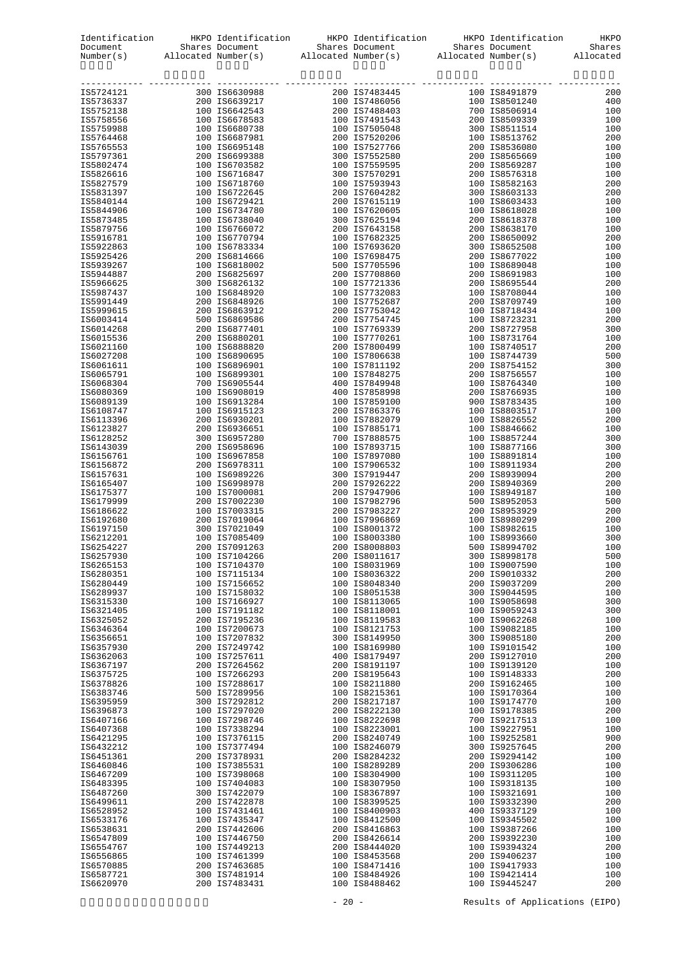| Identification<br>Document<br>Number(s) |                                |                                | Ation HKPO Identification HKPO Identification HKPO Identification HKPO Shares Document Shares Document Shares Allocated Number(s) Allocated Number(s) and Allocated Number(s) and Allocated Number(s) and Allocated Number(s) |                                                                                                      |
|-----------------------------------------|--------------------------------|--------------------------------|-------------------------------------------------------------------------------------------------------------------------------------------------------------------------------------------------------------------------------|------------------------------------------------------------------------------------------------------|
| IS5724121                               |                                |                                |                                                                                                                                                                                                                               |                                                                                                      |
| IS5736337                               |                                |                                |                                                                                                                                                                                                                               |                                                                                                      |
| IS5752138                               |                                |                                |                                                                                                                                                                                                                               |                                                                                                      |
| IS5758556                               |                                |                                |                                                                                                                                                                                                                               |                                                                                                      |
| IS5759988                               |                                |                                |                                                                                                                                                                                                                               |                                                                                                      |
| IS5764468                               |                                |                                |                                                                                                                                                                                                                               |                                                                                                      |
| IS5765553                               |                                |                                |                                                                                                                                                                                                                               |                                                                                                      |
| IS5797361                               |                                |                                |                                                                                                                                                                                                                               |                                                                                                      |
| IS5802474                               |                                |                                |                                                                                                                                                                                                                               |                                                                                                      |
| IS5826616                               |                                |                                |                                                                                                                                                                                                                               |                                                                                                      |
| IS5827579                               |                                |                                |                                                                                                                                                                                                                               |                                                                                                      |
| IS5831397                               |                                |                                |                                                                                                                                                                                                                               |                                                                                                      |
| IS5840144<br>IS5844906                  |                                |                                |                                                                                                                                                                                                                               |                                                                                                      |
| IS5873485                               |                                |                                |                                                                                                                                                                                                                               |                                                                                                      |
| IS5879756                               |                                |                                |                                                                                                                                                                                                                               |                                                                                                      |
| IS5916781                               |                                |                                |                                                                                                                                                                                                                               |                                                                                                      |
| IS5922863                               |                                |                                |                                                                                                                                                                                                                               |                                                                                                      |
| IS5925426                               |                                |                                |                                                                                                                                                                                                                               |                                                                                                      |
| IS5939267                               |                                |                                |                                                                                                                                                                                                                               |                                                                                                      |
| IS5944887                               |                                |                                |                                                                                                                                                                                                                               |                                                                                                      |
| IS5966625                               |                                |                                |                                                                                                                                                                                                                               |                                                                                                      |
| IS5987437<br>IS5991449                  |                                |                                |                                                                                                                                                                                                                               |                                                                                                      |
| IS5999615                               |                                |                                |                                                                                                                                                                                                                               |                                                                                                      |
| IS6003414                               |                                |                                |                                                                                                                                                                                                                               |                                                                                                      |
| IS6014268                               |                                |                                |                                                                                                                                                                                                                               |                                                                                                      |
| IS6015536                               |                                |                                |                                                                                                                                                                                                                               |                                                                                                      |
| IS6021160                               |                                |                                |                                                                                                                                                                                                                               |                                                                                                      |
| IS6027208                               |                                |                                |                                                                                                                                                                                                                               |                                                                                                      |
| IS6061611                               |                                |                                |                                                                                                                                                                                                                               |                                                                                                      |
| IS6065791                               |                                |                                |                                                                                                                                                                                                                               |                                                                                                      |
| IS6068304<br>IS6080369                  |                                |                                |                                                                                                                                                                                                                               |                                                                                                      |
| IS6089139                               |                                |                                |                                                                                                                                                                                                                               |                                                                                                      |
| IS6108747                               |                                |                                |                                                                                                                                                                                                                               |                                                                                                      |
| IS6113396                               |                                |                                |                                                                                                                                                                                                                               |                                                                                                      |
| IS6123827                               |                                |                                |                                                                                                                                                                                                                               |                                                                                                      |
| IS6128252                               |                                |                                |                                                                                                                                                                                                                               |                                                                                                      |
| IS6143039                               |                                |                                |                                                                                                                                                                                                                               |                                                                                                      |
| IS6156761                               |                                |                                |                                                                                                                                                                                                                               |                                                                                                      |
| IS6156872<br>IS6157631                  |                                |                                |                                                                                                                                                                                                                               |                                                                                                      |
| IS6165407                               |                                |                                |                                                                                                                                                                                                                               |                                                                                                      |
| IS6175377                               |                                |                                |                                                                                                                                                                                                                               |                                                                                                      |
| IS6179999                               |                                |                                |                                                                                                                                                                                                                               | $\begin{bmatrix} 100 \\ 300 \\ 300 \\ 200 \\ 200 \\ 200 \\ 200 \\ 10 \\ 50 \\ 20 \\ 1 \end{bmatrix}$ |
| IS6186622                               |                                |                                |                                                                                                                                                                                                                               |                                                                                                      |
| IS6192680                               |                                |                                |                                                                                                                                                                                                                               |                                                                                                      |
| IS6197150                               |                                |                                |                                                                                                                                                                                                                               |                                                                                                      |
| IS6212201                               |                                | 200 IS8008803                  | 500 IS8994702                                                                                                                                                                                                                 |                                                                                                      |
| IS6254227<br>IS6257930                  | 200 IS7091263<br>100 IS7104266 | 200 IS8011617                  | 300 IS8998178                                                                                                                                                                                                                 | 500                                                                                                  |
| IS6265153                               | 100 IS7104370                  | 100 IS8031969                  | 100 IS9007590                                                                                                                                                                                                                 | 100                                                                                                  |
| IS6280351                               | 100 IS7115134                  | 100 IS8036322                  | 200 IS9010332                                                                                                                                                                                                                 | 200                                                                                                  |
| IS6280449                               | 100 IS7156652                  | 100 IS8048340                  | 200 IS9037209                                                                                                                                                                                                                 | 200                                                                                                  |
| IS6289937                               | 100 IS7158032                  | 100 IS8051538                  | 300 IS9044595                                                                                                                                                                                                                 | 100                                                                                                  |
| IS6315330                               | 100 IS7166927                  | 100 IS8113065                  | 100 IS9058698                                                                                                                                                                                                                 | 300                                                                                                  |
| IS6321405                               | 100 IS7191182                  | 100 IS8118001                  | 100 IS9059243                                                                                                                                                                                                                 | 300                                                                                                  |
| IS6325052                               | 200 IS7195236                  | 100 IS8119583                  | 100 IS9062268                                                                                                                                                                                                                 | 100                                                                                                  |
| IS6346364                               | 100 IS7200673                  | 100 IS8121753                  | 100 IS9082185                                                                                                                                                                                                                 | 100                                                                                                  |
| IS6356651<br>IS6357930                  | 100 IS7207832<br>200 IS7249742 | 300 IS8149950<br>100 IS8169980 | 300 IS9085180<br>100 IS9101542                                                                                                                                                                                                | 200<br>100                                                                                           |
| IS6362063                               | 100 IS7257611                  | 400 IS8179497                  | 200 IS9127010                                                                                                                                                                                                                 | 200                                                                                                  |
| IS6367197                               | 200 IS7264562                  | 200 IS8191197                  | 100 IS9139120                                                                                                                                                                                                                 | 100                                                                                                  |
| IS6375725                               | 100 IS7266293                  | 200 IS8195643                  | 100 IS9148333                                                                                                                                                                                                                 | 200                                                                                                  |
| IS6378826                               | 100 IS7288617                  | 100 IS8211880                  | 200 IS9162465                                                                                                                                                                                                                 | 100                                                                                                  |
| IS6383746                               | 500 IS7289956                  | 100 IS8215361                  | 100 IS9170364                                                                                                                                                                                                                 | 100                                                                                                  |
| IS6395959                               | 300 IS7292812                  | 200 IS8217187                  | 100 IS9174770                                                                                                                                                                                                                 | 100                                                                                                  |
| IS6396873                               | 100 IS7297020                  | 200 IS8222130                  | 100 IS9178385                                                                                                                                                                                                                 | 200                                                                                                  |
| IS6407166                               | 100 IS7298746                  | 100 IS8222698                  | 700 IS9217513                                                                                                                                                                                                                 | 100                                                                                                  |
| IS6407368<br>IS6421295                  | 100 IS7338294<br>100 IS7376115 | 100 IS8223001<br>200 IS8240749 | 100 IS9227951<br>100 IS9252581                                                                                                                                                                                                | 100<br>900                                                                                           |
| IS6432212                               | 100 IS7377494                  | 100 IS8246079                  | 300 IS9257645                                                                                                                                                                                                                 | 200                                                                                                  |
| IS6451361                               | 200 IS7378931                  | 200 IS8284232                  | 200 IS9294142                                                                                                                                                                                                                 | 100                                                                                                  |
| IS6460846                               | 100 IS7385531                  | 100 IS8289289                  | 200 IS9306286                                                                                                                                                                                                                 | 100                                                                                                  |
| IS6467209                               | 100 IS7398068                  | 100 IS8304900                  | 100 IS9311205                                                                                                                                                                                                                 | 100                                                                                                  |
| IS6483395                               | 100 IS7404083                  | 100 IS8307950                  | 100 IS9318135                                                                                                                                                                                                                 | 100                                                                                                  |
| IS6487260                               | 300 IS7422079                  | 100 IS8367897                  | 100 IS9321691                                                                                                                                                                                                                 | 100                                                                                                  |
| IS6499611                               | 200 IS7422878                  | 100 IS8399525                  | 100 IS9332390                                                                                                                                                                                                                 | 200                                                                                                  |
| IS6528952<br>IS6533176                  | 100 IS7431461<br>100 IS7435347 | 100 IS8400903<br>100 IS8412500 | 400 IS9337129<br>100 IS9345502                                                                                                                                                                                                | 100<br>100                                                                                           |
| IS6538631                               | 200 IS7442606                  | 200 IS8416863                  | 100 IS9387266                                                                                                                                                                                                                 | 100                                                                                                  |
| IS6547809                               | 100 IS7446750                  | 200 IS8426614                  | 200 IS9392230                                                                                                                                                                                                                 | 100                                                                                                  |
| IS6554767                               | 100 IS7449213                  | 200 IS8444020                  | 100 IS9394324                                                                                                                                                                                                                 | 200                                                                                                  |
| IS6556865                               | 100 IS7461399                  | 100 IS8453568                  | 200 IS9406237                                                                                                                                                                                                                 | 100                                                                                                  |
| IS6570885                               | 200 IS7463685                  | 100 IS8471416                  | 100 IS9417933                                                                                                                                                                                                                 | 100                                                                                                  |
| IS6587721                               | 300 IS7481914                  | 100 IS8484926                  | 100 IS9421414                                                                                                                                                                                                                 | 100                                                                                                  |
| IS6620970                               | 200 IS7483431                  | 100 IS8488462                  | 100 IS9445247                                                                                                                                                                                                                 | 200                                                                                                  |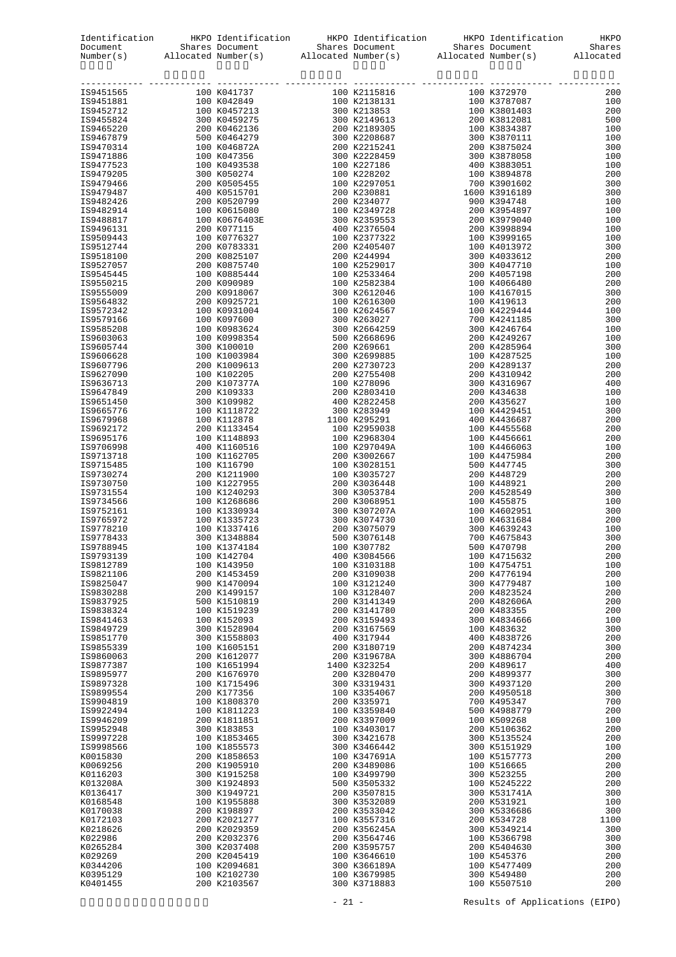|                        | Identification HKPO Identification HKPO Identification HKPO Identification<br>Document Shares Document Shares Document Shares Document Shares Allocated Number (s) and Allocated Number (s) and Allocated Number (s) and Allocated Number (s) and Allocated Number (s) and Allocated Number (s) and Allocate |                              |                              | HKPO       |
|------------------------|--------------------------------------------------------------------------------------------------------------------------------------------------------------------------------------------------------------------------------------------------------------------------------------------------------------|------------------------------|------------------------------|------------|
|                        |                                                                                                                                                                                                                                                                                                              |                              |                              |            |
|                        |                                                                                                                                                                                                                                                                                                              |                              |                              |            |
|                        |                                                                                                                                                                                                                                                                                                              |                              |                              |            |
|                        |                                                                                                                                                                                                                                                                                                              |                              |                              |            |
|                        |                                                                                                                                                                                                                                                                                                              |                              |                              |            |
|                        |                                                                                                                                                                                                                                                                                                              |                              |                              |            |
|                        |                                                                                                                                                                                                                                                                                                              |                              |                              |            |
|                        |                                                                                                                                                                                                                                                                                                              |                              |                              |            |
|                        |                                                                                                                                                                                                                                                                                                              |                              |                              |            |
|                        |                                                                                                                                                                                                                                                                                                              |                              |                              |            |
|                        |                                                                                                                                                                                                                                                                                                              |                              |                              |            |
|                        |                                                                                                                                                                                                                                                                                                              |                              |                              |            |
|                        |                                                                                                                                                                                                                                                                                                              |                              |                              |            |
|                        |                                                                                                                                                                                                                                                                                                              |                              |                              |            |
|                        |                                                                                                                                                                                                                                                                                                              |                              |                              |            |
|                        |                                                                                                                                                                                                                                                                                                              |                              |                              |            |
|                        |                                                                                                                                                                                                                                                                                                              |                              |                              |            |
|                        |                                                                                                                                                                                                                                                                                                              |                              |                              |            |
|                        |                                                                                                                                                                                                                                                                                                              |                              |                              |            |
|                        |                                                                                                                                                                                                                                                                                                              |                              |                              |            |
|                        |                                                                                                                                                                                                                                                                                                              |                              |                              |            |
|                        |                                                                                                                                                                                                                                                                                                              |                              |                              |            |
|                        |                                                                                                                                                                                                                                                                                                              |                              |                              |            |
|                        |                                                                                                                                                                                                                                                                                                              |                              |                              |            |
|                        |                                                                                                                                                                                                                                                                                                              |                              |                              |            |
|                        |                                                                                                                                                                                                                                                                                                              |                              |                              |            |
|                        |                                                                                                                                                                                                                                                                                                              |                              |                              |            |
|                        |                                                                                                                                                                                                                                                                                                              |                              |                              |            |
|                        |                                                                                                                                                                                                                                                                                                              |                              |                              |            |
|                        |                                                                                                                                                                                                                                                                                                              |                              |                              |            |
|                        |                                                                                                                                                                                                                                                                                                              |                              |                              |            |
|                        |                                                                                                                                                                                                                                                                                                              |                              |                              |            |
|                        |                                                                                                                                                                                                                                                                                                              |                              |                              |            |
|                        |                                                                                                                                                                                                                                                                                                              |                              |                              |            |
|                        |                                                                                                                                                                                                                                                                                                              |                              |                              |            |
|                        |                                                                                                                                                                                                                                                                                                              |                              |                              |            |
|                        |                                                                                                                                                                                                                                                                                                              |                              |                              |            |
|                        |                                                                                                                                                                                                                                                                                                              |                              |                              |            |
|                        |                                                                                                                                                                                                                                                                                                              |                              |                              |            |
|                        |                                                                                                                                                                                                                                                                                                              |                              |                              |            |
|                        |                                                                                                                                                                                                                                                                                                              |                              |                              |            |
|                        |                                                                                                                                                                                                                                                                                                              |                              |                              |            |
|                        |                                                                                                                                                                                                                                                                                                              |                              |                              |            |
| IS9788945              | 100 K1374184                                                                                                                                                                                                                                                                                                 | 100 K307782                  | 500 K470798                  | 200        |
| IS9793139<br>IS9812789 | 100 K142704<br>100 K143950                                                                                                                                                                                                                                                                                   | 400 K3084566<br>100 K3103188 | 100 K4715632<br>100 K4754751 | 200<br>100 |
| IS9821106              | 200 K1453459                                                                                                                                                                                                                                                                                                 | 200 K3109038                 | 200 K4776194                 | 200        |
| IS9825047              | 900 K1470094                                                                                                                                                                                                                                                                                                 | 100 K3121240                 | 300 K4779487                 | 100        |
| IS9830288              | 200 K1499157                                                                                                                                                                                                                                                                                                 | 100 K3128407                 | 200 K4823524                 | 200        |
| IS9837925              | 500 K1510819                                                                                                                                                                                                                                                                                                 | 200 K3141349                 | 200 K482606A                 | 200        |
| IS9838324<br>IS9841463 | 100 K1519239<br>100 K152093                                                                                                                                                                                                                                                                                  | 200 K3141780<br>200 K3159493 | 200 K483355<br>300 K4834666  | 200<br>100 |
| IS9849729              | 300 K1528904                                                                                                                                                                                                                                                                                                 | 200 K3167569                 | 100 K483632                  | 300        |
| IS9851770              | 300 K1558803                                                                                                                                                                                                                                                                                                 | 400 K317944                  | 400 K4838726                 | 200        |
| IS9855339              | 100 K1605151                                                                                                                                                                                                                                                                                                 | 200 K3180719                 | 200 K4874234                 | 300        |
| IS9860063              | 200 K1612077                                                                                                                                                                                                                                                                                                 | 200 K319678A                 | 300 K4886704                 | 200        |
| IS9877387              | 100 K1651994                                                                                                                                                                                                                                                                                                 | 1400 K323254                 | 200 K489617                  | 400        |
| IS9895977<br>IS9897328 | 200 K1676970<br>100 K1715496                                                                                                                                                                                                                                                                                 | 200 K3280470<br>300 K3319431 | 200 K4899377<br>300 K4937120 | 300<br>200 |
| IS9899554              | 200 K177356                                                                                                                                                                                                                                                                                                  | 100 K3354067                 | 200 K4950518                 | 300        |
| IS9904819              | 100 K1808370                                                                                                                                                                                                                                                                                                 | 200 K335971                  | 700 K495347                  | 700        |
| IS9922494              | 100 K1811223                                                                                                                                                                                                                                                                                                 | 100 K3359840                 | 500 K4988779                 | 200        |
| IS9946209              | 200 K1811851                                                                                                                                                                                                                                                                                                 | 200 K3397009                 | 100 K509268                  | 100        |
| IS9952948<br>IS9997228 | 300 K183853<br>100 K1853465                                                                                                                                                                                                                                                                                  | 100 K3403017<br>300 K3421678 | 200 K5106362<br>300 K5135524 | 200<br>200 |
| IS9998566              | 100 K1855573                                                                                                                                                                                                                                                                                                 | 300 K3466442                 | 300 K5151929                 | 100        |
| K0015830               | 200 K1858653                                                                                                                                                                                                                                                                                                 | 100 K347691A                 | 100 K5157773                 | 200        |
| K0069256               | 200 K1905910                                                                                                                                                                                                                                                                                                 | 200 K3489086                 | 100 K516665                  | 200        |
| K0116203               | 300 K1915258                                                                                                                                                                                                                                                                                                 | 100 K3499790                 | 300 K523255                  | 200        |
| K013208A<br>K0136417   | 300 K1924893<br>300 K1949721                                                                                                                                                                                                                                                                                 | 500 K3505332<br>200 K3507815 | 100 K5245222<br>300 K531741A | 200<br>300 |
| K0168548               | 100 K1955888                                                                                                                                                                                                                                                                                                 | 300 K3532089                 | 200 K531921                  | 100        |
| K0170038               | 200 K198897                                                                                                                                                                                                                                                                                                  | 200 K3533042                 | 300 K5336686                 | 300        |
| K0172103               | 200 K2021277                                                                                                                                                                                                                                                                                                 | 100 K3557316                 | 200 K534728                  | 1100       |
| K0218626               | 200 K2029359                                                                                                                                                                                                                                                                                                 | 200 K356245A                 | 300 K5349214                 | 300        |
| K022986                | 200 K2032376                                                                                                                                                                                                                                                                                                 | 200 K3564746                 | 100 K5366798                 | 300        |
| K0265284<br>K029269    | 300 K2037408<br>200 K2045419                                                                                                                                                                                                                                                                                 | 200 K3595757<br>100 K3646610 | 200 K5404630<br>100 K545376  | 300<br>200 |
| K0344206               | 100 K2094681                                                                                                                                                                                                                                                                                                 | 300 K366189A                 | 100 K5477409                 | 200        |
| K0395129               | 100 K2102730                                                                                                                                                                                                                                                                                                 | 100 K3679985                 | 300 K549480                  | 200        |
| K0401455               | 200 K2103567                                                                                                                                                                                                                                                                                                 | 300 K3718883                 | 100 K5507510                 | 200        |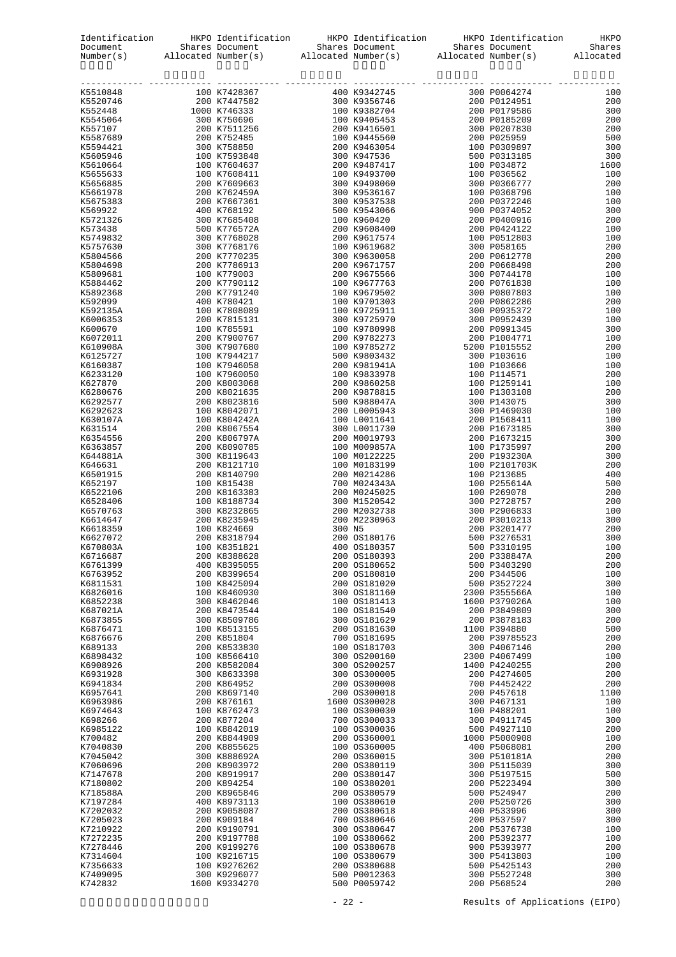|                      |                              | Identification HKPO Identification HKPO Identification HKPO Identification                                                                                                                                                     |                                | HKPO       |
|----------------------|------------------------------|--------------------------------------------------------------------------------------------------------------------------------------------------------------------------------------------------------------------------------|--------------------------------|------------|
|                      |                              | Document Shares Document Shares Document Shares Document Shares Document Shares Document Shares Document Shares Document Shares Allocated Number (s) and Allocated Number (s) and Allocated Number (s) and Allocated Number (s |                                |            |
|                      |                              |                                                                                                                                                                                                                                |                                |            |
|                      |                              |                                                                                                                                                                                                                                |                                |            |
|                      |                              |                                                                                                                                                                                                                                |                                |            |
|                      |                              |                                                                                                                                                                                                                                |                                |            |
|                      |                              |                                                                                                                                                                                                                                |                                |            |
|                      |                              |                                                                                                                                                                                                                                |                                |            |
|                      |                              |                                                                                                                                                                                                                                |                                |            |
|                      |                              |                                                                                                                                                                                                                                |                                |            |
|                      |                              |                                                                                                                                                                                                                                |                                |            |
|                      |                              |                                                                                                                                                                                                                                |                                |            |
|                      |                              |                                                                                                                                                                                                                                |                                |            |
|                      |                              |                                                                                                                                                                                                                                |                                |            |
|                      |                              |                                                                                                                                                                                                                                |                                |            |
|                      |                              |                                                                                                                                                                                                                                |                                |            |
|                      |                              |                                                                                                                                                                                                                                |                                |            |
|                      |                              |                                                                                                                                                                                                                                |                                |            |
|                      |                              |                                                                                                                                                                                                                                |                                |            |
|                      |                              |                                                                                                                                                                                                                                |                                |            |
|                      |                              |                                                                                                                                                                                                                                |                                |            |
|                      |                              |                                                                                                                                                                                                                                |                                |            |
|                      |                              |                                                                                                                                                                                                                                |                                |            |
|                      |                              |                                                                                                                                                                                                                                |                                |            |
|                      |                              |                                                                                                                                                                                                                                |                                |            |
|                      |                              |                                                                                                                                                                                                                                |                                |            |
|                      |                              |                                                                                                                                                                                                                                |                                |            |
|                      |                              |                                                                                                                                                                                                                                |                                |            |
|                      |                              |                                                                                                                                                                                                                                |                                |            |
|                      |                              |                                                                                                                                                                                                                                |                                |            |
|                      |                              |                                                                                                                                                                                                                                |                                |            |
|                      |                              |                                                                                                                                                                                                                                |                                |            |
|                      |                              |                                                                                                                                                                                                                                |                                |            |
|                      |                              |                                                                                                                                                                                                                                |                                |            |
|                      |                              |                                                                                                                                                                                                                                |                                |            |
|                      |                              |                                                                                                                                                                                                                                |                                |            |
|                      |                              |                                                                                                                                                                                                                                |                                |            |
|                      |                              |                                                                                                                                                                                                                                |                                |            |
|                      |                              |                                                                                                                                                                                                                                |                                |            |
|                      |                              |                                                                                                                                                                                                                                |                                |            |
|                      |                              |                                                                                                                                                                                                                                |                                |            |
|                      |                              |                                                                                                                                                                                                                                |                                |            |
|                      |                              |                                                                                                                                                                                                                                |                                |            |
|                      |                              |                                                                                                                                                                                                                                |                                |            |
|                      |                              |                                                                                                                                                                                                                                |                                |            |
|                      |                              | 400 OS180357                                                                                                                                                                                                                   |                                |            |
| K670803A<br>K6716687 | 100 K8351821<br>200 K8388628 | 200 OS180393                                                                                                                                                                                                                   | 500 P3310195<br>200 P338847A   | 100<br>200 |
| K6761399             | 400 K8395055                 | 200 OS180652                                                                                                                                                                                                                   | 500 P3403290                   | 200        |
| K6763952             | 200 K8399654                 | 200 OS180810                                                                                                                                                                                                                   | 200 P344506                    | 100        |
| K6811531             | 100 K8425094                 | 200 OS181020                                                                                                                                                                                                                   | 500 P3527224                   | 300        |
| K6826016             | 100 K8460930                 | 300 OS181160                                                                                                                                                                                                                   | 2300 P355566A                  | 100        |
| K6852238<br>K687021A | 300 K8462046<br>200 K8473544 | 100 OS181413<br>100 OS181540                                                                                                                                                                                                   | 1600 P379026A<br>200 P3849809  | 100<br>300 |
| K6873855             | 300 K8509786                 | 300 OS181629                                                                                                                                                                                                                   | 200 P3878183                   | 200        |
| K6876471             | 100 K8513155                 | 200 OS181630                                                                                                                                                                                                                   | 1100 P394880                   | 500        |
| K6876676             | 200 K851804                  | 700 OS181695                                                                                                                                                                                                                   | 200 P39785523                  | 200        |
| K689133              | 200 K8533830                 | 100 OS181703                                                                                                                                                                                                                   | 300 P4067146                   | 200        |
| K6898432             | 100 K8566410                 | 300 OS200160                                                                                                                                                                                                                   | 2300 P4067499<br>1400 P4240255 | 100        |
| K6908926<br>K6931928 | 200 K8582084<br>300 K8633398 | 300 OS200257<br>300 OS300005                                                                                                                                                                                                   | 200 P4274605                   | 200<br>200 |
| K6941834             | 200 K864952                  | 200 0S300008                                                                                                                                                                                                                   | 700 P4452422                   | 200        |
| K6957641             | 200 K8697140                 | 200 0S300018                                                                                                                                                                                                                   | 200 P457618                    | 1100       |
| K6963986             | 200 K876161                  | 1600 0S300028                                                                                                                                                                                                                  | 300 P467131                    | 100        |
| K6974643             | 100 K8762473                 | 100 0S300030                                                                                                                                                                                                                   | 100 P488201                    | 100        |
| K698266              | 200 K877204                  | 700 0S300033                                                                                                                                                                                                                   | 300 P4911745                   | 300        |
| K6985122<br>K700482  | 100 K8842019<br>200 K8844909 | 100 0S300036<br>200 0S360001                                                                                                                                                                                                   | 500 P4927110<br>1000 P5000908  | 200<br>100 |
| K7040830             | 200 K8855625                 | 100 0S360005                                                                                                                                                                                                                   | 400 P5068081                   | 200        |
| K7045042             | 300 K888692A                 | 200 0S360015                                                                                                                                                                                                                   | 300 P510181A                   | 200        |
| K7060696             | 200 K8903972                 | 200 OS380119                                                                                                                                                                                                                   | 300 P5115039                   | 300        |
| K7147678             | 200 K8919917                 | 200 0S380147                                                                                                                                                                                                                   | 300 P5197515                   | 500        |
| K7180802             | 200 K894254                  | 100 0S380201                                                                                                                                                                                                                   | 200 P5223494                   | 300        |
| K718588A             | 200 K8965846                 | 200 OS380579                                                                                                                                                                                                                   | 500 P524947                    | 200        |
| K7197284<br>K7202032 | 400 K8973113<br>200 K9058087 | 100 0S380610<br>200 0S380618                                                                                                                                                                                                   | 200 P5250726<br>400 P533996    | 300<br>300 |
| K7205023             | 200 K909184                  | 700 0S380646                                                                                                                                                                                                                   | 200 P537597                    | 300        |
| K7210922             | 200 K9190791                 | 300 OS380647                                                                                                                                                                                                                   | 200 P5376738                   | 100        |
| K7272235             | 200 K9197788                 | 100 0S380662                                                                                                                                                                                                                   | 200 P5392377                   | 100        |
| K7278446             | 200 K9199276                 | 100 0S380678                                                                                                                                                                                                                   | 900 P5393977                   | 200        |
| K7314604             | 100 K9216715                 | 100 0S380679                                                                                                                                                                                                                   | 300 P5413803                   | 100        |
| K7356633<br>K7409095 | 100 K9276262<br>300 K9296077 | 200 0S380688<br>500 P0012363                                                                                                                                                                                                   | 500 P5425143<br>300 P5527248   | 200<br>300 |
| K742832              | 1600 K9334270                | 500 P0059742                                                                                                                                                                                                                   | 200 P568524                    | 200        |
|                      |                              |                                                                                                                                                                                                                                |                                |            |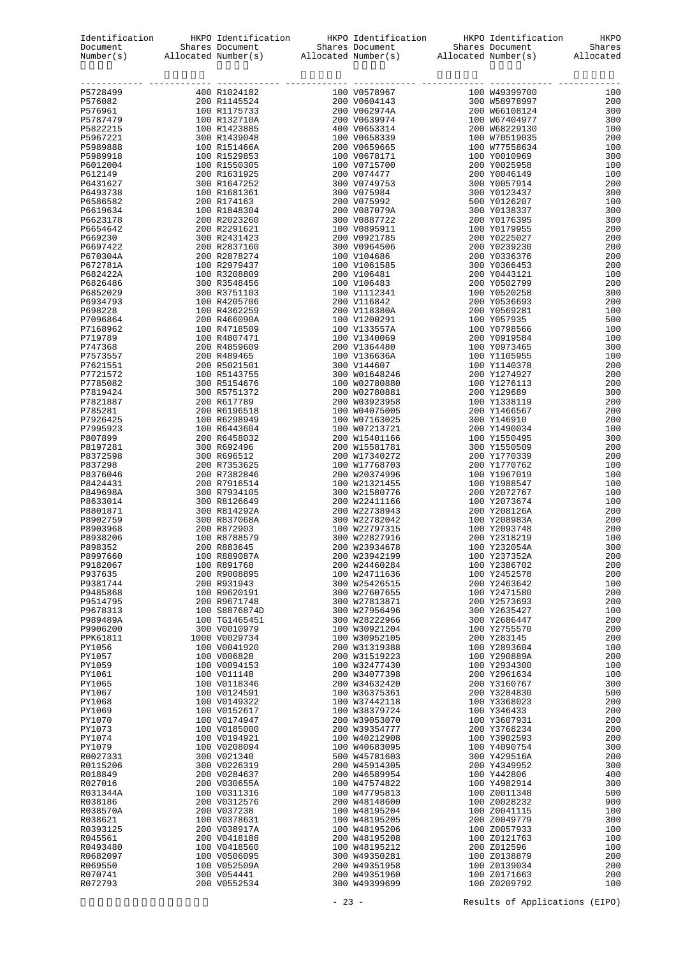| Document             | Identification                   |                              | tion HKPO Identification HKPO Identification HKPO Identification HKPO Identification HKPO Shares Document Shares Document Allocated Number(s) Allocated Number(s) and Allocated Number(s) and Allocated Number(s) and Allocate                                                                                                                                                                                                  |                              |            |
|----------------------|----------------------------------|------------------------------|---------------------------------------------------------------------------------------------------------------------------------------------------------------------------------------------------------------------------------------------------------------------------------------------------------------------------------------------------------------------------------------------------------------------------------|------------------------------|------------|
| Number(s)            |                                  |                              |                                                                                                                                                                                                                                                                                                                                                                                                                                 |                              |            |
|                      |                                  |                              | $\begin{small} \mathbf{A} & \mathbf{1} & \mathbf{0} & \mathbf{0} & \mathbf{0} & \mathbf{0} & \mathbf{0} & \mathbf{0} & \mathbf{0} & \mathbf{0} & \mathbf{0} & \mathbf{0} & \mathbf{0} & \mathbf{0} & \mathbf{0} & \mathbf{0} & \mathbf{0} & \mathbf{0} & \mathbf{0} & \mathbf{0} & \mathbf{0} & \mathbf{0} & \mathbf{0} & \mathbf{0} & \mathbf{0} & \mathbf{0} & \mathbf{0} & \mathbf{0} & \mathbf{0} & \mathbf{0} & \mathbf{0$ |                              |            |
| P5728499             |                                  |                              |                                                                                                                                                                                                                                                                                                                                                                                                                                 |                              |            |
| P576082              |                                  |                              |                                                                                                                                                                                                                                                                                                                                                                                                                                 |                              |            |
| P576961              |                                  |                              |                                                                                                                                                                                                                                                                                                                                                                                                                                 |                              |            |
|                      | P5787479<br>P5787479<br>P5822215 |                              |                                                                                                                                                                                                                                                                                                                                                                                                                                 |                              |            |
| P5967221             |                                  |                              |                                                                                                                                                                                                                                                                                                                                                                                                                                 |                              |            |
| P5989888             |                                  |                              |                                                                                                                                                                                                                                                                                                                                                                                                                                 |                              |            |
| P5989918             |                                  |                              |                                                                                                                                                                                                                                                                                                                                                                                                                                 |                              |            |
| P6012004             |                                  |                              |                                                                                                                                                                                                                                                                                                                                                                                                                                 |                              |            |
| P612149              |                                  |                              |                                                                                                                                                                                                                                                                                                                                                                                                                                 |                              |            |
| P6431627             |                                  |                              |                                                                                                                                                                                                                                                                                                                                                                                                                                 |                              |            |
| P6493738             |                                  |                              |                                                                                                                                                                                                                                                                                                                                                                                                                                 |                              |            |
| P6586582<br>P6619634 |                                  |                              |                                                                                                                                                                                                                                                                                                                                                                                                                                 |                              |            |
| P6623178             |                                  |                              |                                                                                                                                                                                                                                                                                                                                                                                                                                 |                              |            |
| P6654642             |                                  |                              |                                                                                                                                                                                                                                                                                                                                                                                                                                 |                              |            |
| P669230              |                                  |                              |                                                                                                                                                                                                                                                                                                                                                                                                                                 |                              |            |
| P6697422             |                                  |                              |                                                                                                                                                                                                                                                                                                                                                                                                                                 |                              |            |
| P670304A             |                                  |                              |                                                                                                                                                                                                                                                                                                                                                                                                                                 |                              |            |
| P672781A             |                                  |                              |                                                                                                                                                                                                                                                                                                                                                                                                                                 |                              |            |
| P682422A             |                                  |                              |                                                                                                                                                                                                                                                                                                                                                                                                                                 |                              |            |
| P6826486<br>P6852029 |                                  |                              |                                                                                                                                                                                                                                                                                                                                                                                                                                 |                              |            |
| P6934793             |                                  |                              |                                                                                                                                                                                                                                                                                                                                                                                                                                 |                              |            |
| P698228              |                                  |                              |                                                                                                                                                                                                                                                                                                                                                                                                                                 |                              |            |
| P7096864             |                                  |                              |                                                                                                                                                                                                                                                                                                                                                                                                                                 |                              |            |
| P7168962             |                                  |                              |                                                                                                                                                                                                                                                                                                                                                                                                                                 |                              |            |
| P719789              |                                  |                              |                                                                                                                                                                                                                                                                                                                                                                                                                                 |                              |            |
| P747368              |                                  |                              |                                                                                                                                                                                                                                                                                                                                                                                                                                 |                              |            |
| P7573557             |                                  |                              |                                                                                                                                                                                                                                                                                                                                                                                                                                 |                              |            |
| P7621551             |                                  |                              |                                                                                                                                                                                                                                                                                                                                                                                                                                 |                              |            |
| P7721572             |                                  |                              |                                                                                                                                                                                                                                                                                                                                                                                                                                 |                              |            |
| P7785082<br>P7819424 |                                  |                              |                                                                                                                                                                                                                                                                                                                                                                                                                                 |                              |            |
| P7821887             |                                  |                              |                                                                                                                                                                                                                                                                                                                                                                                                                                 |                              |            |
| P785281              |                                  |                              |                                                                                                                                                                                                                                                                                                                                                                                                                                 |                              |            |
| P7926425             |                                  |                              |                                                                                                                                                                                                                                                                                                                                                                                                                                 |                              |            |
| P7995923             |                                  |                              |                                                                                                                                                                                                                                                                                                                                                                                                                                 |                              |            |
| P807899              |                                  |                              |                                                                                                                                                                                                                                                                                                                                                                                                                                 |                              |            |
| P8197281             |                                  |                              |                                                                                                                                                                                                                                                                                                                                                                                                                                 |                              |            |
| P8372598             |                                  |                              |                                                                                                                                                                                                                                                                                                                                                                                                                                 |                              |            |
| P837298              |                                  |                              |                                                                                                                                                                                                                                                                                                                                                                                                                                 |                              |            |
| P8376046<br>P8424431 |                                  |                              |                                                                                                                                                                                                                                                                                                                                                                                                                                 |                              |            |
| P849698A             |                                  |                              |                                                                                                                                                                                                                                                                                                                                                                                                                                 |                              |            |
| P8633014             |                                  |                              |                                                                                                                                                                                                                                                                                                                                                                                                                                 |                              |            |
| P8801871             |                                  |                              |                                                                                                                                                                                                                                                                                                                                                                                                                                 |                              |            |
| P8902759             |                                  |                              |                                                                                                                                                                                                                                                                                                                                                                                                                                 |                              |            |
| P8903968             |                                  |                              |                                                                                                                                                                                                                                                                                                                                                                                                                                 |                              |            |
| P8938206             |                                  |                              |                                                                                                                                                                                                                                                                                                                                                                                                                                 |                              |            |
| P898352              |                                  |                              |                                                                                                                                                                                                                                                                                                                                                                                                                                 |                              |            |
| P8997660             |                                  | 100 R891768                  | 200 W24460284                                                                                                                                                                                                                                                                                                                                                                                                                   |                              |            |
| P9182067<br>P937635  |                                  | 200 R9008895                 | 100 W24711636                                                                                                                                                                                                                                                                                                                                                                                                                   | 100 Y2386702<br>100 Y2452578 | 200<br>200 |
| P9381744             |                                  | 200 R931943                  | 300 W25426515                                                                                                                                                                                                                                                                                                                                                                                                                   | 200 Y2463642                 | 100        |
| P9485868             |                                  | 100 R9620191                 | 300 W27607655                                                                                                                                                                                                                                                                                                                                                                                                                   | 100 Y2471580                 | 200        |
| P9514795             |                                  | 200 R9671748                 | 300 W27813871                                                                                                                                                                                                                                                                                                                                                                                                                   | 200 Y2573693                 | 200        |
| P9678313             |                                  | 100 S8876874D                | 300 W27956496                                                                                                                                                                                                                                                                                                                                                                                                                   | 300 Y2635427                 | 100        |
| P989489A             |                                  | 100 TG1465451                | 300 W28222966                                                                                                                                                                                                                                                                                                                                                                                                                   | 300 Y2686447                 | 200        |
| P9906200             |                                  | 300 V0010979                 | 100 W30921204                                                                                                                                                                                                                                                                                                                                                                                                                   | 100 Y2755570                 | 200        |
| PPK61811             |                                  | 1000 V0029734                | 100 W30952105                                                                                                                                                                                                                                                                                                                                                                                                                   | 200 Y283145                  | 200        |
| PY1056               |                                  | 100 V0041920                 | 200 W31319388                                                                                                                                                                                                                                                                                                                                                                                                                   | 100 Y2893604<br>100 Y290889A | 100        |
| PY1057<br>PY1059     |                                  | 100 V006828<br>100 V0094153  | 200 W31519223<br>100 W32477430                                                                                                                                                                                                                                                                                                                                                                                                  | 100 Y2934300                 | 200<br>100 |
| PY1061               |                                  | 100 V011148                  | 200 W34077398                                                                                                                                                                                                                                                                                                                                                                                                                   | 200 Y2961634                 | 100        |
| PY1065               |                                  | 100 V0118346                 | 200 W34632420                                                                                                                                                                                                                                                                                                                                                                                                                   | 200 Y3160767                 | 300        |
| PY1067               |                                  | 100 V0124591                 | 100 W36375361                                                                                                                                                                                                                                                                                                                                                                                                                   | 200 Y3284830                 | 500        |
| PY1068               |                                  | 100 V0149322                 | 100 W37442118                                                                                                                                                                                                                                                                                                                                                                                                                   | 100 Y3368023                 | 200        |
| PY1069               |                                  | 100 V0152617                 | 100 W38379724                                                                                                                                                                                                                                                                                                                                                                                                                   | 100 Y346433                  | 200        |
| PY1070               |                                  | 100 V0174947                 | 200 W39053070                                                                                                                                                                                                                                                                                                                                                                                                                   | 100 Y3607931                 | 200        |
| PY1073               |                                  | 100 V0185000                 | 200 W39354777                                                                                                                                                                                                                                                                                                                                                                                                                   | 200 Y3768234                 | 200        |
| PY1074               |                                  | 100 V0194921                 | 100 W40212908                                                                                                                                                                                                                                                                                                                                                                                                                   | 100 Y3902593                 | 200        |
| PY1079               |                                  | 100 V0208094                 | 100 W40683095<br>500 W45781603                                                                                                                                                                                                                                                                                                                                                                                                  | 100 Y4090754                 | 300<br>200 |
| R0027331<br>R0115206 |                                  | 300 V021340<br>300 V0226319  | 200 W45914305                                                                                                                                                                                                                                                                                                                                                                                                                   | 300 Y429516A<br>200 Y4349952 | 300        |
| R018849              |                                  | 200 V0284637                 | 200 W46589954                                                                                                                                                                                                                                                                                                                                                                                                                   | 100 Y442806                  | 400        |
| R027016              |                                  | 200 V030655A                 | 100 W47574822                                                                                                                                                                                                                                                                                                                                                                                                                   | 100 Y4982914                 | 300        |
| R031344A             |                                  | 100 V0311316                 | 100 W47795813                                                                                                                                                                                                                                                                                                                                                                                                                   | 100 Z0011348                 | 500        |
| R038186              |                                  | 200 V0312576                 | 200 W48148600                                                                                                                                                                                                                                                                                                                                                                                                                   | 100 Z0028232                 | 900        |
| R038570A             |                                  | 200 V037238                  | 100 W48195204                                                                                                                                                                                                                                                                                                                                                                                                                   | 100 Z0041115                 | 100        |
| R038621              |                                  | 100 V0378631                 | 100 W48195205                                                                                                                                                                                                                                                                                                                                                                                                                   | 200 Z0049779                 | 300        |
| R0393125             |                                  | 200 V038917A                 | 100 W48195206                                                                                                                                                                                                                                                                                                                                                                                                                   | 100 Z0057933                 | 100        |
| R045561              |                                  | 200 V0418188                 | 200 W48195208                                                                                                                                                                                                                                                                                                                                                                                                                   | 100 Z0121763                 | 100        |
| R0493480<br>R0682097 |                                  | 100 V0418560<br>100 V0506095 | 100 W48195212<br>300 W49350281                                                                                                                                                                                                                                                                                                                                                                                                  | 200 Z012596<br>100 Z0138879  | 100<br>200 |
| R069550              |                                  | 100 V052509A                 | 200 W49351958                                                                                                                                                                                                                                                                                                                                                                                                                   | 100 Z0139034                 | 200        |
| R070741              |                                  | 300 V054441                  | 200 W49351960                                                                                                                                                                                                                                                                                                                                                                                                                   | 100 Z0171663                 | 200        |
| R072793              |                                  | 200 V0552534                 | 300 W49399699                                                                                                                                                                                                                                                                                                                                                                                                                   | 100 Z0209792                 | 100        |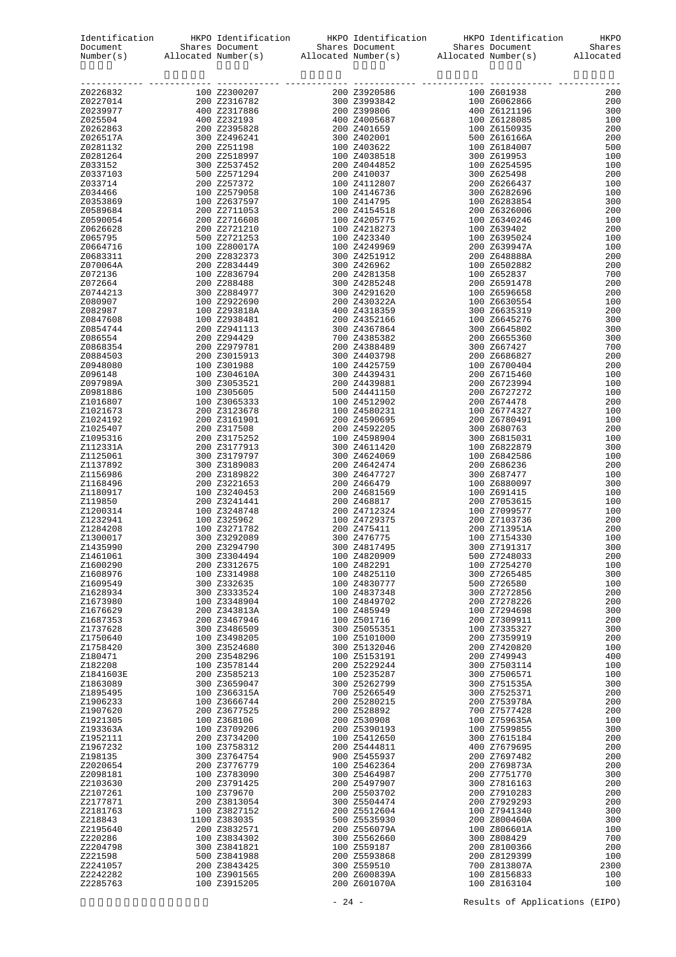| Identification HKPO Identification HKPO Identification HKPO Identification HKPO Document Shares Document Shares Document Shares Document Shares Number(s) allocated Number(s) allocated Number(s) and Refugees Allocated Numbe |                              |                             |                              |            |
|--------------------------------------------------------------------------------------------------------------------------------------------------------------------------------------------------------------------------------|------------------------------|-----------------------------|------------------------------|------------|
|                                                                                                                                                                                                                                |                              |                             |                              |            |
|                                                                                                                                                                                                                                |                              |                             |                              |            |
|                                                                                                                                                                                                                                |                              |                             |                              |            |
|                                                                                                                                                                                                                                |                              |                             |                              |            |
|                                                                                                                                                                                                                                |                              |                             |                              |            |
|                                                                                                                                                                                                                                |                              |                             |                              |            |
|                                                                                                                                                                                                                                |                              |                             |                              |            |
|                                                                                                                                                                                                                                |                              |                             |                              |            |
|                                                                                                                                                                                                                                |                              |                             |                              |            |
|                                                                                                                                                                                                                                |                              |                             |                              |            |
|                                                                                                                                                                                                                                |                              |                             |                              |            |
|                                                                                                                                                                                                                                |                              |                             |                              |            |
|                                                                                                                                                                                                                                |                              |                             |                              |            |
|                                                                                                                                                                                                                                |                              |                             |                              |            |
|                                                                                                                                                                                                                                |                              |                             |                              |            |
|                                                                                                                                                                                                                                |                              |                             |                              |            |
|                                                                                                                                                                                                                                |                              |                             |                              |            |
|                                                                                                                                                                                                                                |                              |                             |                              |            |
|                                                                                                                                                                                                                                |                              |                             |                              |            |
|                                                                                                                                                                                                                                |                              |                             |                              |            |
|                                                                                                                                                                                                                                |                              |                             |                              |            |
|                                                                                                                                                                                                                                |                              |                             |                              |            |
|                                                                                                                                                                                                                                |                              |                             |                              |            |
|                                                                                                                                                                                                                                |                              |                             |                              |            |
|                                                                                                                                                                                                                                |                              |                             |                              |            |
|                                                                                                                                                                                                                                |                              |                             |                              |            |
|                                                                                                                                                                                                                                |                              |                             |                              |            |
|                                                                                                                                                                                                                                |                              |                             |                              |            |
|                                                                                                                                                                                                                                |                              |                             |                              |            |
|                                                                                                                                                                                                                                |                              |                             |                              |            |
|                                                                                                                                                                                                                                |                              |                             |                              |            |
|                                                                                                                                                                                                                                |                              |                             |                              |            |
|                                                                                                                                                                                                                                |                              |                             |                              |            |
|                                                                                                                                                                                                                                |                              |                             |                              |            |
|                                                                                                                                                                                                                                |                              |                             |                              |            |
|                                                                                                                                                                                                                                |                              |                             |                              |            |
|                                                                                                                                                                                                                                |                              |                             |                              |            |
|                                                                                                                                                                                                                                |                              |                             |                              |            |
|                                                                                                                                                                                                                                |                              |                             |                              |            |
|                                                                                                                                                                                                                                |                              |                             |                              |            |
|                                                                                                                                                                                                                                |                              |                             |                              |            |
|                                                                                                                                                                                                                                |                              |                             |                              |            |
|                                                                                                                                                                                                                                |                              |                             |                              |            |
|                                                                                                                                                                                                                                |                              |                             |                              |            |
|                                                                                                                                                                                                                                |                              |                             |                              |            |
|                                                                                                                                                                                                                                |                              |                             |                              |            |
|                                                                                                                                                                                                                                |                              |                             |                              |            |
| Z1435990                                                                                                                                                                                                                       | 200 Z3294790                 | 300 Z4817495                | 300 Z7191317                 | 300        |
| Z1461061                                                                                                                                                                                                                       | 300 Z3304494                 | 100 Z4820909                | 500 Z7248033                 | 200        |
| Z1600290                                                                                                                                                                                                                       | 200 Z3312675                 | 100 Z482291                 | 100 Z7254270                 | 100        |
| Z1608976                                                                                                                                                                                                                       | 100 Z3314988                 | 100 Z4825110                | 300 Z7265485                 | 300        |
| Z1609549                                                                                                                                                                                                                       | 300 Z332635                  | 100 Z4830777                | 500 Z726580                  | 100        |
| Z1628934                                                                                                                                                                                                                       | 300 Z3333524                 | 100 Z4837348                | 300 Z7272856                 | 200        |
| Z1673980                                                                                                                                                                                                                       | 100 Z3348904                 | 100 Z4849702                | 200 Z7278226                 | 200        |
| Z1676629                                                                                                                                                                                                                       | 200 Z343813A                 | 100 Z485949                 | 100 Z7294698                 | 300        |
| Z1687353<br>Z1737628                                                                                                                                                                                                           | 200 Z3467946<br>300 Z3486509 | 100 Z501716<br>300 Z5055351 | 200 Z7309911<br>100 Z7335327 | 200<br>300 |
| Z1750640                                                                                                                                                                                                                       | 100 Z3498205                 | 100 Z5101000                | 200 Z7359919                 | 200        |
| Z1758420                                                                                                                                                                                                                       | 300 Z3524680                 | 300 Z5132046                | 200 Z7420820                 | 100        |
| Z180471                                                                                                                                                                                                                        | 200 Z3548296                 | 100 Z5153191                | 200 Z749943                  | 400        |
| Z182208                                                                                                                                                                                                                        | 100 Z3578144                 | 200 Z5229244                | 300 Z7503114                 | 100        |
| Z1841603E                                                                                                                                                                                                                      | 200 Z3585213                 | 100 Z5235287                | 300 Z7506571                 | 100        |
| Z1863089                                                                                                                                                                                                                       | 300 Z3659047                 | 300 Z5262799                | 300 Z751535A                 | 300        |
| Z1895495                                                                                                                                                                                                                       | 100 Z366315A                 | 700 Z5266549                | 300 Z7525371                 | 200        |
| Z1906233                                                                                                                                                                                                                       | 100 Z3666744                 | 200 Z5280215                | 200 Z753978A                 | 200        |
| Z1907620                                                                                                                                                                                                                       | 200 Z3677525                 | 200 Z528892                 | 700 Z7577428                 | 200        |
| Z1921305<br>Z193363A                                                                                                                                                                                                           | 100 Z368106                  | 200 Z530908<br>200 Z5390193 | 100 Z759635A                 | 100<br>300 |
| Z1952111                                                                                                                                                                                                                       | 100 Z3709206<br>200 Z3734200 | 100 Z5412650                | 100 Z7599855<br>300 Z7615184 | 200        |
| Z1967232                                                                                                                                                                                                                       | 100 Z3758312                 | 200 Z5444811                | 400 Z7679695                 | 200        |
| Z198135                                                                                                                                                                                                                        | 300 Z3764754                 | 900 Z5455937                | 200 Z7697482                 | 200        |
| Z2020654                                                                                                                                                                                                                       | 200 Z3776779                 | 100 Z5462364                | 200 Z769873A                 | 200        |
| Z2098181                                                                                                                                                                                                                       | 100 Z3783090                 | 300 Z5464987                | 200 Z7751770                 | 300        |
| Z2103630                                                                                                                                                                                                                       | 200 Z3791425                 | 200 Z5497907                | 300 Z7816163                 | 200        |
| Z2107261                                                                                                                                                                                                                       | 100 Z379670                  | 200 Z5503702                | 200 Z7910283                 | 200        |
| Z2177871                                                                                                                                                                                                                       | 200 Z3813054                 | 300 Z5504474                | 200 Z7929293                 | 200        |
| Z2181763                                                                                                                                                                                                                       | 100 Z3827152                 | 200 Z5512604                | 100 Z7941340                 | 300        |
| Z218843                                                                                                                                                                                                                        | 1100 Z383035                 | 500 Z5535930                | 200 Z800460A                 | 300        |
| Z2195640                                                                                                                                                                                                                       | 200 Z3832571                 | 200 Z556079A                | 100 Z806601A                 | 100        |
| Z220286                                                                                                                                                                                                                        | 100 Z3834302                 | 300 Z5562660                | 300 Z808429                  | 700        |
| Z2204798<br>Z221598                                                                                                                                                                                                            | 300 Z3841821<br>500 Z3841988 | 100 Z559187<br>200 Z5593868 | 200 Z8100366<br>200 Z8129399 | 200<br>100 |
| Z2241057                                                                                                                                                                                                                       | 200 Z3843425                 | 300 Z559510                 | 700 Z813807A                 | 2300       |
| Z2242282                                                                                                                                                                                                                       | 100 Z3901565                 | 200 Z600839A                | 100 Z8156833                 | 100        |
| Z2285763                                                                                                                                                                                                                       | 100 Z3915205                 | 200 Z601070A                | 100 Z8163104                 | 100        |

#### - 24 - Results of Applications (EIPO)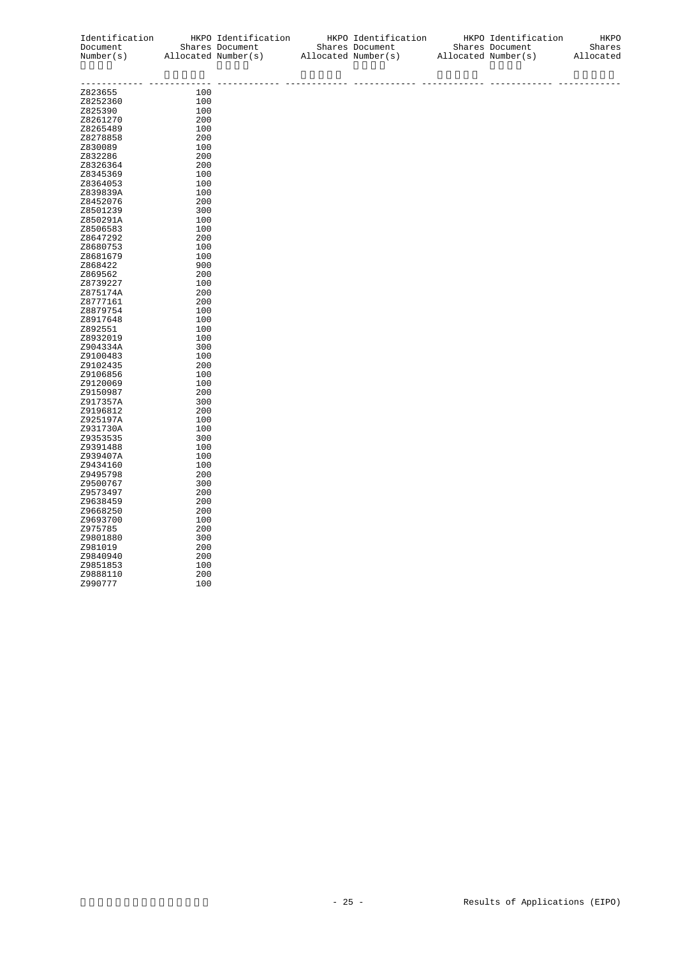| Identification<br>Document<br>Number(s) | Allocated Number(s) | HKPO Identification<br>Shares Document | HKPO Identification<br>Shares Document<br>Allocated Number(s) | Allocated Number(s) | HKPO Identification<br>Shares Document | HKPO<br>Shares<br>Allocated |
|-----------------------------------------|---------------------|----------------------------------------|---------------------------------------------------------------|---------------------|----------------------------------------|-----------------------------|
|                                         |                     |                                        |                                                               |                     |                                        |                             |
| Z823655                                 | 100                 |                                        |                                                               |                     |                                        |                             |
| Z8252360                                | 100                 |                                        |                                                               |                     |                                        |                             |
| Z825390                                 | 100                 |                                        |                                                               |                     |                                        |                             |
| Z8261270                                | 200                 |                                        |                                                               |                     |                                        |                             |
| Z8265489                                | 100                 |                                        |                                                               |                     |                                        |                             |
| Z8278858                                | 200                 |                                        |                                                               |                     |                                        |                             |
| Z830089                                 | 100                 |                                        |                                                               |                     |                                        |                             |
| Z832286                                 | 200                 |                                        |                                                               |                     |                                        |                             |
| Z8326364                                | 200                 |                                        |                                                               |                     |                                        |                             |
| Z8345369                                | 100                 |                                        |                                                               |                     |                                        |                             |
| Z8364053                                | 100                 |                                        |                                                               |                     |                                        |                             |
| Z839839A                                | 100                 |                                        |                                                               |                     |                                        |                             |
| Z8452076                                | 200                 |                                        |                                                               |                     |                                        |                             |
| Z8501239                                | 300                 |                                        |                                                               |                     |                                        |                             |
| Z850291A                                | 100                 |                                        |                                                               |                     |                                        |                             |
| Z8506583                                | 100                 |                                        |                                                               |                     |                                        |                             |
| Z8647292                                | 200                 |                                        |                                                               |                     |                                        |                             |
| Z8680753                                | 100                 |                                        |                                                               |                     |                                        |                             |
| Z8681679                                | 100                 |                                        |                                                               |                     |                                        |                             |
| Z868422                                 | 900                 |                                        |                                                               |                     |                                        |                             |
| Z869562                                 | 200                 |                                        |                                                               |                     |                                        |                             |
| Z8739227                                | 100                 |                                        |                                                               |                     |                                        |                             |
| Z875174A                                | 200                 |                                        |                                                               |                     |                                        |                             |
| Z8777161                                | 200                 |                                        |                                                               |                     |                                        |                             |
| Z8879754                                | 100                 |                                        |                                                               |                     |                                        |                             |
| Z8917648                                | 100                 |                                        |                                                               |                     |                                        |                             |
| Z892551                                 | 100                 |                                        |                                                               |                     |                                        |                             |
| Z8932019                                | 100                 |                                        |                                                               |                     |                                        |                             |
| Z904334A                                | 300                 |                                        |                                                               |                     |                                        |                             |
| Z9100483                                | 100                 |                                        |                                                               |                     |                                        |                             |
| Z9102435                                | 200                 |                                        |                                                               |                     |                                        |                             |
| Z9106856                                | 100                 |                                        |                                                               |                     |                                        |                             |
| Z9120069                                | 100                 |                                        |                                                               |                     |                                        |                             |
| Z9150987                                | 200                 |                                        |                                                               |                     |                                        |                             |
| Z917357A                                | 300                 |                                        |                                                               |                     |                                        |                             |
| Z9196812                                | 200                 |                                        |                                                               |                     |                                        |                             |
| Z925197A                                | 100                 |                                        |                                                               |                     |                                        |                             |
| Z931730A                                | 100                 |                                        |                                                               |                     |                                        |                             |
| Z9353535                                | 300                 |                                        |                                                               |                     |                                        |                             |
| Z9391488                                | 100                 |                                        |                                                               |                     |                                        |                             |
| Z939407A                                | 100                 |                                        |                                                               |                     |                                        |                             |
| Z9434160                                | 100                 |                                        |                                                               |                     |                                        |                             |
| Z9495798                                | 200                 |                                        |                                                               |                     |                                        |                             |
| Z9500767                                | 300                 |                                        |                                                               |                     |                                        |                             |
| Z9573497                                | 200                 |                                        |                                                               |                     |                                        |                             |
| Z9638459                                | 200                 |                                        |                                                               |                     |                                        |                             |
| Z9668250                                | 200                 |                                        |                                                               |                     |                                        |                             |
| Z9693700                                | 100                 |                                        |                                                               |                     |                                        |                             |
| Z975785                                 | 200                 |                                        |                                                               |                     |                                        |                             |
| Z9801880                                | 300                 |                                        |                                                               |                     |                                        |                             |
| Z981019                                 | 200                 |                                        |                                                               |                     |                                        |                             |
| Z9840940                                | 200                 |                                        |                                                               |                     |                                        |                             |
| Z9851853                                | 100                 |                                        |                                                               |                     |                                        |                             |
| Z9888110                                | 200                 |                                        |                                                               |                     |                                        |                             |

Z990777 100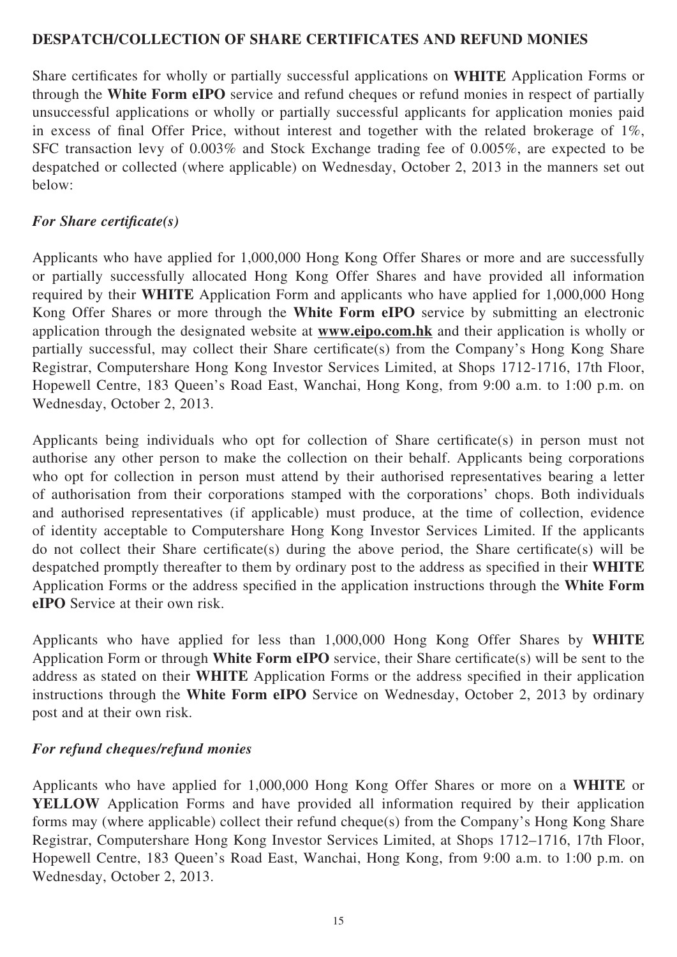### **DESPATCH/COLLECTION OF SHARE CERTIFICATES AND REFUND MONIES**

Share certificates for wholly or partially successful applications on WHITE Application Forms or through the **White Form eIPO** service and refund cheques or refund monies in respect of partially unsuccessful applications or wholly or partially successful applicants for application monies paid in excess of final Offer Price, without interest and together with the related brokerage of  $1\%$ , SFC transaction levy of 0.003% and Stock Exchange trading fee of 0.005%, are expected to be despatched or collected (where applicable) on Wednesday, October 2, 2013 in the manners set out below:

## *For Share certificate(s)*

Applicants who have applied for 1,000,000 Hong Kong Offer Shares or more and are successfully or partially successfully allocated Hong Kong Offer Shares and have provided all information required by their **WHITE** Application Form and applicants who have applied for 1,000,000 Hong Kong Offer Shares or more through the **White Form eIPO** service by submitting an electronic application through the designated website at **www.eipo.com.hk** and their application is wholly or partially successful, may collect their Share certificate(s) from the Company's Hong Kong Share Registrar, Computershare Hong Kong Investor Services Limited, at Shops 1712-1716, 17th Floor, Hopewell Centre, 183 Queen's Road East, Wanchai, Hong Kong, from 9:00 a.m. to 1:00 p.m. on Wednesday, October 2, 2013.

Applicants being individuals who opt for collection of Share certificate(s) in person must not authorise any other person to make the collection on their behalf. Applicants being corporations who opt for collection in person must attend by their authorised representatives bearing a letter of authorisation from their corporations stamped with the corporations' chops. Both individuals and authorised representatives (if applicable) must produce, at the time of collection, evidence of identity acceptable to Computershare Hong Kong Investor Services Limited. If the applicants do not collect their Share certificate(s) during the above period, the Share certificate(s) will be despatched promptly thereafter to them by ordinary post to the address as specified in their **WHITE** Application Forms or the address specified in the application instructions through the White Form **eIPO** Service at their own risk.

Applicants who have applied for less than 1,000,000 Hong Kong Offer Shares by **WHITE** Application Form or through **White Form eIPO** service, their Share certificate(s) will be sent to the address as stated on their **WHITE** Application Forms or the address specified in their application instructions through the **White Form eIPO** Service on Wednesday, October 2, 2013 by ordinary post and at their own risk.

### *For refund cheques/refund monies*

Applicants who have applied for 1,000,000 Hong Kong Offer Shares or more on a **WHITE** or **YELLOW** Application Forms and have provided all information required by their application forms may (where applicable) collect their refund cheque(s) from the Company's Hong Kong Share Registrar, Computershare Hong Kong Investor Services Limited, at Shops 1712–1716, 17th Floor, Hopewell Centre, 183 Queen's Road East, Wanchai, Hong Kong, from 9:00 a.m. to 1:00 p.m. on Wednesday, October 2, 2013.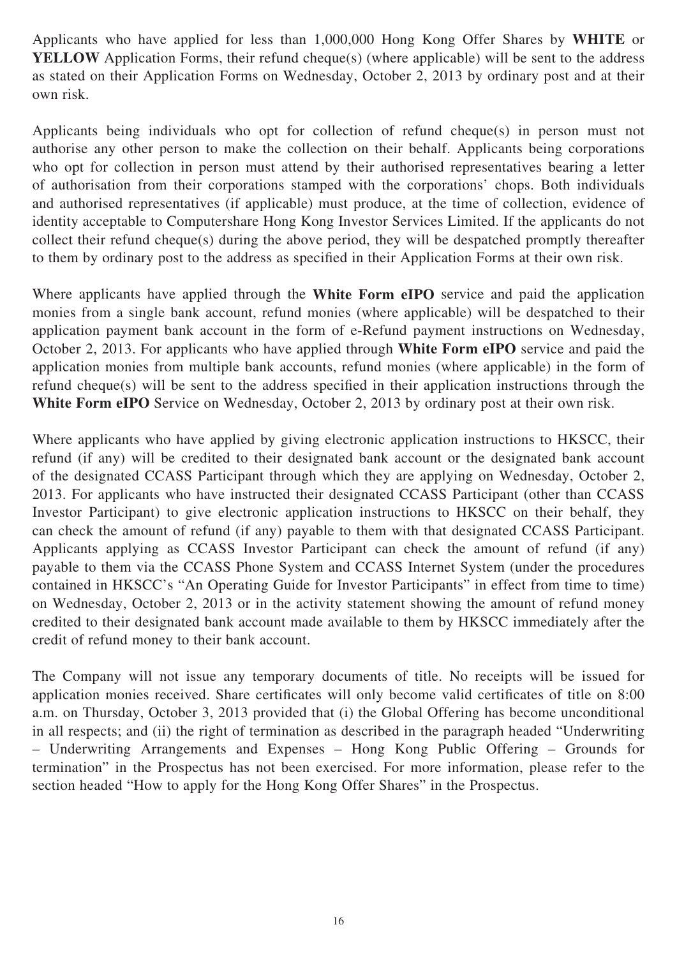Applicants who have applied for less than 1,000,000 Hong Kong Offer Shares by **WHITE** or **YELLOW** Application Forms, their refund cheque(s) (where applicable) will be sent to the address as stated on their Application Forms on Wednesday, October 2, 2013 by ordinary post and at their own risk.

Applicants being individuals who opt for collection of refund cheque(s) in person must not authorise any other person to make the collection on their behalf. Applicants being corporations who opt for collection in person must attend by their authorised representatives bearing a letter of authorisation from their corporations stamped with the corporations' chops. Both individuals and authorised representatives (if applicable) must produce, at the time of collection, evidence of identity acceptable to Computershare Hong Kong Investor Services Limited. If the applicants do not collect their refund cheque(s) during the above period, they will be despatched promptly thereafter to them by ordinary post to the address as specified in their Application Forms at their own risk.

Where applicants have applied through the **White Form eIPO** service and paid the application monies from a single bank account, refund monies (where applicable) will be despatched to their application payment bank account in the form of e-Refund payment instructions on Wednesday, October 2, 2013. For applicants who have applied through **White Form eIPO** service and paid the application monies from multiple bank accounts, refund monies (where applicable) in the form of refund cheque(s) will be sent to the address specified in their application instructions through the **White Form eIPO** Service on Wednesday, October 2, 2013 by ordinary post at their own risk.

Where applicants who have applied by giving electronic application instructions to HKSCC, their refund (if any) will be credited to their designated bank account or the designated bank account of the designated CCASS Participant through which they are applying on Wednesday, October 2, 2013. For applicants who have instructed their designated CCASS Participant (other than CCASS Investor Participant) to give electronic application instructions to HKSCC on their behalf, they can check the amount of refund (if any) payable to them with that designated CCASS Participant. Applicants applying as CCASS Investor Participant can check the amount of refund (if any) payable to them via the CCASS Phone System and CCASS Internet System (under the procedures contained in HKSCC's "An Operating Guide for Investor Participants" in effect from time to time) on Wednesday, October 2, 2013 or in the activity statement showing the amount of refund money credited to their designated bank account made available to them by HKSCC immediately after the credit of refund money to their bank account.

The Company will not issue any temporary documents of title. No receipts will be issued for application monies received. Share certificates will only become valid certificates of title on 8:00 a.m. on Thursday, October 3, 2013 provided that (i) the Global Offering has become unconditional in all respects; and (ii) the right of termination as described in the paragraph headed "Underwriting – Underwriting Arrangements and Expenses – Hong Kong Public Offering – Grounds for termination" in the Prospectus has not been exercised. For more information, please refer to the section headed "How to apply for the Hong Kong Offer Shares" in the Prospectus.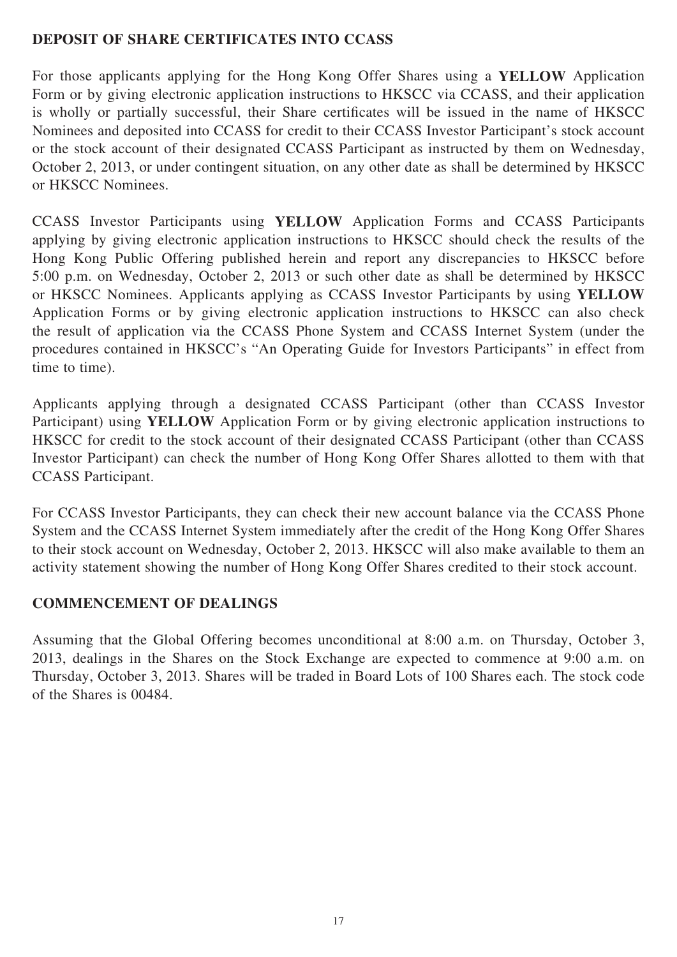# **DEPOSIT OF SHARE CERTIFICATES INTO CCASS**

For those applicants applying for the Hong Kong Offer Shares using a **YELLOW** Application Form or by giving electronic application instructions to HKSCC via CCASS, and their application is wholly or partially successful, their Share certificates will be issued in the name of HKSCC Nominees and deposited into CCASS for credit to their CCASS Investor Participant's stock account or the stock account of their designated CCASS Participant as instructed by them on Wednesday, October 2, 2013, or under contingent situation, on any other date as shall be determined by HKSCC or HKSCC Nominees.

CCASS Investor Participants using **YELLOW** Application Forms and CCASS Participants applying by giving electronic application instructions to HKSCC should check the results of the Hong Kong Public Offering published herein and report any discrepancies to HKSCC before 5:00 p.m. on Wednesday, October 2, 2013 or such other date as shall be determined by HKSCC or HKSCC Nominees. Applicants applying as CCASS Investor Participants by using **YELLOW** Application Forms or by giving electronic application instructions to HKSCC can also check the result of application via the CCASS Phone System and CCASS Internet System (under the procedures contained in HKSCC's "An Operating Guide for Investors Participants" in effect from time to time).

Applicants applying through a designated CCASS Participant (other than CCASS Investor Participant) using **YELLOW** Application Form or by giving electronic application instructions to HKSCC for credit to the stock account of their designated CCASS Participant (other than CCASS Investor Participant) can check the number of Hong Kong Offer Shares allotted to them with that CCASS Participant.

For CCASS Investor Participants, they can check their new account balance via the CCASS Phone System and the CCASS Internet System immediately after the credit of the Hong Kong Offer Shares to their stock account on Wednesday, October 2, 2013. HKSCC will also make available to them an activity statement showing the number of Hong Kong Offer Shares credited to their stock account.

# **COMMENCEMENT OF DEALINGS**

Assuming that the Global Offering becomes unconditional at 8:00 a.m. on Thursday, October 3, 2013, dealings in the Shares on the Stock Exchange are expected to commence at 9:00 a.m. on Thursday, October 3, 2013. Shares will be traded in Board Lots of 100 Shares each. The stock code of the Shares is 00484.